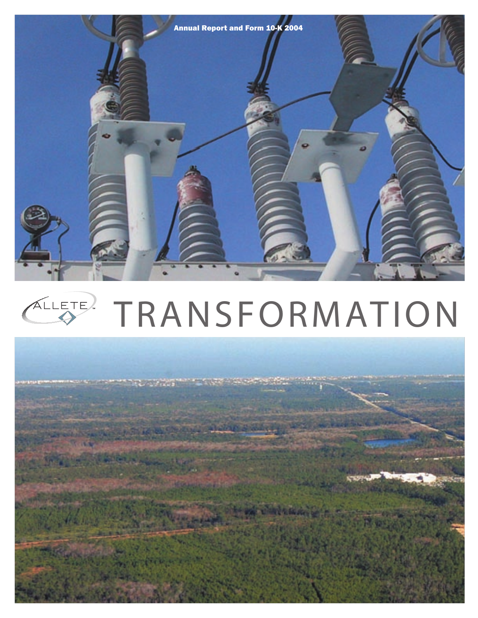

# TRANSFORMATION ALLETE.

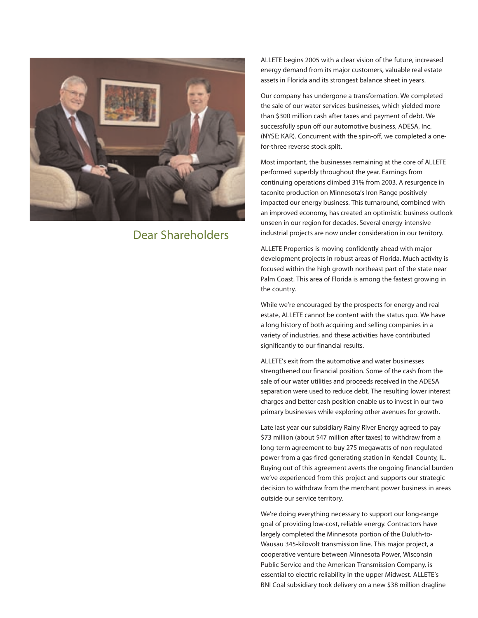

### **Dear Shareholders**

ALLETE begins 2005 with a clear vision of the future, increased energy demand from its major customers, valuable real estate assets in Florida and its strongest balance sheet in years.

Our company has undergone a transformation. We completed the sale of our water services businesses, which yielded more than \$300 million cash after taxes and payment of debt. We successfully spun off our automotive business, ADESA, Inc. (NYSE: KAR). Concurrent with the spin-off, we completed a onefor-three reverse stock split.

Most important, the businesses remaining at the core of ALLETE performed superbly throughout the year. Earnings from continuing operations climbed 31% from 2003. A resurgence in taconite production on Minnesota's Iron Range positively impacted our energy business. This turnaround, combined with an improved economy, has created an optimistic business outlook unseen in our region for decades. Several energy-intensive industrial projects are now under consideration in our territory.

ALLETE Properties is moving confidently ahead with major development projects in robust areas of Florida. Much activity is focused within the high growth northeast part of the state near Palm Coast. This area of Florida is among the fastest growing in the country.

While we're encouraged by the prospects for energy and real estate, ALLETE cannot be content with the status quo. We have a long history of both acquiring and selling companies in a variety of industries, and these activities have contributed significantly to our financial results.

ALLETE's exit from the automotive and water businesses strengthened our financial position. Some of the cash from the sale of our water utilities and proceeds received in the ADESA separation were used to reduce debt. The resulting lower interest charges and better cash position enable us to invest in our two primary businesses while exploring other avenues for growth.

Late last year our subsidiary Rainy River Energy agreed to pay \$73 million (about \$47 million after taxes) to withdraw from a long-term agreement to buy 275 megawatts of non-regulated power from a gas-fired generating station in Kendall County, IL. Buying out of this agreement averts the ongoing financial burden we've experienced from this project and supports our strategic decision to withdraw from the merchant power business in areas outside our service territory.

We're doing everything necessary to support our long-range goal of providing low-cost, reliable energy. Contractors have largely completed the Minnesota portion of the Duluth-to-Wausau 345-kilovolt transmission line. This major project, a cooperative venture between Minnesota Power, Wisconsin Public Service and the American Transmission Company, is essential to electric reliability in the upper Midwest. ALLETE's BNI Coal subsidiary took delivery on a new \$38 million dragline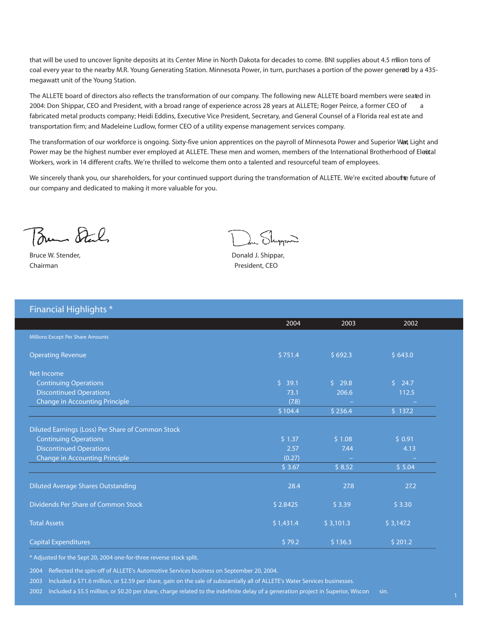that will be used to uncover lignite deposits at its Center Mine in North Dakota for decades to come. BNI supplies about 4.5 million tons of coal every year to the nearby M.R. Young Generating Station. Minnesota Power, in turn, purchases a portion of the power generad by a 435megawatt unit of the Young Station.

The ALLETE board of directors also reflects the transformation of our company. The following new ALLETE board members were seated in 2004: Don Shippar, CEO and President, with a broad range of experience across 28 years at ALLETE; Roger Peirce, a former CEO of a fabricated metal products company; Heidi Eddins, Executive Vice President, Secretary, and General Counsel of a Florida real est ate and transportation firm; and Madeleine Ludlow, former CEO of a utility expense management services company.

The transformation of our workforce is ongoing. Sixty-five union apprentices on the payroll of Minnesota Power and Superior Wart Light and Power may be the highest number ever employed at ALLETE. These men and women, members of the International Brotherhood of Elettal Workers, work in 14 different crafts. We're thrilled to welcome them onto a talented and resourceful team of employees.

We sincerely thank you, our shareholders, for your continued support during the transformation of ALLETE. We're excited abouthe future of our company and dedicated to making it more valuable for you.

Bun Stal

Bruce W. Stender, **Bruce W. Stender,** *Bruce* W. Shippar, *Donald J. Shippar*, Chairman President, CEO

 $Shn$ 

| <b>Financial Highlights *</b> |  |
|-------------------------------|--|
|                               |  |

|                                                   | 2004      | 2003      | 2002      |
|---------------------------------------------------|-----------|-----------|-----------|
| Millions Except Per Share Amounts                 |           |           |           |
| <b>Operating Revenue</b>                          | \$751.4   | \$692.3   | \$643.0   |
| Net Income                                        |           |           |           |
| <b>Continuing Operations</b>                      | \$39.1    | \$29.8    | \$24.7    |
| <b>Discontinued Operations</b>                    | 73.1      | 206.6     | 112.5     |
| <b>Change in Accounting Principle</b>             | (7.8)     |           |           |
|                                                   | \$104.4   | \$236.4   | 5 137.2   |
| Diluted Earnings (Loss) Per Share of Common Stock |           |           |           |
| <b>Continuing Operations</b>                      | \$1.37    | \$1.08    | \$0.91    |
| <b>Discontinued Operations</b>                    | 2.57      | 7.44      | 4.13      |
| <b>Change in Accounting Principle</b>             | (0.27)    |           |           |
|                                                   | \$3.67    | \$8.52    | \$5.04    |
| <b>Diluted Average Shares Outstanding</b>         | 28.4      | 27.8      | 27.2      |
| Dividends Per Share of Common Stock               | \$2.8425  | \$3.39    | \$3.30    |
| <b>Total Assets</b>                               | \$1,431.4 | \$3,101.3 | \$3,147.2 |
| <b>Capital Expenditures</b>                       | \$79.2    | \$136.3   | \$201.2   |

\* Adjusted for the Sept 20, 2004 one-for-three reverse stock split.

**2004** Reflected the spin-off of ALLETE's Automotive Services business on September 20, 2004.

**2003** Included a \$71.6 million, or \$2.59 per share, gain on the sale of substantially all of ALLETE's Water Services businesses.

**2002** Included a \$5.5 million, or \$0.20 per share, charge related to the indefinite delay of a generation project in Superior, Wiscon sin.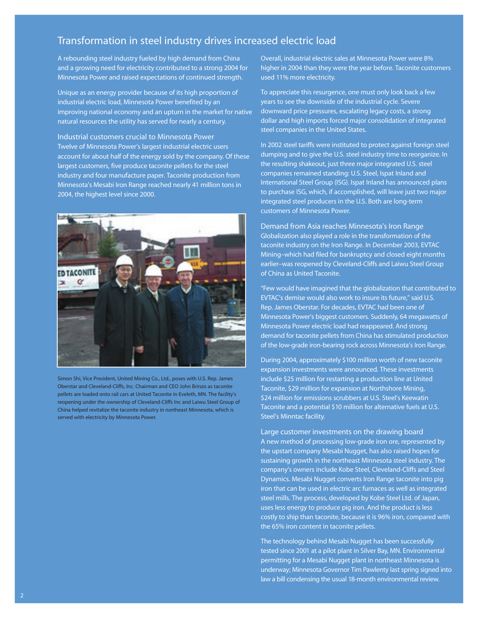### **Transformation in steel industry drives increased electric load**

A rebounding steel industry fueled by high demand from China and a growing need for electricity contributed to a strong 2004 for Minnesota Power and raised expectations of continued strength.

Unique as an energy provider because of its high proportion of industrial electric load, Minnesota Power benefited by an improving national economy and an upturn in the market for native natural resources the utility has served for nearly a century.

Industrial customers crucial to Minnesota Power Twelve of Minnesota Power's largest industrial electric users account for about half of the energy sold by the company. Of these largest customers, five produce taconite pellets for the steel industry and four manufacture paper. Taconite production from Minnesota's Mesabi Iron Range reached nearly 41 million tons in 2004, the highest level since 2000.



Simon Shi, Vice President, United Mining Co., Ltd., poses with U.S. Rep. James Oberstar and Cleveland-Cliffs, Inc. Chairman and CEO John Brinzo as taconite pellets are loaded onto rail cars at United Taconite in Eveleth, MN. The facility's reopening under the ownership of Cleveland-Cliffs Inc and Laiwu Steel Group of China helped revitalize the taconite industry in northeast Minnesota, which is served with electricity by Minnesota Power.

Overall, industrial electric sales at Minnesota Power were 8% higher in 2004 than they were the year before. Taconite customers used 11% more electricity.

To appreciate this resurgence, one must only look back a few years to see the downside of the industrial cycle. Severe downward price pressures, escalating legacy costs, a strong dollar and high imports forced major consolidation of integrated steel companies in the United States.

In 2002 steel tariffs were instituted to protect against foreign steel dumping and to give the U.S. steel industry time to reorganize. In the resulting shakeout, just three major integrated U.S. steel companies remained standing: U.S. Steel, Ispat Inland and International Steel Group (ISG). Ispat Inland has announced plans to purchase ISG, which, if accomplished, will leave just two major integrated steel producers in the U.S. Both are long-term customers of Minnesota Power.

Demand from Asia reaches Minnesota's Iron Range Globalization also played a role in the transformation of the taconite industry on the Iron Range. In December 2003, EVTAC Mining–which had filed for bankruptcy and closed eight months earlier–was reopened by Cleveland-Cliffs and Laiwu Steel Group of China as United Taconite.

"Few would have imagined that the globalization that contributed to EVTAC's demise would also work to insure its future," said U.S. Rep. James Oberstar. For decades, EVTAC had been one of Minnesota Power's biggest customers. Suddenly, 64 megawatts of Minnesota Power electric load had reappeared. And strong demand for taconite pellets from China has stimulated production of the low-grade iron-bearing rock across Minnesota's Iron Range.

During 2004, approximately \$100 million worth of new taconite expansion investments were announced. These investments include \$25 million for restarting a production line at United Taconite, \$29 million for expansion at Northshore Mining, \$24 million for emissions scrubbers at U.S. Steel's Keewatin Taconite and a potential \$10 million for alternative fuels at U.S. Steel's Minntac facility.

Large customer investments on the drawing board A new method of processing low-grade iron ore, represented by the upstart company Mesabi Nugget, has also raised hopes for sustaining growth in the northeast Minnesota steel industry. The company's owners include Kobe Steel, Cleveland-Cliffs and Steel Dynamics. Mesabi Nugget converts Iron Range taconite into pig iron that can be used in electric arc furnaces as well as integrated steel mills. The process, developed by Kobe Steel Ltd. of Japan, uses less energy to produce pig iron. And the product is less costly to ship than taconite, because it is 96% iron, compared with the 65% iron content in taconite pellets.

The technology behind Mesabi Nugget has been successfully tested since 2001 at a pilot plant in Silver Bay, MN. Environmental permitting for a Mesabi Nugget plant in northeast Minnesota is underway; Minnesota Governor Tim Pawlenty last spring signed into law a bill condensing the usual 18-month environmental review.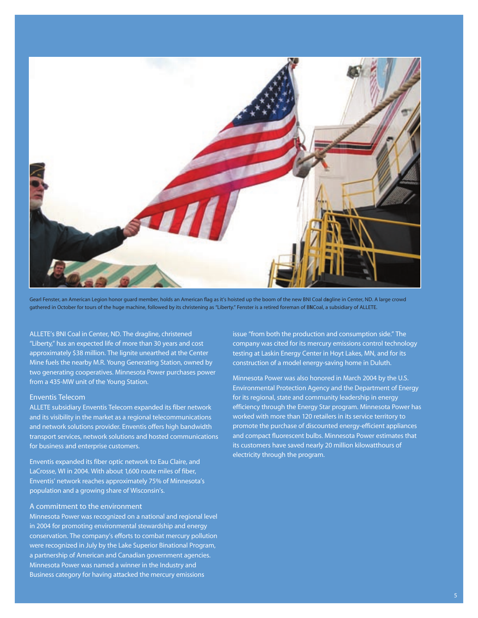

Gearl Fenster, an American Legion honor guard member, holds an American flag as it's hoisted up the boom of the new BNI Coal dragline in Center, ND. A large crowd gathered in October for tours of the huge machine, followed by its christening as "Liberty." Fenster is a retired foreman of BNCoal, a subsidiary of ALLETE.

ALLETE's BNI Coal in Center, ND. The dragline, christened

"Liberty," has an expected life of more than 30 years and cost approximately \$38 million. The lignite unearthed at the Center Mine fuels the nearby M.R. Young Generating Station, owned by two generating cooperatives. Minnesota Power purchases power from a 435-MW unit of the Young Station.

#### Enventis Telecom

ALLETE subsidiary Enventis Telecom expanded its fiber network and its visibility in the market as a regional telecommunications and network solutions provider. Enventis offers high bandwidth transport services, network solutions and hosted communications for business and enterprise customers.

Enventis expanded its fiber optic network to Eau Claire, and LaCrosse, WI in 2004. With about 1,600 route miles of fiber, Enventis' network reaches approximately 75% of Minnesota's population and a growing share of Wisconsin's.

#### A commitment to the environment

Minnesota Power was recognized on a national and regional level in 2004 for promoting environmental stewardship and energy conservation. The company's efforts to combat mercury pollution were recognized in July by the Lake Superior Binational Program, a partnership of American and Canadian government agencies. Minnesota Power was named a winner in the Industry and Business category for having attacked the mercury emissions

issue "from both the production and consumption side." The company was cited for its mercury emissions control technology testing at Laskin Energy Center in Hoyt Lakes, MN, and for its construction of a model energy-saving home in Duluth.

Minnesota Power was also honored in March 2004 by the U.S. Environmental Protection Agency and the Department of Energy for its regional, state and community leadership in energy efficiency through the Energy Star program. Minnesota Power has worked with more than 120 retailers in its service territory to promote the purchase of discounted energy-efficient appliances and compact fluorescent bulbs. Minnesota Power estimates that its customers have saved nearly 20 million kilowatthours of electricity through the program.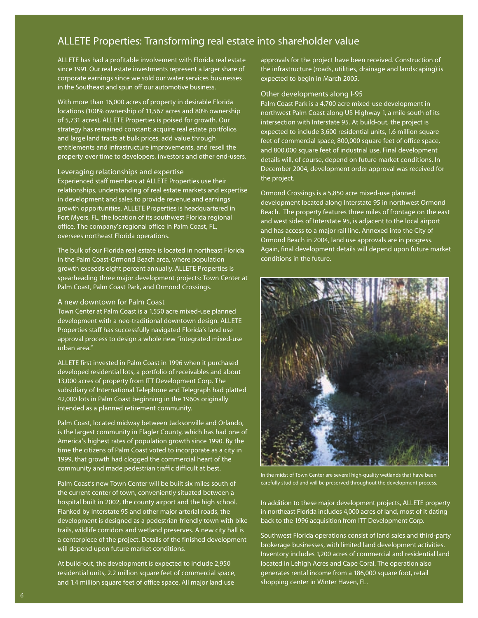### **ALLETE Properties: Transforming real estate into shareholder value**

ALLETE has had a profitable involvement with Florida real estate since 1991. Our real estate investments represent a larger share of corporate earnings since we sold our water services businesses in the Southeast and spun off our automotive business.

With more than 16,000 acres of property in desirable Florida locations (100% ownership of 11,567 acres and 80% ownership of 5,731 acres), ALLETE Properties is poised for growth. Our strategy has remained constant: acquire real estate portfolios and large land tracts at bulk prices, add value through entitlements and infrastructure improvements, and resell the property over time to developers, investors and other end-users.

#### Leveraging relationships and expertise

Experienced staff members at ALLETE Properties use their relationships, understanding of real estate markets and expertise in development and sales to provide revenue and earnings growth opportunities. ALLETE Properties is headquartered in Fort Myers, FL, the location of its southwest Florida regional office. The company's regional office in Palm Coast, FL, oversees northeast Florida operations.

The bulk of our Florida real estate is located in northeast Florida in the Palm Coast-Ormond Beach area, where population growth exceeds eight percent annually. ALLETE Properties is spearheading three major development projects: Town Center at Palm Coast, Palm Coast Park, and Ormond Crossings.

#### A new downtown for Palm Coast

Town Center at Palm Coast is a 1,550 acre mixed-use planned development with a neo-traditional downtown design. ALLETE Properties staff has successfully navigated Florida's land use approval process to design a whole new "integrated mixed-use urban area."

ALLETE first invested in Palm Coast in 1996 when it purchased developed residential lots, a portfolio of receivables and about 13,000 acres of property from ITT Development Corp. The subsidiary of International Telephone and Telegraph had platted 42,000 lots in Palm Coast beginning in the 1960s originally intended as a planned retirement community.

Palm Coast, located midway between Jacksonville and Orlando, is the largest community in Flagler County, which has had one of America's highest rates of population growth since 1990. By the time the citizens of Palm Coast voted to incorporate as a city in 1999, that growth had clogged the commercial heart of the community and made pedestrian traffic difficult at best.

Palm Coast's new Town Center will be built six miles south of the current center of town, conveniently situated between a hospital built in 2002, the county airport and the high school. Flanked by Interstate 95 and other major arterial roads, the development is designed as a pedestrian-friendly town with bike trails, wildlife corridors and wetland preserves. A new city hall is a centerpiece of the project. Details of the finished development will depend upon future market conditions.

At build-out, the development is expected to include 2,950 residential units, 2.2 million square feet of commercial space, and 1.4 million square feet of office space. All major land use

approvals for the project have been received. Construction of the infrastructure (roads, utilities, drainage and landscaping) is expected to begin in March 2005.

#### Other developments along I-95

Palm Coast Park is a 4,700 acre mixed-use development in northwest Palm Coast along US Highway 1, a mile south of its intersection with Interstate 95. At build-out, the project is expected to include 3,600 residential units, 1.6 million square feet of commercial space, 800,000 square feet of office space, and 800,000 square feet of industrial use. Final development details will, of course, depend on future market conditions. In December 2004, development order approval was received for the project.

Ormond Crossings is a 5,850 acre mixed-use planned development located along Interstate 95 in northwest Ormond Beach. The property features three miles of frontage on the east and west sides of Interstate 95, is adjacent to the local airport and has access to a major rail line. Annexed into the City of Ormond Beach in 2004, land use approvals are in progress. Again, final development details will depend upon future market conditions in the future.



In the midst of Town Center are several high-quality wetlands that have been carefully studied and will be preserved throughout the development process.

In addition to these major development projects, ALLETE property in northeast Florida includes 4,000 acres of land, most of it dating back to the 1996 acquisition from ITT Development Corp.

Southwest Florida operations consist of land sales and third-party brokerage businesses, with limited land development activities. Inventory includes 1,200 acres of commercial and residential land located in Lehigh Acres and Cape Coral. The operation also generates rental income from a 186,000 square foot, retail shopping center in Winter Haven, FL.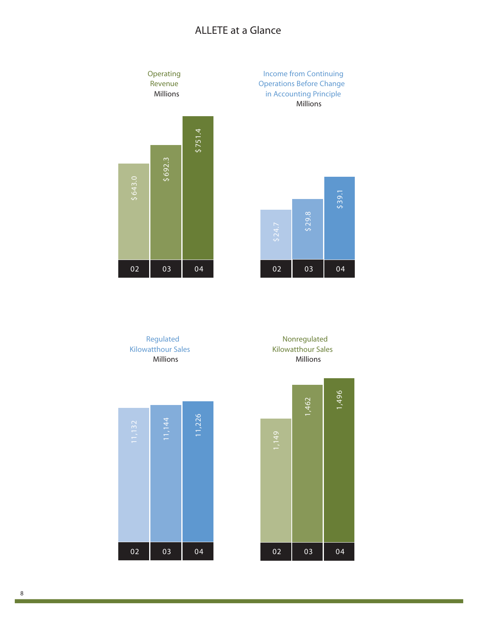## **ALLETE at a Glance**



**Income from Continuing Operations Before Change in Accounting Principle** Millions



**Regulated Kilowatthour Sales** Millions





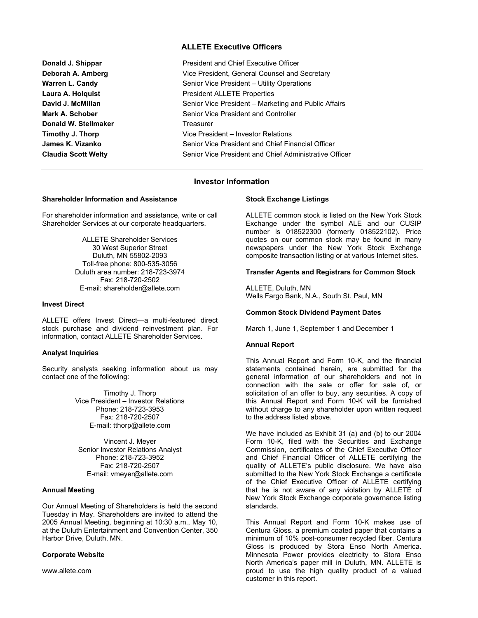#### **ALLETE Executive Officers**

| Donald J. Shippar          | <b>President and Chief Executive Officer</b>           |  |  |
|----------------------------|--------------------------------------------------------|--|--|
| Deborah A. Amberg          | Vice President, General Counsel and Secretary          |  |  |
| Warren L. Candy            | Senior Vice President - Utility Operations             |  |  |
| Laura A. Holguist          | <b>President ALLETE Properties</b>                     |  |  |
| David J. McMillan          | Senior Vice President – Marketing and Public Affairs   |  |  |
| Mark A. Schober            | Senior Vice President and Controller                   |  |  |
| Donald W. Stellmaker       | Treasurer                                              |  |  |
| Timothy J. Thorp           | Vice President - Investor Relations                    |  |  |
| James K. Vizanko           | Senior Vice President and Chief Financial Officer      |  |  |
| <b>Claudia Scott Welty</b> | Senior Vice President and Chief Administrative Officer |  |  |

#### **Investor Information**

#### **Shareholder Information and Assistance**

For shareholder information and assistance, write or call Shareholder Services at our corporate headquarters.

> ALLETE Shareholder Services 30 West Superior Street Duluth, MN 55802-2093 Toll-free phone: 800-535-3056 Duluth area number: 218-723-3974 Fax: 218-720-2502 E-mail: shareholder@allete.com

#### **Invest Direct**

ALLETE offers Invest Direct—a multi-featured direct stock purchase and dividend reinvestment plan. For information, contact ALLETE Shareholder Services.

#### **Analyst Inquiries**

Security analysts seeking information about us may contact one of the following:

> Timothy J. Thorp Vice President – Investor Relations Phone: 218-723-3953 Fax: 218-720-2507 E-mail: tthorp@allete.com

Vincent J. Meyer Senior Investor Relations Analyst Phone: 218-723-3952 Fax: 218-720-2507 E-mail: vmeyer@allete.com

#### **Annual Meeting**

Our Annual Meeting of Shareholders is held the second Tuesday in May. Shareholders are invited to attend the 2005 Annual Meeting, beginning at 10:30 a.m., May 10, at the Duluth Entertainment and Convention Center, 350 Harbor Drive, Duluth, MN.

#### **Corporate Website**

www.allete.com

#### **Stock Exchange Listings**

ALLETE common stock is listed on the New York Stock Exchange under the symbol ALE and our CUSIP number is 018522300 (formerly 018522102). Price quotes on our common stock may be found in many newspapers under the New York Stock Exchange composite transaction listing or at various Internet sites.

#### **Transfer Agents and Registrars for Common Stock**

ALLETE, Duluth, MN Wells Fargo Bank, N.A., South St. Paul, MN

#### **Common Stock Dividend Payment Dates**

March 1, June 1, September 1 and December 1

#### **Annual Report**

This Annual Report and Form 10-K, and the financial statements contained herein, are submitted for the general information of our shareholders and not in connection with the sale or offer for sale of, or solicitation of an offer to buy, any securities. A copy of this Annual Report and Form 10-K will be furnished without charge to any shareholder upon written request to the address listed above.

We have included as Exhibit 31 (a) and (b) to our 2004 Form 10-K, filed with the Securities and Exchange Commission, certificates of the Chief Executive Officer and Chief Financial Officer of ALLETE certifying the quality of ALLETE's public disclosure. We have also submitted to the New York Stock Exchange a certificate of the Chief Executive Officer of ALLETE certifying that he is not aware of any violation by ALLETE of New York Stock Exchange corporate governance listing standards.

This Annual Report and Form 10-K makes use of Centura Gloss, a premium coated paper that contains a minimum of 10% post-consumer recycled fiber. Centura Gloss is produced by Stora Enso North America. Minnesota Power provides electricity to Stora Enso North America's paper mill in Duluth, MN. ALLETE is proud to use the high quality product of a valued customer in this report.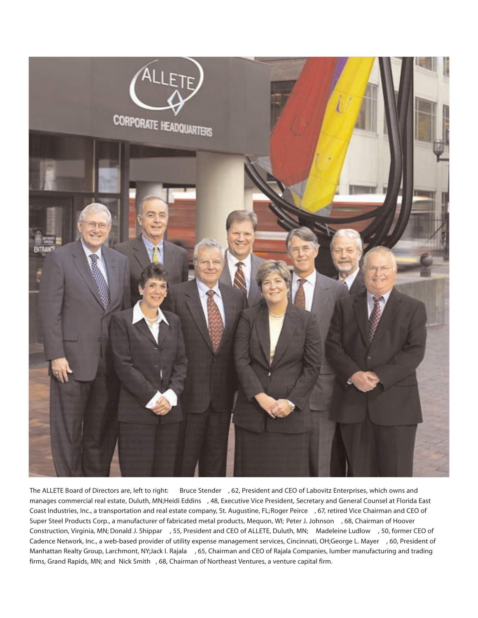

The ALLETE Board of Directors are, left to right: **Bruce Stender** , 62, President and CEO of Labovitz Enterprises, which owns and manages commercial real estate, Duluth, MN;**Heidi Eddins** , 48, Executive Vice President, Secretary and General Counsel at Florida East Coast Industries, Inc., a transportation and real estate company, St. Augustine, FL;**Roger Peirce** , 67, retired Vice Chairman and CEO of Super Steel Products Corp., a manufacturer of fabricated metal products, Mequon, WI; **Peter J. Johnson** , 68, Chairman of Hoover Construction, Virginia, MN; **Donald J. Shippar** , 55, President and CEO of ALLETE, Duluth, MN; **Madeleine Ludlow** , 50, former CEO of Cadence Network, Inc., a web-based provider of utility expense management services, Cincinnati, OH;**George L. Mayer** , 60, President of Manhattan Realty Group, Larchmont, NY;**Jack I. Rajala** , 65, Chairman and CEO of Rajala Companies, lumber manufacturing and trading firms, Grand Rapids, MN; and **Nick Smith** , 68, Chairman of Northeast Ventures, a venture capital firm.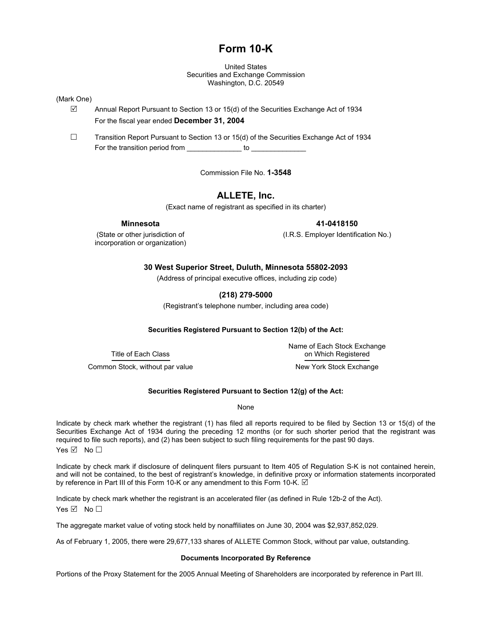### **Form 10-K**

United States Securities and Exchange Commission Washington, D.C. 20549

#### (Mark One)

 $\boxtimes$  Annual Report Pursuant to Section 13 or 15(d) of the Securities Exchange Act of 1934 For the fiscal year ended **December 31, 2004**

 $\Box$  Transition Report Pursuant to Section 13 or 15(d) of the Securities Exchange Act of 1934 For the transition period from the state of to contact to the transition period from

Commission File No. **1-3548**

### **ALLETE, Inc.**

(Exact name of registrant as specified in its charter)

incorporation or organization)

 **Minnesota 41-0418150** 

(State or other jurisdiction of (I.R.S. Employer Identification No.)

#### **30 West Superior Street, Duluth, Minnesota 55802-2093**

(Address of principal executive offices, including zip code)

#### **(218) 279-5000**

(Registrant's telephone number, including area code)

#### **Securities Registered Pursuant to Section 12(b) of the Act:**

 Name of Each Stock Exchange Title of Each Class on Which Registered

Common Stock, without par value New York Stock Exchange

### **Securities Registered Pursuant to Section 12(g) of the Act:**

None

Indicate by check mark whether the registrant (1) has filed all reports required to be filed by Section 13 or 15(d) of the Securities Exchange Act of 1934 during the preceding 12 months (or for such shorter period that the registrant was required to file such reports), and (2) has been subject to such filing requirements for the past 90 days. Yes  $\boxdot$  No  $\Box$ 

Indicate by check mark if disclosure of delinquent filers pursuant to Item 405 of Regulation S-K is not contained herein, and will not be contained, to the best of registrant's knowledge, in definitive proxy or information statements incorporated by reference in Part III of this Form 10-K or any amendment to this Form 10-K.  $\boxdot$ 

Indicate by check mark whether the registrant is an accelerated filer (as defined in Rule 12b-2 of the Act). Yes  $\boxtimes$  No  $\Box$ 

The aggregate market value of voting stock held by nonaffiliates on June 30, 2004 was \$2,937,852,029.

As of February 1, 2005, there were 29,677,133 shares of ALLETE Common Stock, without par value, outstanding.

#### **Documents Incorporated By Reference**

Portions of the Proxy Statement for the 2005 Annual Meeting of Shareholders are incorporated by reference in Part III.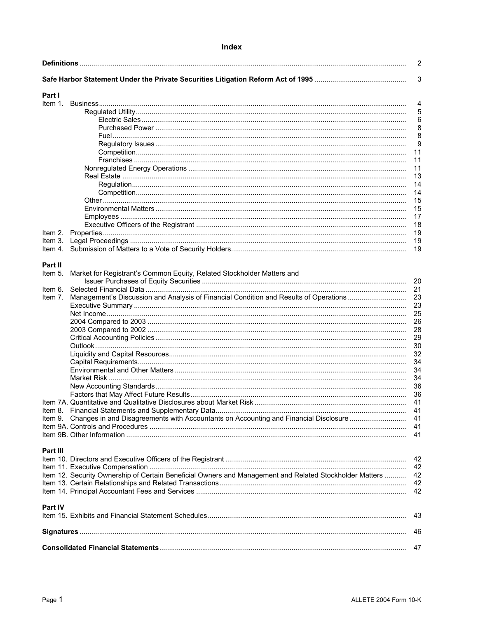#### Index

|          |                                                                                                         | $\overline{2}$ |
|----------|---------------------------------------------------------------------------------------------------------|----------------|
|          |                                                                                                         | $\sqrt{3}$     |
| Part I   |                                                                                                         |                |
| ltem 1.  |                                                                                                         | 4              |
|          |                                                                                                         | 5              |
|          |                                                                                                         | 6              |
|          |                                                                                                         |                |
|          |                                                                                                         | 8              |
|          |                                                                                                         | 8              |
|          |                                                                                                         | 9              |
|          |                                                                                                         | 11             |
|          |                                                                                                         | 11             |
|          |                                                                                                         | 11             |
|          |                                                                                                         | 13             |
|          |                                                                                                         | 14             |
|          |                                                                                                         | 14             |
|          |                                                                                                         | 15             |
|          |                                                                                                         | 15             |
|          |                                                                                                         | 17             |
|          |                                                                                                         | 18             |
| ltem 2.  |                                                                                                         | 19             |
| ltem 3.  |                                                                                                         | 19             |
| ltem 4.  |                                                                                                         | 19             |
|          |                                                                                                         |                |
| Part II  |                                                                                                         |                |
| ltem 5.  | Market for Registrant's Common Equity, Related Stockholder Matters and                                  |                |
|          |                                                                                                         | 20             |
|          |                                                                                                         | 21             |
| ltem 6.  |                                                                                                         |                |
| ltem 7.  | Management's Discussion and Analysis of Financial Condition and Results of Operations                   | 23             |
|          |                                                                                                         | 23             |
|          |                                                                                                         | 25             |
|          |                                                                                                         | 26             |
|          |                                                                                                         | 28             |
|          |                                                                                                         | 29             |
|          |                                                                                                         | 30             |
|          |                                                                                                         | 32             |
|          |                                                                                                         | 34             |
|          |                                                                                                         | 34             |
|          |                                                                                                         | 34             |
|          |                                                                                                         | 36             |
|          |                                                                                                         | 36             |
|          | ltem 7A. Quantitative and Qualitative Disclosures about Market Risk………………………………………………                   | 41             |
|          |                                                                                                         |                |
|          |                                                                                                         |                |
|          |                                                                                                         |                |
|          |                                                                                                         | 41             |
|          |                                                                                                         |                |
| Part III |                                                                                                         |                |
|          |                                                                                                         |                |
|          |                                                                                                         | 42             |
|          |                                                                                                         | 42             |
|          | Item 12. Security Ownership of Certain Beneficial Owners and Management and Related Stockholder Matters | 42             |
|          |                                                                                                         | 42             |
|          |                                                                                                         | 42             |
|          |                                                                                                         |                |
| Part IV  |                                                                                                         |                |
|          |                                                                                                         | 43             |
|          |                                                                                                         |                |
|          |                                                                                                         | 46             |
|          |                                                                                                         |                |
|          |                                                                                                         | 47             |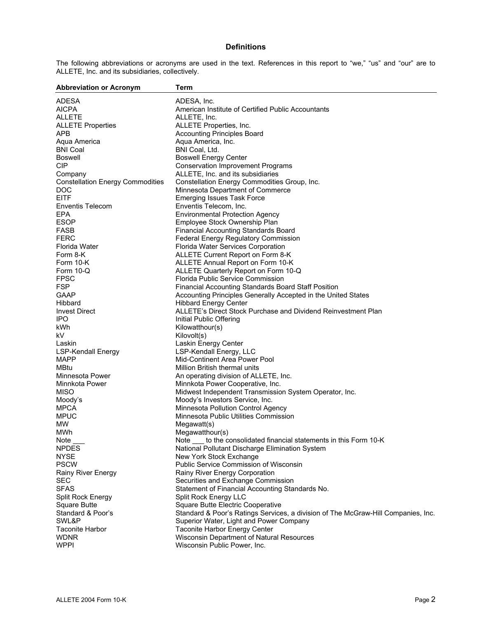#### **Definitions**

The following abbreviations or acronyms are used in the text. References in this report to "we," "us" and "our" are to ALLETE, Inc. and its subsidiaries, collectively.

| <b>Abbreviation or Acronym</b>          | Term                                                                              |
|-----------------------------------------|-----------------------------------------------------------------------------------|
| <b>ADESA</b>                            | ADESA, Inc.                                                                       |
| <b>AICPA</b>                            | American Institute of Certified Public Accountants                                |
| <b>ALLETE</b>                           | ALLETE, Inc.                                                                      |
| <b>ALLETE Properties</b>                | ALLETE Properties, Inc.                                                           |
| APB                                     | <b>Accounting Principles Board</b>                                                |
| Aqua America                            | Aqua America, Inc.                                                                |
| <b>BNI Coal</b>                         | BNI Coal, Ltd.                                                                    |
| Boswell                                 | <b>Boswell Energy Center</b>                                                      |
| <b>CIP</b>                              | <b>Conservation Improvement Programs</b>                                          |
| Company                                 | ALLETE, Inc. and its subsidiaries                                                 |
| <b>Constellation Energy Commodities</b> | Constellation Energy Commodities Group, Inc.                                      |
| <b>DOC</b>                              | Minnesota Department of Commerce                                                  |
| <b>EITF</b>                             | <b>Emerging Issues Task Force</b>                                                 |
| <b>Enventis Telecom</b>                 | Enventis Telecom, Inc.                                                            |
| <b>EPA</b>                              | <b>Environmental Protection Agency</b>                                            |
| <b>ESOP</b>                             | Employee Stock Ownership Plan                                                     |
| <b>FASB</b>                             | Financial Accounting Standards Board                                              |
| <b>FERC</b>                             | Federal Energy Regulatory Commission                                              |
| Florida Water                           | Florida Water Services Corporation                                                |
| Form 8-K                                | ALLETE Current Report on Form 8-K                                                 |
| Form 10-K                               | ALLETE Annual Report on Form 10-K                                                 |
| Form 10-Q                               | ALLETE Quarterly Report on Form 10-Q                                              |
| <b>FPSC</b>                             | Florida Public Service Commission                                                 |
| <b>FSP</b>                              | Financial Accounting Standards Board Staff Position                               |
| <b>GAAP</b>                             | Accounting Principles Generally Accepted in the United States                     |
| Hibbard                                 | <b>Hibbard Energy Center</b>                                                      |
| <b>Invest Direct</b>                    | ALLETE's Direct Stock Purchase and Dividend Reinvestment Plan                     |
|                                         |                                                                                   |
| IPO.                                    | Initial Public Offering                                                           |
| kWh                                     | Kilowatthour(s)                                                                   |
| kV.                                     | Kilovolt(s)                                                                       |
| Laskin                                  | Laskin Energy Center<br>LSP-Kendall Energy, LLC                                   |
| <b>LSP-Kendall Energy</b>               |                                                                                   |
| <b>MAPP</b>                             | Mid-Continent Area Power Pool                                                     |
| MBtu                                    | Million British thermal units                                                     |
| Minnesota Power                         | An operating division of ALLETE, Inc.                                             |
| Minnkota Power                          | Minnkota Power Cooperative, Inc.                                                  |
| <b>MISO</b>                             | Midwest Independent Transmission System Operator, Inc.                            |
| Moody's                                 | Moody's Investors Service, Inc.                                                   |
| <b>MPCA</b>                             | Minnesota Pollution Control Agency                                                |
| <b>MPUC</b>                             | Minnesota Public Utilities Commission                                             |
| <b>MW</b>                               | Megawatt(s)                                                                       |
| MWh                                     | Megawatthour(s)                                                                   |
| Note                                    | to the consolidated financial statements in this Form 10-K<br>Note                |
| <b>NPDES</b>                            | National Pollutant Discharge Elimination System                                   |
| <b>NYSE</b>                             | New York Stock Exchange                                                           |
| <b>PSCW</b>                             | Public Service Commission of Wisconsin                                            |
| <b>Rainy River Energy</b>               | Rainy River Energy Corporation                                                    |
| <b>SEC</b>                              | Securities and Exchange Commission                                                |
| <b>SFAS</b>                             | Statement of Financial Accounting Standards No.                                   |
| Split Rock Energy                       | Split Rock Energy LLC                                                             |
| Square Butte<br>Standard & Poor's       | Square Butte Electric Cooperative                                                 |
|                                         | Standard & Poor's Ratings Services, a division of The McGraw-Hill Companies, Inc. |
| SWL&P                                   | Superior Water, Light and Power Company                                           |
| <b>Taconite Harbor</b>                  | <b>Taconite Harbor Energy Center</b>                                              |
| <b>WDNR</b>                             | Wisconsin Department of Natural Resources                                         |
| <b>WPPI</b>                             | Wisconsin Public Power, Inc.                                                      |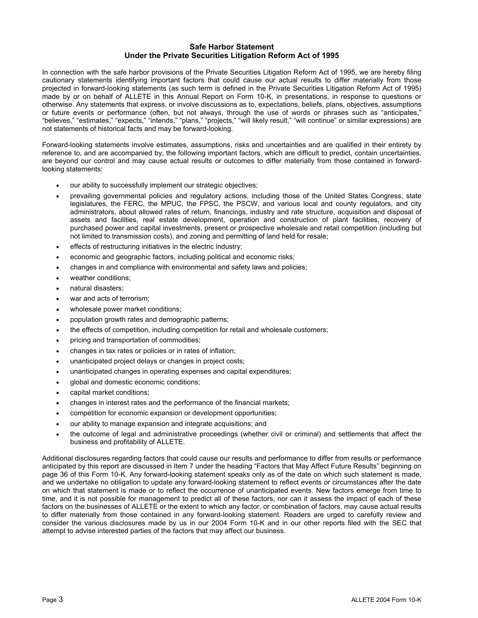#### **Safe Harbor Statement Under the Private Securities Litigation Reform Act of 1995**

In connection with the safe harbor provisions of the Private Securities Litigation Reform Act of 1995, we are hereby filing cautionary statements identifying important factors that could cause our actual results to differ materially from those projected in forward-looking statements (as such term is defined in the Private Securities Litigation Reform Act of 1995) made by or on behalf of ALLETE in this Annual Report on Form 10-K, in presentations, in response to questions or otherwise. Any statements that express, or involve discussions as to, expectations, beliefs, plans, objectives, assumptions or future events or performance (often, but not always, through the use of words or phrases such as "anticipates," "believes," "estimates," "expects," "intends," "plans," "projects," "will likely result," "will continue" or similar expressions) are not statements of historical facts and may be forward-looking.

Forward-looking statements involve estimates, assumptions, risks and uncertainties and are qualified in their entirety by reference to, and are accompanied by, the following important factors, which are difficult to predict, contain uncertainties, are beyond our control and may cause actual results or outcomes to differ materially from those contained in forwardlooking statements:

- our ability to successfully implement our strategic objectives;
- prevailing governmental policies and regulatory actions, including those of the United States Congress, state legislatures, the FERC, the MPUC, the FPSC, the PSCW, and various local and county regulators, and city administrators, about allowed rates of return, financings, industry and rate structure, acquisition and disposal of assets and facilities, real estate development, operation and construction of plant facilities, recovery of purchased power and capital investments, present or prospective wholesale and retail competition (including but not limited to transmission costs), and zoning and permitting of land held for resale;
- effects of restructuring initiatives in the electric industry;
- economic and geographic factors, including political and economic risks;
- changes in and compliance with environmental and safety laws and policies;
- weather conditions:
- natural disasters;
- war and acts of terrorism;
- wholesale power market conditions;
- population growth rates and demographic patterns;
- the effects of competition, including competition for retail and wholesale customers;
- pricing and transportation of commodities;
- changes in tax rates or policies or in rates of inflation;
- unanticipated project delays or changes in project costs;
- unanticipated changes in operating expenses and capital expenditures;
- global and domestic economic conditions;
- capital market conditions;
- changes in interest rates and the performance of the financial markets;
- competition for economic expansion or development opportunities;
- our ability to manage expansion and integrate acquisitions; and
- the outcome of legal and administrative proceedings (whether civil or criminal) and settlements that affect the business and profitability of ALLETE.

Additional disclosures regarding factors that could cause our results and performance to differ from results or performance anticipated by this report are discussed in Item 7 under the heading "Factors that May Affect Future Results" beginning on page 36 of this Form 10-K. Any forward-looking statement speaks only as of the date on which such statement is made, and we undertake no obligation to update any forward-looking statement to reflect events or circumstances after the date on which that statement is made or to reflect the occurrence of unanticipated events. New factors emerge from time to time, and it is not possible for management to predict all of these factors, nor can it assess the impact of each of these factors on the businesses of ALLETE or the extent to which any factor, or combination of factors, may cause actual results to differ materially from those contained in any forward-looking statement. Readers are urged to carefully review and consider the various disclosures made by us in our 2004 Form 10-K and in our other reports filed with the SEC that attempt to advise interested parties of the factors that may affect our business.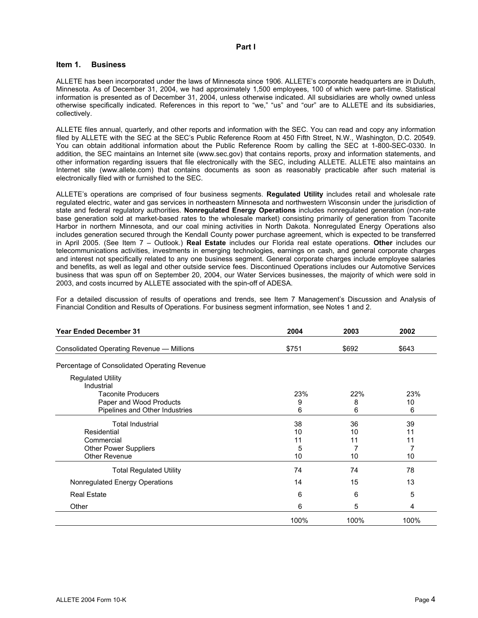#### **Part I**

#### **Item 1. Business**

ALLETE has been incorporated under the laws of Minnesota since 1906. ALLETE's corporate headquarters are in Duluth, Minnesota. As of December 31, 2004, we had approximately 1,500 employees, 100 of which were part-time. Statistical information is presented as of December 31, 2004, unless otherwise indicated. All subsidiaries are wholly owned unless otherwise specifically indicated. References in this report to "we," "us" and "our" are to ALLETE and its subsidiaries, collectively.

ALLETE files annual, quarterly, and other reports and information with the SEC. You can read and copy any information filed by ALLETE with the SEC at the SEC's Public Reference Room at 450 Fifth Street, N.W., Washington, D.C. 20549. You can obtain additional information about the Public Reference Room by calling the SEC at 1-800-SEC-0330. In addition, the SEC maintains an Internet site (www.sec.gov) that contains reports, proxy and information statements, and other information regarding issuers that file electronically with the SEC, including ALLETE. ALLETE also maintains an Internet site (www.allete.com) that contains documents as soon as reasonably practicable after such material is electronically filed with or furnished to the SEC.

ALLETE's operations are comprised of four business segments. **Regulated Utility** includes retail and wholesale rate regulated electric, water and gas services in northeastern Minnesota and northwestern Wisconsin under the jurisdiction of state and federal regulatory authorities. **Nonregulated Energy Operations** includes nonregulated generation (non-rate base generation sold at market-based rates to the wholesale market) consisting primarily of generation from Taconite Harbor in northern Minnesota, and our coal mining activities in North Dakota. Nonregulated Energy Operations also includes generation secured through the Kendall County power purchase agreement, which is expected to be transferred in April 2005. (See Item 7 – Outlook.) **Real Estate** includes our Florida real estate operations. **Other** includes our telecommunications activities, investments in emerging technologies, earnings on cash, and general corporate charges and interest not specifically related to any one business segment. General corporate charges include employee salaries and benefits, as well as legal and other outside service fees. Discontinued Operations includes our Automotive Services business that was spun off on September 20, 2004, our Water Services businesses, the majority of which were sold in 2003, and costs incurred by ALLETE associated with the spin-off of ADESA.

For a detailed discussion of results of operations and trends, see Item 7 Management's Discussion and Analysis of Financial Condition and Results of Operations. For business segment information, see Notes 1 and 2.

| <b>Year Ended December 31</b>                | 2004  | 2003  | 2002  |
|----------------------------------------------|-------|-------|-------|
| Consolidated Operating Revenue - Millions    | \$751 | \$692 | \$643 |
| Percentage of Consolidated Operating Revenue |       |       |       |
| <b>Regulated Utility</b><br>Industrial       |       |       |       |
| <b>Taconite Producers</b>                    | 23%   | 22%   | 23%   |
| Paper and Wood Products                      | 9     | 8     | 10    |
| Pipelines and Other Industries               | 6     | 6     | 6     |
| <b>Total Industrial</b>                      | 38    | 36    | 39    |
| Residential                                  | 10    | 10    | 11    |
| Commercial                                   | 11    | 11    | 11    |
| <b>Other Power Suppliers</b>                 | 5     | 7     | 7     |
| Other Revenue                                | 10    | 10    | 10    |
| <b>Total Regulated Utility</b>               | 74    | 74    | 78    |
| Nonregulated Energy Operations               | 14    | 15    | 13    |
| <b>Real Estate</b>                           | 6     | 6     | 5     |
| Other                                        | 6     | 5     | 4     |
|                                              | 100%  | 100%  | 100%  |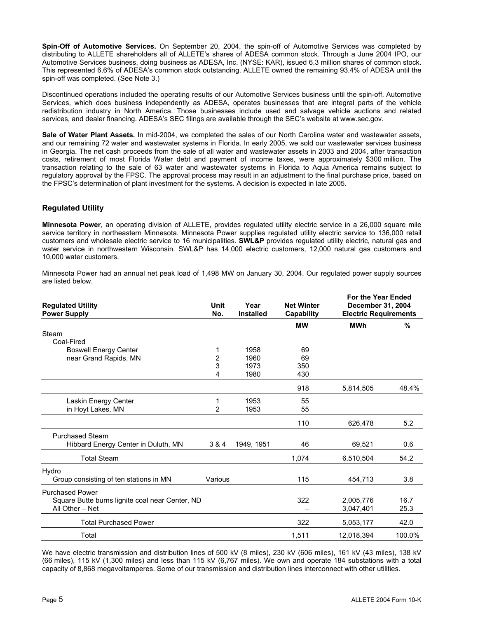**Spin-Off of Automotive Services.** On September 20, 2004, the spin-off of Automotive Services was completed by distributing to ALLETE shareholders all of ALLETE's shares of ADESA common stock. Through a June 2004 IPO, our Automotive Services business, doing business as ADESA, Inc. (NYSE: KAR), issued 6.3 million shares of common stock. This represented 6.6% of ADESA's common stock outstanding. ALLETE owned the remaining 93.4% of ADESA until the spin-off was completed. (See Note 3.)

Discontinued operations included the operating results of our Automotive Services business until the spin-off. Automotive Services, which does business independently as ADESA, operates businesses that are integral parts of the vehicle redistribution industry in North America. Those businesses include used and salvage vehicle auctions and related services, and dealer financing. ADESA's SEC filings are available through the SEC's website at www.sec.gov.

**Sale of Water Plant Assets.** In mid-2004, we completed the sales of our North Carolina water and wastewater assets, and our remaining 72 water and wastewater systems in Florida. In early 2005, we sold our wastewater services business in Georgia. The net cash proceeds from the sale of all water and wastewater assets in 2003 and 2004, after transaction costs, retirement of most Florida Water debt and payment of income taxes, were approximately \$300 million. The transaction relating to the sale of 63 water and wastewater systems in Florida to Aqua America remains subject to regulatory approval by the FPSC. The approval process may result in an adjustment to the final purchase price, based on the FPSC's determination of plant investment for the systems. A decision is expected in late 2005.

#### **Regulated Utility**

**Minnesota Power**, an operating division of ALLETE, provides regulated utility electric service in a 26,000 square mile service territory in northeastern Minnesota. Minnesota Power supplies regulated utility electric service to 136,000 retail customers and wholesale electric service to 16 municipalities. **SWL&P** provides regulated utility electric, natural gas and water service in northwestern Wisconsin. SWL&P has 14,000 electric customers, 12,000 natural gas customers and 10,000 water customers.

Minnesota Power had an annual net peak load of 1,498 MW on January 30, 2004. Our regulated power supply sources are listed below.

| <b>Regulated Utility</b><br><b>Power Supply</b> | Unit<br>No.             | Year<br><b>Installed</b> | <b>Net Winter</b><br><b>Capability</b> | <b>For the Year Ended</b><br><b>December 31, 2004</b><br><b>Electric Requirements</b> |        |
|-------------------------------------------------|-------------------------|--------------------------|----------------------------------------|---------------------------------------------------------------------------------------|--------|
|                                                 |                         |                          | <b>MW</b>                              | <b>MWh</b>                                                                            | %      |
| Steam                                           |                         |                          |                                        |                                                                                       |        |
| Coal-Fired                                      |                         |                          |                                        |                                                                                       |        |
| <b>Boswell Energy Center</b>                    |                         | 1958                     | 69                                     |                                                                                       |        |
| near Grand Rapids, MN                           | $\overline{\mathbf{c}}$ | 1960                     | 69                                     |                                                                                       |        |
|                                                 | 3                       | 1973                     | 350                                    |                                                                                       |        |
|                                                 | 4                       | 1980                     | 430                                    |                                                                                       |        |
|                                                 |                         |                          | 918                                    | 5,814,505                                                                             | 48.4%  |
| Laskin Energy Center                            | 1                       | 1953                     | 55                                     |                                                                                       |        |
| in Hoyt Lakes, MN                               | 2                       | 1953                     | 55                                     |                                                                                       |        |
|                                                 |                         |                          |                                        |                                                                                       |        |
|                                                 |                         |                          | 110                                    | 626,478                                                                               | 5.2    |
| <b>Purchased Steam</b>                          |                         |                          |                                        |                                                                                       |        |
| Hibbard Energy Center in Duluth, MN             | 3 & 4                   | 1949, 1951               | 46                                     | 69,521                                                                                | 0.6    |
|                                                 |                         |                          |                                        |                                                                                       |        |
| <b>Total Steam</b>                              |                         |                          | 1,074                                  | 6,510,504                                                                             | 54.2   |
| Hydro                                           |                         |                          |                                        |                                                                                       |        |
| Group consisting of ten stations in MN          | Various                 |                          | 115                                    | 454,713                                                                               | 3.8    |
|                                                 |                         |                          |                                        |                                                                                       |        |
| <b>Purchased Power</b>                          |                         |                          |                                        |                                                                                       |        |
| Square Butte burns lignite coal near Center, ND |                         |                          | 322                                    | 2.005.776                                                                             | 16.7   |
| All Other - Net                                 |                         |                          |                                        | 3,047,401                                                                             | 25.3   |
| <b>Total Purchased Power</b>                    |                         |                          | 322                                    | 5,053,177                                                                             | 42.0   |
| Total                                           |                         |                          | 1,511                                  | 12,018,394                                                                            | 100.0% |

We have electric transmission and distribution lines of 500 kV (8 miles), 230 kV (606 miles), 161 kV (43 miles), 138 kV (66 miles), 115 kV (1,300 miles) and less than 115 kV (6,767 miles). We own and operate 184 substations with a total capacity of 8,868 megavoltamperes. Some of our transmission and distribution lines interconnect with other utilities.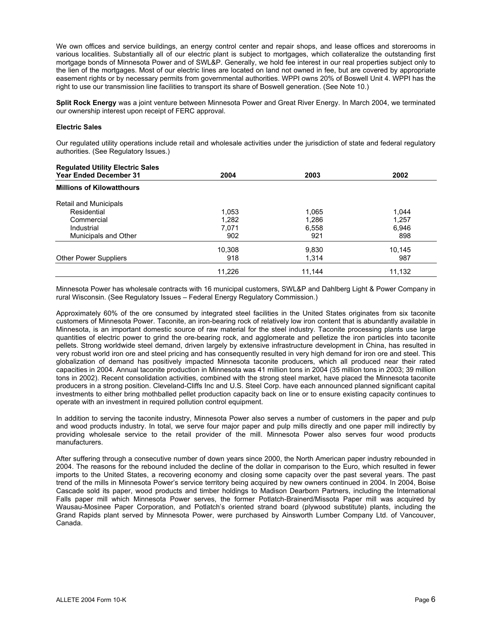We own offices and service buildings, an energy control center and repair shops, and lease offices and storerooms in various localities. Substantially all of our electric plant is subject to mortgages, which collateralize the outstanding first mortgage bonds of Minnesota Power and of SWL&P. Generally, we hold fee interest in our real properties subject only to the lien of the mortgages. Most of our electric lines are located on land not owned in fee, but are covered by appropriate easement rights or by necessary permits from governmental authorities. WPPI owns 20% of Boswell Unit 4. WPPI has the right to use our transmission line facilities to transport its share of Boswell generation. (See Note 10.)

**Split Rock Energy** was a joint venture between Minnesota Power and Great River Energy. In March 2004, we terminated our ownership interest upon receipt of FERC approval.

#### **Electric Sales**

Our regulated utility operations include retail and wholesale activities under the jurisdiction of state and federal regulatory authorities. (See Regulatory Issues.)

| 2004   | 2003   | 2002   |
|--------|--------|--------|
|        |        |        |
|        |        |        |
| 1,053  | 1,065  | 1,044  |
| 1,282  | 1,286  | 1,257  |
| 7.071  | 6,558  | 6,946  |
| 902    | 921    | 898    |
| 10,308 | 9,830  | 10,145 |
| 918    | 1,314  | 987    |
| 11,226 | 11,144 | 11,132 |
|        |        |        |

Minnesota Power has wholesale contracts with 16 municipal customers, SWL&P and Dahlberg Light & Power Company in rural Wisconsin. (See Regulatory Issues – Federal Energy Regulatory Commission.)

Approximately 60% of the ore consumed by integrated steel facilities in the United States originates from six taconite customers of Minnesota Power. Taconite, an iron-bearing rock of relatively low iron content that is abundantly available in Minnesota, is an important domestic source of raw material for the steel industry. Taconite processing plants use large quantities of electric power to grind the ore-bearing rock, and agglomerate and pelletize the iron particles into taconite pellets. Strong worldwide steel demand, driven largely by extensive infrastructure development in China, has resulted in very robust world iron ore and steel pricing and has consequently resulted in very high demand for iron ore and steel. This globalization of demand has positively impacted Minnesota taconite producers, which all produced near their rated capacities in 2004. Annual taconite production in Minnesota was 41 million tons in 2004 (35 million tons in 2003; 39 million tons in 2002). Recent consolidation activities, combined with the strong steel market, have placed the Minnesota taconite producers in a strong position. Cleveland-Cliffs Inc and U.S. Steel Corp. have each announced planned significant capital investments to either bring mothballed pellet production capacity back on line or to ensure existing capacity continues to operate with an investment in required pollution control equipment.

In addition to serving the taconite industry, Minnesota Power also serves a number of customers in the paper and pulp and wood products industry. In total, we serve four major paper and pulp mills directly and one paper mill indirectly by providing wholesale service to the retail provider of the mill. Minnesota Power also serves four wood products manufacturers.

After suffering through a consecutive number of down years since 2000, the North American paper industry rebounded in 2004. The reasons for the rebound included the decline of the dollar in comparison to the Euro, which resulted in fewer imports to the United States, a recovering economy and closing some capacity over the past several years. The past trend of the mills in Minnesota Power's service territory being acquired by new owners continued in 2004. In 2004, Boise Cascade sold its paper, wood products and timber holdings to Madison Dearborn Partners, including the International Falls paper mill which Minnesota Power serves, the former Potlatch-Brainerd/Missota Paper mill was acquired by Wausau-Mosinee Paper Corporation, and Potlatch's oriented strand board (plywood substitute) plants, including the Grand Rapids plant served by Minnesota Power, were purchased by Ainsworth Lumber Company Ltd. of Vancouver, Canada.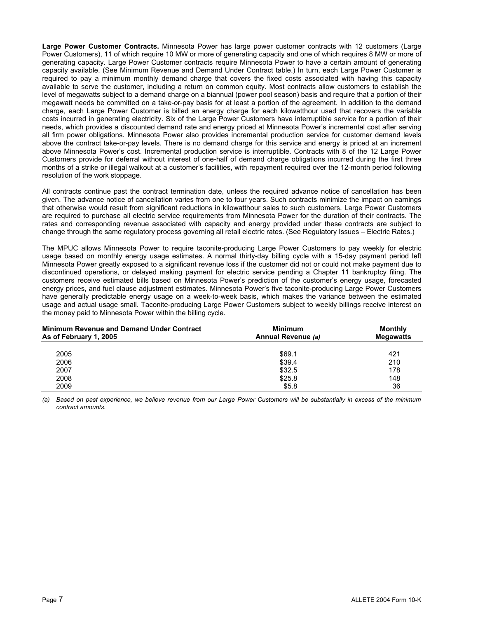**Large Power Customer Contracts.** Minnesota Power has large power customer contracts with 12 customers (Large Power Customers), 11 of which require 10 MW or more of generating capacity and one of which requires 8 MW or more of generating capacity. Large Power Customer contracts require Minnesota Power to have a certain amount of generating capacity available. (See Minimum Revenue and Demand Under Contract table.) In turn, each Large Power Customer is required to pay a minimum monthly demand charge that covers the fixed costs associated with having this capacity available to serve the customer, including a return on common equity. Most contracts allow customers to establish the level of megawatts subject to a demand charge on a biannual (power pool season) basis and require that a portion of their megawatt needs be committed on a take-or-pay basis for at least a portion of the agreement. In addition to the demand charge, each Large Power Customer is billed an energy charge for each kilowatthour used that recovers the variable costs incurred in generating electricity. Six of the Large Power Customers have interruptible service for a portion of their needs, which provides a discounted demand rate and energy priced at Minnesota Power's incremental cost after serving all firm power obligations. Minnesota Power also provides incremental production service for customer demand levels above the contract take-or-pay levels. There is no demand charge for this service and energy is priced at an increment above Minnesota Power's cost. Incremental production service is interruptible. Contracts with 8 of the 12 Large Power Customers provide for deferral without interest of one-half of demand charge obligations incurred during the first three months of a strike or illegal walkout at a customer's facilities, with repayment required over the 12-month period following resolution of the work stoppage.

All contracts continue past the contract termination date, unless the required advance notice of cancellation has been given. The advance notice of cancellation varies from one to four years. Such contracts minimize the impact on earnings that otherwise would result from significant reductions in kilowatthour sales to such customers. Large Power Customers are required to purchase all electric service requirements from Minnesota Power for the duration of their contracts. The rates and corresponding revenue associated with capacity and energy provided under these contracts are subject to change through the same regulatory process governing all retail electric rates. (See Regulatory Issues – Electric Rates.)

The MPUC allows Minnesota Power to require taconite-producing Large Power Customers to pay weekly for electric usage based on monthly energy usage estimates. A normal thirty-day billing cycle with a 15-day payment period left Minnesota Power greatly exposed to a significant revenue loss if the customer did not or could not make payment due to discontinued operations, or delayed making payment for electric service pending a Chapter 11 bankruptcy filing. The customers receive estimated bills based on Minnesota Power's prediction of the customer's energy usage, forecasted energy prices, and fuel clause adjustment estimates. Minnesota Power's five taconite-producing Large Power Customers have generally predictable energy usage on a week-to-week basis, which makes the variance between the estimated usage and actual usage small. Taconite-producing Large Power Customers subject to weekly billings receive interest on the money paid to Minnesota Power within the billing cycle.

| <b>Minimum Revenue and Demand Under Contract</b><br>As of February 1, 2005 | Minimum<br>Annual Revenue (a) | Monthly<br><b>Megawatts</b> |  |
|----------------------------------------------------------------------------|-------------------------------|-----------------------------|--|
| 2005                                                                       | \$69.1                        | 421                         |  |
| 2006                                                                       | \$39.4                        | 210                         |  |
| 2007                                                                       | \$32.5                        | 178                         |  |
| 2008                                                                       | \$25.8                        | 148                         |  |
| 2009                                                                       | \$5.8                         | 36                          |  |

*(a) Based on past experience, we believe revenue from our Large Power Customers will be substantially in excess of the minimum contract amounts.*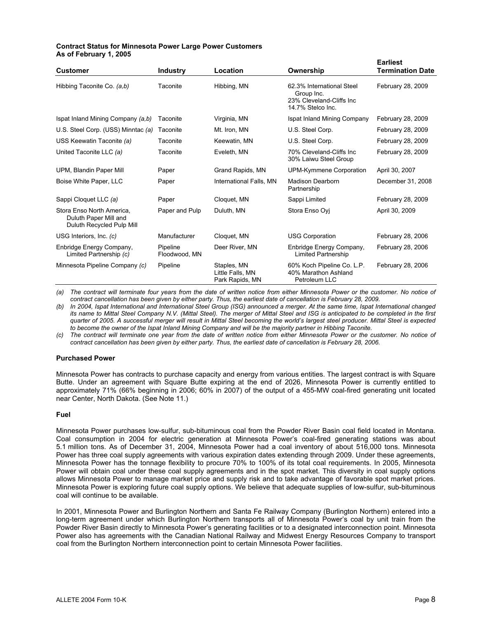#### **Contract Status for Minnesota Power Large Power Customers As of February 1, 2005**

| <b>Customer</b>                                                                 | <b>Industry</b>           | Location                                           | Ownership                                                                                | <b>Earliest</b><br><b>Termination Date</b> |
|---------------------------------------------------------------------------------|---------------------------|----------------------------------------------------|------------------------------------------------------------------------------------------|--------------------------------------------|
| Hibbing Taconite Co. (a,b)                                                      | Taconite                  | Hibbing, MN                                        | 62.3% International Steel<br>Group Inc.<br>23% Cleveland-Cliffs Inc<br>14.7% Stelco Inc. | February 28, 2009                          |
| Ispat Inland Mining Company (a,b)                                               | Taconite                  | Virginia, MN                                       | Ispat Inland Mining Company                                                              | February 28, 2009                          |
| U.S. Steel Corp. (USS) Minntac (a)                                              | Taconite                  | Mt. Iron, MN                                       | U.S. Steel Corp.                                                                         | February 28, 2009                          |
| USS Keewatin Taconite (a)                                                       | Taconite                  | Keewatin, MN                                       | U.S. Steel Corp.                                                                         | February 28, 2009                          |
| United Taconite LLC (a)                                                         | Taconite                  | Eveleth, MN                                        | 70% Cleveland-Cliffs Inc<br>30% Laiwu Steel Group                                        | February 28, 2009                          |
| UPM, Blandin Paper Mill                                                         | Paper                     | Grand Rapids, MN                                   | UPM-Kymmene Corporation                                                                  | April 30, 2007                             |
| Boise White Paper, LLC                                                          | Paper                     | International Falls, MN                            | <b>Madison Dearborn</b><br>Partnership                                                   | December 31, 2008                          |
| Sappi Cloquet LLC (a)                                                           | Paper                     | Cloquet, MN                                        | Sappi Limited                                                                            | February 28, 2009                          |
| Stora Enso North America,<br>Duluth Paper Mill and<br>Duluth Recycled Pulp Mill | Paper and Pulp            | Duluth, MN                                         | Stora Enso Oyj                                                                           | April 30, 2009                             |
| USG Interiors, Inc. (c)                                                         | Manufacturer              | Cloquet, MN                                        | <b>USG Corporation</b>                                                                   | February 28, 2006                          |
| Enbridge Energy Company,<br>Limited Partnership (c)                             | Pipeline<br>Floodwood, MN | Deer River, MN                                     | Enbridge Energy Company,<br><b>Limited Partnership</b>                                   | February 28, 2006                          |
| Minnesota Pipeline Company (c)                                                  | Pipeline                  | Staples, MN<br>Little Falls, MN<br>Park Rapids, MN | 60% Koch Pipeline Co. L.P.<br>40% Marathon Ashland<br>Petroleum LLC                      | February 28, 2006                          |

*(a) The contract will terminate four years from the date of written notice from either Minnesota Power or the customer. No notice of contract cancellation has been given by either party. Thus, the earliest date of cancellation is February 28, 2009.* 

*(b) In 2004, Ispat International and International Steel Group (ISG) announced a merger. At the same time, Ispat International changed its name to Mittal Steel Company N.V. (Mittal Steel). The merger of Mittal Steel and ISG is anticipated to be completed in the first quarter of 2005. A successful merger will result in Mittal Steel becoming the world's largest steel producer. Mittal Steel is expected*  to become the owner of the Ispat Inland Mining Company and will be the majority partner in Hibbing Taconite.

*(c) The contract will terminate one year from the date of written notice from either Minnesota Power or the customer. No notice of*  contract cancellation has been given by either party. Thus, the earliest date of cancellation is February 28, 2006.

#### **Purchased Power**

Minnesota Power has contracts to purchase capacity and energy from various entities. The largest contract is with Square Butte. Under an agreement with Square Butte expiring at the end of 2026, Minnesota Power is currently entitled to approximately 71% (66% beginning in 2006; 60% in 2007) of the output of a 455-MW coal-fired generating unit located near Center, North Dakota. (See Note 11.)

#### **Fuel**

Minnesota Power purchases low-sulfur, sub-bituminous coal from the Powder River Basin coal field located in Montana. Coal consumption in 2004 for electric generation at Minnesota Power's coal-fired generating stations was about 5.1 million tons. As of December 31, 2004, Minnesota Power had a coal inventory of about 516,000 tons. Minnesota Power has three coal supply agreements with various expiration dates extending through 2009. Under these agreements, Minnesota Power has the tonnage flexibility to procure 70% to 100% of its total coal requirements. In 2005, Minnesota Power will obtain coal under these coal supply agreements and in the spot market. This diversity in coal supply options allows Minnesota Power to manage market price and supply risk and to take advantage of favorable spot market prices. Minnesota Power is exploring future coal supply options. We believe that adequate supplies of low-sulfur, sub-bituminous coal will continue to be available.

In 2001, Minnesota Power and Burlington Northern and Santa Fe Railway Company (Burlington Northern) entered into a long-term agreement under which Burlington Northern transports all of Minnesota Power's coal by unit train from the Powder River Basin directly to Minnesota Power's generating facilities or to a designated interconnection point. Minnesota Power also has agreements with the Canadian National Railway and Midwest Energy Resources Company to transport coal from the Burlington Northern interconnection point to certain Minnesota Power facilities.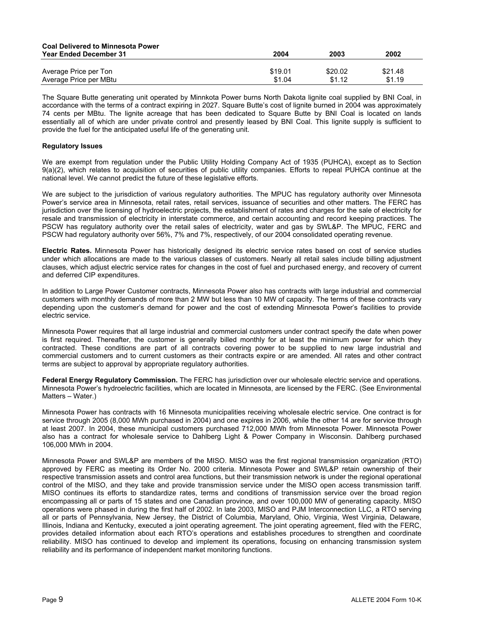| <b>Coal Delivered to Minnesota Power</b> |         |         |         |
|------------------------------------------|---------|---------|---------|
| <b>Year Ended December 31</b>            | 2004    | 2003    | 2002    |
| Average Price per Ton                    | \$19.01 | \$20.02 | \$21.48 |
| Average Price per MBtu                   | \$1.04  | \$1.12  | \$1.19  |

The Square Butte generating unit operated by Minnkota Power burns North Dakota lignite coal supplied by BNI Coal, in accordance with the terms of a contract expiring in 2027. Square Butte's cost of lignite burned in 2004 was approximately 74 cents per MBtu. The lignite acreage that has been dedicated to Square Butte by BNI Coal is located on lands essentially all of which are under private control and presently leased by BNI Coal. This lignite supply is sufficient to provide the fuel for the anticipated useful life of the generating unit.

#### **Regulatory Issues**

We are exempt from regulation under the Public Utility Holding Company Act of 1935 (PUHCA), except as to Section 9(a)(2), which relates to acquisition of securities of public utility companies. Efforts to repeal PUHCA continue at the national level. We cannot predict the future of these legislative efforts.

We are subject to the jurisdiction of various regulatory authorities. The MPUC has regulatory authority over Minnesota Power's service area in Minnesota, retail rates, retail services, issuance of securities and other matters. The FERC has jurisdiction over the licensing of hydroelectric projects, the establishment of rates and charges for the sale of electricity for resale and transmission of electricity in interstate commerce, and certain accounting and record keeping practices. The PSCW has regulatory authority over the retail sales of electricity, water and gas by SWL&P. The MPUC, FERC and PSCW had regulatory authority over 56%, 7% and 7%, respectively, of our 2004 consolidated operating revenue.

**Electric Rates.** Minnesota Power has historically designed its electric service rates based on cost of service studies under which allocations are made to the various classes of customers. Nearly all retail sales include billing adjustment clauses, which adjust electric service rates for changes in the cost of fuel and purchased energy, and recovery of current and deferred CIP expenditures.

In addition to Large Power Customer contracts, Minnesota Power also has contracts with large industrial and commercial customers with monthly demands of more than 2 MW but less than 10 MW of capacity. The terms of these contracts vary depending upon the customer's demand for power and the cost of extending Minnesota Power's facilities to provide electric service.

Minnesota Power requires that all large industrial and commercial customers under contract specify the date when power is first required. Thereafter, the customer is generally billed monthly for at least the minimum power for which they contracted. These conditions are part of all contracts covering power to be supplied to new large industrial and commercial customers and to current customers as their contracts expire or are amended. All rates and other contract terms are subject to approval by appropriate regulatory authorities.

**Federal Energy Regulatory Commission.** The FERC has jurisdiction over our wholesale electric service and operations. Minnesota Power's hydroelectric facilities, which are located in Minnesota, are licensed by the FERC. (See Environmental Matters – Water.)

Minnesota Power has contracts with 16 Minnesota municipalities receiving wholesale electric service. One contract is for service through 2005 (8,000 MWh purchased in 2004) and one expires in 2006, while the other 14 are for service through at least 2007. In 2004, these municipal customers purchased 712,000 MWh from Minnesota Power. Minnesota Power also has a contract for wholesale service to Dahlberg Light & Power Company in Wisconsin. Dahlberg purchased 106,000 MWh in 2004.

Minnesota Power and SWL&P are members of the MISO. MISO was the first regional transmission organization (RTO) approved by FERC as meeting its Order No. 2000 criteria. Minnesota Power and SWL&P retain ownership of their respective transmission assets and control area functions, but their transmission network is under the regional operational control of the MISO, and they take and provide transmission service under the MISO open access transmission tariff. MISO continues its efforts to standardize rates, terms and conditions of transmission service over the broad region encompassing all or parts of 15 states and one Canadian province, and over 100,000 MW of generating capacity. MISO operations were phased in during the first half of 2002. In late 2003, MISO and PJM Interconnection LLC, a RTO serving all or parts of Pennsylvania, New Jersey, the District of Columbia, Maryland, Ohio, Virginia, West Virginia, Delaware, Illinois, Indiana and Kentucky, executed a joint operating agreement. The joint operating agreement, filed with the FERC, provides detailed information about each RTO's operations and establishes procedures to strengthen and coordinate reliability. MISO has continued to develop and implement its operations, focusing on enhancing transmission system reliability and its performance of independent market monitoring functions.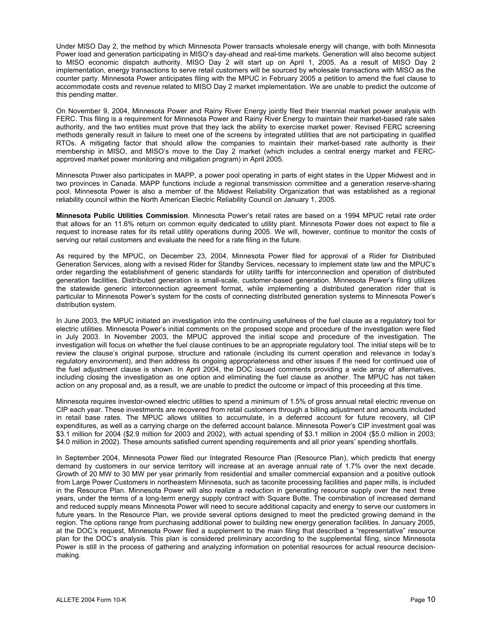Under MISO Day 2, the method by which Minnesota Power transacts wholesale energy will change, with both Minnesota Power load and generation participating in MISO's day-ahead and real-time markets. Generation will also become subject to MISO economic dispatch authority. MISO Day 2 will start up on April 1, 2005. As a result of MISO Day 2 implementation, energy transactions to serve retail customers will be sourced by wholesale transactions with MISO as the counter party. Minnesota Power anticipates filing with the MPUC in February 2005 a petition to amend the fuel clause to accommodate costs and revenue related to MISO Day 2 market implementation. We are unable to predict the outcome of this pending matter.

On November 9, 2004, Minnesota Power and Rainy River Energy jointly filed their triennial market power analysis with FERC. This filing is a requirement for Minnesota Power and Rainy River Energy to maintain their market-based rate sales authority, and the two entities must prove that they lack the ability to exercise market power. Revised FERC screening methods generally result in failure to meet one of the screens by integrated utilities that are not participating in qualified RTOs. A mitigating factor that should allow the companies to maintain their market-based rate authority is their membership in MISO, and MISO's move to the Day 2 market (which includes a central energy market and FERCapproved market power monitoring and mitigation program) in April 2005.

Minnesota Power also participates in MAPP, a power pool operating in parts of eight states in the Upper Midwest and in two provinces in Canada. MAPP functions include a regional transmission committee and a generation reserve-sharing pool. Minnesota Power is also a member of the Midwest Reliability Organization that was established as a regional reliability council within the North American Electric Reliability Council on January 1, 2005.

**Minnesota Public Utilities Commission**. Minnesota Power's retail rates are based on a 1994 MPUC retail rate order that allows for an 11.6% return on common equity dedicated to utility plant. Minnesota Power does not expect to file a request to increase rates for its retail utility operations during 2005. We will, however, continue to monitor the costs of serving our retail customers and evaluate the need for a rate filing in the future.

As required by the MPUC, on December 23, 2004, Minnesota Power filed for approval of a Rider for Distributed Generation Services, along with a revised Rider for Standby Services, necessary to implement state law and the MPUC's order regarding the establishment of generic standards for utility tariffs for interconnection and operation of distributed generation facilities. Distributed generation is small-scale, customer-based generation. Minnesota Power's filing utilizes the statewide generic interconnection agreement format, while implementing a distributed generation rider that is particular to Minnesota Power's system for the costs of connecting distributed generation systems to Minnesota Power's distribution system.

In June 2003, the MPUC initiated an investigation into the continuing usefulness of the fuel clause as a regulatory tool for electric utilities. Minnesota Power's initial comments on the proposed scope and procedure of the investigation were filed in July 2003. In November 2003, the MPUC approved the initial scope and procedure of the investigation. The investigation will focus on whether the fuel clause continues to be an appropriate regulatory tool. The initial steps will be to review the clause's original purpose, structure and rationale (including its current operation and relevance in today's regulatory environment), and then address its ongoing appropriateness and other issues if the need for continued use of the fuel adjustment clause is shown. In April 2004, the DOC issued comments providing a wide array of alternatives, including closing the investigation as one option and eliminating the fuel clause as another. The MPUC has not taken action on any proposal and, as a result, we are unable to predict the outcome or impact of this proceeding at this time.

Minnesota requires investor-owned electric utilities to spend a minimum of 1.5% of gross annual retail electric revenue on CIP each year. These investments are recovered from retail customers through a billing adjustment and amounts included in retail base rates. The MPUC allows utilities to accumulate, in a deferred account for future recovery, all CIP expenditures, as well as a carrying charge on the deferred account balance. Minnesota Power's CIP investment goal was \$3.1 million for 2004 (\$2.9 million for 2003 and 2002), with actual spending of \$3.1 million in 2004 (\$5.0 million in 2003; \$4.0 million in 2002). These amounts satisfied current spending requirements and all prior years' spending shortfalls.

In September 2004, Minnesota Power filed our Integrated Resource Plan (Resource Plan), which predicts that energy demand by customers in our service territory will increase at an average annual rate of 1.7% over the next decade. Growth of 20 MW to 30 MW per year primarily from residential and smaller commercial expansion and a positive outlook from Large Power Customers in northeastern Minnesota, such as taconite processing facilities and paper mills, is included in the Resource Plan. Minnesota Power will also realize a reduction in generating resource supply over the next three years, under the terms of a long-term energy supply contract with Square Butte. The combination of increased demand and reduced supply means Minnesota Power will need to secure additional capacity and energy to serve our customers in future years. In the Resource Plan, we provide several options designed to meet the predicted growing demand in the region. The options range from purchasing additional power to building new energy generation facilities. In January 2005, at the DOC's request, Minnesota Power filed a supplement to the main filing that described a "representative" resource plan for the DOC's analysis. This plan is considered preliminary according to the supplemental filing, since Minnesota Power is still in the process of gathering and analyzing information on potential resources for actual resource decisionmaking.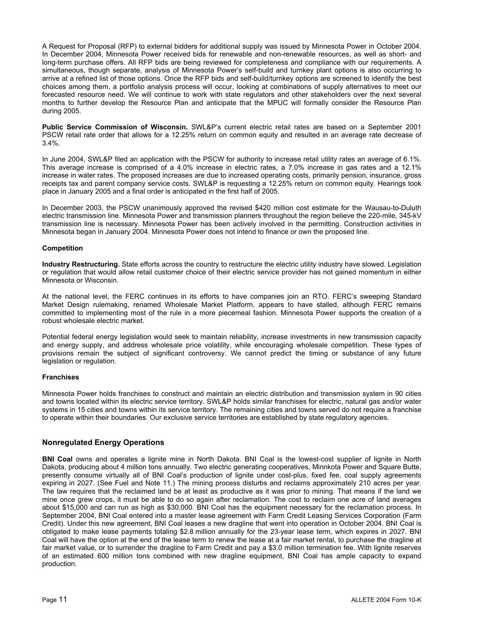A Request for Proposal (RFP) to external bidders for additional supply was issued by Minnesota Power in October 2004. In December 2004, Minnesota Power received bids for renewable and non-renewable resources, as well as short- and long-term purchase offers. All RFP bids are being reviewed for completeness and compliance with our requirements. A simultaneous, though separate, analysis of Minnesota Power's self-build and turnkey plant options is also occurring to arrive at a refined list of those options. Once the RFP bids and self-build/turnkey options are screened to identify the best choices among them, a portfolio analysis process will occur, looking at combinations of supply alternatives to meet our forecasted resource need. We will continue to work with state regulators and other stakeholders over the next several months to further develop the Resource Plan and anticipate that the MPUC will formally consider the Resource Plan during 2005.

**Public Service Commission of Wisconsin.** SWL&P's current electric retail rates are based on a September 2001 PSCW retail rate order that allows for a 12.25% return on common equity and resulted in an average rate decrease of 3.4%.

In June 2004, SWL&P filed an application with the PSCW for authority to increase retail utility rates an average of 6.1%. This average increase is comprised of a 4.0% increase in electric rates, a 7.0% increase in gas rates and a 12.1% increase in water rates. The proposed increases are due to increased operating costs, primarily pension, insurance, gross receipts tax and parent company service costs. SWL&P is requesting a 12.25% return on common equity. Hearings took place in January 2005 and a final order is anticipated in the first half of 2005.

In December 2003, the PSCW unanimously approved the revised \$420 million cost estimate for the Wausau-to-Duluth electric transmission line. Minnesota Power and transmission planners throughout the region believe the 220-mile, 345-kV transmission line is necessary. Minnesota Power has been actively involved in the permitting. Construction activities in Minnesota began in January 2004. Minnesota Power does not intend to finance or own the proposed line.

#### **Competition**

**Industry Restructuring.** State efforts across the country to restructure the electric utility industry have slowed. Legislation or regulation that would allow retail customer choice of their electric service provider has not gained momentum in either Minnesota or Wisconsin.

At the national level, the FERC continues in its efforts to have companies join an RTO. FERC's sweeping Standard Market Design rulemaking, renamed Wholesale Market Platform, appears to have stalled, although FERC remains committed to implementing most of the rule in a more piecemeal fashion. Minnesota Power supports the creation of a robust wholesale electric market.

Potential federal energy legislation would seek to maintain reliability, increase investments in new transmission capacity and energy supply, and address wholesale price volatility, while encouraging wholesale competition. These types of provisions remain the subject of significant controversy. We cannot predict the timing or substance of any future legislation or regulation.

#### **Franchises**

Minnesota Power holds franchises to construct and maintain an electric distribution and transmission system in 90 cities and towns located within its electric service territory. SWL&P holds similar franchises for electric, natural gas and/or water systems in 15 cities and towns within its service territory. The remaining cities and towns served do not require a franchise to operate within their boundaries. Our exclusive service territories are established by state regulatory agencies.

#### **Nonregulated Energy Operations**

**BNI Coal** owns and operates a lignite mine in North Dakota. BNI Coal is the lowest-cost supplier of lignite in North Dakota, producing about 4 million tons annually. Two electric generating cooperatives, Minnkota Power and Square Butte, presently consume virtually all of BNI Coal's production of lignite under cost-plus, fixed fee, coal supply agreements expiring in 2027. (See Fuel and Note 11.) The mining process disturbs and reclaims approximately 210 acres per year. The law requires that the reclaimed land be at least as productive as it was prior to mining. That means if the land we mine once grew crops, it must be able to do so again after reclamation. The cost to reclaim one acre of land averages about \$15,000 and can run as high as \$30,000. BNI Coal has the equipment necessary for the reclamation process. In September 2004, BNI Coal entered into a master lease agreement with Farm Credit Leasing Services Corporation (Farm Credit). Under this new agreement, BNI Coal leases a new dragline that went into operation in October 2004. BNI Coal is obligated to make lease payments totaling \$2.8 million annually for the 23-year lease term, which expires in 2027. BNI Coal will have the option at the end of the lease term to renew the lease at a fair market rental, to purchase the dragline at fair market value, or to surrender the dragline to Farm Credit and pay a \$3.0 million termination fee. With lignite reserves of an estimated 600 million tons combined with new dragline equipment, BNI Coal has ample capacity to expand production.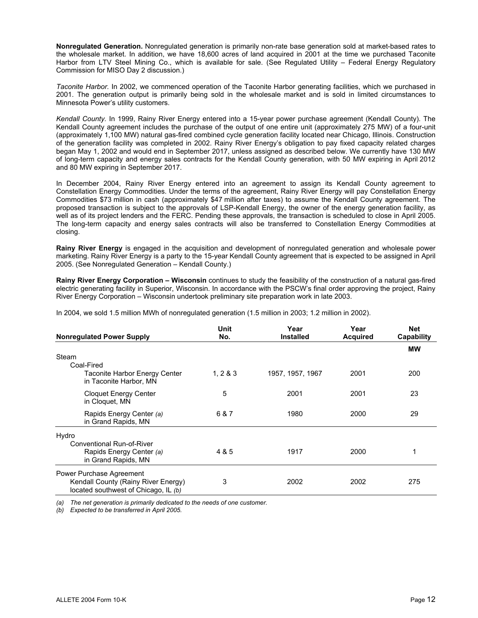**Nonregulated Generation.** Nonregulated generation is primarily non-rate base generation sold at market-based rates to the wholesale market. In addition, we have 18,600 acres of land acquired in 2001 at the time we purchased Taconite Harbor from LTV Steel Mining Co., which is available for sale. (See Regulated Utility – Federal Energy Regulatory Commission for MISO Day 2 discussion.)

*Taconite Harbor.* In 2002, we commenced operation of the Taconite Harbor generating facilities, which we purchased in 2001. The generation output is primarily being sold in the wholesale market and is sold in limited circumstances to Minnesota Power's utility customers.

*Kendall County.* In 1999, Rainy River Energy entered into a 15-year power purchase agreement (Kendall County). The Kendall County agreement includes the purchase of the output of one entire unit (approximately 275 MW) of a four-unit (approximately 1,100 MW) natural gas-fired combined cycle generation facility located near Chicago, Illinois. Construction of the generation facility was completed in 2002. Rainy River Energy's obligation to pay fixed capacity related charges began May 1, 2002 and would end in September 2017, unless assigned as described below. We currently have 130 MW of long-term capacity and energy sales contracts for the Kendall County generation, with 50 MW expiring in April 2012 and 80 MW expiring in September 2017.

In December 2004, Rainy River Energy entered into an agreement to assign its Kendall County agreement to Constellation Energy Commodities. Under the terms of the agreement, Rainy River Energy will pay Constellation Energy Commodities \$73 million in cash (approximately \$47 million after taxes) to assume the Kendall County agreement. The proposed transaction is subject to the approvals of LSP-Kendall Energy, the owner of the energy generation facility, as well as of its project lenders and the FERC. Pending these approvals, the transaction is scheduled to close in April 2005. The long-term capacity and energy sales contracts will also be transferred to Constellation Energy Commodities at closing.

**Rainy River Energy** is engaged in the acquisition and development of nonregulated generation and wholesale power marketing. Rainy River Energy is a party to the 15-year Kendall County agreement that is expected to be assigned in April 2005. (See Nonregulated Generation – Kendall County.)

**Rainy River Energy Corporation – Wisconsin** continues to study the feasibility of the construction of a natural gas-fired electric generating facility in Superior, Wisconsin. In accordance with the PSCW's final order approving the project, Rainy River Energy Corporation – Wisconsin undertook preliminary site preparation work in late 2003.

| <b>Nonregulated Power Supply</b>                                            | Unit<br>No. | Year<br><b>Installed</b> | Year<br><b>Acquired</b> | <b>Net</b><br>Capability |
|-----------------------------------------------------------------------------|-------------|--------------------------|-------------------------|--------------------------|
|                                                                             |             |                          |                         | <b>MW</b>                |
| Steam                                                                       |             |                          |                         |                          |
| Coal-Fired                                                                  |             |                          |                         |                          |
| Taconite Harbor Energy Center<br>in Taconite Harbor, MN                     | 1, 283      | 1957, 1957, 1967         | 2001                    | 200                      |
| <b>Cloquet Energy Center</b><br>in Cloquet, MN                              | 5           | 2001                     | 2001                    | 23                       |
| Rapids Energy Center (a)<br>in Grand Rapids, MN                             | 6 & 7       | 1980                     | 2000                    | 29                       |
| Hydro                                                                       |             |                          |                         |                          |
| Conventional Run-of-River                                                   |             |                          |                         |                          |
| Rapids Energy Center (a)<br>in Grand Rapids, MN                             | 4 & 5       | 1917                     | 2000                    |                          |
| Power Purchase Agreement                                                    |             |                          |                         |                          |
| Kendall County (Rainy River Energy)<br>located southwest of Chicago, IL (b) | 3           | 2002                     | 2002                    | 275                      |

In 2004, we sold 1.5 million MWh of nonregulated generation (1.5 million in 2003; 1.2 million in 2002).

*(a) The net generation is primarily dedicated to the needs of one customer.* 

*(b) Expected to be transferred in April 2005.*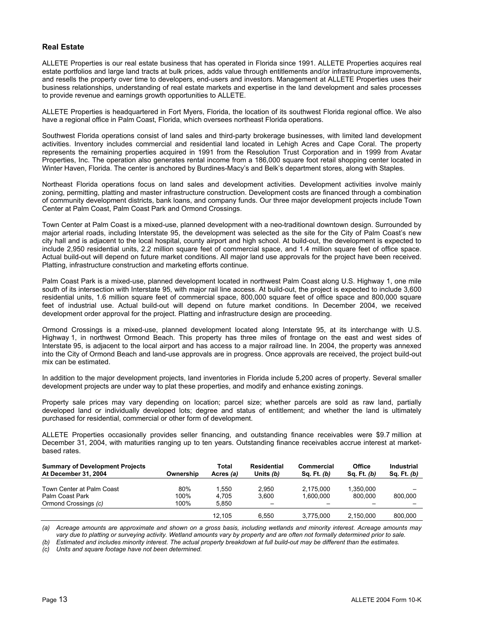#### **Real Estate**

ALLETE Properties is our real estate business that has operated in Florida since 1991. ALLETE Properties acquires real estate portfolios and large land tracts at bulk prices, adds value through entitlements and/or infrastructure improvements, and resells the property over time to developers, end-users and investors. Management at ALLETE Properties uses their business relationships, understanding of real estate markets and expertise in the land development and sales processes to provide revenue and earnings growth opportunities to ALLETE.

ALLETE Properties is headquartered in Fort Myers, Florida, the location of its southwest Florida regional office. We also have a regional office in Palm Coast, Florida, which oversees northeast Florida operations.

Southwest Florida operations consist of land sales and third-party brokerage businesses, with limited land development activities. Inventory includes commercial and residential land located in Lehigh Acres and Cape Coral. The property represents the remaining properties acquired in 1991 from the Resolution Trust Corporation and in 1999 from Avatar Properties, Inc. The operation also generates rental income from a 186,000 square foot retail shopping center located in Winter Haven, Florida. The center is anchored by Burdines-Macy's and Belk's department stores, along with Staples.

Northeast Florida operations focus on land sales and development activities. Development activities involve mainly zoning, permitting, platting and master infrastructure construction. Development costs are financed through a combination of community development districts, bank loans, and company funds. Our three major development projects include Town Center at Palm Coast, Palm Coast Park and Ormond Crossings.

Town Center at Palm Coast is a mixed-use, planned development with a neo-traditional downtown design. Surrounded by major arterial roads, including Interstate 95, the development was selected as the site for the City of Palm Coast's new city hall and is adjacent to the local hospital, county airport and high school. At build-out, the development is expected to include 2,950 residential units, 2.2 million square feet of commercial space, and 1.4 million square feet of office space. Actual build-out will depend on future market conditions. All major land use approvals for the project have been received. Platting, infrastructure construction and marketing efforts continue.

Palm Coast Park is a mixed-use, planned development located in northwest Palm Coast along U.S. Highway 1, one mile south of its intersection with Interstate 95, with major rail line access. At build-out, the project is expected to include 3,600 residential units, 1.6 million square feet of commercial space, 800,000 square feet of office space and 800,000 square feet of industrial use. Actual build-out will depend on future market conditions. In December 2004, we received development order approval for the project. Platting and infrastructure design are proceeding.

Ormond Crossings is a mixed-use, planned development located along Interstate 95, at its interchange with U.S. Highway 1, in northwest Ormond Beach. This property has three miles of frontage on the east and west sides of Interstate 95, is adjacent to the local airport and has access to a major railroad line. In 2004, the property was annexed into the City of Ormond Beach and land-use approvals are in progress. Once approvals are received, the project build-out mix can be estimated.

In addition to the major development projects, land inventories in Florida include 5,200 acres of property. Several smaller development projects are under way to plat these properties, and modify and enhance existing zonings.

Property sale prices may vary depending on location; parcel size; whether parcels are sold as raw land, partially developed land or individually developed lots; degree and status of entitlement; and whether the land is ultimately purchased for residential, commercial or other form of development.

ALLETE Properties occasionally provides seller financing, and outstanding finance receivables were \$9.7 million at December 31, 2004, with maturities ranging up to ten years. Outstanding finance receivables accrue interest at marketbased rates.

| <b>Summary of Development Projects</b><br>At December 31, 2004 | Ownership | Total<br>Acres (a) | Residential<br>Units (b) | Commercial<br>Sq. Ft. (b) | Office<br>Sq. Ft. $(b)$ | Industrial<br>Sq. Ft. $(b)$ |
|----------------------------------------------------------------|-----------|--------------------|--------------------------|---------------------------|-------------------------|-----------------------------|
|                                                                |           |                    |                          |                           |                         |                             |
| Town Center at Palm Coast                                      | 80%       | ∣.550              | 2.950                    | 2.175.000                 | 1.350.000               |                             |
| Palm Coast Park                                                | 100%      | 4.705              | 3.600                    | 1.600.000                 | 800.000                 | 800.000                     |
| Ormond Crossings (c)                                           | 100%      | 5.850              |                          |                           |                         |                             |
|                                                                |           | 12.105             | 6.550                    | 3.775.000                 | 2,150,000               | 800.000                     |

*(a) Acreage amounts are approximate and shown on a gross basis, including wetlands and minority interest. Acreage amounts may*  vary due to platting or surveying activity. Wetland amounts vary by property and are often not formally determined prior to sale.

*(b) Estimated and includes minority interest. The actual property breakdown at full build-out may be different than the estimates.* 

*(c) Units and square footage have not been determined.*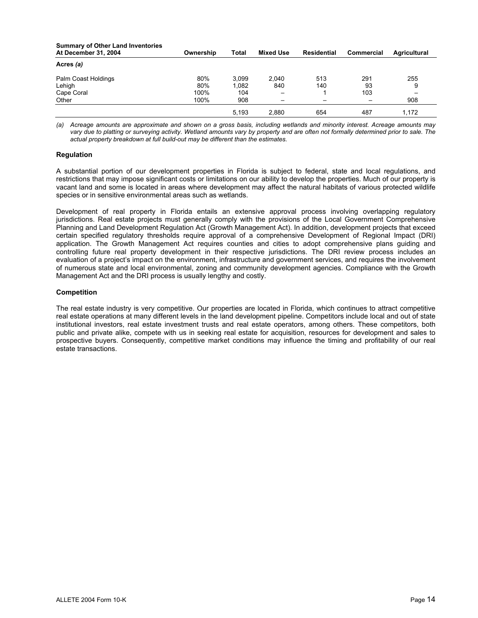| <b>Summary of Other Land Inventories</b><br>At December 31, 2004 | Ownership | <b>Total</b> | <b>Mixed Use</b>         | Residential | Commercial | Agricultural |
|------------------------------------------------------------------|-----------|--------------|--------------------------|-------------|------------|--------------|
| Acres (a)                                                        |           |              |                          |             |            |              |
| Palm Coast Holdings                                              | 80%       | 3.099        | 2.040                    | 513         | 291        | 255          |
| Lehigh                                                           | 80%       | 1.082        | 840                      | 140         | 93         | 9            |
| Cape Coral                                                       | 100%      | 104          | $\overline{\phantom{0}}$ |             | 103        |              |
| Other                                                            | 100%      | 908          |                          |             |            | 908          |
|                                                                  |           | 5.193        | 2.880                    | 654         | 487        | 1.172        |

*(a) Acreage amounts are approximate and shown on a gross basis, including wetlands and minority interest. Acreage amounts may*  vary due to platting or surveying activity. Wetland amounts vary by property and are often not formally determined prior to sale. The *actual property breakdown at full build-out may be different than the estimates.* 

#### **Regulation**

A substantial portion of our development properties in Florida is subject to federal, state and local regulations, and restrictions that may impose significant costs or limitations on our ability to develop the properties. Much of our property is vacant land and some is located in areas where development may affect the natural habitats of various protected wildlife species or in sensitive environmental areas such as wetlands.

Development of real property in Florida entails an extensive approval process involving overlapping regulatory jurisdictions. Real estate projects must generally comply with the provisions of the Local Government Comprehensive Planning and Land Development Regulation Act (Growth Management Act). In addition, development projects that exceed certain specified regulatory thresholds require approval of a comprehensive Development of Regional Impact (DRI) application. The Growth Management Act requires counties and cities to adopt comprehensive plans guiding and controlling future real property development in their respective jurisdictions. The DRI review process includes an evaluation of a project's impact on the environment, infrastructure and government services, and requires the involvement of numerous state and local environmental, zoning and community development agencies. Compliance with the Growth Management Act and the DRI process is usually lengthy and costly.

#### **Competition**

The real estate industry is very competitive. Our properties are located in Florida, which continues to attract competitive real estate operations at many different levels in the land development pipeline. Competitors include local and out of state institutional investors, real estate investment trusts and real estate operators, among others. These competitors, both public and private alike, compete with us in seeking real estate for acquisition, resources for development and sales to prospective buyers. Consequently, competitive market conditions may influence the timing and profitability of our real estate transactions.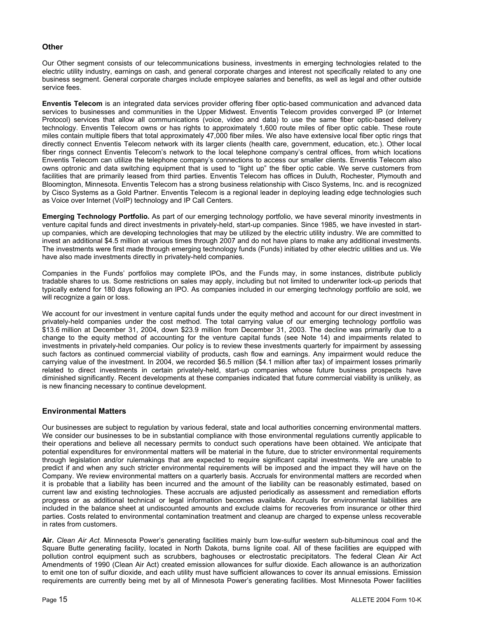#### **Other**

Our Other segment consists of our telecommunications business, investments in emerging technologies related to the electric utility industry, earnings on cash, and general corporate charges and interest not specifically related to any one business segment. General corporate charges include employee salaries and benefits, as well as legal and other outside service fees.

**Enventis Telecom** is an integrated data services provider offering fiber optic-based communication and advanced data services to businesses and communities in the Upper Midwest. Enventis Telecom provides converged IP (or Internet Protocol) services that allow all communications (voice, video and data) to use the same fiber optic-based delivery technology. Enventis Telecom owns or has rights to approximately 1,600 route miles of fiber optic cable. These route miles contain multiple fibers that total approximately 47,000 fiber miles. We also have extensive local fiber optic rings that directly connect Enventis Telecom network with its larger clients (health care, government, education, etc.). Other local fiber rings connect Enventis Telecom's network to the local telephone company's central offices, from which locations Enventis Telecom can utilize the telephone company's connections to access our smaller clients. Enventis Telecom also owns optronic and data switching equipment that is used to "light up" the fiber optic cable. We serve customers from facilities that are primarily leased from third parties. Enventis Telecom has offices in Duluth, Rochester, Plymouth and Bloomington, Minnesota. Enventis Telecom has a strong business relationship with Cisco Systems, Inc. and is recognized by Cisco Systems as a Gold Partner. Enventis Telecom is a regional leader in deploying leading edge technologies such as Voice over Internet (VoIP) technology and IP Call Centers.

**Emerging Technology Portfolio.** As part of our emerging technology portfolio, we have several minority investments in venture capital funds and direct investments in privately-held, start-up companies. Since 1985, we have invested in startup companies, which are developing technologies that may be utilized by the electric utility industry. We are committed to invest an additional \$4.5 million at various times through 2007 and do not have plans to make any additional investments. The investments were first made through emerging technology funds (Funds) initiated by other electric utilities and us. We have also made investments directly in privately-held companies.

Companies in the Funds' portfolios may complete IPOs, and the Funds may, in some instances, distribute publicly tradable shares to us. Some restrictions on sales may apply, including but not limited to underwriter lock-up periods that typically extend for 180 days following an IPO. As companies included in our emerging technology portfolio are sold, we will recognize a gain or loss.

We account for our investment in venture capital funds under the equity method and account for our direct investment in privately-held companies under the cost method. The total carrying value of our emerging technology portfolio was \$13.6 million at December 31, 2004, down \$23.9 million from December 31, 2003. The decline was primarily due to a change to the equity method of accounting for the venture capital funds (see Note 14) and impairments related to investments in privately-held companies. Our policy is to review these investments quarterly for impairment by assessing such factors as continued commercial viability of products, cash flow and earnings. Any impairment would reduce the carrying value of the investment. In 2004, we recorded \$6.5 million (\$4.1 million after tax) of impairment losses primarily related to direct investments in certain privately-held, start-up companies whose future business prospects have diminished significantly. Recent developments at these companies indicated that future commercial viability is unlikely, as is new financing necessary to continue development.

#### **Environmental Matters**

Our businesses are subject to regulation by various federal, state and local authorities concerning environmental matters. We consider our businesses to be in substantial compliance with those environmental regulations currently applicable to their operations and believe all necessary permits to conduct such operations have been obtained. We anticipate that potential expenditures for environmental matters will be material in the future, due to stricter environmental requirements through legislation and/or rulemakings that are expected to require significant capital investments. We are unable to predict if and when any such stricter environmental requirements will be imposed and the impact they will have on the Company. We review environmental matters on a quarterly basis. Accruals for environmental matters are recorded when it is probable that a liability has been incurred and the amount of the liability can be reasonably estimated, based on current law and existing technologies. These accruals are adjusted periodically as assessment and remediation efforts progress or as additional technical or legal information becomes available. Accruals for environmental liabilities are included in the balance sheet at undiscounted amounts and exclude claims for recoveries from insurance or other third parties. Costs related to environmental contamination treatment and cleanup are charged to expense unless recoverable in rates from customers.

**Air.** *Clean Air Act.* Minnesota Power's generating facilities mainly burn low-sulfur western sub-bituminous coal and the Square Butte generating facility, located in North Dakota, burns lignite coal. All of these facilities are equipped with pollution control equipment such as scrubbers, baghouses or electrostatic precipitators. The federal Clean Air Act Amendments of 1990 (Clean Air Act) created emission allowances for sulfur dioxide. Each allowance is an authorization to emit one ton of sulfur dioxide, and each utility must have sufficient allowances to cover its annual emissions. Emission requirements are currently being met by all of Minnesota Power's generating facilities. Most Minnesota Power facilities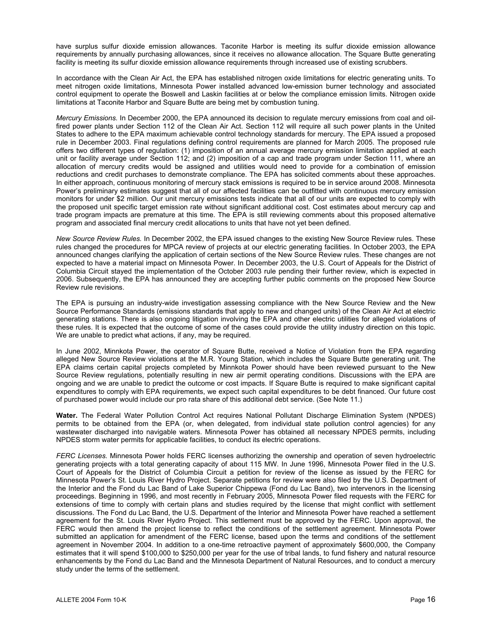have surplus sulfur dioxide emission allowances. Taconite Harbor is meeting its sulfur dioxide emission allowance requirements by annually purchasing allowances, since it receives no allowance allocation. The Square Butte generating facility is meeting its sulfur dioxide emission allowance requirements through increased use of existing scrubbers.

In accordance with the Clean Air Act, the EPA has established nitrogen oxide limitations for electric generating units. To meet nitrogen oxide limitations, Minnesota Power installed advanced low-emission burner technology and associated control equipment to operate the Boswell and Laskin facilities at or below the compliance emission limits. Nitrogen oxide limitations at Taconite Harbor and Square Butte are being met by combustion tuning.

*Mercury Emissions.* In December 2000, the EPA announced its decision to regulate mercury emissions from coal and oilfired power plants under Section 112 of the Clean Air Act. Section 112 will require all such power plants in the United States to adhere to the EPA maximum achievable control technology standards for mercury. The EPA issued a proposed rule in December 2003. Final regulations defining control requirements are planned for March 2005. The proposed rule offers two different types of regulation: (1) imposition of an annual average mercury emission limitation applied at each unit or facility average under Section 112; and (2) imposition of a cap and trade program under Section 111, where an allocation of mercury credits would be assigned and utilities would need to provide for a combination of emission reductions and credit purchases to demonstrate compliance. The EPA has solicited comments about these approaches. In either approach, continuous monitoring of mercury stack emissions is required to be in service around 2008. Minnesota Power's preliminary estimates suggest that all of our affected facilities can be outfitted with continuous mercury emission monitors for under \$2 million. Our unit mercury emissions tests indicate that all of our units are expected to comply with the proposed unit specific target emission rate without significant additional cost. Cost estimates about mercury cap and trade program impacts are premature at this time. The EPA is still reviewing comments about this proposed alternative program and associated final mercury credit allocations to units that have not yet been defined.

*New Source Review Rules.* In December 2002, the EPA issued changes to the existing New Source Review rules. These rules changed the procedures for MPCA review of projects at our electric generating facilities. In October 2003, the EPA announced changes clarifying the application of certain sections of the New Source Review rules. These changes are not expected to have a material impact on Minnesota Power. In December 2003, the U.S. Court of Appeals for the District of Columbia Circuit stayed the implementation of the October 2003 rule pending their further review, which is expected in 2006. Subsequently, the EPA has announced they are accepting further public comments on the proposed New Source Review rule revisions.

The EPA is pursuing an industry-wide investigation assessing compliance with the New Source Review and the New Source Performance Standards (emissions standards that apply to new and changed units) of the Clean Air Act at electric generating stations. There is also ongoing litigation involving the EPA and other electric utilities for alleged violations of these rules. It is expected that the outcome of some of the cases could provide the utility industry direction on this topic. We are unable to predict what actions, if any, may be required.

In June 2002, Minnkota Power, the operator of Square Butte, received a Notice of Violation from the EPA regarding alleged New Source Review violations at the M.R. Young Station, which includes the Square Butte generating unit. The EPA claims certain capital projects completed by Minnkota Power should have been reviewed pursuant to the New Source Review regulations, potentially resulting in new air permit operating conditions. Discussions with the EPA are ongoing and we are unable to predict the outcome or cost impacts. If Square Butte is required to make significant capital expenditures to comply with EPA requirements, we expect such capital expenditures to be debt financed. Our future cost of purchased power would include our pro rata share of this additional debt service. (See Note 11.)

**Water.** The Federal Water Pollution Control Act requires National Pollutant Discharge Elimination System (NPDES) permits to be obtained from the EPA (or, when delegated, from individual state pollution control agencies) for any wastewater discharged into navigable waters. Minnesota Power has obtained all necessary NPDES permits, including NPDES storm water permits for applicable facilities, to conduct its electric operations.

*FERC Licenses.* Minnesota Power holds FERC licenses authorizing the ownership and operation of seven hydroelectric generating projects with a total generating capacity of about 115 MW. In June 1996, Minnesota Power filed in the U.S. Court of Appeals for the District of Columbia Circuit a petition for review of the license as issued by the FERC for Minnesota Power's St. Louis River Hydro Project. Separate petitions for review were also filed by the U.S. Department of the Interior and the Fond du Lac Band of Lake Superior Chippewa (Fond du Lac Band), two intervenors in the licensing proceedings. Beginning in 1996, and most recently in February 2005, Minnesota Power filed requests with the FERC for extensions of time to comply with certain plans and studies required by the license that might conflict with settlement discussions. The Fond du Lac Band, the U.S. Department of the Interior and Minnesota Power have reached a settlement agreement for the St. Louis River Hydro Project. This settlement must be approved by the FERC. Upon approval, the FERC would then amend the project license to reflect the conditions of the settlement agreement. Minnesota Power submitted an application for amendment of the FERC license, based upon the terms and conditions of the settlement agreement in November 2004. In addition to a one-time retroactive payment of approximately \$600,000, the Company estimates that it will spend \$100,000 to \$250,000 per year for the use of tribal lands, to fund fishery and natural resource enhancements by the Fond du Lac Band and the Minnesota Department of Natural Resources, and to conduct a mercury study under the terms of the settlement.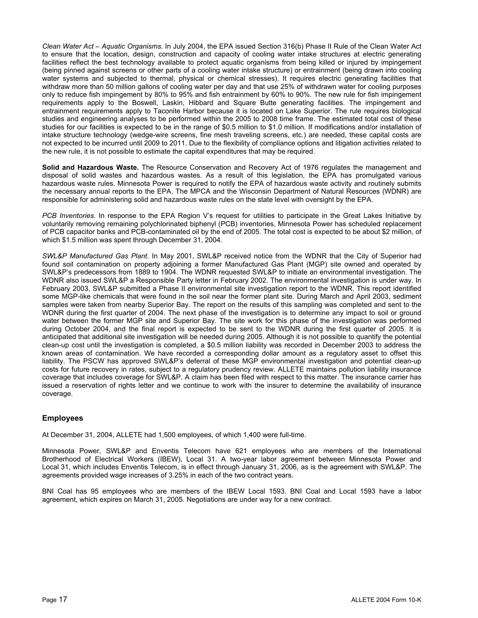*Clean Water Act – Aquatic Organisms.* In July 2004, the EPA issued Section 316(b) Phase II Rule of the Clean Water Act to ensure that the location, design, construction and capacity of cooling water intake structures at electric generating facilities reflect the best technology available to protect aquatic organisms from being killed or injured by impingement (being pinned against screens or other parts of a cooling water intake structure) or entrainment (being drawn into cooling water systems and subjected to thermal, physical or chemical stresses). It requires electric generating facilities that withdraw more than 50 million gallons of cooling water per day and that use 25% of withdrawn water for cooling purposes only to reduce fish impingement by 80% to 95% and fish entrainment by 60% to 90%. The new rule for fish impingement requirements apply to the Boswell, Laskin, Hibbard and Square Butte generating facilities. The impingement and entrainment requirements apply to Taconite Harbor because it is located on Lake Superior. The rule requires biological studies and engineering analyses to be performed within the 2005 to 2008 time frame. The estimated total cost of these studies for our facilities is expected to be in the range of \$0.5 million to \$1.0 million. If modifications and/or installation of intake structure technology (wedge-wire screens, fine mesh traveling screens, etc.) are needed, these capital costs are not expected to be incurred until 2009 to 2011. Due to the flexibility of compliance options and litigation activities related to the new rule, it is not possible to estimate the capital expenditures that may be required.

**Solid and Hazardous Waste.** The Resource Conservation and Recovery Act of 1976 regulates the management and disposal of solid wastes and hazardous wastes. As a result of this legislation, the EPA has promulgated various hazardous waste rules. Minnesota Power is required to notify the EPA of hazardous waste activity and routinely submits the necessary annual reports to the EPA. The MPCA and the Wisconsin Department of Natural Resources (WDNR) are responsible for administering solid and hazardous waste rules on the state level with oversight by the EPA.

*PCB Inventories.* In response to the EPA Region V's request for utilities to participate in the Great Lakes Initiative by voluntarily removing remaining polychlorinated biphenyl (PCB) inventories, Minnesota Power has scheduled replacement of PCB capacitor banks and PCB-contaminated oil by the end of 2005. The total cost is expected to be about \$2 million, of which \$1.5 million was spent through December 31, 2004.

*SWL&P Manufactured Gas Plant*. In May 2001, SWL&P received notice from the WDNR that the City of Superior had found soil contamination on property adjoining a former Manufactured Gas Plant (MGP) site owned and operated by SWL&P's predecessors from 1889 to 1904. The WDNR requested SWL&P to initiate an environmental investigation. The WDNR also issued SWL&P a Responsible Party letter in February 2002. The environmental investigation is under way. In February 2003, SWL&P submitted a Phase II environmental site investigation report to the WDNR. This report identified some MGP-like chemicals that were found in the soil near the former plant site. During March and April 2003, sediment samples were taken from nearby Superior Bay. The report on the results of this sampling was completed and sent to the WDNR during the first quarter of 2004. The next phase of the investigation is to determine any impact to soil or ground water between the former MGP site and Superior Bay. The site work for this phase of the investigation was performed during October 2004, and the final report is expected to be sent to the WDNR during the first quarter of 2005. It is anticipated that additional site investigation will be needed during 2005. Although it is not possible to quantify the potential clean-up cost until the investigation is completed, a \$0.5 million liability was recorded in December 2003 to address the known areas of contamination. We have recorded a corresponding dollar amount as a regulatory asset to offset this liability. The PSCW has approved SWL&P's deferral of these MGP environmental investigation and potential clean-up costs for future recovery in rates, subject to a regulatory prudency review. ALLETE maintains pollution liability insurance coverage that includes coverage for SWL&P. A claim has been filed with respect to this matter. The insurance carrier has issued a reservation of rights letter and we continue to work with the insurer to determine the availability of insurance coverage.

#### **Employees**

At December 31, 2004, ALLETE had 1,500 employees, of which 1,400 were full-time.

Minnesota Power, SWL&P and Enventis Telecom have 621 employees who are members of the International Brotherhood of Electrical Workers (IBEW), Local 31. A two-year labor agreement between Minnesota Power and Local 31, which includes Enventis Telecom, is in effect through January 31, 2006, as is the agreement with SWL&P. The agreements provided wage increases of 3.25% in each of the two contract years.

BNI Coal has 95 employees who are members of the IBEW Local 1593. BNI Coal and Local 1593 have a labor agreement, which expires on March 31, 2005. Negotiations are under way for a new contract.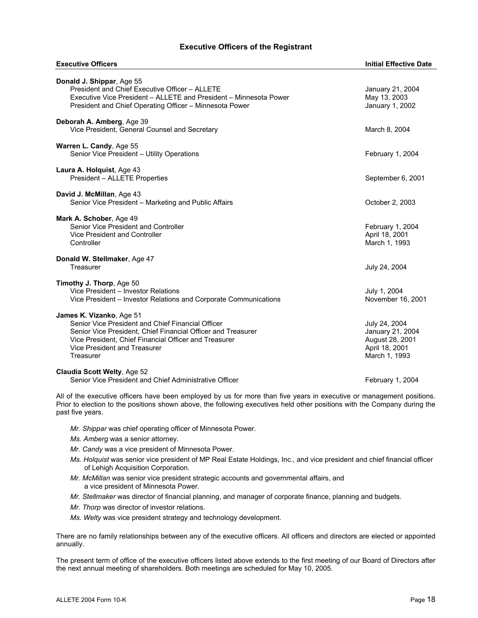#### **Executive Officers of the Registrant**

| <b>Executive Officers</b>                                                                                                                                                                                                                           | <b>Initial Effective Date</b>                                                           |
|-----------------------------------------------------------------------------------------------------------------------------------------------------------------------------------------------------------------------------------------------------|-----------------------------------------------------------------------------------------|
| Donald J. Shippar, Age 55<br>President and Chief Executive Officer - ALLETE<br>Executive Vice President - ALLETE and President - Minnesota Power<br>President and Chief Operating Officer - Minnesota Power                                         | January 21, 2004<br>May 13, 2003<br>January 1, 2002                                     |
| Deborah A. Amberg, Age 39<br>Vice President, General Counsel and Secretary                                                                                                                                                                          | March 8, 2004                                                                           |
| Warren L. Candy, Age 55<br>Senior Vice President - Utility Operations                                                                                                                                                                               | February 1, 2004                                                                        |
| Laura A. Holquist, Age 43<br>President - ALLETE Properties                                                                                                                                                                                          | September 6, 2001                                                                       |
| David J. McMillan, Age 43<br>Senior Vice President - Marketing and Public Affairs                                                                                                                                                                   | October 2, 2003                                                                         |
| Mark A. Schober, Age 49<br>Senior Vice President and Controller<br>Vice President and Controller<br>Controller                                                                                                                                      | February 1, 2004<br>April 18, 2001<br>March 1, 1993                                     |
| Donald W. Stellmaker, Age 47<br>Treasurer                                                                                                                                                                                                           | July 24, 2004                                                                           |
| Timothy J. Thorp, Age 50<br>Vice President - Investor Relations<br>Vice President – Investor Relations and Corporate Communications                                                                                                                 | July 1, 2004<br>November 16, 2001                                                       |
| James K. Vizanko, Age 51<br>Senior Vice President and Chief Financial Officer<br>Senior Vice President, Chief Financial Officer and Treasurer<br>Vice President, Chief Financial Officer and Treasurer<br>Vice President and Treasurer<br>Treasurer | July 24, 2004<br>January 21, 2004<br>August 28, 2001<br>April 18, 2001<br>March 1, 1993 |
| Claudia Scott Welty, Age 52<br>Senior Vice President and Chief Administrative Officer                                                                                                                                                               | February 1, 2004                                                                        |

All of the executive officers have been employed by us for more than five years in executive or management positions. Prior to election to the positions shown above, the following executives held other positions with the Company during the past five years.

- *Mr. Shippar* was chief operating officer of Minnesota Power.
- *Ms. Amberg* was a senior attorney.
- *Mr. Candy* was a vice president of Minnesota Power.
- *Ms. Holquist* was senior vice president of MP Real Estate Holdings, Inc., and vice president and chief financial officer of Lehigh Acquisition Corporation.
- *Mr. McMillan* was senior vice president strategic accounts and governmental affairs, and a vice president of Minnesota Power.
- *Mr. Stellmaker* was director of financial planning, and manager of corporate finance, planning and budgets.
- *Mr. Thorp* was director of investor relations.
- *Ms. Welty* was vice president strategy and technology development.

There are no family relationships between any of the executive officers. All officers and directors are elected or appointed annually.

The present term of office of the executive officers listed above extends to the first meeting of our Board of Directors after the next annual meeting of shareholders. Both meetings are scheduled for May 10, 2005.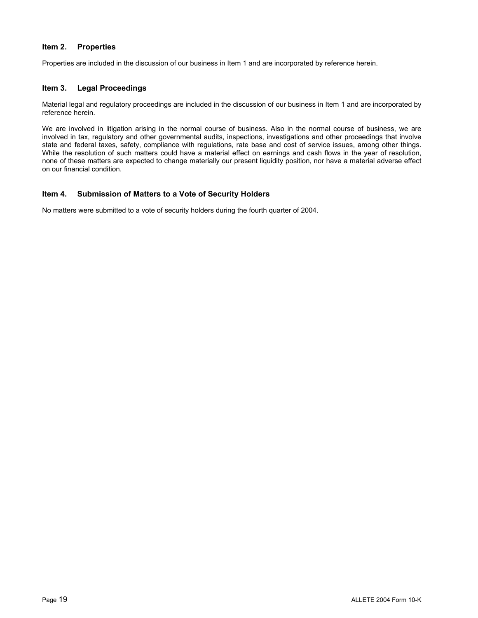#### **Item 2. Properties**

Properties are included in the discussion of our business in Item 1 and are incorporated by reference herein.

#### **Item 3. Legal Proceedings**

Material legal and regulatory proceedings are included in the discussion of our business in Item 1 and are incorporated by reference herein.

We are involved in litigation arising in the normal course of business. Also in the normal course of business, we are involved in tax, regulatory and other governmental audits, inspections, investigations and other proceedings that involve state and federal taxes, safety, compliance with regulations, rate base and cost of service issues, among other things. While the resolution of such matters could have a material effect on earnings and cash flows in the year of resolution, none of these matters are expected to change materially our present liquidity position, nor have a material adverse effect on our financial condition.

#### **Item 4. Submission of Matters to a Vote of Security Holders**

No matters were submitted to a vote of security holders during the fourth quarter of 2004.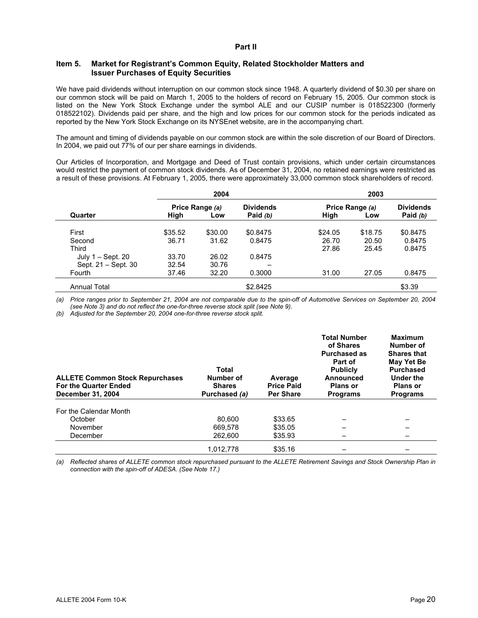#### **Part II**

#### **Item 5. Market for Registrant's Common Equity, Related Stockholder Matters and Issuer Purchases of Equity Securities**

We have paid dividends without interruption on our common stock since 1948. A quarterly dividend of \$0.30 per share on our common stock will be paid on March 1, 2005 to the holders of record on February 15, 2005. Our common stock is listed on the New York Stock Exchange under the symbol ALE and our CUSIP number is 018522300 (formerly 018522102). Dividends paid per share, and the high and low prices for our common stock for the periods indicated as reported by the New York Stock Exchange on its NYSEnet website, are in the accompanying chart.

The amount and timing of dividends payable on our common stock are within the sole discretion of our Board of Directors. In 2004, we paid out 77% of our per share earnings in dividends.

Our Articles of Incorporation, and Mortgage and Deed of Trust contain provisions, which under certain circumstances would restrict the payment of common stock dividends. As of December 31, 2004, no retained earnings were restricted as a result of these provisions. At February 1, 2005, there were approximately 33,000 common stock shareholders of record.

|                     |         | 2004            |                  |         | 2003            |                  |  |
|---------------------|---------|-----------------|------------------|---------|-----------------|------------------|--|
|                     |         | Price Range (a) | <b>Dividends</b> |         | Price Range (a) | <b>Dividends</b> |  |
| Quarter             | High    | Low             | Paid (b)         | High    | Low             | Paid (b)         |  |
| First               | \$35.52 | \$30.00         | \$0.8475         | \$24.05 | \$18.75         | \$0.8475         |  |
| Second              | 36.71   | 31.62           | 0.8475           | 26.70   | 20.50           | 0.8475           |  |
| Third               |         |                 |                  | 27.86   | 25.45           | 0.8475           |  |
| July $1 -$ Sept. 20 | 33.70   | 26.02           | 0.8475           |         |                 |                  |  |
| Sept. 21 - Sept. 30 | 32.54   | 30.76           |                  |         |                 |                  |  |
| Fourth              | 37.46   | 32.20           | 0.3000           | 31.00   | 27.05           | 0.8475           |  |
| <b>Annual Total</b> |         |                 | \$2.8425         |         |                 | \$3.39           |  |

*(a) Price ranges prior to September 21, 2004 are not comparable due to the spin-off of Automotive Services on September 20, 2004 (see Note 3) and do not reflect the one-for-three reverse stock split (see Note 9).* 

*(b) Adjusted for the September 20, 2004 one-for-three reverse stock split.* 

| <b>ALLETE Common Stock Repurchases</b><br><b>For the Quarter Ended</b><br>December 31, 2004 | <b>Total</b><br>Number of<br><b>Shares</b><br>Purchased (a) | Average<br><b>Price Paid</b><br><b>Per Share</b> | <b>Total Number</b><br>of Shares<br><b>Purchased as</b><br>Part of<br><b>Publicly</b><br>Announced<br><b>Plans or</b><br><b>Programs</b> | <b>Maximum</b><br>Number of<br><b>Shares that</b><br>May Yet Be<br><b>Purchased</b><br>Under the<br><b>Plans or</b><br><b>Programs</b> |
|---------------------------------------------------------------------------------------------|-------------------------------------------------------------|--------------------------------------------------|------------------------------------------------------------------------------------------------------------------------------------------|----------------------------------------------------------------------------------------------------------------------------------------|
| For the Calendar Month                                                                      |                                                             |                                                  |                                                                                                                                          |                                                                                                                                        |
| October                                                                                     | 80.600                                                      | \$33.65                                          |                                                                                                                                          |                                                                                                                                        |
| November                                                                                    | 669.578                                                     | \$35.05                                          |                                                                                                                                          |                                                                                                                                        |
| December                                                                                    | 262,600                                                     | \$35.93                                          |                                                                                                                                          |                                                                                                                                        |
|                                                                                             | 1.012.778                                                   | \$35.16                                          |                                                                                                                                          |                                                                                                                                        |

*(a) Reflected shares of ALLETE common stock repurchased pursuant to the ALLETE Retirement Savings and Stock Ownership Plan in connection with the spin-off of ADESA. (See Note 17.)*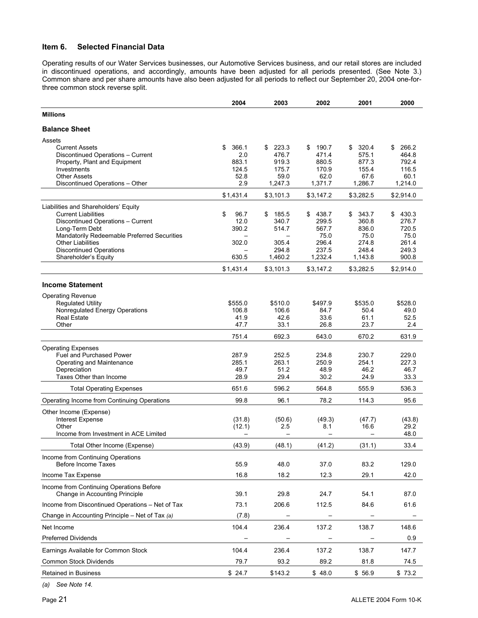#### **Item 6. Selected Financial Data**

Operating results of our Water Services businesses, our Automotive Services business, and our retail stores are included in discontinued operations, and accordingly, amounts have been adjusted for all periods presented. (See Note 3.) Common share and per share amounts have also been adjusted for all periods to reflect our September 20, 2004 one-forthree common stock reverse split.

|                                                                            | 2004          | 2003          | 2002          | 2001          | 2000          |
|----------------------------------------------------------------------------|---------------|---------------|---------------|---------------|---------------|
| <b>Millions</b>                                                            |               |               |               |               |               |
| <b>Balance Sheet</b>                                                       |               |               |               |               |               |
| Assets                                                                     |               |               |               |               |               |
| <b>Current Assets</b>                                                      | \$<br>366.1   | 223.3<br>\$   | 190.7<br>\$   | 320.4<br>\$   | 266.2<br>\$   |
| Discontinued Operations - Current                                          | 2.0           | 476.7         | 471.4         | 575.1         | 464.8         |
| Property, Plant and Equipment                                              | 883.1         | 919.3         | 880.5         | 877.3         | 792.4         |
| Investments<br><b>Other Assets</b>                                         | 124.5<br>52.8 | 175.7<br>59.0 | 170.9<br>62.0 | 155.4<br>67.6 | 116.5<br>60.1 |
| Discontinued Operations - Other                                            | 2.9           | 1.247.3       | 1.371.7       | 1,286.7       | 1,214.0       |
|                                                                            | \$1,431.4     | \$3,101.3     | \$3,147.2     | \$3,282.5     | \$2,914.0     |
| Liabilities and Shareholders' Equity                                       |               |               |               |               |               |
| <b>Current Liabilities</b>                                                 | \$<br>96.7    | 185.5<br>\$   | \$438.7       | 343.7<br>\$   | 430.3<br>\$   |
| Discontinued Operations - Current                                          | 12.0          | 340.7         | 299.5         | 360.8         | 276.7         |
| Long-Term Debt                                                             | 390.2         | 514.7         | 567.7         | 836.0         | 720.5         |
| Mandatorily Redeemable Preferred Securities                                |               |               | 75.0          | 75.0          | 75.0          |
| <b>Other Liabilities</b>                                                   | 302.0         | 305.4         | 296.4         | 274.8         | 261.4         |
| <b>Discontinued Operations</b>                                             |               | 294.8         | 237.5         | 248.4         | 249.3         |
| Shareholder's Equity                                                       | 630.5         | 1,460.2       | 1,232.4       | 1,143.8       | 900.8         |
|                                                                            | \$1,431.4     | \$3,101.3     | \$3,147.2     | \$3,282.5     | \$2,914.0     |
| <b>Income Statement</b>                                                    |               |               |               |               |               |
| <b>Operating Revenue</b>                                                   |               |               |               |               |               |
| <b>Regulated Utility</b>                                                   | \$555.0       | \$510.0       | \$497.9       | \$535.0       | \$528.0       |
| Nonregulated Energy Operations                                             | 106.8         | 106.6         | 84.7          | 50.4          | 49.0          |
| <b>Real Estate</b>                                                         | 41.9          | 42.6          | 33.6          | 61.1          | 52.5          |
| Other                                                                      | 47.7          | 33.1          | 26.8          | 23.7          | 2.4           |
|                                                                            | 751.4         | 692.3         | 643.0         | 670.2         | 631.9         |
| <b>Operating Expenses</b>                                                  |               |               |               |               |               |
| <b>Fuel and Purchased Power</b>                                            | 287.9         | 252.5         | 234.8         | 230.7         | 229.0         |
| Operating and Maintenance                                                  | 285.1         | 263.1         | 250.9         | 254.1         | 227.3         |
| Depreciation                                                               | 49.7          | 51.2          | 48.9          | 46.2          | 46.7          |
| Taxes Other than Income                                                    | 28.9          | 29.4          | 30.2          | 24.9          | 33.3          |
| <b>Total Operating Expenses</b>                                            | 651.6         | 596.2         | 564.8         | 555.9         | 536.3         |
| Operating Income from Continuing Operations                                | 99.8          | 96.1          | 78.2          | 114.3         | 95.6          |
| Other Income (Expense)                                                     |               |               |               |               |               |
| <b>Interest Expense</b>                                                    | (31.8)        | (50.6)        | (49.3)        | (47.7)        | (43.8)        |
| Other                                                                      | (12.1)        | 2.5           | 8.1           | 16.6          | 29.2          |
| Income from Investment in ACE Limited                                      |               |               |               |               | 48.0          |
| Total Other Income (Expense)                                               | (43.9)        | (48.1)        | (41.2)        | (31.1)        | 33.4          |
| Income from Continuing Operations<br><b>Before Income Taxes</b>            | 55.9          | 48.0          | 37.0          | 83.2          | 129.0         |
| Income Tax Expense                                                         | 16.8          | 18.2          | 12.3          | 29.1          | 42.0          |
|                                                                            |               |               |               |               |               |
| Income from Continuing Operations Before<br>Change in Accounting Principle | 39.1          | 29.8          | 24.7          | 54.1          | 87.0          |
| Income from Discontinued Operations - Net of Tax                           | 73.1          | 206.6         | 112.5         | 84.6          | 61.6          |
| Change in Accounting Principle - Net of Tax (a)                            | (7.8)         |               |               |               |               |
| Net Income                                                                 | 104.4         | 236.4         | 137.2         | 138.7         | 148.6         |
| <b>Preferred Dividends</b>                                                 |               |               |               |               | 0.9           |
| Earnings Available for Common Stock                                        | 104.4         | 236.4         | 137.2         | 138.7         | 147.7         |
| Common Stock Dividends                                                     | 79.7          | 93.2          | 89.2          | 81.8          | 74.5          |
| Retained in Business                                                       | \$24.7        | \$143.2       | \$48.0        | \$56.9        | \$73.2        |

*(a) See Note 14.*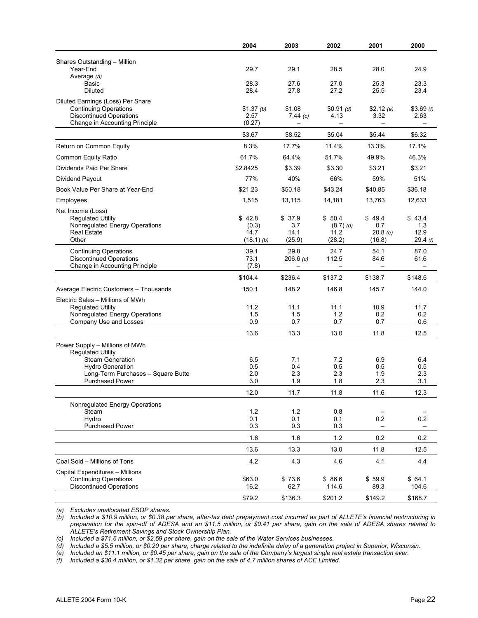|                                                                | 2004              | 2003           | 2002              | 2001                     | 2000              |
|----------------------------------------------------------------|-------------------|----------------|-------------------|--------------------------|-------------------|
| Shares Outstanding - Million                                   |                   |                |                   |                          |                   |
| Year-End                                                       | 29.7              | 29.1           | 28.5              | 28.0                     | 24.9              |
| Average (a)                                                    |                   |                |                   |                          |                   |
| Basic                                                          | 28.3              | 27.6           | 27.0              | 25.3                     | 23.3              |
| <b>Diluted</b>                                                 | 28.4              | 27.8           | 27.2              | 25.5                     | 23.4              |
| Diluted Earnings (Loss) Per Share                              |                   |                |                   |                          |                   |
| <b>Continuing Operations</b><br><b>Discontinued Operations</b> | \$1.37(h)<br>2.57 | \$1.08         | \$0.91(d)<br>4.13 | \$2.12(e)<br>3.32        | \$3.69(f)<br>2.63 |
| Change in Accounting Principle                                 | (0.27)            | 7.44(c)        |                   |                          |                   |
|                                                                | \$3.67            | \$8.52         | \$5.04            | \$5.44                   | \$6.32            |
| Return on Common Equity                                        | 8.3%              | 17.7%          | 11.4%             | 13.3%                    | 17.1%             |
| Common Equity Ratio                                            | 61.7%             | 64.4%          | 51.7%             | 49.9%                    | 46.3%             |
| Dividends Paid Per Share                                       | \$2.8425          | \$3.39         | \$3.30            | \$3.21                   | \$3.21            |
| Dividend Payout                                                | 77%               | 40%            | 66%               | 59%                      | 51%               |
| Book Value Per Share at Year-End                               | \$21.23           | \$50.18        | \$43.24           | \$40.85                  | \$36.18           |
|                                                                |                   |                |                   |                          |                   |
| Employees                                                      | 1,515             | 13,115         | 14,181            | 13,763                   | 12,633            |
| Net Income (Loss)<br><b>Requlated Utility</b>                  | \$42.8            | \$37.9         | \$50.4            | \$49.4                   | \$43.4            |
| Nonregulated Energy Operations                                 | (0.3)             | 3.7            | $(8.7)$ (d)       | 0.7                      | 1.3               |
| <b>Real Estate</b>                                             | 14.7              | 14.1           | 11.2              | 20.8(e)                  | 12.9              |
| Other                                                          | $(18.1)$ (b)      | (25.9)         | (28.2)            | (16.8)                   | 29.4(f)           |
| <b>Continuing Operations</b>                                   | 39.1              | 29.8           | 24.7              | 54.1                     | 87.0              |
| <b>Discontinued Operations</b>                                 | 73.1              | 206.6(c)       | 112.5             | 84.6                     | 61.6              |
| Change in Accounting Principle                                 | (7.8)             |                |                   | $\overline{\phantom{0}}$ |                   |
|                                                                | \$104.4           | \$236.4        | \$137.2           | \$138.7                  | \$148.6           |
| Average Electric Customers - Thousands                         | 150.1             | 148.2          | 146.8             | 145.7                    | 144.0             |
| Electric Sales - Millions of MWh                               |                   |                |                   |                          |                   |
| <b>Regulated Utility</b>                                       | 11.2              | 11.1           | 11.1              | 10.9                     | 11.7              |
| Nonregulated Energy Operations<br>Company Use and Losses       | 1.5<br>0.9        | 1.5<br>0.7     | 1.2<br>0.7        | 0.2<br>0.7               | 0.2<br>0.6        |
|                                                                |                   |                |                   |                          |                   |
|                                                                | 13.6              | 13.3           | 13.0              | 11.8                     | 12.5              |
| Power Supply - Millions of MWh                                 |                   |                |                   |                          |                   |
| <b>Regulated Utility</b><br><b>Steam Generation</b>            | 6.5               | 7.1            | 7.2               | 6.9                      | 6.4               |
| <b>Hydro Generation</b>                                        | 0.5               | 0.4            | 0.5               | 0.5                      | 0.5               |
| Long-Term Purchases - Square Butte                             | 2.0               | 2.3            | 2.3               | 1.9                      | 2.3               |
| <b>Purchased Power</b>                                         | 3.0               | 1.9            | 1.8               | 2.3                      | 3.1               |
|                                                                | 12.0              | 11.7           | 11.8              | 11.6                     | 12.3              |
| Nonregulated Energy Operations                                 |                   |                |                   |                          |                   |
| Steam                                                          | 1.2               | 1.2            | 0.8               |                          |                   |
| Hydro<br><b>Purchased Power</b>                                | 0.1               | 0.1            | 0.1               | 0.2                      | 0.2               |
|                                                                | 0.3               | 0.3            | 0.3               |                          |                   |
|                                                                | 1.6               | 1.6            | 1.2               | 0.2                      | 0.2               |
|                                                                | 13.6              | 13.3           | 13.0              | 11.8                     | 12.5              |
| Coal Sold - Millions of Tons                                   | 4.2               | 4.3            | 4.6               | 4.1                      | 4.4               |
| Capital Expenditures - Millions                                |                   |                |                   |                          |                   |
| <b>Continuing Operations</b><br><b>Discontinued Operations</b> | \$63.0<br>16.2    | \$73.6<br>62.7 | \$86.6<br>114.6   | \$59.9<br>89.3           | \$64.1<br>104.6   |
|                                                                |                   |                |                   |                          |                   |
|                                                                | \$79.2            | \$136.3        | \$201.2           | \$149.2                  | \$168.7           |

*(a) Excludes unallocated ESOP shares.* 

*(b) Included a \$10.9 million, or \$0.38 per share, after-tax debt prepayment cost incurred as part of ALLETE's financial restructuring in preparation for the spin-off of ADESA and an \$11.5 million, or \$0.41 per share, gain on the sale of ADESA shares related to ALLETE's Retirement Savings and Stock Ownership Plan.* 

*(c) Included a \$71.6 million, or \$2.59 per share, gain on the sale of the Water Services businesses.* 

*(d) Included a \$5.5 million, or \$0.20 per share, charge related to the indefinite delay of a generation project in Superior, Wisconsin.* 

*(e) Included an \$11.1 million, or \$0.45 per share, gain on the sale of the Company's largest single real estate transaction ever.* 

*(f) Included a \$30.4 million, or \$1.32 per share, gain on the sale of 4.7 million shares of ACE Limited.*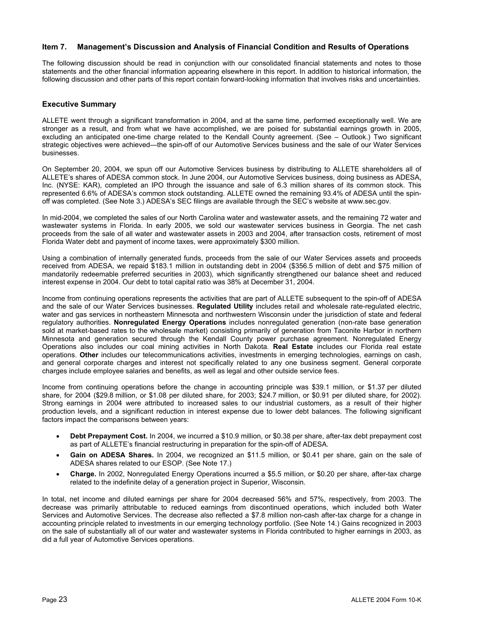#### **Item 7. Management's Discussion and Analysis of Financial Condition and Results of Operations**

The following discussion should be read in conjunction with our consolidated financial statements and notes to those statements and the other financial information appearing elsewhere in this report. In addition to historical information, the following discussion and other parts of this report contain forward-looking information that involves risks and uncertainties.

#### **Executive Summary**

ALLETE went through a significant transformation in 2004, and at the same time, performed exceptionally well. We are stronger as a result, and from what we have accomplished, we are poised for substantial earnings growth in 2005, excluding an anticipated one-time charge related to the Kendall County agreement. (See – Outlook.) Two significant strategic objectives were achieved—the spin-off of our Automotive Services business and the sale of our Water Services businesses.

On September 20, 2004, we spun off our Automotive Services business by distributing to ALLETE shareholders all of ALLETE's shares of ADESA common stock. In June 2004, our Automotive Services business, doing business as ADESA, Inc. (NYSE: KAR), completed an IPO through the issuance and sale of 6.3 million shares of its common stock. This represented 6.6% of ADESA's common stock outstanding. ALLETE owned the remaining 93.4% of ADESA until the spinoff was completed. (See Note 3.) ADESA's SEC filings are available through the SEC's website at www.sec.gov.

In mid-2004, we completed the sales of our North Carolina water and wastewater assets, and the remaining 72 water and wastewater systems in Florida. In early 2005, we sold our wastewater services business in Georgia. The net cash proceeds from the sale of all water and wastewater assets in 2003 and 2004, after transaction costs, retirement of most Florida Water debt and payment of income taxes, were approximately \$300 million.

Using a combination of internally generated funds, proceeds from the sale of our Water Services assets and proceeds received from ADESA, we repaid \$183.1 million in outstanding debt in 2004 (\$356.5 million of debt and \$75 million of mandatorily redeemable preferred securities in 2003), which significantly strengthened our balance sheet and reduced interest expense in 2004. Our debt to total capital ratio was 38% at December 31, 2004.

Income from continuing operations represents the activities that are part of ALLETE subsequent to the spin-off of ADESA and the sale of our Water Services businesses. **Regulated Utility** includes retail and wholesale rate-regulated electric, water and gas services in northeastern Minnesota and northwestern Wisconsin under the jurisdiction of state and federal regulatory authorities. **Nonregulated Energy Operations** includes nonregulated generation (non-rate base generation sold at market-based rates to the wholesale market) consisting primarily of generation from Taconite Harbor in northern Minnesota and generation secured through the Kendall County power purchase agreement. Nonregulated Energy Operations also includes our coal mining activities in North Dakota. **Real Estate** includes our Florida real estate operations. **Other** includes our telecommunications activities, investments in emerging technologies, earnings on cash, and general corporate charges and interest not specifically related to any one business segment. General corporate charges include employee salaries and benefits, as well as legal and other outside service fees.

Income from continuing operations before the change in accounting principle was \$39.1 million, or \$1.37 per diluted share, for 2004 (\$29.8 million, or \$1.08 per diluted share, for 2003; \$24.7 million, or \$0.91 per diluted share, for 2002). Strong earnings in 2004 were attributed to increased sales to our industrial customers, as a result of their higher production levels, and a significant reduction in interest expense due to lower debt balances. The following significant factors impact the comparisons between years:

- **Debt Prepayment Cost.** In 2004, we incurred a \$10.9 million, or \$0.38 per share, after-tax debt prepayment cost as part of ALLETE's financial restructuring in preparation for the spin-off of ADESA.
- **Gain on ADESA Shares.** In 2004, we recognized an \$11.5 million, or \$0.41 per share, gain on the sale of ADESA shares related to our ESOP. (See Note 17.)
- **Charge.** In 2002, Nonregulated Energy Operations incurred a \$5.5 million, or \$0.20 per share, after-tax charge related to the indefinite delay of a generation project in Superior, Wisconsin.

In total, net income and diluted earnings per share for 2004 decreased 56% and 57%, respectively, from 2003. The decrease was primarily attributable to reduced earnings from discontinued operations, which included both Water Services and Automotive Services. The decrease also reflected a \$7.8 million non-cash after-tax charge for a change in accounting principle related to investments in our emerging technology portfolio. (See Note 14.) Gains recognized in 2003 on the sale of substantially all of our water and wastewater systems in Florida contributed to higher earnings in 2003, as did a full year of Automotive Services operations.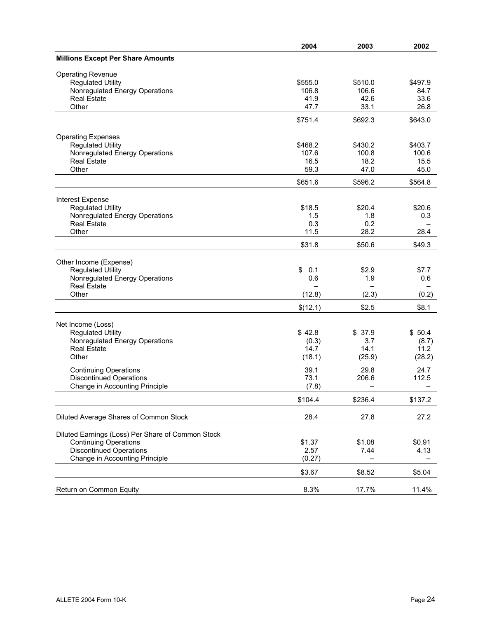|                                                   | 2004      | 2003    | 2002    |
|---------------------------------------------------|-----------|---------|---------|
| <b>Millions Except Per Share Amounts</b>          |           |         |         |
| <b>Operating Revenue</b>                          |           |         |         |
| <b>Regulated Utility</b>                          | \$555.0   | \$510.0 | \$497.9 |
| Nonregulated Energy Operations                    | 106.8     | 106.6   | 84.7    |
| <b>Real Estate</b>                                | 41.9      | 42.6    | 33.6    |
| Other                                             | 47.7      | 33.1    | 26.8    |
|                                                   | \$751.4   | \$692.3 | \$643.0 |
|                                                   |           |         |         |
| <b>Operating Expenses</b>                         |           |         |         |
| <b>Regulated Utility</b>                          | \$468.2   | \$430.2 | \$403.7 |
| Nonregulated Energy Operations                    | 107.6     | 100.8   | 100.6   |
| <b>Real Estate</b>                                | 16.5      | 18.2    | 15.5    |
| Other                                             | 59.3      | 47.0    | 45.0    |
|                                                   | \$651.6   | \$596.2 | \$564.8 |
| Interest Expense                                  |           |         |         |
| <b>Regulated Utility</b>                          | \$18.5    | \$20.4  | \$20.6  |
| Nonregulated Energy Operations                    | 1.5       | 1.8     | 0.3     |
| <b>Real Estate</b>                                | 0.3       | 0.2     |         |
| Other                                             | 11.5      | 28.2    | 28.4    |
|                                                   |           |         |         |
|                                                   | \$31.8    | \$50.6  | \$49.3  |
| Other Income (Expense)                            |           |         |         |
| <b>Regulated Utility</b>                          | \$<br>0.1 | \$2.9   | \$7.7   |
| Nonregulated Energy Operations                    | 0.6       | 1.9     | 0.6     |
| <b>Real Estate</b>                                |           |         |         |
| Other                                             | (12.8)    | (2.3)   | (0.2)   |
|                                                   |           |         |         |
|                                                   | \$(12.1)  | \$2.5   | \$8.1   |
| Net Income (Loss)                                 |           |         |         |
| <b>Regulated Utility</b>                          | \$42.8    | \$37.9  | \$50.4  |
| Nonregulated Energy Operations                    | (0.3)     | 3.7     | (8.7)   |
| <b>Real Estate</b>                                | 14.7      | 14.1    | 11.2    |
| Other                                             | (18.1)    | (25.9)  | (28.2)  |
| <b>Continuing Operations</b>                      | 39.1      | 29.8    | 24.7    |
| <b>Discontinued Operations</b>                    | 73.1      | 206.6   | 112.5   |
| Change in Accounting Principle                    | (7.8)     |         |         |
|                                                   | \$104.4   | \$236.4 | \$137.2 |
|                                                   |           |         |         |
| Diluted Average Shares of Common Stock            | 28.4      | 27.8    | 27.2    |
|                                                   |           |         |         |
| Diluted Earnings (Loss) Per Share of Common Stock | \$1.37    | \$1.08  | \$0.91  |
| <b>Continuing Operations</b>                      |           |         |         |
| <b>Discontinued Operations</b>                    | 2.57      | 7.44    | 4.13    |
| Change in Accounting Principle                    | (0.27)    |         |         |
|                                                   | \$3.67    | \$8.52  | \$5.04  |
| Return on Common Equity                           | 8.3%      | 17.7%   | 11.4%   |
|                                                   |           |         |         |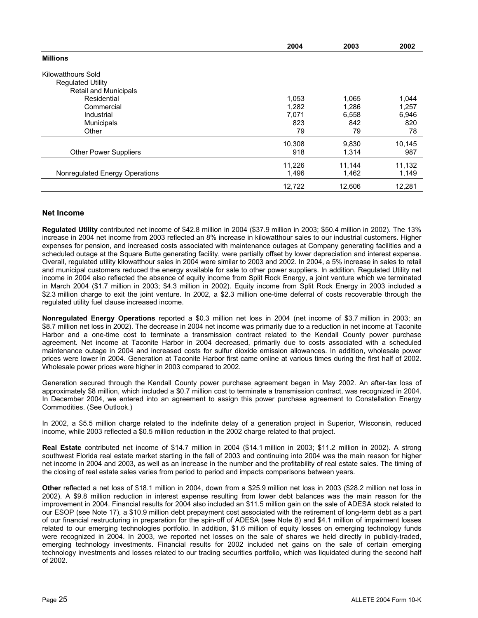|                                | 2004   | 2003   | 2002   |
|--------------------------------|--------|--------|--------|
| <b>Millions</b>                |        |        |        |
| Kilowatthours Sold             |        |        |        |
| <b>Regulated Utility</b>       |        |        |        |
| <b>Retail and Municipals</b>   |        |        |        |
| Residential                    | 1,053  | 1,065  | 1,044  |
| Commercial                     | 1,282  | 1,286  | 1,257  |
| Industrial                     | 7,071  | 6,558  | 6,946  |
| <b>Municipals</b>              | 823    | 842    | 820    |
| Other                          | 79     | 79     | 78     |
|                                | 10,308 | 9,830  | 10,145 |
| <b>Other Power Suppliers</b>   | 918    | 1,314  | 987    |
|                                | 11,226 | 11,144 | 11,132 |
| Nonregulated Energy Operations | 1,496  | 1,462  | 1,149  |
|                                | 12,722 | 12,606 | 12,281 |
|                                |        |        |        |

#### **Net Income**

**Regulated Utility** contributed net income of \$42.8 million in 2004 (\$37.9 million in 2003; \$50.4 million in 2002). The 13% increase in 2004 net income from 2003 reflected an 8% increase in kilowatthour sales to our industrial customers. Higher expenses for pension, and increased costs associated with maintenance outages at Company generating facilities and a scheduled outage at the Square Butte generating facility, were partially offset by lower depreciation and interest expense. Overall, regulated utility kilowatthour sales in 2004 were similar to 2003 and 2002. In 2004, a 5% increase in sales to retail and municipal customers reduced the energy available for sale to other power suppliers. In addition, Regulated Utility net income in 2004 also reflected the absence of equity income from Split Rock Energy, a joint venture which we terminated in March 2004 (\$1.7 million in 2003; \$4.3 million in 2002). Equity income from Split Rock Energy in 2003 included a \$2.3 million charge to exit the joint venture. In 2002, a \$2.3 million one-time deferral of costs recoverable through the regulated utility fuel clause increased income.

**Nonregulated Energy Operations** reported a \$0.3 million net loss in 2004 (net income of \$3.7 million in 2003; an \$8.7 million net loss in 2002). The decrease in 2004 net income was primarily due to a reduction in net income at Taconite Harbor and a one-time cost to terminate a transmission contract related to the Kendall County power purchase agreement. Net income at Taconite Harbor in 2004 decreased, primarily due to costs associated with a scheduled maintenance outage in 2004 and increased costs for sulfur dioxide emission allowances. In addition, wholesale power prices were lower in 2004. Generation at Taconite Harbor first came online at various times during the first half of 2002. Wholesale power prices were higher in 2003 compared to 2002.

Generation secured through the Kendall County power purchase agreement began in May 2002. An after-tax loss of approximately \$8 million, which included a \$0.7 million cost to terminate a transmission contract, was recognized in 2004. In December 2004, we entered into an agreement to assign this power purchase agreement to Constellation Energy Commodities. (See Outlook.)

In 2002, a \$5.5 million charge related to the indefinite delay of a generation project in Superior, Wisconsin, reduced income, while 2003 reflected a \$0.5 million reduction in the 2002 charge related to that project.

**Real Estate** contributed net income of \$14.7 million in 2004 (\$14.1 million in 2003; \$11.2 million in 2002). A strong southwest Florida real estate market starting in the fall of 2003 and continuing into 2004 was the main reason for higher net income in 2004 and 2003, as well as an increase in the number and the profitability of real estate sales. The timing of the closing of real estate sales varies from period to period and impacts comparisons between years.

**Other** reflected a net loss of \$18.1 million in 2004, down from a \$25.9 million net loss in 2003 (\$28.2 million net loss in 2002). A \$9.8 million reduction in interest expense resulting from lower debt balances was the main reason for the improvement in 2004. Financial results for 2004 also included an \$11.5 million gain on the sale of ADESA stock related to our ESOP (see Note 17), a \$10.9 million debt prepayment cost associated with the retirement of long-term debt as a part of our financial restructuring in preparation for the spin-off of ADESA (see Note 8) and \$4.1 million of impairment losses related to our emerging technologies portfolio. In addition, \$1.6 million of equity losses on emerging technology funds were recognized in 2004. In 2003, we reported net losses on the sale of shares we held directly in publicly-traded, emerging technology investments. Financial results for 2002 included net gains on the sale of certain emerging technology investments and losses related to our trading securities portfolio, which was liquidated during the second half of 2002.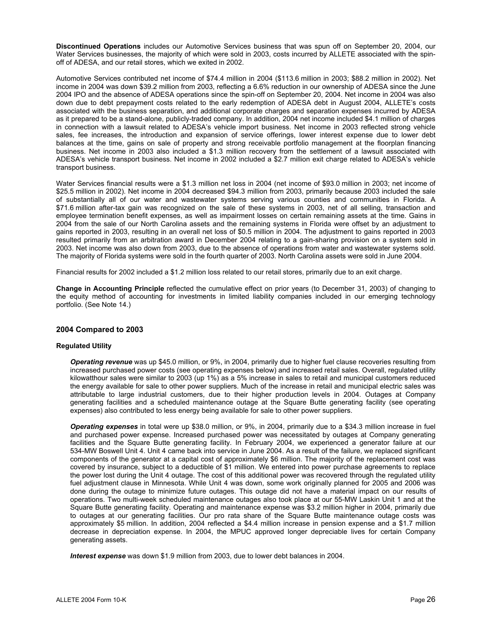**Discontinued Operations** includes our Automotive Services business that was spun off on September 20, 2004, our Water Services businesses, the majority of which were sold in 2003, costs incurred by ALLETE associated with the spinoff of ADESA, and our retail stores, which we exited in 2002.

Automotive Services contributed net income of \$74.4 million in 2004 (\$113.6 million in 2003; \$88.2 million in 2002). Net income in 2004 was down \$39.2 million from 2003, reflecting a 6.6% reduction in our ownership of ADESA since the June 2004 IPO and the absence of ADESA operations since the spin-off on September 20, 2004. Net income in 2004 was also down due to debt prepayment costs related to the early redemption of ADESA debt in August 2004, ALLETE's costs associated with the business separation, and additional corporate charges and separation expenses incurred by ADESA as it prepared to be a stand-alone, publicly-traded company. In addition, 2004 net income included \$4.1 million of charges in connection with a lawsuit related to ADESA's vehicle import business. Net income in 2003 reflected strong vehicle sales, fee increases, the introduction and expansion of service offerings, lower interest expense due to lower debt balances at the time, gains on sale of property and strong receivable portfolio management at the floorplan financing business. Net income in 2003 also included a \$1.3 million recovery from the settlement of a lawsuit associated with ADESA's vehicle transport business. Net income in 2002 included a \$2.7 million exit charge related to ADESA's vehicle transport business.

Water Services financial results were a \$1.3 million net loss in 2004 (net income of \$93.0 million in 2003; net income of \$25.5 million in 2002). Net income in 2004 decreased \$94.3 million from 2003, primarily because 2003 included the sale of substantially all of our water and wastewater systems serving various counties and communities in Florida. A \$71.6 million after-tax gain was recognized on the sale of these systems in 2003, net of all selling, transaction and employee termination benefit expenses, as well as impairment losses on certain remaining assets at the time. Gains in 2004 from the sale of our North Carolina assets and the remaining systems in Florida were offset by an adjustment to gains reported in 2003, resulting in an overall net loss of \$0.5 million in 2004. The adjustment to gains reported in 2003 resulted primarily from an arbitration award in December 2004 relating to a gain-sharing provision on a system sold in 2003. Net income was also down from 2003, due to the absence of operations from water and wastewater systems sold. The majority of Florida systems were sold in the fourth quarter of 2003. North Carolina assets were sold in June 2004.

Financial results for 2002 included a \$1.2 million loss related to our retail stores, primarily due to an exit charge.

**Change in Accounting Principle** reflected the cumulative effect on prior years (to December 31, 2003) of changing to the equity method of accounting for investments in limited liability companies included in our emerging technology portfolio. (See Note 14.)

#### **2004 Compared to 2003**

#### **Regulated Utility**

*Operating revenue* was up \$45.0 million, or 9%, in 2004, primarily due to higher fuel clause recoveries resulting from increased purchased power costs (see operating expenses below) and increased retail sales. Overall, regulated utility kilowatthour sales were similar to 2003 (up 1%) as a 5% increase in sales to retail and municipal customers reduced the energy available for sale to other power suppliers. Much of the increase in retail and municipal electric sales was attributable to large industrial customers, due to their higher production levels in 2004. Outages at Company generating facilities and a scheduled maintenance outage at the Square Butte generating facility (see operating expenses) also contributed to less energy being available for sale to other power suppliers.

*Operating expenses* in total were up \$38.0 million, or 9%, in 2004, primarily due to a \$34.3 million increase in fuel and purchased power expense. Increased purchased power was necessitated by outages at Company generating facilities and the Square Butte generating facility. In February 2004, we experienced a generator failure at our 534-MW Boswell Unit 4. Unit 4 came back into service in June 2004. As a result of the failure, we replaced significant components of the generator at a capital cost of approximately \$6 million. The majority of the replacement cost was covered by insurance, subject to a deductible of \$1 million. We entered into power purchase agreements to replace the power lost during the Unit 4 outage. The cost of this additional power was recovered through the regulated utility fuel adjustment clause in Minnesota. While Unit 4 was down, some work originally planned for 2005 and 2006 was done during the outage to minimize future outages. This outage did not have a material impact on our results of operations. Two multi-week scheduled maintenance outages also took place at our 55-MW Laskin Unit 1 and at the Square Butte generating facility. Operating and maintenance expense was \$3.2 million higher in 2004, primarily due to outages at our generating facilities. Our pro rata share of the Square Butte maintenance outage costs was approximately \$5 million. In addition, 2004 reflected a \$4.4 million increase in pension expense and a \$1.7 million decrease in depreciation expense. In 2004, the MPUC approved longer depreciable lives for certain Company generating assets.

*Interest expense* was down \$1.9 million from 2003, due to lower debt balances in 2004.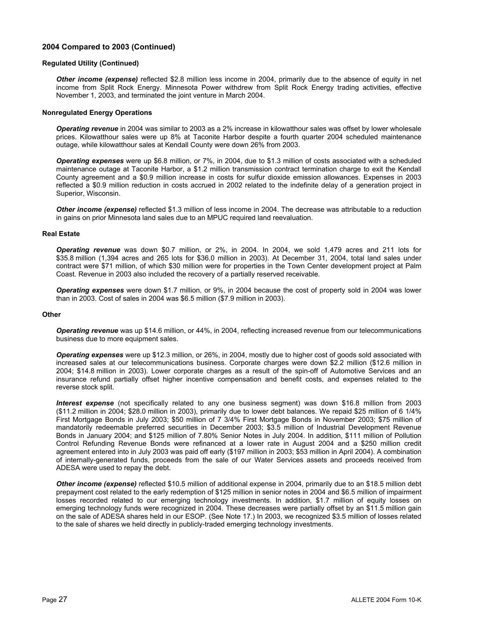# **2004 Compared to 2003 (Continued)**

#### **Regulated Utility (Continued)**

*Other income (expense)* reflected \$2.8 million less income in 2004, primarily due to the absence of equity in net income from Split Rock Energy. Minnesota Power withdrew from Split Rock Energy trading activities, effective November 1, 2003, and terminated the joint venture in March 2004.

#### **Nonregulated Energy Operations**

*Operating revenue* in 2004 was similar to 2003 as a 2% increase in kilowatthour sales was offset by lower wholesale prices. Kilowatthour sales were up 8% at Taconite Harbor despite a fourth quarter 2004 scheduled maintenance outage, while kilowatthour sales at Kendall County were down 26% from 2003.

*Operating expenses* were up \$6.8 million, or 7%, in 2004, due to \$1.3 million of costs associated with a scheduled maintenance outage at Taconite Harbor, a \$1.2 million transmission contract termination charge to exit the Kendall County agreement and a \$0.9 million increase in costs for sulfur dioxide emission allowances. Expenses in 2003 reflected a \$0.9 million reduction in costs accrued in 2002 related to the indefinite delay of a generation project in Superior, Wisconsin.

*Other income (expense)* reflected \$1.3 million of less income in 2004. The decrease was attributable to a reduction in gains on prior Minnesota land sales due to an MPUC required land reevaluation.

### **Real Estate**

*Operating revenue* was down \$0.7 million, or 2%, in 2004. In 2004, we sold 1,479 acres and 211 lots for \$35.8 million (1,394 acres and 265 lots for \$36.0 million in 2003). At December 31, 2004, total land sales under contract were \$71 million, of which \$30 million were for properties in the Town Center development project at Palm Coast. Revenue in 2003 also included the recovery of a partially reserved receivable.

*Operating expenses* were down \$1.7 million, or 9%, in 2004 because the cost of property sold in 2004 was lower than in 2003. Cost of sales in 2004 was \$6.5 million (\$7.9 million in 2003).

#### **Other**

*Operating revenue* was up \$14.6 million, or 44%, in 2004, reflecting increased revenue from our telecommunications business due to more equipment sales.

*Operating expenses* were up \$12.3 million, or 26%, in 2004, mostly due to higher cost of goods sold associated with increased sales at our telecommunications business. Corporate charges were down \$2.2 million (\$12.6 million in 2004; \$14.8 million in 2003). Lower corporate charges as a result of the spin-off of Automotive Services and an insurance refund partially offset higher incentive compensation and benefit costs, and expenses related to the reverse stock split.

*Interest expense* (not specifically related to any one business segment) was down \$16.8 million from 2003 (\$11.2 million in 2004; \$28.0 million in 2003), primarily due to lower debt balances. We repaid \$25 million of 6 1/4% First Mortgage Bonds in July 2003; \$50 million of 7 3/4% First Mortgage Bonds in November 2003; \$75 million of mandatorily redeemable preferred securities in December 2003; \$3.5 million of Industrial Development Revenue Bonds in January 2004; and \$125 million of 7.80% Senior Notes in July 2004. In addition, \$111 million of Pollution Control Refunding Revenue Bonds were refinanced at a lower rate in August 2004 and a \$250 million credit agreement entered into in July 2003 was paid off early (\$197 million in 2003; \$53 million in April 2004). A combination of internally-generated funds, proceeds from the sale of our Water Services assets and proceeds received from ADESA were used to repay the debt.

*Other income (expense)* reflected \$10.5 million of additional expense in 2004, primarily due to an \$18.5 million debt prepayment cost related to the early redemption of \$125 million in senior notes in 2004 and \$6.5 million of impairment losses recorded related to our emerging technology investments. In addition, \$1.7 million of equity losses on emerging technology funds were recognized in 2004. These decreases were partially offset by an \$11.5 million gain on the sale of ADESA shares held in our ESOP. (See Note 17.) In 2003, we recognized \$3.5 million of losses related to the sale of shares we held directly in publicly-traded emerging technology investments.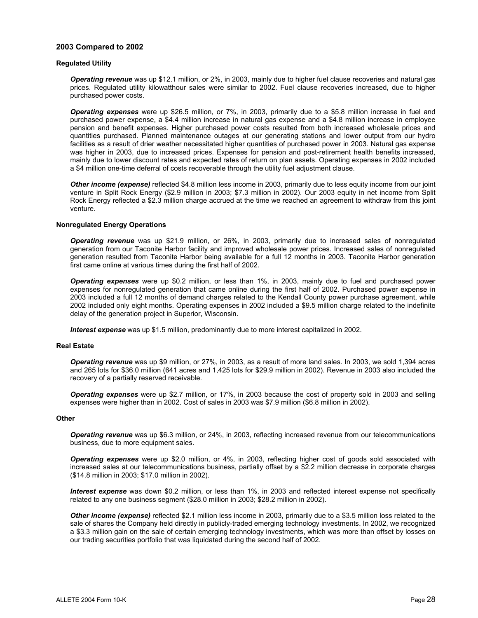## **2003 Compared to 2002**

#### **Regulated Utility**

*Operating revenue* was up \$12.1 million, or 2%, in 2003, mainly due to higher fuel clause recoveries and natural gas prices. Regulated utility kilowatthour sales were similar to 2002. Fuel clause recoveries increased, due to higher purchased power costs.

*Operating expenses* were up \$26.5 million, or 7%, in 2003, primarily due to a \$5.8 million increase in fuel and purchased power expense, a \$4.4 million increase in natural gas expense and a \$4.8 million increase in employee pension and benefit expenses. Higher purchased power costs resulted from both increased wholesale prices and quantities purchased. Planned maintenance outages at our generating stations and lower output from our hydro facilities as a result of drier weather necessitated higher quantities of purchased power in 2003. Natural gas expense was higher in 2003, due to increased prices. Expenses for pension and post-retirement health benefits increased, mainly due to lower discount rates and expected rates of return on plan assets. Operating expenses in 2002 included a \$4 million one-time deferral of costs recoverable through the utility fuel adjustment clause.

*Other income (expense)* reflected \$4.8 million less income in 2003, primarily due to less equity income from our joint venture in Split Rock Energy (\$2.9 million in 2003; \$7.3 million in 2002). Our 2003 equity in net income from Split Rock Energy reflected a \$2.3 million charge accrued at the time we reached an agreement to withdraw from this joint venture.

#### **Nonregulated Energy Operations**

*Operating revenue* was up \$21.9 million, or 26%, in 2003, primarily due to increased sales of nonregulated generation from our Taconite Harbor facility and improved wholesale power prices. Increased sales of nonregulated generation resulted from Taconite Harbor being available for a full 12 months in 2003. Taconite Harbor generation first came online at various times during the first half of 2002.

*Operating expenses* were up \$0.2 million, or less than 1%, in 2003, mainly due to fuel and purchased power expenses for nonregulated generation that came online during the first half of 2002. Purchased power expense in 2003 included a full 12 months of demand charges related to the Kendall County power purchase agreement, while 2002 included only eight months. Operating expenses in 2002 included a \$9.5 million charge related to the indefinite delay of the generation project in Superior, Wisconsin.

*Interest expense* was up \$1.5 million, predominantly due to more interest capitalized in 2002.

#### **Real Estate**

*Operating revenue* was up \$9 million, or 27%, in 2003, as a result of more land sales. In 2003, we sold 1,394 acres and 265 lots for \$36.0 million (641 acres and 1,425 lots for \$29.9 million in 2002). Revenue in 2003 also included the recovery of a partially reserved receivable.

*Operating expenses* were up \$2.7 million, or 17%, in 2003 because the cost of property sold in 2003 and selling expenses were higher than in 2002. Cost of sales in 2003 was \$7.9 million (\$6.8 million in 2002).

#### **Other**

*Operating revenue* was up \$6.3 million, or 24%, in 2003, reflecting increased revenue from our telecommunications business, due to more equipment sales.

*Operating expenses* were up \$2.0 million, or 4%, in 2003, reflecting higher cost of goods sold associated with increased sales at our telecommunications business, partially offset by a \$2.2 million decrease in corporate charges (\$14.8 million in 2003; \$17.0 million in 2002).

*Interest expense* was down \$0.2 million, or less than 1%, in 2003 and reflected interest expense not specifically related to any one business segment (\$28.0 million in 2003; \$28.2 million in 2002).

*Other income (expense)* reflected \$2.1 million less income in 2003, primarily due to a \$3.5 million loss related to the sale of shares the Company held directly in publicly-traded emerging technology investments. In 2002, we recognized a \$3.3 million gain on the sale of certain emerging technology investments, which was more than offset by losses on our trading securities portfolio that was liquidated during the second half of 2002.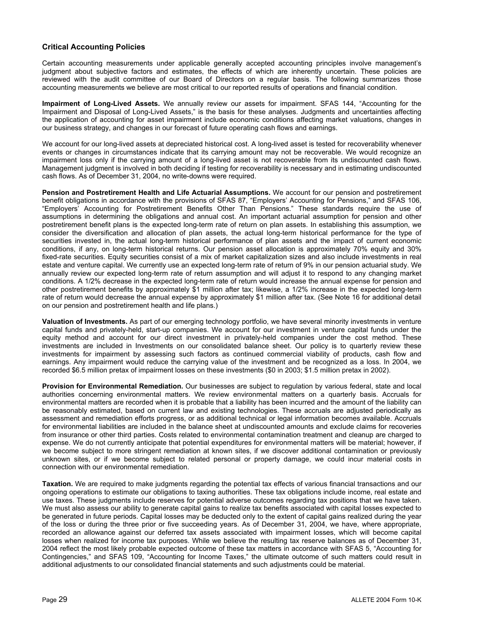# **Critical Accounting Policies**

Certain accounting measurements under applicable generally accepted accounting principles involve management's judgment about subjective factors and estimates, the effects of which are inherently uncertain. These policies are reviewed with the audit committee of our Board of Directors on a regular basis. The following summarizes those accounting measurements we believe are most critical to our reported results of operations and financial condition.

**Impairment of Long-Lived Assets.** We annually review our assets for impairment. SFAS 144, "Accounting for the Impairment and Disposal of Long-Lived Assets," is the basis for these analyses. Judgments and uncertainties affecting the application of accounting for asset impairment include economic conditions affecting market valuations, changes in our business strategy, and changes in our forecast of future operating cash flows and earnings.

We account for our long-lived assets at depreciated historical cost. A long-lived asset is tested for recoverability whenever events or changes in circumstances indicate that its carrying amount may not be recoverable. We would recognize an impairment loss only if the carrying amount of a long-lived asset is not recoverable from its undiscounted cash flows. Management judgment is involved in both deciding if testing for recoverability is necessary and in estimating undiscounted cash flows. As of December 31, 2004, no write-downs were required.

**Pension and Postretirement Health and Life Actuarial Assumptions.** We account for our pension and postretirement benefit obligations in accordance with the provisions of SFAS 87, "Employers' Accounting for Pensions," and SFAS 106, "Employers' Accounting for Postretirement Benefits Other Than Pensions." These standards require the use of assumptions in determining the obligations and annual cost. An important actuarial assumption for pension and other postretirement benefit plans is the expected long-term rate of return on plan assets. In establishing this assumption, we consider the diversification and allocation of plan assets, the actual long-term historical performance for the type of securities invested in, the actual long-term historical performance of plan assets and the impact of current economic conditions, if any, on long-term historical returns. Our pension asset allocation is approximately 70% equity and 30% fixed-rate securities. Equity securities consist of a mix of market capitalization sizes and also include investments in real estate and venture capital. We currently use an expected long-term rate of return of 9% in our pension actuarial study. We annually review our expected long-term rate of return assumption and will adjust it to respond to any changing market conditions. A 1/2% decrease in the expected long-term rate of return would increase the annual expense for pension and other postretirement benefits by approximately \$1 million after tax; likewise, a 1/2% increase in the expected long-term rate of return would decrease the annual expense by approximately \$1 million after tax. (See Note 16 for additional detail on our pension and postretirement health and life plans.)

**Valuation of Investments.** As part of our emerging technology portfolio, we have several minority investments in venture capital funds and privately-held, start-up companies. We account for our investment in venture capital funds under the equity method and account for our direct investment in privately-held companies under the cost method. These investments are included in Investments on our consolidated balance sheet. Our policy is to quarterly review these investments for impairment by assessing such factors as continued commercial viability of products, cash flow and earnings. Any impairment would reduce the carrying value of the investment and be recognized as a loss. In 2004, we recorded \$6.5 million pretax of impairment losses on these investments (\$0 in 2003; \$1.5 million pretax in 2002).

**Provision for Environmental Remediation.** Our businesses are subject to regulation by various federal, state and local authorities concerning environmental matters. We review environmental matters on a quarterly basis. Accruals for environmental matters are recorded when it is probable that a liability has been incurred and the amount of the liability can be reasonably estimated, based on current law and existing technologies. These accruals are adjusted periodically as assessment and remediation efforts progress, or as additional technical or legal information becomes available. Accruals for environmental liabilities are included in the balance sheet at undiscounted amounts and exclude claims for recoveries from insurance or other third parties. Costs related to environmental contamination treatment and cleanup are charged to expense. We do not currently anticipate that potential expenditures for environmental matters will be material; however, if we become subject to more stringent remediation at known sites, if we discover additional contamination or previously unknown sites, or if we become subject to related personal or property damage, we could incur material costs in connection with our environmental remediation.

**Taxation.** We are required to make judgments regarding the potential tax effects of various financial transactions and our ongoing operations to estimate our obligations to taxing authorities. These tax obligations include income, real estate and use taxes. These judgments include reserves for potential adverse outcomes regarding tax positions that we have taken. We must also assess our ability to generate capital gains to realize tax benefits associated with capital losses expected to be generated in future periods. Capital losses may be deducted only to the extent of capital gains realized during the year of the loss or during the three prior or five succeeding years. As of December 31, 2004, we have, where appropriate, recorded an allowance against our deferred tax assets associated with impairment losses, which will become capital losses when realized for income tax purposes. While we believe the resulting tax reserve balances as of December 31, 2004 reflect the most likely probable expected outcome of these tax matters in accordance with SFAS 5, "Accounting for Contingencies," and SFAS 109, "Accounting for Income Taxes," the ultimate outcome of such matters could result in additional adjustments to our consolidated financial statements and such adjustments could be material.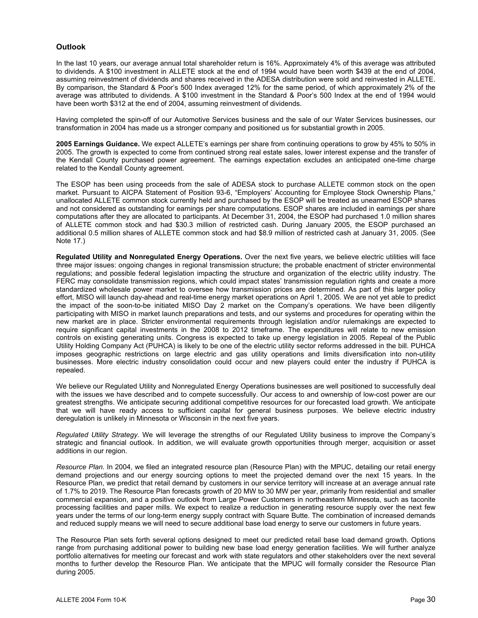# **Outlook**

In the last 10 years, our average annual total shareholder return is 16%. Approximately 4% of this average was attributed to dividends. A \$100 investment in ALLETE stock at the end of 1994 would have been worth \$439 at the end of 2004, assuming reinvestment of dividends and shares received in the ADESA distribution were sold and reinvested in ALLETE. By comparison, the Standard & Poor's 500 Index averaged 12% for the same period, of which approximately 2% of the average was attributed to dividends. A \$100 investment in the Standard & Poor's 500 Index at the end of 1994 would have been worth \$312 at the end of 2004, assuming reinvestment of dividends.

Having completed the spin-off of our Automotive Services business and the sale of our Water Services businesses, our transformation in 2004 has made us a stronger company and positioned us for substantial growth in 2005.

**2005 Earnings Guidance.** We expect ALLETE's earnings per share from continuing operations to grow by 45% to 50% in 2005. The growth is expected to come from continued strong real estate sales, lower interest expense and the transfer of the Kendall County purchased power agreement. The earnings expectation excludes an anticipated one-time charge related to the Kendall County agreement.

The ESOP has been using proceeds from the sale of ADESA stock to purchase ALLETE common stock on the open market. Pursuant to AICPA Statement of Position 93-6, "Employers' Accounting for Employee Stock Ownership Plans," unallocated ALLETE common stock currently held and purchased by the ESOP will be treated as unearned ESOP shares and not considered as outstanding for earnings per share computations. ESOP shares are included in earnings per share computations after they are allocated to participants. At December 31, 2004, the ESOP had purchased 1.0 million shares of ALLETE common stock and had \$30.3 million of restricted cash. During January 2005, the ESOP purchased an additional 0.5 million shares of ALLETE common stock and had \$8.9 million of restricted cash at January 31, 2005. (See Note 17.)

**Regulated Utility and Nonregulated Energy Operations.** Over the next five years, we believe electric utilities will face three major issues: ongoing changes in regional transmission structure; the probable enactment of stricter environmental regulations; and possible federal legislation impacting the structure and organization of the electric utility industry. The FERC may consolidate transmission regions, which could impact states' transmission regulation rights and create a more standardized wholesale power market to oversee how transmission prices are determined. As part of this larger policy effort, MISO will launch day-ahead and real-time energy market operations on April 1, 2005. We are not yet able to predict the impact of the soon-to-be initiated MISO Day 2 market on the Company's operations. We have been diligently participating with MISO in market launch preparations and tests, and our systems and procedures for operating within the new market are in place. Stricter environmental requirements through legislation and/or rulemakings are expected to require significant capital investments in the 2008 to 2012 timeframe. The expenditures will relate to new emission controls on existing generating units. Congress is expected to take up energy legislation in 2005. Repeal of the Public Utility Holding Company Act (PUHCA) is likely to be one of the electric utility sector reforms addressed in the bill. PUHCA imposes geographic restrictions on large electric and gas utility operations and limits diversification into non-utility businesses. More electric industry consolidation could occur and new players could enter the industry if PUHCA is repealed.

We believe our Regulated Utility and Nonregulated Energy Operations businesses are well positioned to successfully deal with the issues we have described and to compete successfully. Our access to and ownership of low-cost power are our greatest strengths. We anticipate securing additional competitive resources for our forecasted load growth. We anticipate that we will have ready access to sufficient capital for general business purposes. We believe electric industry deregulation is unlikely in Minnesota or Wisconsin in the next five years.

*Regulated Utility Strategy.* We will leverage the strengths of our Regulated Utility business to improve the Company's strategic and financial outlook. In addition, we will evaluate growth opportunities through merger, acquisition or asset additions in our region.

*Resource Plan.* In 2004, we filed an integrated resource plan (Resource Plan) with the MPUC, detailing our retail energy demand projections and our energy sourcing options to meet the projected demand over the next 15 years. In the Resource Plan, we predict that retail demand by customers in our service territory will increase at an average annual rate of 1.7% to 2019. The Resource Plan forecasts growth of 20 MW to 30 MW per year, primarily from residential and smaller commercial expansion, and a positive outlook from Large Power Customers in northeastern Minnesota, such as taconite processing facilities and paper mills. We expect to realize a reduction in generating resource supply over the next few years under the terms of our long-term energy supply contract with Square Butte. The combination of increased demands and reduced supply means we will need to secure additional base load energy to serve our customers in future years.

The Resource Plan sets forth several options designed to meet our predicted retail base load demand growth. Options range from purchasing additional power to building new base load energy generation facilities. We will further analyze portfolio alternatives for meeting our forecast and work with state regulators and other stakeholders over the next several months to further develop the Resource Plan. We anticipate that the MPUC will formally consider the Resource Plan during 2005.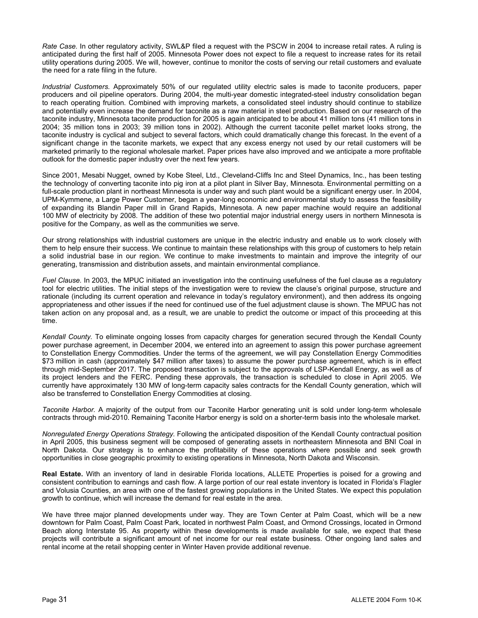*Rate Case.* In other regulatory activity, SWL&P filed a request with the PSCW in 2004 to increase retail rates. A ruling is anticipated during the first half of 2005. Minnesota Power does not expect to file a request to increase rates for its retail utility operations during 2005. We will, however, continue to monitor the costs of serving our retail customers and evaluate the need for a rate filing in the future.

*Industrial Customers.* Approximately 50% of our regulated utility electric sales is made to taconite producers, paper producers and oil pipeline operators. During 2004, the multi-year domestic integrated-steel industry consolidation began to reach operating fruition. Combined with improving markets, a consolidated steel industry should continue to stabilize and potentially even increase the demand for taconite as a raw material in steel production. Based on our research of the taconite industry, Minnesota taconite production for 2005 is again anticipated to be about 41 million tons (41 million tons in 2004; 35 million tons in 2003; 39 million tons in 2002). Although the current taconite pellet market looks strong, the taconite industry is cyclical and subject to several factors, which could dramatically change this forecast. In the event of a significant change in the taconite markets, we expect that any excess energy not used by our retail customers will be marketed primarily to the regional wholesale market. Paper prices have also improved and we anticipate a more profitable outlook for the domestic paper industry over the next few years.

Since 2001, Mesabi Nugget, owned by Kobe Steel, Ltd., Cleveland-Cliffs Inc and Steel Dynamics, Inc., has been testing the technology of converting taconite into pig iron at a pilot plant in Silver Bay, Minnesota. Environmental permitting on a full-scale production plant in northeast Minnesota is under way and such plant would be a significant energy user. In 2004, UPM-Kymmene, a Large Power Customer, began a year-long economic and environmental study to assess the feasibility of expanding its Blandin Paper mill in Grand Rapids, Minnesota. A new paper machine would require an additional 100 MW of electricity by 2008. The addition of these two potential major industrial energy users in northern Minnesota is positive for the Company, as well as the communities we serve.

Our strong relationships with industrial customers are unique in the electric industry and enable us to work closely with them to help ensure their success. We continue to maintain these relationships with this group of customers to help retain a solid industrial base in our region. We continue to make investments to maintain and improve the integrity of our generating, transmission and distribution assets, and maintain environmental compliance.

*Fuel Clause.* In 2003, the MPUC initiated an investigation into the continuing usefulness of the fuel clause as a regulatory tool for electric utilities. The initial steps of the investigation were to review the clause's original purpose, structure and rationale (including its current operation and relevance in today's regulatory environment), and then address its ongoing appropriateness and other issues if the need for continued use of the fuel adjustment clause is shown. The MPUC has not taken action on any proposal and, as a result, we are unable to predict the outcome or impact of this proceeding at this time.

*Kendall County.* To eliminate ongoing losses from capacity charges for generation secured through the Kendall County power purchase agreement, in December 2004, we entered into an agreement to assign this power purchase agreement to Constellation Energy Commodities. Under the terms of the agreement, we will pay Constellation Energy Commodities \$73 million in cash (approximately \$47 million after taxes) to assume the power purchase agreement, which is in effect through mid-September 2017. The proposed transaction is subject to the approvals of LSP-Kendall Energy, as well as of its project lenders and the FERC. Pending these approvals, the transaction is scheduled to close in April 2005. We currently have approximately 130 MW of long-term capacity sales contracts for the Kendall County generation, which will also be transferred to Constellation Energy Commodities at closing.

*Taconite Harbor.* A majority of the output from our Taconite Harbor generating unit is sold under long-term wholesale contracts through mid-2010. Remaining Taconite Harbor energy is sold on a shorter-term basis into the wholesale market.

*Nonregulated Energy Operations Strategy.* Following the anticipated disposition of the Kendall County contractual position in April 2005, this business segment will be composed of generating assets in northeastern Minnesota and BNI Coal in North Dakota. Our strategy is to enhance the profitability of these operations where possible and seek growth opportunities in close geographic proximity to existing operations in Minnesota, North Dakota and Wisconsin.

**Real Estate.** With an inventory of land in desirable Florida locations, ALLETE Properties is poised for a growing and consistent contribution to earnings and cash flow. A large portion of our real estate inventory is located in Florida's Flagler and Volusia Counties, an area with one of the fastest growing populations in the United States. We expect this population growth to continue, which will increase the demand for real estate in the area.

We have three major planned developments under way. They are Town Center at Palm Coast, which will be a new downtown for Palm Coast, Palm Coast Park, located in northwest Palm Coast, and Ormond Crossings, located in Ormond Beach along Interstate 95. As property within these developments is made available for sale, we expect that these projects will contribute a significant amount of net income for our real estate business. Other ongoing land sales and rental income at the retail shopping center in Winter Haven provide additional revenue.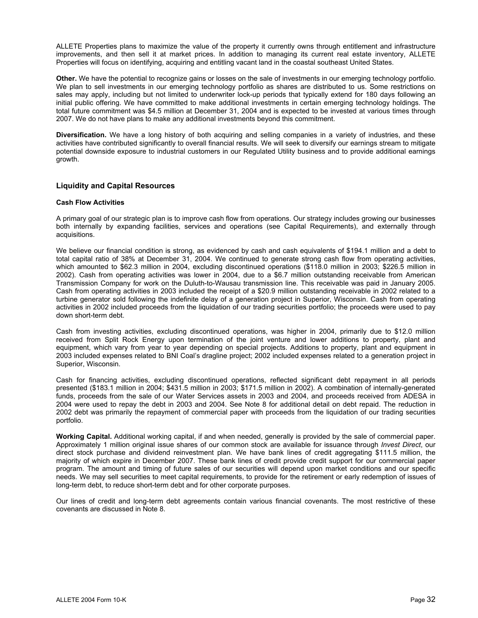ALLETE Properties plans to maximize the value of the property it currently owns through entitlement and infrastructure improvements, and then sell it at market prices. In addition to managing its current real estate inventory, ALLETE Properties will focus on identifying, acquiring and entitling vacant land in the coastal southeast United States.

**Other.** We have the potential to recognize gains or losses on the sale of investments in our emerging technology portfolio. We plan to sell investments in our emerging technology portfolio as shares are distributed to us. Some restrictions on sales may apply, including but not limited to underwriter lock-up periods that typically extend for 180 days following an initial public offering. We have committed to make additional investments in certain emerging technology holdings. The total future commitment was \$4.5 million at December 31, 2004 and is expected to be invested at various times through 2007. We do not have plans to make any additional investments beyond this commitment.

**Diversification.** We have a long history of both acquiring and selling companies in a variety of industries, and these activities have contributed significantly to overall financial results. We will seek to diversify our earnings stream to mitigate potential downside exposure to industrial customers in our Regulated Utility business and to provide additional earnings growth.

# **Liquidity and Capital Resources**

### **Cash Flow Activities**

A primary goal of our strategic plan is to improve cash flow from operations. Our strategy includes growing our businesses both internally by expanding facilities, services and operations (see Capital Requirements), and externally through acquisitions.

We believe our financial condition is strong, as evidenced by cash and cash equivalents of \$194.1 million and a debt to total capital ratio of 38% at December 31, 2004. We continued to generate strong cash flow from operating activities, which amounted to \$62.3 million in 2004, excluding discontinued operations (\$118.0 million in 2003; \$226.5 million in 2002). Cash from operating activities was lower in 2004, due to a \$6.7 million outstanding receivable from American Transmission Company for work on the Duluth-to-Wausau transmission line. This receivable was paid in January 2005. Cash from operating activities in 2003 included the receipt of a \$20.9 million outstanding receivable in 2002 related to a turbine generator sold following the indefinite delay of a generation project in Superior, Wisconsin. Cash from operating activities in 2002 included proceeds from the liquidation of our trading securities portfolio; the proceeds were used to pay down short-term debt.

Cash from investing activities, excluding discontinued operations, was higher in 2004, primarily due to \$12.0 million received from Split Rock Energy upon termination of the joint venture and lower additions to property, plant and equipment, which vary from year to year depending on special projects. Additions to property, plant and equipment in 2003 included expenses related to BNI Coal's dragline project; 2002 included expenses related to a generation project in Superior, Wisconsin.

Cash for financing activities, excluding discontinued operations, reflected significant debt repayment in all periods presented (\$183.1 million in 2004; \$431.5 million in 2003; \$171.5 million in 2002). A combination of internally-generated funds, proceeds from the sale of our Water Services assets in 2003 and 2004, and proceeds received from ADESA in 2004 were used to repay the debt in 2003 and 2004. See Note 8 for additional detail on debt repaid. The reduction in 2002 debt was primarily the repayment of commercial paper with proceeds from the liquidation of our trading securities portfolio.

**Working Capital.** Additional working capital, if and when needed, generally is provided by the sale of commercial paper. Approximately 1 million original issue shares of our common stock are available for issuance through *Invest Direct*, our direct stock purchase and dividend reinvestment plan. We have bank lines of credit aggregating \$111.5 million, the majority of which expire in December 2007. These bank lines of credit provide credit support for our commercial paper program. The amount and timing of future sales of our securities will depend upon market conditions and our specific needs. We may sell securities to meet capital requirements, to provide for the retirement or early redemption of issues of long-term debt, to reduce short-term debt and for other corporate purposes.

Our lines of credit and long-term debt agreements contain various financial covenants. The most restrictive of these covenants are discussed in Note 8.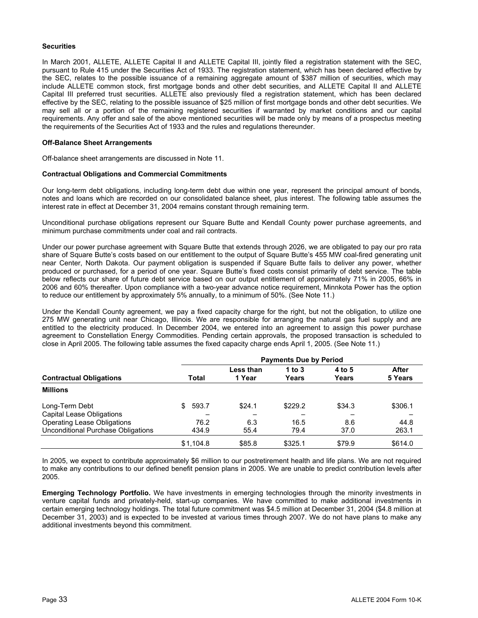# **Securities**

In March 2001, ALLETE, ALLETE Capital II and ALLETE Capital III, jointly filed a registration statement with the SEC, pursuant to Rule 415 under the Securities Act of 1933. The registration statement, which has been declared effective by the SEC, relates to the possible issuance of a remaining aggregate amount of \$387 million of securities, which may include ALLETE common stock, first mortgage bonds and other debt securities, and ALLETE Capital II and ALLETE Capital III preferred trust securities. ALLETE also previously filed a registration statement, which has been declared effective by the SEC, relating to the possible issuance of \$25 million of first mortgage bonds and other debt securities. We may sell all or a portion of the remaining registered securities if warranted by market conditions and our capital requirements. Any offer and sale of the above mentioned securities will be made only by means of a prospectus meeting the requirements of the Securities Act of 1933 and the rules and regulations thereunder.

#### **Off-Balance Sheet Arrangements**

Off-balance sheet arrangements are discussed in Note 11.

### **Contractual Obligations and Commercial Commitments**

Our long-term debt obligations, including long-term debt due within one year, represent the principal amount of bonds, notes and loans which are recorded on our consolidated balance sheet, plus interest. The following table assumes the interest rate in effect at December 31, 2004 remains constant through remaining term.

Unconditional purchase obligations represent our Square Butte and Kendall County power purchase agreements, and minimum purchase commitments under coal and rail contracts.

Under our power purchase agreement with Square Butte that extends through 2026, we are obligated to pay our pro rata share of Square Butte's costs based on our entitlement to the output of Square Butte's 455 MW coal-fired generating unit near Center, North Dakota. Our payment obligation is suspended if Square Butte fails to deliver any power, whether produced or purchased, for a period of one year. Square Butte's fixed costs consist primarily of debt service. The table below reflects our share of future debt service based on our output entitlement of approximately 71% in 2005, 66% in 2006 and 60% thereafter. Upon compliance with a two-year advance notice requirement, Minnkota Power has the option to reduce our entitlement by approximately 5% annually, to a minimum of 50%. (See Note 11.)

Under the Kendall County agreement, we pay a fixed capacity charge for the right, but not the obligation, to utilize one 275 MW generating unit near Chicago, Illinois. We are responsible for arranging the natural gas fuel supply and are entitled to the electricity produced. In December 2004, we entered into an agreement to assign this power purchase agreement to Constellation Energy Commodities. Pending certain approvals, the proposed transaction is scheduled to close in April 2005. The following table assumes the fixed capacity charge ends April 1, 2005. (See Note 11.)

|                                                                          | <b>Payments Due by Period</b> |                     |                   |                 |                  |
|--------------------------------------------------------------------------|-------------------------------|---------------------|-------------------|-----------------|------------------|
| <b>Contractual Obligations</b>                                           | Total                         | Less than<br>1 Year | 1 to $3$<br>Years | 4 to 5<br>Years | After<br>5 Years |
| <b>Millions</b>                                                          |                               |                     |                   |                 |                  |
| Long-Term Debt<br>Capital Lease Obligations                              | 593.7<br>\$.                  | \$24.1              | \$229.2           | \$34.3          | \$306.1          |
| <b>Operating Lease Obligations</b><br>Unconditional Purchase Obligations | 76.2<br>434.9                 | 6.3<br>55.4         | 16.5<br>79.4      | 8.6<br>37.0     | 44.8<br>263.1    |
|                                                                          | \$1.104.8                     | \$85.8              | \$325.1           | \$79.9          | \$614.0          |

In 2005, we expect to contribute approximately \$6 million to our postretirement health and life plans. We are not required to make any contributions to our defined benefit pension plans in 2005. We are unable to predict contribution levels after 2005.

**Emerging Technology Portfolio.** We have investments in emerging technologies through the minority investments in venture capital funds and privately-held, start-up companies. We have committed to make additional investments in certain emerging technology holdings. The total future commitment was \$4.5 million at December 31, 2004 (\$4.8 million at December 31, 2003) and is expected to be invested at various times through 2007. We do not have plans to make any additional investments beyond this commitment.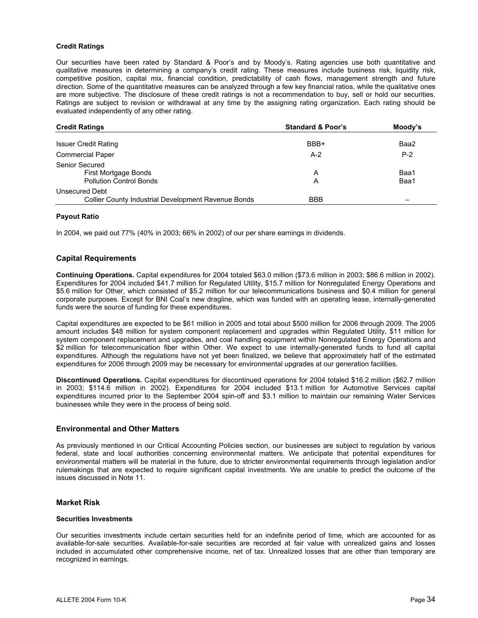#### **Credit Ratings**

Our securities have been rated by Standard & Poor's and by Moody's. Rating agencies use both quantitative and qualitative measures in determining a company's credit rating. These measures include business risk, liquidity risk, competitive position, capital mix, financial condition, predictability of cash flows, management strength and future direction. Some of the quantitative measures can be analyzed through a few key financial ratios, while the qualitative ones are more subjective. The disclosure of these credit ratings is not a recommendation to buy, sell or hold our securities. Ratings are subject to revision or withdrawal at any time by the assigning rating organization. Each rating should be evaluated independently of any other rating.

| <b>Credit Ratings</b>                                                    | <b>Standard &amp; Poor's</b> | Moody's      |
|--------------------------------------------------------------------------|------------------------------|--------------|
| <b>Issuer Credit Rating</b>                                              | BBB+                         | Baa2         |
| <b>Commercial Paper</b>                                                  | $A-2$                        | $P-2$        |
| Senior Secured<br>First Mortgage Bonds<br><b>Pollution Control Bonds</b> | A<br>A                       | Baa1<br>Baa1 |
| Unsecured Debt<br>Collier County Industrial Development Revenue Bonds    | <b>BBB</b>                   |              |

### **Payout Ratio**

In 2004, we paid out 77% (40% in 2003; 66% in 2002) of our per share earnings in dividends.

# **Capital Requirements**

**Continuing Operations.** Capital expenditures for 2004 totaled \$63.0 million (\$73.6 million in 2003; \$86.6 million in 2002). Expenditures for 2004 included \$41.7 million for Regulated Utility, \$15.7 million for Nonregulated Energy Operations and \$5.6 million for Other, which consisted of \$5.2 million for our telecommunications business and \$0.4 million for general corporate purposes. Except for BNI Coal's new dragline, which was funded with an operating lease, internally-generated funds were the source of funding for these expenditures.

Capital expenditures are expected to be \$61 million in 2005 and total about \$500 million for 2006 through 2009. The 2005 amount includes \$48 million for system component replacement and upgrades within Regulated Utility, \$11 million for system component replacement and upgrades, and coal handling equipment within Nonregulated Energy Operations and \$2 million for telecommunication fiber within Other. We expect to use internally-generated funds to fund all capital expenditures. Although the regulations have not yet been finalized, we believe that approximately half of the estimated expenditures for 2006 through 2009 may be necessary for environmental upgrades at our generation facilities.

**Discontinued Operations.** Capital expenditures for discontinued operations for 2004 totaled \$16.2 million (\$62.7 million in 2003; \$114.6 million in 2002). Expenditures for 2004 included \$13.1 million for Automotive Services capital expenditures incurred prior to the September 2004 spin-off and \$3.1 million to maintain our remaining Water Services businesses while they were in the process of being sold.

# **Environmental and Other Matters**

As previously mentioned in our Critical Accounting Policies section, our businesses are subject to regulation by various federal, state and local authorities concerning environmental matters. We anticipate that potential expenditures for environmental matters will be material in the future, due to stricter environmental requirements through legislation and/or rulemakings that are expected to require significant capital investments. We are unable to predict the outcome of the issues discussed in Note 11.

# **Market Risk**

#### **Securities Investments**

Our securities investments include certain securities held for an indefinite period of time, which are accounted for as available-for-sale securities. Available-for-sale securities are recorded at fair value with unrealized gains and losses included in accumulated other comprehensive income, net of tax. Unrealized losses that are other than temporary are recognized in earnings.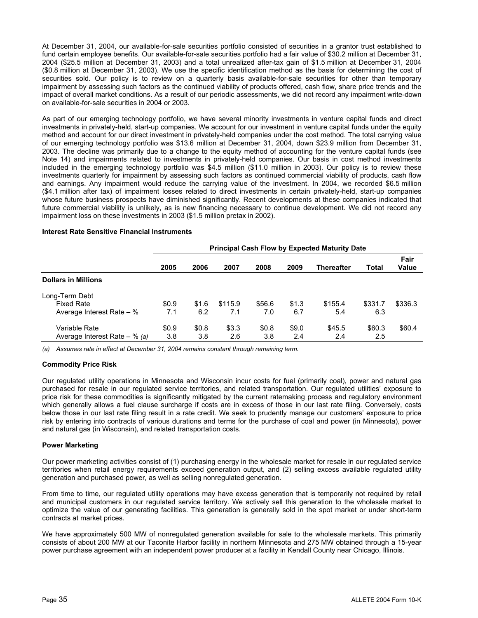At December 31, 2004, our available-for-sale securities portfolio consisted of securities in a grantor trust established to fund certain employee benefits. Our available-for-sale securities portfolio had a fair value of \$30.2 million at December 31, 2004 (\$25.5 million at December 31, 2003) and a total unrealized after-tax gain of \$1.5 million at December 31, 2004 (\$0.8 million at December 31, 2003). We use the specific identification method as the basis for determining the cost of securities sold. Our policy is to review on a quarterly basis available-for-sale securities for other than temporary impairment by assessing such factors as the continued viability of products offered, cash flow, share price trends and the impact of overall market conditions. As a result of our periodic assessments, we did not record any impairment write-down on available-for-sale securities in 2004 or 2003.

As part of our emerging technology portfolio, we have several minority investments in venture capital funds and direct investments in privately-held, start-up companies. We account for our investment in venture capital funds under the equity method and account for our direct investment in privately-held companies under the cost method. The total carrying value of our emerging technology portfolio was \$13.6 million at December 31, 2004, down \$23.9 million from December 31, 2003. The decline was primarily due to a change to the equity method of accounting for the venture capital funds (see Note 14) and impairments related to investments in privately-held companies. Our basis in cost method investments included in the emerging technology portfolio was \$4.5 million (\$11.0 million in 2003). Our policy is to review these investments quarterly for impairment by assessing such factors as continued commercial viability of products, cash flow and earnings. Any impairment would reduce the carrying value of the investment. In 2004, we recorded \$6.5 million (\$4.1 million after tax) of impairment losses related to direct investments in certain privately-held, start-up companies whose future business prospects have diminished significantly. Recent developments at these companies indicated that future commercial viability is unlikely, as is new financing necessary to continue development. We did not record any impairment loss on these investments in 2003 (\$1.5 million pretax in 2002).

|                                 | <b>Principal Cash Flow by Expected Maturity Date</b> |       |         |        |       |                   |         |               |
|---------------------------------|------------------------------------------------------|-------|---------|--------|-------|-------------------|---------|---------------|
|                                 | 2005                                                 | 2006  | 2007    | 2008   | 2009  | <b>Thereafter</b> | Total   | Fair<br>Value |
| <b>Dollars in Millions</b>      |                                                      |       |         |        |       |                   |         |               |
| Long-Term Debt                  |                                                      |       |         |        |       |                   |         |               |
| <b>Fixed Rate</b>               | \$0.9                                                | \$1.6 | \$115.9 | \$56.6 | \$1.3 | \$155.4           | \$331.7 | \$336.3       |
| Average Interest Rate $-$ %     | 7.1                                                  | 6.2   | 7.1     | 7.0    | 6.7   | 5.4               | 6.3     |               |
| Variable Rate                   | \$0.9                                                | \$0.8 | \$3.3   | \$0.8  | \$9.0 | \$45.5            | \$60.3  | \$60.4        |
| Average Interest Rate $-$ % (a) | 3.8                                                  | 3.8   | 2.6     | 3.8    | 2.4   | 2.4               | 2.5     |               |

### **Interest Rate Sensitive Financial Instruments**

*(a) Assumes rate in effect at December 31, 2004 remains constant through remaining term.* 

# **Commodity Price Risk**

Our regulated utility operations in Minnesota and Wisconsin incur costs for fuel (primarily coal), power and natural gas purchased for resale in our regulated service territories, and related transportation. Our regulated utilities' exposure to price risk for these commodities is significantly mitigated by the current ratemaking process and regulatory environment which generally allows a fuel clause surcharge if costs are in excess of those in our last rate filing. Conversely, costs below those in our last rate filing result in a rate credit. We seek to prudently manage our customers' exposure to price risk by entering into contracts of various durations and terms for the purchase of coal and power (in Minnesota), power and natural gas (in Wisconsin), and related transportation costs.

# **Power Marketing**

Our power marketing activities consist of (1) purchasing energy in the wholesale market for resale in our regulated service territories when retail energy requirements exceed generation output, and (2) selling excess available regulated utility generation and purchased power, as well as selling nonregulated generation.

From time to time, our regulated utility operations may have excess generation that is temporarily not required by retail and municipal customers in our regulated service territory. We actively sell this generation to the wholesale market to optimize the value of our generating facilities. This generation is generally sold in the spot market or under short-term contracts at market prices.

We have approximately 500 MW of nonregulated generation available for sale to the wholesale markets. This primarily consists of about 200 MW at our Taconite Harbor facility in northern Minnesota and 275 MW obtained through a 15-year power purchase agreement with an independent power producer at a facility in Kendall County near Chicago, Illinois.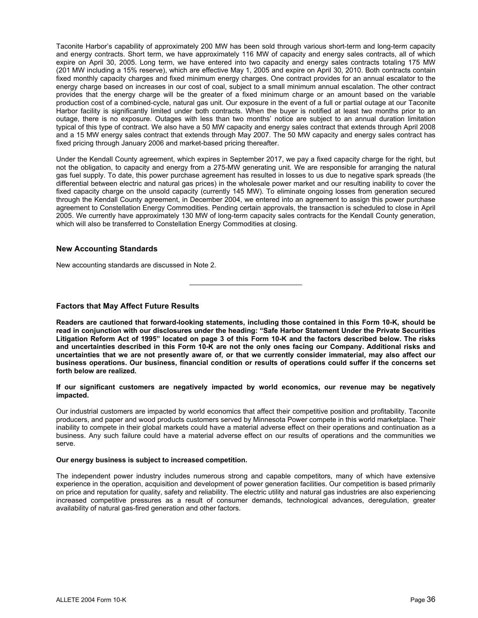Taconite Harbor's capability of approximately 200 MW has been sold through various short-term and long-term capacity and energy contracts. Short term, we have approximately 116 MW of capacity and energy sales contracts, all of which expire on April 30, 2005. Long term, we have entered into two capacity and energy sales contracts totaling 175 MW (201 MW including a 15% reserve), which are effective May 1, 2005 and expire on April 30, 2010. Both contracts contain fixed monthly capacity charges and fixed minimum energy charges. One contract provides for an annual escalator to the energy charge based on increases in our cost of coal, subject to a small minimum annual escalation. The other contract provides that the energy charge will be the greater of a fixed minimum charge or an amount based on the variable production cost of a combined-cycle, natural gas unit. Our exposure in the event of a full or partial outage at our Taconite Harbor facility is significantly limited under both contracts. When the buyer is notified at least two months prior to an outage, there is no exposure. Outages with less than two months' notice are subject to an annual duration limitation typical of this type of contract. We also have a 50 MW capacity and energy sales contract that extends through April 2008 and a 15 MW energy sales contract that extends through May 2007. The 50 MW capacity and energy sales contract has fixed pricing through January 2006 and market-based pricing thereafter.

Under the Kendall County agreement, which expires in September 2017, we pay a fixed capacity charge for the right, but not the obligation, to capacity and energy from a 275-MW generating unit. We are responsible for arranging the natural gas fuel supply. To date, this power purchase agreement has resulted in losses to us due to negative spark spreads (the differential between electric and natural gas prices) in the wholesale power market and our resulting inability to cover the fixed capacity charge on the unsold capacity (currently 145 MW). To eliminate ongoing losses from generation secured through the Kendall County agreement, in December 2004, we entered into an agreement to assign this power purchase agreement to Constellation Energy Commodities. Pending certain approvals, the transaction is scheduled to close in April 2005. We currently have approximately 130 MW of long-term capacity sales contracts for the Kendall County generation, which will also be transferred to Constellation Energy Commodities at closing.

# **New Accounting Standards**

New accounting standards are discussed in Note 2.

֦

# **Factors that May Affect Future Results**

**Readers are cautioned that forward-looking statements, including those contained in this Form 10-K, should be read in conjunction with our disclosures under the heading: "Safe Harbor Statement Under the Private Securities Litigation Reform Act of 1995" located on page 3 of this Form 10-K and the factors described below. The risks and uncertainties described in this Form 10-K are not the only ones facing our Company. Additional risks and uncertainties that we are not presently aware of, or that we currently consider immaterial, may also affect our business operations. Our business, financial condition or results of operations could suffer if the concerns set forth below are realized.** 

### **If our significant customers are negatively impacted by world economics, our revenue may be negatively impacted.**

Our industrial customers are impacted by world economics that affect their competitive position and profitability. Taconite producers, and paper and wood products customers served by Minnesota Power compete in this world marketplace. Their inability to compete in their global markets could have a material adverse effect on their operations and continuation as a business. Any such failure could have a material adverse effect on our results of operations and the communities we serve.

#### **Our energy business is subject to increased competition.**

The independent power industry includes numerous strong and capable competitors, many of which have extensive experience in the operation, acquisition and development of power generation facilities. Our competition is based primarily on price and reputation for quality, safety and reliability. The electric utility and natural gas industries are also experiencing increased competitive pressures as a result of consumer demands, technological advances, deregulation, greater availability of natural gas-fired generation and other factors.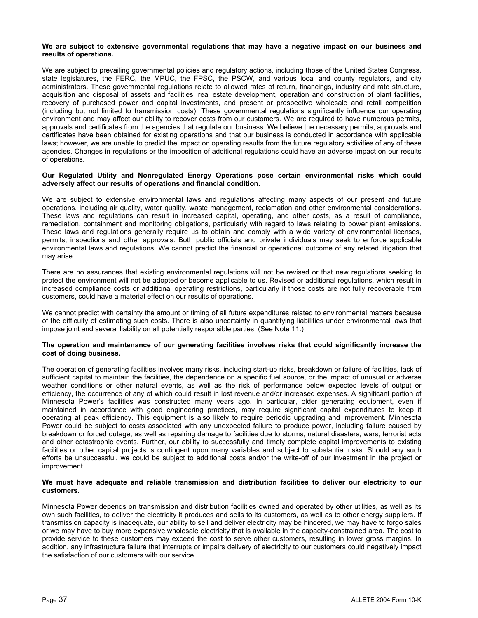#### **We are subject to extensive governmental regulations that may have a negative impact on our business and results of operations.**

We are subject to prevailing governmental policies and regulatory actions, including those of the United States Congress, state legislatures, the FERC, the MPUC, the FPSC, the PSCW, and various local and county regulators, and city administrators. These governmental regulations relate to allowed rates of return, financings, industry and rate structure, acquisition and disposal of assets and facilities, real estate development, operation and construction of plant facilities, recovery of purchased power and capital investments, and present or prospective wholesale and retail competition (including but not limited to transmission costs). These governmental regulations significantly influence our operating environment and may affect our ability to recover costs from our customers. We are required to have numerous permits, approvals and certificates from the agencies that regulate our business. We believe the necessary permits, approvals and certificates have been obtained for existing operations and that our business is conducted in accordance with applicable laws; however, we are unable to predict the impact on operating results from the future regulatory activities of any of these agencies. Changes in regulations or the imposition of additional regulations could have an adverse impact on our results of operations.

## **Our Regulated Utility and Nonregulated Energy Operations pose certain environmental risks which could adversely affect our results of operations and financial condition.**

We are subject to extensive environmental laws and regulations affecting many aspects of our present and future operations, including air quality, water quality, waste management, reclamation and other environmental considerations. These laws and regulations can result in increased capital, operating, and other costs, as a result of compliance, remediation, containment and monitoring obligations, particularly with regard to laws relating to power plant emissions. These laws and regulations generally require us to obtain and comply with a wide variety of environmental licenses, permits, inspections and other approvals. Both public officials and private individuals may seek to enforce applicable environmental laws and regulations. We cannot predict the financial or operational outcome of any related litigation that may arise.

There are no assurances that existing environmental regulations will not be revised or that new regulations seeking to protect the environment will not be adopted or become applicable to us. Revised or additional regulations, which result in increased compliance costs or additional operating restrictions, particularly if those costs are not fully recoverable from customers, could have a material effect on our results of operations.

We cannot predict with certainty the amount or timing of all future expenditures related to environmental matters because of the difficulty of estimating such costs. There is also uncertainty in quantifying liabilities under environmental laws that impose joint and several liability on all potentially responsible parties. (See Note 11.)

# **The operation and maintenance of our generating facilities involves risks that could significantly increase the cost of doing business.**

The operation of generating facilities involves many risks, including start-up risks, breakdown or failure of facilities, lack of sufficient capital to maintain the facilities, the dependence on a specific fuel source, or the impact of unusual or adverse weather conditions or other natural events, as well as the risk of performance below expected levels of output or efficiency, the occurrence of any of which could result in lost revenue and/or increased expenses. A significant portion of Minnesota Power's facilities was constructed many years ago. In particular, older generating equipment, even if maintained in accordance with good engineering practices, may require significant capital expenditures to keep it operating at peak efficiency. This equipment is also likely to require periodic upgrading and improvement. Minnesota Power could be subject to costs associated with any unexpected failure to produce power, including failure caused by breakdown or forced outage, as well as repairing damage to facilities due to storms, natural disasters, wars, terrorist acts and other catastrophic events. Further, our ability to successfully and timely complete capital improvements to existing facilities or other capital projects is contingent upon many variables and subject to substantial risks. Should any such efforts be unsuccessful, we could be subject to additional costs and/or the write-off of our investment in the project or improvement.

### **We must have adequate and reliable transmission and distribution facilities to deliver our electricity to our customers.**

Minnesota Power depends on transmission and distribution facilities owned and operated by other utilities, as well as its own such facilities, to deliver the electricity it produces and sells to its customers, as well as to other energy suppliers. If transmission capacity is inadequate, our ability to sell and deliver electricity may be hindered, we may have to forgo sales or we may have to buy more expensive wholesale electricity that is available in the capacity-constrained area. The cost to provide service to these customers may exceed the cost to serve other customers, resulting in lower gross margins. In addition, any infrastructure failure that interrupts or impairs delivery of electricity to our customers could negatively impact the satisfaction of our customers with our service.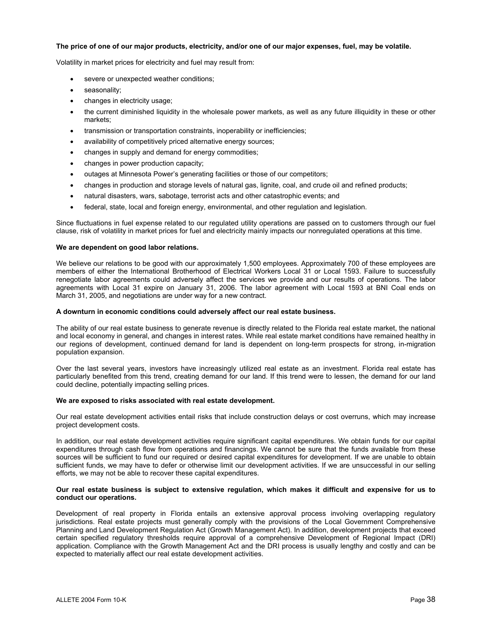# **The price of one of our major products, electricity, and/or one of our major expenses, fuel, may be volatile.**

Volatility in market prices for electricity and fuel may result from:

- severe or unexpected weather conditions;
- seasonality;
- changes in electricity usage;
- the current diminished liquidity in the wholesale power markets, as well as any future illiquidity in these or other markets;
- transmission or transportation constraints, inoperability or inefficiencies;
- availability of competitively priced alternative energy sources;
- changes in supply and demand for energy commodities;
- changes in power production capacity;
- outages at Minnesota Power's generating facilities or those of our competitors;
- changes in production and storage levels of natural gas, lignite, coal, and crude oil and refined products;
- natural disasters, wars, sabotage, terrorist acts and other catastrophic events; and
- federal, state, local and foreign energy, environmental, and other regulation and legislation.

Since fluctuations in fuel expense related to our regulated utility operations are passed on to customers through our fuel clause, risk of volatility in market prices for fuel and electricity mainly impacts our nonregulated operations at this time.

#### **We are dependent on good labor relations.**

We believe our relations to be good with our approximately 1,500 employees. Approximately 700 of these employees are members of either the International Brotherhood of Electrical Workers Local 31 or Local 1593. Failure to successfully renegotiate labor agreements could adversely affect the services we provide and our results of operations. The labor agreements with Local 31 expire on January 31, 2006. The labor agreement with Local 1593 at BNI Coal ends on March 31, 2005, and negotiations are under way for a new contract.

#### **A downturn in economic conditions could adversely affect our real estate business.**

The ability of our real estate business to generate revenue is directly related to the Florida real estate market, the national and local economy in general, and changes in interest rates. While real estate market conditions have remained healthy in our regions of development, continued demand for land is dependent on long-term prospects for strong, in-migration population expansion.

Over the last several years, investors have increasingly utilized real estate as an investment. Florida real estate has particularly benefited from this trend, creating demand for our land. If this trend were to lessen, the demand for our land could decline, potentially impacting selling prices.

#### **We are exposed to risks associated with real estate development.**

Our real estate development activities entail risks that include construction delays or cost overruns, which may increase project development costs.

In addition, our real estate development activities require significant capital expenditures. We obtain funds for our capital expenditures through cash flow from operations and financings. We cannot be sure that the funds available from these sources will be sufficient to fund our required or desired capital expenditures for development. If we are unable to obtain sufficient funds, we may have to defer or otherwise limit our development activities. If we are unsuccessful in our selling efforts, we may not be able to recover these capital expenditures.

#### **Our real estate business is subject to extensive regulation, which makes it difficult and expensive for us to conduct our operations.**

Development of real property in Florida entails an extensive approval process involving overlapping regulatory jurisdictions. Real estate projects must generally comply with the provisions of the Local Government Comprehensive Planning and Land Development Regulation Act (Growth Management Act). In addition, development projects that exceed certain specified regulatory thresholds require approval of a comprehensive Development of Regional Impact (DRI) application. Compliance with the Growth Management Act and the DRI process is usually lengthy and costly and can be expected to materially affect our real estate development activities.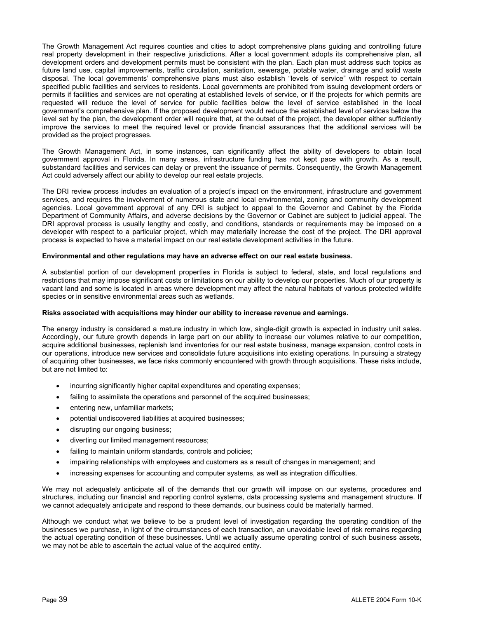The Growth Management Act requires counties and cities to adopt comprehensive plans guiding and controlling future real property development in their respective jurisdictions. After a local government adopts its comprehensive plan, all development orders and development permits must be consistent with the plan. Each plan must address such topics as future land use, capital improvements, traffic circulation, sanitation, sewerage, potable water, drainage and solid waste disposal. The local governments' comprehensive plans must also establish "levels of service" with respect to certain specified public facilities and services to residents. Local governments are prohibited from issuing development orders or permits if facilities and services are not operating at established levels of service, or if the projects for which permits are requested will reduce the level of service for public facilities below the level of service established in the local government's comprehensive plan. If the proposed development would reduce the established level of services below the level set by the plan, the development order will require that, at the outset of the project, the developer either sufficiently improve the services to meet the required level or provide financial assurances that the additional services will be provided as the project progresses.

The Growth Management Act, in some instances, can significantly affect the ability of developers to obtain local government approval in Florida. In many areas, infrastructure funding has not kept pace with growth. As a result, substandard facilities and services can delay or prevent the issuance of permits. Consequently, the Growth Management Act could adversely affect our ability to develop our real estate projects.

The DRI review process includes an evaluation of a project's impact on the environment, infrastructure and government services, and requires the involvement of numerous state and local environmental, zoning and community development agencies. Local government approval of any DRI is subject to appeal to the Governor and Cabinet by the Florida Department of Community Affairs, and adverse decisions by the Governor or Cabinet are subject to judicial appeal. The DRI approval process is usually lengthy and costly, and conditions, standards or requirements may be imposed on a developer with respect to a particular project, which may materially increase the cost of the project. The DRI approval process is expected to have a material impact on our real estate development activities in the future.

### **Environmental and other regulations may have an adverse effect on our real estate business.**

A substantial portion of our development properties in Florida is subject to federal, state, and local regulations and restrictions that may impose significant costs or limitations on our ability to develop our properties. Much of our property is vacant land and some is located in areas where development may affect the natural habitats of various protected wildlife species or in sensitive environmental areas such as wetlands.

# **Risks associated with acquisitions may hinder our ability to increase revenue and earnings.**

The energy industry is considered a mature industry in which low, single-digit growth is expected in industry unit sales. Accordingly, our future growth depends in large part on our ability to increase our volumes relative to our competition, acquire additional businesses, replenish land inventories for our real estate business, manage expansion, control costs in our operations, introduce new services and consolidate future acquisitions into existing operations. In pursuing a strategy of acquiring other businesses, we face risks commonly encountered with growth through acquisitions. These risks include, but are not limited to:

- incurring significantly higher capital expenditures and operating expenses;
- failing to assimilate the operations and personnel of the acquired businesses;
- entering new, unfamiliar markets;
- potential undiscovered liabilities at acquired businesses;
- disrupting our ongoing business;
- diverting our limited management resources;
- failing to maintain uniform standards, controls and policies;
- impairing relationships with employees and customers as a result of changes in management; and
- increasing expenses for accounting and computer systems, as well as integration difficulties.

We may not adequately anticipate all of the demands that our growth will impose on our systems, procedures and structures, including our financial and reporting control systems, data processing systems and management structure. If we cannot adequately anticipate and respond to these demands, our business could be materially harmed.

Although we conduct what we believe to be a prudent level of investigation regarding the operating condition of the businesses we purchase, in light of the circumstances of each transaction, an unavoidable level of risk remains regarding the actual operating condition of these businesses. Until we actually assume operating control of such business assets, we may not be able to ascertain the actual value of the acquired entity.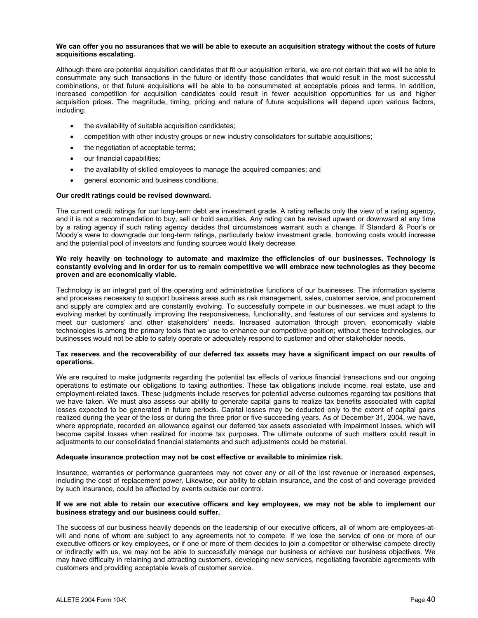#### **We can offer you no assurances that we will be able to execute an acquisition strategy without the costs of future acquisitions escalating.**

Although there are potential acquisition candidates that fit our acquisition criteria, we are not certain that we will be able to consummate any such transactions in the future or identify those candidates that would result in the most successful combinations, or that future acquisitions will be able to be consummated at acceptable prices and terms. In addition, increased competition for acquisition candidates could result in fewer acquisition opportunities for us and higher acquisition prices. The magnitude, timing, pricing and nature of future acquisitions will depend upon various factors, including:

- the availability of suitable acquisition candidates;
- competition with other industry groups or new industry consolidators for suitable acquisitions;
- the negotiation of acceptable terms;
- our financial capabilities;
- the availability of skilled employees to manage the acquired companies; and
- general economic and business conditions.

### **Our credit ratings could be revised downward.**

The current credit ratings for our long-term debt are investment grade. A rating reflects only the view of a rating agency, and it is not a recommendation to buy, sell or hold securities. Any rating can be revised upward or downward at any time by a rating agency if such rating agency decides that circumstances warrant such a change. If Standard & Poor's or Moody's were to downgrade our long-term ratings, particularly below investment grade, borrowing costs would increase and the potential pool of investors and funding sources would likely decrease.

## **We rely heavily on technology to automate and maximize the efficiencies of our businesses. Technology is constantly evolving and in order for us to remain competitive we will embrace new technologies as they become proven and are economically viable.**

Technology is an integral part of the operating and administrative functions of our businesses. The information systems and processes necessary to support business areas such as risk management, sales, customer service, and procurement and supply are complex and are constantly evolving. To successfully compete in our businesses, we must adapt to the evolving market by continually improving the responsiveness, functionality, and features of our services and systems to meet our customers' and other stakeholders' needs. Increased automation through proven, economically viable technologies is among the primary tools that we use to enhance our competitive position; without these technologies, our businesses would not be able to safely operate or adequately respond to customer and other stakeholder needs.

### **Tax reserves and the recoverability of our deferred tax assets may have a significant impact on our results of operations.**

We are required to make judgments regarding the potential tax effects of various financial transactions and our ongoing operations to estimate our obligations to taxing authorities. These tax obligations include income, real estate, use and employment-related taxes. These judgments include reserves for potential adverse outcomes regarding tax positions that we have taken. We must also assess our ability to generate capital gains to realize tax benefits associated with capital losses expected to be generated in future periods. Capital losses may be deducted only to the extent of capital gains realized during the year of the loss or during the three prior or five succeeding years. As of December 31, 2004, we have, where appropriate, recorded an allowance against our deferred tax assets associated with impairment losses, which will become capital losses when realized for income tax purposes. The ultimate outcome of such matters could result in adjustments to our consolidated financial statements and such adjustments could be material.

#### **Adequate insurance protection may not be cost effective or available to minimize risk.**

Insurance, warranties or performance guarantees may not cover any or all of the lost revenue or increased expenses, including the cost of replacement power. Likewise, our ability to obtain insurance, and the cost of and coverage provided by such insurance, could be affected by events outside our control.

#### **If we are not able to retain our executive officers and key employees, we may not be able to implement our business strategy and our business could suffer.**

The success of our business heavily depends on the leadership of our executive officers, all of whom are employees-atwill and none of whom are subject to any agreements not to compete. If we lose the service of one or more of our executive officers or key employees, or if one or more of them decides to join a competitor or otherwise compete directly or indirectly with us, we may not be able to successfully manage our business or achieve our business objectives. We may have difficulty in retaining and attracting customers, developing new services, negotiating favorable agreements with customers and providing acceptable levels of customer service.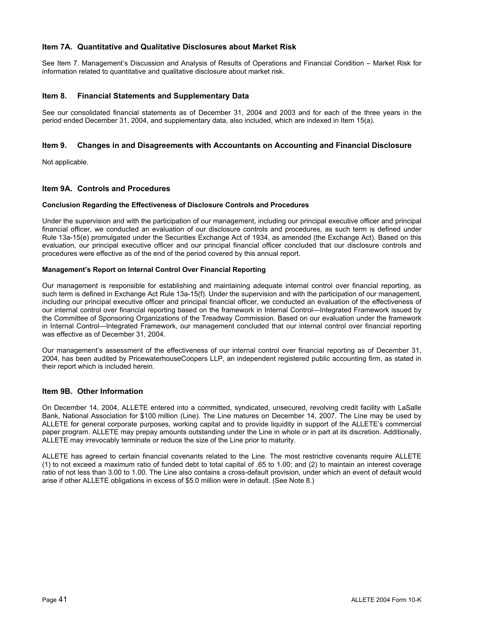# **Item 7A. Quantitative and Qualitative Disclosures about Market Risk**

See Item 7. Management's Discussion and Analysis of Results of Operations and Financial Condition – Market Risk for information related to quantitative and qualitative disclosure about market risk.

# **Item 8. Financial Statements and Supplementary Data**

See our consolidated financial statements as of December 31, 2004 and 2003 and for each of the three years in the period ended December 31, 2004, and supplementary data, also included, which are indexed in Item 15(a).

# **Item 9. Changes in and Disagreements with Accountants on Accounting and Financial Disclosure**

Not applicable.

# **Item 9A. Controls and Procedures**

### **Conclusion Regarding the Effectiveness of Disclosure Controls and Procedures**

Under the supervision and with the participation of our management, including our principal executive officer and principal financial officer, we conducted an evaluation of our disclosure controls and procedures, as such term is defined under Rule 13a-15(e) promulgated under the Securities Exchange Act of 1934, as amended (the Exchange Act). Based on this evaluation, our principal executive officer and our principal financial officer concluded that our disclosure controls and procedures were effective as of the end of the period covered by this annual report.

### **Management's Report on Internal Control Over Financial Reporting**

Our management is responsible for establishing and maintaining adequate internal control over financial reporting, as such term is defined in Exchange Act Rule 13a-15(f). Under the supervision and with the participation of our management, including our principal executive officer and principal financial officer, we conducted an evaluation of the effectiveness of our internal control over financial reporting based on the framework in Internal Control—Integrated Framework issued by the Committee of Sponsoring Organizations of the Treadway Commission. Based on our evaluation under the framework in Internal Control—Integrated Framework, our management concluded that our internal control over financial reporting was effective as of December 31, 2004.

Our management's assessment of the effectiveness of our internal control over financial reporting as of December 31, 2004, has been audited by PricewaterhouseCoopers LLP, an independent registered public accounting firm, as stated in their report which is included herein.

# **Item 9B. Other Information**

On December 14, 2004, ALLETE entered into a committed, syndicated, unsecured, revolving credit facility with LaSalle Bank, National Association for \$100 million (Line). The Line matures on December 14, 2007. The Line may be used by ALLETE for general corporate purposes, working capital and to provide liquidity in support of the ALLETE's commercial paper program. ALLETE may prepay amounts outstanding under the Line in whole or in part at its discretion. Additionally, ALLETE may irrevocably terminate or reduce the size of the Line prior to maturity.

ALLETE has agreed to certain financial covenants related to the Line. The most restrictive covenants require ALLETE (1) to not exceed a maximum ratio of funded debt to total capital of .65 to 1.00; and (2) to maintain an interest coverage ratio of not less than 3.00 to 1.00. The Line also contains a cross-default provision, under which an event of default would arise if other ALLETE obligations in excess of \$5.0 million were in default. (See Note 8.)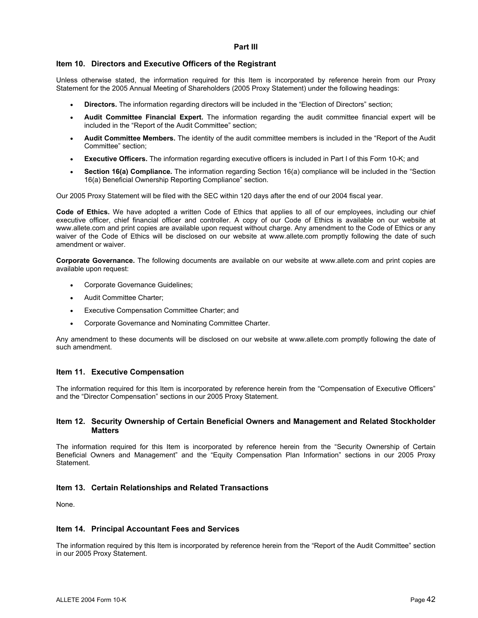# **Part III**

# **Item 10. Directors and Executive Officers of the Registrant**

Unless otherwise stated, the information required for this Item is incorporated by reference herein from our Proxy Statement for the 2005 Annual Meeting of Shareholders (2005 Proxy Statement) under the following headings:

- **Directors.** The information regarding directors will be included in the "Election of Directors" section;
- **Audit Committee Financial Expert.** The information regarding the audit committee financial expert will be included in the "Report of the Audit Committee" section;
- **Audit Committee Members.** The identity of the audit committee members is included in the "Report of the Audit Committee" section;
- **Executive Officers.** The information regarding executive officers is included in Part I of this Form 10-K; and
- **Section 16(a) Compliance.** The information regarding Section 16(a) compliance will be included in the "Section 16(a) Beneficial Ownership Reporting Compliance" section.

Our 2005 Proxy Statement will be filed with the SEC within 120 days after the end of our 2004 fiscal year.

**Code of Ethics.** We have adopted a written Code of Ethics that applies to all of our employees, including our chief executive officer, chief financial officer and controller. A copy of our Code of Ethics is available on our website at www.allete.com and print copies are available upon request without charge. Any amendment to the Code of Ethics or any waiver of the Code of Ethics will be disclosed on our website at www.allete.com promptly following the date of such amendment or waiver.

**Corporate Governance.** The following documents are available on our website at www.allete.com and print copies are available upon request:

- Corporate Governance Guidelines;
- Audit Committee Charter;
- Executive Compensation Committee Charter; and
- Corporate Governance and Nominating Committee Charter.

Any amendment to these documents will be disclosed on our website at www.allete.com promptly following the date of such amendment.

# **Item 11. Executive Compensation**

The information required for this Item is incorporated by reference herein from the "Compensation of Executive Officers" and the "Director Compensation" sections in our 2005 Proxy Statement.

# **Item 12. Security Ownership of Certain Beneficial Owners and Management and Related Stockholder Matters**

The information required for this Item is incorporated by reference herein from the "Security Ownership of Certain Beneficial Owners and Management" and the "Equity Compensation Plan Information" sections in our 2005 Proxy Statement.

# **Item 13. Certain Relationships and Related Transactions**

None.

# **Item 14. Principal Accountant Fees and Services**

The information required by this Item is incorporated by reference herein from the "Report of the Audit Committee" section in our 2005 Proxy Statement.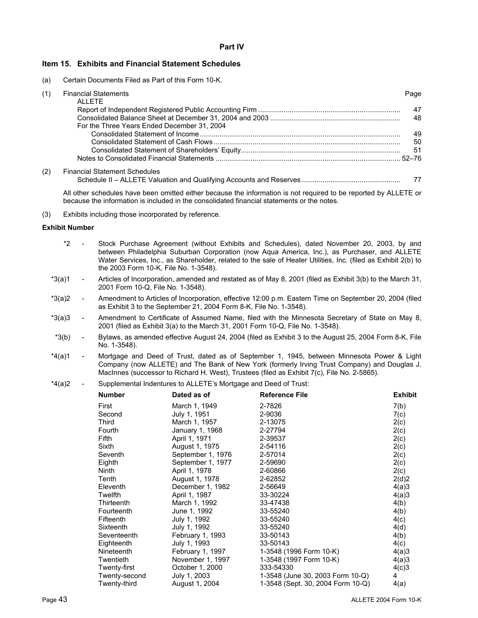# **Item 15. Exhibits and Financial Statement Schedules**

(a) Certain Documents Filed as Part of this Form 10-K.

| (1) | <b>Financial Statements</b>                 | Page |
|-----|---------------------------------------------|------|
|     | <b>ALLETE</b>                               |      |
|     |                                             | 47   |
|     |                                             | 48   |
|     | For the Three Years Ended December 31, 2004 |      |
|     |                                             | 49   |
|     |                                             | 50   |
|     |                                             | -51  |
|     |                                             |      |
| (2) | <b>Financial Statement Schedules</b>        |      |
|     |                                             |      |

All other schedules have been omitted either because the information is not required to be reported by ALLETE or because the information is included in the consolidated financial statements or the notes.

(3) Exhibits including those incorporated by reference.

# **Exhibit Number**

- \*2 Stock Purchase Agreement (without Exhibits and Schedules), dated November 20, 2003, by and between Philadelphia Suburban Corporation (now Aqua America, Inc.), as Purchaser, and ALLETE Water Services, Inc., as Shareholder, related to the sale of Heater Utilities, Inc. (filed as Exhibit 2(b) to the 2003 Form 10-K, File No. 1-3548).
- \*3(a)1 Articles of Incorporation, amended and restated as of May 8, 2001 (filed as Exhibit 3(b) to the March 31, 2001 Form 10-Q, File No. 1-3548).
- \*3(a)2 Amendment to Articles of Incorporation, effective 12:00 p.m. Eastern Time on September 20, 2004 (filed as Exhibit 3 to the September 21, 2004 Form 8-K, File No. 1-3548).
- \*3(a)3 Amendment to Certificate of Assumed Name, filed with the Minnesota Secretary of State on May 8, 2001 (filed as Exhibit 3(a) to the March 31, 2001 Form 10-Q, File No. 1-3548).
- \*3(b) Bylaws, as amended effective August 24, 2004 (filed as Exhibit 3 to the August 25, 2004 Form 8-K, File No. 1-3548).
- \*4(a)1 Mortgage and Deed of Trust, dated as of September 1, 1945, between Minnesota Power & Light Company (now ALLETE) and The Bank of New York (formerly Irving Trust Company) and Douglas J. MacInnes (successor to Richard H. West), Trustees (filed as Exhibit 7(c), File No. 2-5865).
- \*4(a)2 Supplemental Indentures to ALLETE's Mortgage and Deed of Trust:

|       | <b>Number</b>    | Dated as of       | <b>Reference File</b>             | <b>Exhibit</b> |
|-------|------------------|-------------------|-----------------------------------|----------------|
| First |                  | March 1, 1949     | 2-7826                            | 7(b)           |
|       | Second           | July 1, 1951      | 2-9036                            | 7(c)           |
|       | Third            | March 1, 1957     | 2-13075                           | 2(c)           |
|       | Fourth           | January 1, 1968   | 2-27794                           | 2(c)           |
| Fifth |                  | April 1, 1971     | 2-39537                           | 2(c)           |
|       | Sixth            | August 1, 1975    | 2-54116                           | 2(c)           |
|       | Seventh          | September 1, 1976 | 2-57014                           | 2(c)           |
|       | Eighth           | September 1, 1977 | 2-59690                           | 2(c)           |
|       | Ninth            | April 1, 1978     | 2-60866                           | 2(c)           |
|       | Tenth            | August 1, 1978    | 2-62852                           | 2(d)2          |
|       | Eleventh         | December 1, 1982  | 2-56649                           | 4(a)3          |
|       | Twelfth          | April 1, 1987     | 33-30224                          | 4(a)3          |
|       | Thirteenth       | March 1, 1992     | 33-47438                          | 4(b)           |
|       | Fourteenth       | June 1, 1992      | 33-55240                          | 4(b)           |
|       | <b>Fifteenth</b> | July 1, 1992      | 33-55240                          | 4(c)           |
|       | Sixteenth        | July 1, 1992      | 33-55240                          | 4(d)           |
|       | Seventeenth      | February 1, 1993  | 33-50143                          | 4(b)           |
|       | Eighteenth       | July 1, 1993      | 33-50143                          | 4(c)           |
|       | Nineteenth       | February 1, 1997  | 1-3548 (1996 Form 10-K)           | 4(a)3          |
|       | Twentieth        | November 1, 1997  | 1-3548 (1997 Form 10-K)           | 4(a)3          |
|       | Twenty-first     | October 1, 2000   | 333-54330                         | 4(c)3          |
|       | Twenty-second    | July 1, 2003      | 1-3548 (June 30, 2003 Form 10-Q)  | 4              |
|       | Twenty-third     | August 1, 2004    | 1-3548 (Sept. 30, 2004 Form 10-Q) | 4(a)           |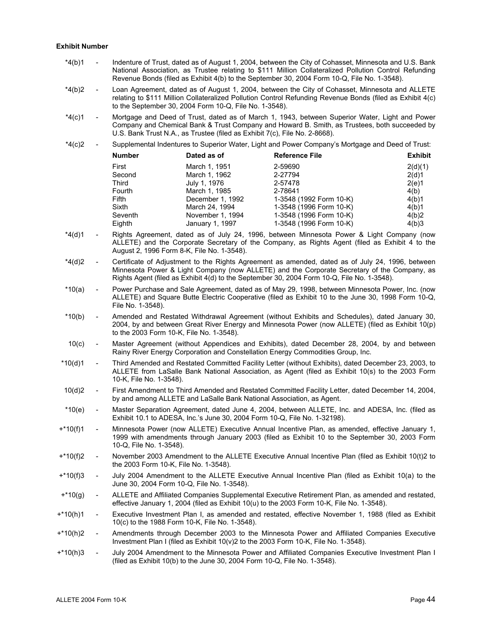#### **Exhibit Number**

- \*4(b)1 Indenture of Trust, dated as of August 1, 2004, between the City of Cohasset, Minnesota and U.S. Bank National Association, as Trustee relating to \$111 Million Collateralized Pollution Control Refunding Revenue Bonds (filed as Exhibit 4(b) to the September 30, 2004 Form 10-Q, File No. 1-3548).
- \*4(b)2 Loan Agreement, dated as of August 1, 2004, between the City of Cohasset, Minnesota and ALLETE relating to \$111 Million Collateralized Pollution Control Refunding Revenue Bonds (filed as Exhibit 4(c) to the September 30, 2004 Form 10-Q, File No. 1-3548).
- \*4(c)1 Mortgage and Deed of Trust, dated as of March 1, 1943, between Superior Water, Light and Power Company and Chemical Bank & Trust Company and Howard B. Smith, as Trustees, both succeeded by U.S. Bank Trust N.A., as Trustee (filed as Exhibit 7(c), File No. 2-8668).
- \*4(c)2 Supplemental Indentures to Superior Water, Light and Power Company's Mortgage and Deed of Trust:

| <b>Number</b> | Dated as of      | <b>Reference File</b>   | <b>Exhibit</b> |
|---------------|------------------|-------------------------|----------------|
| First         | March 1, 1951    | 2-59690                 | 2(d)(1)        |
| Second        | March 1, 1962    | 2-27794                 | 2(d)1          |
| Third         | July 1, 1976     | 2-57478                 | 2(e)1          |
| Fourth        | March 1, 1985    | 2-78641                 | 4(b)           |
| <b>Fifth</b>  | December 1, 1992 | 1-3548 (1992 Form 10-K) | 4(b)1          |
| Sixth         | March 24, 1994   | 1-3548 (1996 Form 10-K) | 4(b)1          |
| Seventh       | November 1, 1994 | 1-3548 (1996 Form 10-K) | 4(b)2          |
| Eighth        | January 1, 1997  | 1-3548 (1996 Form 10-K) | 4(b)3          |
|               |                  |                         |                |

- \*4(d)1 Rights Agreement, dated as of July 24, 1996, between Minnesota Power & Light Company (now ALLETE) and the Corporate Secretary of the Company, as Rights Agent (filed as Exhibit 4 to the August 2, 1996 Form 8-K, File No. 1-3548).
- \*4(d)2 Certificate of Adjustment to the Rights Agreement as amended, dated as of July 24, 1996, between Minnesota Power & Light Company (now ALLETE) and the Corporate Secretary of the Company, as Rights Agent (filed as Exhibit 4(d) to the September 30, 2004 Form 10-Q, File No. 1-3548).
- \*10(a) Power Purchase and Sale Agreement, dated as of May 29, 1998, between Minnesota Power, Inc. (now ALLETE) and Square Butte Electric Cooperative (filed as Exhibit 10 to the June 30, 1998 Form 10-Q, File No. 1-3548).
- \*10(b) Amended and Restated Withdrawal Agreement (without Exhibits and Schedules), dated January 30, 2004, by and between Great River Energy and Minnesota Power (now ALLETE) (filed as Exhibit 10(p) to the 2003 Form 10-K, File No. 1-3548).
- 10(c) Master Agreement (without Appendices and Exhibits), dated December 28, 2004, by and between Rainy River Energy Corporation and Constellation Energy Commodities Group, Inc.
- \*10(d)1 Third Amended and Restated Committed Facility Letter (without Exhibits), dated December 23, 2003, to ALLETE from LaSalle Bank National Association, as Agent (filed as Exhibit 10(s) to the 2003 Form 10-K, File No. 1-3548).
- 10(d)2 First Amendment to Third Amended and Restated Committed Facility Letter, dated December 14, 2004, by and among ALLETE and LaSalle Bank National Association, as Agent.
- \*10(e) Master Separation Agreement, dated June 4, 2004, between ALLETE, Inc. and ADESA, Inc. (filed as Exhibit 10.1 to ADESA, Inc.'s June 30, 2004 Form 10-Q, File No. 1-32198).
- +\*10(f)1 Minnesota Power (now ALLETE) Executive Annual Incentive Plan, as amended, effective January 1, 1999 with amendments through January 2003 (filed as Exhibit 10 to the September 30, 2003 Form 10-Q, File No. 1-3548).
- +\*10(f)2 November 2003 Amendment to the ALLETE Executive Annual Incentive Plan (filed as Exhibit 10(t)2 to the 2003 Form 10-K, File No. 1-3548).
- +\*10(f)3 July 2004 Amendment to the ALLETE Executive Annual Incentive Plan (filed as Exhibit 10(a) to the June 30, 2004 Form 10-Q, File No. 1-3548).
- +\*10(g) ALLETE and Affiliated Companies Supplemental Executive Retirement Plan, as amended and restated, effective January 1, 2004 (filed as Exhibit 10(u) to the 2003 Form 10-K, File No. 1-3548).
- +\*10(h)1 Executive Investment Plan I, as amended and restated, effective November 1, 1988 (filed as Exhibit 10(c) to the 1988 Form 10-K, File No. 1-3548).
- +\*10(h)2 Amendments through December 2003 to the Minnesota Power and Affiliated Companies Executive Investment Plan I (filed as Exhibit 10(v)2 to the 2003 Form 10-K, File No. 1-3548).
- +\*10(h)3 July 2004 Amendment to the Minnesota Power and Affiliated Companies Executive Investment Plan I (filed as Exhibit 10(b) to the June 30, 2004 Form 10-Q, File No. 1-3548).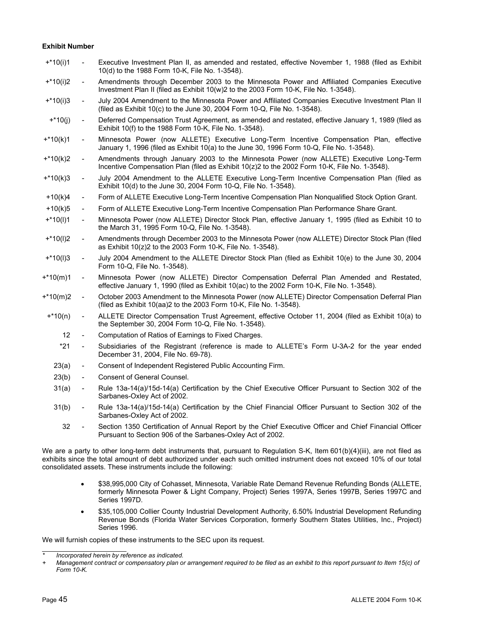## **Exhibit Number**

| $+*10(i)1$        | $\blacksquare$           | Executive Investment Plan II, as amended and restated, effective November 1, 1988 (filed as Exhibit<br>10(d) to the 1988 Form 10-K, File No. 1-3548).                                    |
|-------------------|--------------------------|------------------------------------------------------------------------------------------------------------------------------------------------------------------------------------------|
| $+*10(i)2$        | $\blacksquare$           | Amendments through December 2003 to the Minnesota Power and Affiliated Companies Executive<br>Investment Plan II (filed as Exhibit 10(w)2 to the 2003 Form 10-K, File No. 1-3548).       |
| $+*10(i)3$        | $\overline{\phantom{a}}$ | July 2004 Amendment to the Minnesota Power and Affiliated Companies Executive Investment Plan II<br>(filed as Exhibit 10(c) to the June 30, 2004 Form 10-Q, File No. 1-3548).            |
| $+*10(j)$         | $\blacksquare$           | Deferred Compensation Trust Agreement, as amended and restated, effective January 1, 1989 (filed as<br>Exhibit 10(f) to the 1988 Form 10-K, File No. 1-3548).                            |
| $+*10(k)1$        | $\blacksquare$           | Minnesota Power (now ALLETE) Executive Long-Term Incentive Compensation Plan, effective<br>January 1, 1996 (filed as Exhibit 10(a) to the June 30, 1996 Form 10-Q, File No. 1-3548).     |
| $+*10(k)2$        | $\blacksquare$           | Amendments through January 2003 to the Minnesota Power (now ALLETE) Executive Long-Term<br>Incentive Compensation Plan (filed as Exhibit 10(z)2 to the 2002 Form 10-K, File No. 1-3548). |
| $+*10(k)3$        | $\overline{\phantom{a}}$ | July 2004 Amendment to the ALLETE Executive Long-Term Incentive Compensation Plan (filed as<br>Exhibit 10(d) to the June 30, 2004 Form 10-Q, File No. 1-3548).                           |
| $+10(k)4$         | $\blacksquare$           | Form of ALLETE Executive Long-Term Incentive Compensation Plan Nonqualified Stock Option Grant.                                                                                          |
| $+10(k)5$         | $\blacksquare$           | Form of ALLETE Executive Long-Term Incentive Compensation Plan Performance Share Grant.                                                                                                  |
| $+*10(1)1$        | $\blacksquare$           | Minnesota Power (now ALLETE) Director Stock Plan, effective January 1, 1995 (filed as Exhibit 10 to<br>the March 31, 1995 Form 10-Q, File No. 1-3548).                                   |
| $+*10(1)2$        | $\overline{\phantom{a}}$ | Amendments through December 2003 to the Minnesota Power (now ALLETE) Director Stock Plan (filed<br>as Exhibit 10(z)2 to the 2003 Form 10-K, File No. 1-3548).                            |
| $+*10(1)3$        | $\overline{\phantom{a}}$ | July 2004 Amendment to the ALLETE Director Stock Plan (filed as Exhibit 10(e) to the June 30, 2004<br>Form 10-Q, File No. 1-3548).                                                       |
| $+*10(m)1$        | $\overline{\phantom{a}}$ | Minnesota Power (now ALLETE) Director Compensation Deferral Plan Amended and Restated,<br>effective January 1, 1990 (filed as Exhibit 10(ac) to the 2002 Form 10-K, File No. 1-3548).    |
| $+*10(m)2$        | $\overline{\phantom{a}}$ | October 2003 Amendment to the Minnesota Power (now ALLETE) Director Compensation Deferral Plan<br>(filed as Exhibit 10(aa)2 to the 2003 Form 10-K, File No. 1-3548).                     |
| $+*10(n)$         | $\blacksquare$           | ALLETE Director Compensation Trust Agreement, effective October 11, 2004 (filed as Exhibit 10(a) to<br>the September 30, 2004 Form 10-Q, File No. 1-3548).                               |
| $12 \overline{ }$ | $\blacksquare$           | Computation of Ratios of Earnings to Fixed Charges.                                                                                                                                      |
| $*21$             | $\overline{\phantom{a}}$ | Subsidiaries of the Registrant (reference is made to ALLETE's Form U-3A-2 for the year ended<br>December 31, 2004, File No. 69-78).                                                      |
| 23(a)             | $\overline{\phantom{a}}$ | Consent of Independent Registered Public Accounting Firm.                                                                                                                                |
| 23(b)             | $\overline{\phantom{a}}$ | Consent of General Counsel.                                                                                                                                                              |
| 31(a)             | $\blacksquare$           | Rule 13a-14(a)/15d-14(a) Certification by the Chief Executive Officer Pursuant to Section 302 of the<br>Sarbanes-Oxley Act of 2002.                                                      |
| 31(b)             | $\overline{\phantom{a}}$ | Rule 13a-14(a)/15d-14(a) Certification by the Chief Financial Officer Pursuant to Section 302 of the<br>Sarbanes-Oxley Act of 2002.                                                      |
|                   |                          |                                                                                                                                                                                          |

 32 - Section 1350 Certification of Annual Report by the Chief Executive Officer and Chief Financial Officer Pursuant to Section 906 of the Sarbanes-Oxley Act of 2002.

We are a party to other long-term debt instruments that, pursuant to Regulation S-K, Item 601(b)(4)(iii), are not filed as exhibits since the total amount of debt authorized under each such omitted instrument does not exceed 10% of our total consolidated assets. These instruments include the following:

- \$38,995,000 City of Cohasset, Minnesota, Variable Rate Demand Revenue Refunding Bonds (ALLETE, formerly Minnesota Power & Light Company, Project) Series 1997A, Series 1997B, Series 1997C and Series 1997D.
- \$35,105,000 Collier County Industrial Development Authority, 6.50% Industrial Development Refunding Revenue Bonds (Florida Water Services Corporation, formerly Southern States Utilities, Inc., Project) Series 1996.

We will furnish copies of these instruments to the SEC upon its request.

<sup>֦</sup> *\* Incorporated herein by reference as indicated.* 

*<sup>+</sup> Management contract or compensatory plan or arrangement required to be filed as an exhibit to this report pursuant to Item 15(c) of Form 10-K.*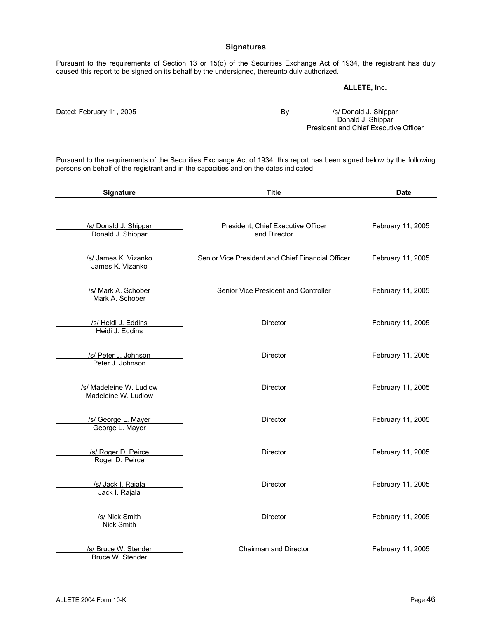# **Signatures**

Pursuant to the requirements of Section 13 or 15(d) of the Securities Exchange Act of 1934, the registrant has duly caused this report to be signed on its behalf by the undersigned, thereunto duly authorized.

# **ALLETE, Inc.**

Dated: February 11, 2005 **By** *By Solution By All Conald J. Shippar*  Donald J. Shippar President and Chief Executive Officer

Pursuant to the requirements of the Securities Exchange Act of 1934, this report has been signed below by the following persons on behalf of the registrant and in the capacities and on the dates indicated.

| Signature                                      | <b>Title</b>                                       | <b>Date</b>       |
|------------------------------------------------|----------------------------------------------------|-------------------|
| /s/ Donald J. Shippar<br>Donald J. Shippar     | President, Chief Executive Officer<br>and Director | February 11, 2005 |
| /s/ James K. Vizanko<br>James K. Vizanko       | Senior Vice President and Chief Financial Officer  | February 11, 2005 |
| /s/ Mark A. Schober<br>Mark A. Schober         | Senior Vice President and Controller               | February 11, 2005 |
| /s/ Heidi J. Eddins<br>Heidi J. Eddins         | <b>Director</b>                                    | February 11, 2005 |
| /s/ Peter J. Johnson<br>Peter J. Johnson       | <b>Director</b>                                    | February 11, 2005 |
| /s/ Madeleine W. Ludlow<br>Madeleine W. Ludlow | <b>Director</b>                                    | February 11, 2005 |
| /s/ George L. Mayer<br>George L. Mayer         | <b>Director</b>                                    | February 11, 2005 |
| /s/ Roger D. Peirce<br>Roger D. Peirce         | <b>Director</b>                                    | February 11, 2005 |
| /s/ Jack I. Rajala<br>Jack I. Rajala           | <b>Director</b>                                    | February 11, 2005 |
| /s/ Nick Smith<br>Nick Smith                   | <b>Director</b>                                    | February 11, 2005 |
| /s/ Bruce W. Stender<br>Bruce W. Stender       | Chairman and Director                              | February 11, 2005 |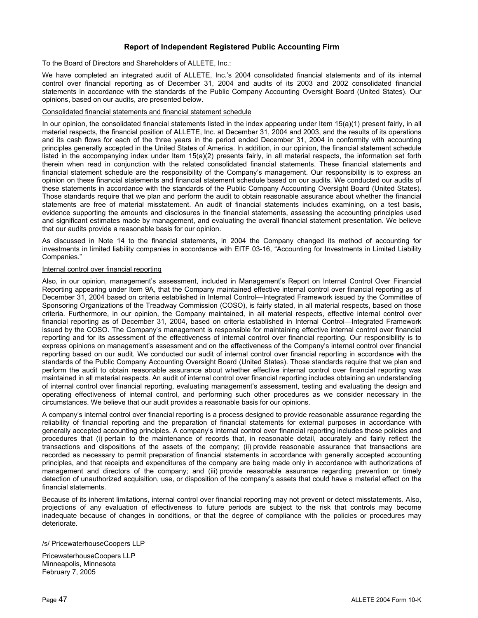# **Report of Independent Registered Public Accounting Firm**

To the Board of Directors and Shareholders of ALLETE, Inc.:

We have completed an integrated audit of ALLETE, Inc.'s 2004 consolidated financial statements and of its internal control over financial reporting as of December 31, 2004 and audits of its 2003 and 2002 consolidated financial statements in accordance with the standards of the Public Company Accounting Oversight Board (United States). Our opinions, based on our audits, are presented below.

# Consolidated financial statements and financial statement schedule

In our opinion, the consolidated financial statements listed in the index appearing under Item 15(a)(1) present fairly, in all material respects, the financial position of ALLETE, Inc. at December 31, 2004 and 2003, and the results of its operations and its cash flows for each of the three years in the period ended December 31, 2004 in conformity with accounting principles generally accepted in the United States of America. In addition, in our opinion, the financial statement schedule listed in the accompanying index under Item 15(a)(2) presents fairly, in all material respects, the information set forth therein when read in conjunction with the related consolidated financial statements. These financial statements and financial statement schedule are the responsibility of the Company's management. Our responsibility is to express an opinion on these financial statements and financial statement schedule based on our audits. We conducted our audits of these statements in accordance with the standards of the Public Company Accounting Oversight Board (United States). Those standards require that we plan and perform the audit to obtain reasonable assurance about whether the financial statements are free of material misstatement. An audit of financial statements includes examining, on a test basis, evidence supporting the amounts and disclosures in the financial statements, assessing the accounting principles used and significant estimates made by management, and evaluating the overall financial statement presentation. We believe that our audits provide a reasonable basis for our opinion.

As discussed in Note 14 to the financial statements, in 2004 the Company changed its method of accounting for investments in limited liability companies in accordance with EITF 03-16, "Accounting for Investments in Limited Liability Companies."

#### Internal control over financial reporting

Also, in our opinion, management's assessment, included in Management's Report on Internal Control Over Financial Reporting appearing under Item 9A, that the Company maintained effective internal control over financial reporting as of December 31, 2004 based on criteria established in Internal Control—Integrated Framework issued by the Committee of Sponsoring Organizations of the Treadway Commission (COSO), is fairly stated, in all material respects, based on those criteria. Furthermore, in our opinion, the Company maintained, in all material respects, effective internal control over financial reporting as of December 31, 2004, based on criteria established in Internal Control—Integrated Framework issued by the COSO. The Company's management is responsible for maintaining effective internal control over financial reporting and for its assessment of the effectiveness of internal control over financial reporting. Our responsibility is to express opinions on management's assessment and on the effectiveness of the Company's internal control over financial reporting based on our audit. We conducted our audit of internal control over financial reporting in accordance with the standards of the Public Company Accounting Oversight Board (United States). Those standards require that we plan and perform the audit to obtain reasonable assurance about whether effective internal control over financial reporting was maintained in all material respects. An audit of internal control over financial reporting includes obtaining an understanding of internal control over financial reporting, evaluating management's assessment, testing and evaluating the design and operating effectiveness of internal control, and performing such other procedures as we consider necessary in the circumstances. We believe that our audit provides a reasonable basis for our opinions.

A company's internal control over financial reporting is a process designed to provide reasonable assurance regarding the reliability of financial reporting and the preparation of financial statements for external purposes in accordance with generally accepted accounting principles. A company's internal control over financial reporting includes those policies and procedures that (i) pertain to the maintenance of records that, in reasonable detail, accurately and fairly reflect the transactions and dispositions of the assets of the company; (ii) provide reasonable assurance that transactions are recorded as necessary to permit preparation of financial statements in accordance with generally accepted accounting principles, and that receipts and expenditures of the company are being made only in accordance with authorizations of management and directors of the company; and (iii) provide reasonable assurance regarding prevention or timely detection of unauthorized acquisition, use, or disposition of the company's assets that could have a material effect on the financial statements.

Because of its inherent limitations, internal control over financial reporting may not prevent or detect misstatements. Also, projections of any evaluation of effectiveness to future periods are subject to the risk that controls may become inadequate because of changes in conditions, or that the degree of compliance with the policies or procedures may deteriorate.

#### /s/ PricewaterhouseCoopers LLP

PricewaterhouseCoopers LLP Minneapolis, Minnesota February 7, 2005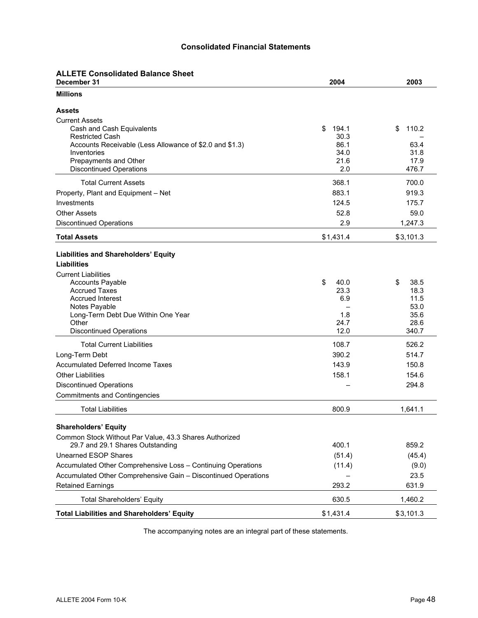# **Consolidated Financial Statements**

|  | <b>ALLETE Consolidated Balance Sheet</b> |  |  |
|--|------------------------------------------|--|--|
|--|------------------------------------------|--|--|

| December 31                                                    | 2004                | 2003          |
|----------------------------------------------------------------|---------------------|---------------|
| <b>Millions</b>                                                |                     |               |
| <b>Assets</b>                                                  |                     |               |
| <b>Current Assets</b>                                          |                     |               |
| Cash and Cash Equivalents<br><b>Restricted Cash</b>            | \$<br>194.1<br>30.3 | 110.2<br>\$   |
| Accounts Receivable (Less Allowance of \$2.0 and \$1.3)        | 86.1                | 63.4          |
| Inventories                                                    | 34.0                | 31.8          |
| Prepayments and Other                                          | 21.6                | 17.9          |
| <b>Discontinued Operations</b>                                 | 2.0                 | 476.7         |
| <b>Total Current Assets</b>                                    | 368.1               | 700.0         |
| Property, Plant and Equipment - Net                            | 883.1               | 919.3         |
| Investments                                                    | 124.5               | 175.7         |
| <b>Other Assets</b>                                            | 52.8                | 59.0          |
| <b>Discontinued Operations</b>                                 | 2.9                 | 1,247.3       |
| <b>Total Assets</b>                                            | \$1,431.4           | \$3,101.3     |
|                                                                |                     |               |
| <b>Liabilities and Shareholders' Equity</b><br>Liabilities     |                     |               |
| <b>Current Liabilities</b>                                     |                     |               |
| <b>Accounts Payable</b>                                        | \$<br>40.0          | \$<br>38.5    |
| <b>Accrued Taxes</b>                                           | 23.3                | 18.3          |
| <b>Accrued Interest</b>                                        | 6.9                 | 11.5          |
| Notes Payable                                                  |                     | 53.0          |
| Long-Term Debt Due Within One Year                             | 1.8                 | 35.6          |
| Other<br><b>Discontinued Operations</b>                        | 24.7<br>12.0        | 28.6<br>340.7 |
|                                                                |                     |               |
| <b>Total Current Liabilities</b>                               | 108.7               | 526.2         |
| Long-Term Debt                                                 | 390.2               | 514.7         |
| <b>Accumulated Deferred Income Taxes</b>                       | 143.9               | 150.8         |
| <b>Other Liabilities</b>                                       | 158.1               | 154.6         |
| <b>Discontinued Operations</b>                                 |                     | 294.8         |
| <b>Commitments and Contingencies</b>                           |                     |               |
| <b>Total Liabilities</b>                                       | 800.9               | 1,641.1       |
| <b>Shareholders' Equity</b>                                    |                     |               |
| Common Stock Without Par Value, 43.3 Shares Authorized         |                     |               |
| 29.7 and 29.1 Shares Outstanding                               | 400.1               | 859.2         |
| <b>Unearned ESOP Shares</b>                                    | (51.4)              | (45.4)        |
| Accumulated Other Comprehensive Loss - Continuing Operations   | (11.4)              | (9.0)         |
| Accumulated Other Comprehensive Gain - Discontinued Operations |                     | 23.5          |
| <b>Retained Earnings</b>                                       | 293.2               | 631.9         |
| <b>Total Shareholders' Equity</b>                              | 630.5               | 1,460.2       |
| <b>Total Liabilities and Shareholders' Equity</b>              | \$1,431.4           | \$3,101.3     |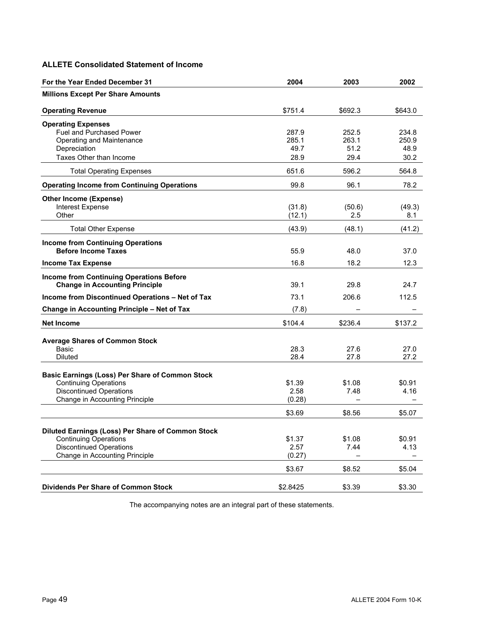# **ALLETE Consolidated Statement of Income**

| For the Year Ended December 31                                                    | 2004     | 2003    | 2002    |
|-----------------------------------------------------------------------------------|----------|---------|---------|
| <b>Millions Except Per Share Amounts</b>                                          |          |         |         |
| <b>Operating Revenue</b>                                                          | \$751.4  | \$692.3 | \$643.0 |
| <b>Operating Expenses</b>                                                         |          |         |         |
| <b>Fuel and Purchased Power</b>                                                   | 287.9    | 252.5   | 234.8   |
| Operating and Maintenance                                                         | 285.1    | 263.1   | 250.9   |
| Depreciation                                                                      | 49.7     | 51.2    | 48.9    |
| Taxes Other than Income                                                           | 28.9     | 29.4    | 30.2    |
| <b>Total Operating Expenses</b>                                                   | 651.6    | 596.2   | 564.8   |
| <b>Operating Income from Continuing Operations</b>                                | 99.8     | 96.1    | 78.2    |
| <b>Other Income (Expense)</b>                                                     |          |         |         |
| Interest Expense                                                                  | (31.8)   | (50.6)  | (49.3)  |
| Other                                                                             | (12.1)   | 2.5     | 8.1     |
| <b>Total Other Expense</b>                                                        | (43.9)   | (48.1)  | (41.2)  |
| <b>Income from Continuing Operations</b>                                          |          |         |         |
| <b>Before Income Taxes</b>                                                        | 55.9     | 48.0    | 37.0    |
| <b>Income Tax Expense</b>                                                         | 16.8     | 18.2    | 12.3    |
| <b>Income from Continuing Operations Before</b>                                   |          |         |         |
| <b>Change in Accounting Principle</b>                                             | 39.1     | 29.8    | 24.7    |
| Income from Discontinued Operations - Net of Tax                                  | 73.1     | 206.6   | 112.5   |
| Change in Accounting Principle - Net of Tax                                       | (7.8)    |         |         |
| <b>Net Income</b>                                                                 | \$104.4  | \$236.4 | \$137.2 |
|                                                                                   |          |         |         |
| <b>Average Shares of Common Stock</b><br>Basic                                    | 28.3     | 27.6    | 27.0    |
| <b>Diluted</b>                                                                    | 28.4     | 27.8    | 27.2    |
|                                                                                   |          |         |         |
| <b>Basic Earnings (Loss) Per Share of Common Stock</b>                            |          |         |         |
| <b>Continuing Operations</b>                                                      | \$1.39   | \$1.08  | \$0.91  |
| <b>Discontinued Operations</b>                                                    | 2.58     | 7.48    | 4.16    |
| Change in Accounting Principle                                                    | (0.28)   |         |         |
|                                                                                   | \$3.69   | \$8.56  | \$5.07  |
|                                                                                   |          |         |         |
| Diluted Earnings (Loss) Per Share of Common Stock<br><b>Continuing Operations</b> | \$1.37   | \$1.08  | \$0.91  |
| <b>Discontinued Operations</b>                                                    | 2.57     | 7.44    | 4.13    |
| Change in Accounting Principle                                                    | (0.27)   |         |         |
|                                                                                   |          |         |         |
|                                                                                   | \$3.67   | \$8.52  | \$5.04  |
|                                                                                   |          |         |         |
| <b>Dividends Per Share of Common Stock</b>                                        | \$2.8425 | \$3.39  | \$3.30  |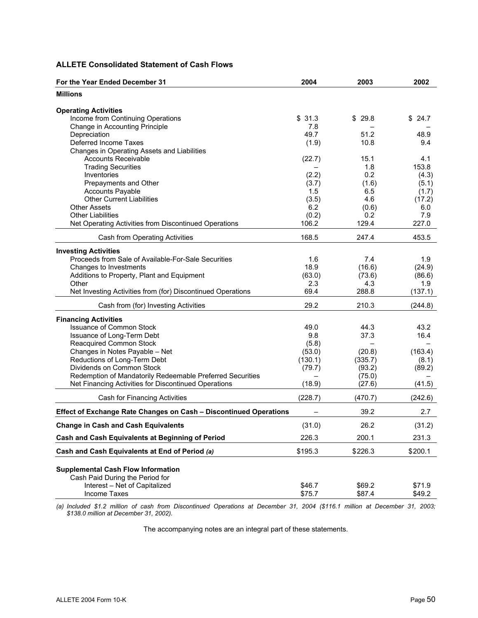# **ALLETE Consolidated Statement of Cash Flows**

| <b>Millions</b><br><b>Operating Activities</b><br>Income from Continuing Operations<br>\$29.8<br>24.7<br>\$31.3<br>\$<br>7.8<br>Change in Accounting Principle<br>49.7<br>Depreciation<br>51.2<br>48.9<br>Deferred Income Taxes<br>(1.9)<br>10.8<br>9.4<br>Changes in Operating Assets and Liabilities<br>(22.7)<br><b>Accounts Receivable</b><br>15.1<br>4.1<br>153.8<br><b>Trading Securities</b><br>1.8<br>Inventories<br>(2.2)<br>0.2<br>(4.3)<br>Prepayments and Other<br>(1.6)<br>(5.1)<br>(3.7)<br><b>Accounts Payable</b><br>1.5<br>6.5<br>(1.7)<br><b>Other Current Liabilities</b><br>4.6<br>(3.5)<br>(17.2)<br><b>Other Assets</b><br>6.2<br>(0.6)<br>6.0<br><b>Other Liabilities</b><br>(0.2)<br>0.2<br>7.9<br>129.4<br>106.2<br>227.0<br>Net Operating Activities from Discontinued Operations<br>168.5<br>247.4<br>453.5<br>Cash from Operating Activities<br><b>Investing Activities</b><br>Proceeds from Sale of Available-For-Sale Securities<br>1.6<br>7.4<br>1.9<br>Changes to Investments<br>18.9<br>(16.6)<br>(24.9)<br>(63.0)<br>Additions to Property, Plant and Equipment<br>(73.6)<br>(86.6)<br>Other<br>2.3<br>4.3<br>1.9<br>69.4<br>288.8<br>(137.1)<br>Net Investing Activities from (for) Discontinued Operations<br>29.2<br>210.3<br>Cash from (for) Investing Activities<br>(244.8)<br><b>Financing Activities</b><br><b>Issuance of Common Stock</b><br>43.2<br>49.0<br>44.3<br>Issuance of Long-Term Debt<br>9.8<br>37.3<br>16.4<br><b>Reacquired Common Stock</b><br>(5.8)<br>Changes in Notes Payable - Net<br>(163.4)<br>(53.0)<br>(20.8)<br>Reductions of Long-Term Debt<br>(130.1)<br>(335.7)<br>(8.1)<br>Dividends on Common Stock<br>(79.7)<br>(93.2)<br>(89.2)<br>Redemption of Mandatorily Redeemable Preferred Securities<br>(75.0)<br>Net Financing Activities for Discontinued Operations<br>(18.9)<br>(27.6)<br>(41.5)<br>(228.7)<br>(470.7)<br>(242.6)<br>Cash for Financing Activities<br>39.2<br>Effect of Exchange Rate Changes on Cash - Discontinued Operations<br>2.7<br>(31.0)<br>26.2<br><b>Change in Cash and Cash Equivalents</b><br>(31.2)<br>Cash and Cash Equivalents at Beginning of Period<br>226.3<br>231.3<br>200.1<br>Cash and Cash Equivalents at End of Period (a)<br>\$195.3<br>\$226.3<br>\$200.1<br><b>Supplemental Cash Flow Information</b><br>Cash Paid During the Period for<br>Interest - Net of Capitalized<br>\$46.7<br>\$69.2<br>\$71.9 | For the Year Ended December 31 | 2004   | 2003   | 2002   |
|-----------------------------------------------------------------------------------------------------------------------------------------------------------------------------------------------------------------------------------------------------------------------------------------------------------------------------------------------------------------------------------------------------------------------------------------------------------------------------------------------------------------------------------------------------------------------------------------------------------------------------------------------------------------------------------------------------------------------------------------------------------------------------------------------------------------------------------------------------------------------------------------------------------------------------------------------------------------------------------------------------------------------------------------------------------------------------------------------------------------------------------------------------------------------------------------------------------------------------------------------------------------------------------------------------------------------------------------------------------------------------------------------------------------------------------------------------------------------------------------------------------------------------------------------------------------------------------------------------------------------------------------------------------------------------------------------------------------------------------------------------------------------------------------------------------------------------------------------------------------------------------------------------------------------------------------------------------------------------------------------------------------------------------------------------------------------------------------------------------------------------------------------------------------------------------------------------------------------------------------------------------------------------------------------------------------------------------------------------------------------------------------------------------------------|--------------------------------|--------|--------|--------|
|                                                                                                                                                                                                                                                                                                                                                                                                                                                                                                                                                                                                                                                                                                                                                                                                                                                                                                                                                                                                                                                                                                                                                                                                                                                                                                                                                                                                                                                                                                                                                                                                                                                                                                                                                                                                                                                                                                                                                                                                                                                                                                                                                                                                                                                                                                                                                                                                                       |                                |        |        |        |
|                                                                                                                                                                                                                                                                                                                                                                                                                                                                                                                                                                                                                                                                                                                                                                                                                                                                                                                                                                                                                                                                                                                                                                                                                                                                                                                                                                                                                                                                                                                                                                                                                                                                                                                                                                                                                                                                                                                                                                                                                                                                                                                                                                                                                                                                                                                                                                                                                       |                                |        |        |        |
|                                                                                                                                                                                                                                                                                                                                                                                                                                                                                                                                                                                                                                                                                                                                                                                                                                                                                                                                                                                                                                                                                                                                                                                                                                                                                                                                                                                                                                                                                                                                                                                                                                                                                                                                                                                                                                                                                                                                                                                                                                                                                                                                                                                                                                                                                                                                                                                                                       |                                |        |        |        |
|                                                                                                                                                                                                                                                                                                                                                                                                                                                                                                                                                                                                                                                                                                                                                                                                                                                                                                                                                                                                                                                                                                                                                                                                                                                                                                                                                                                                                                                                                                                                                                                                                                                                                                                                                                                                                                                                                                                                                                                                                                                                                                                                                                                                                                                                                                                                                                                                                       |                                |        |        |        |
|                                                                                                                                                                                                                                                                                                                                                                                                                                                                                                                                                                                                                                                                                                                                                                                                                                                                                                                                                                                                                                                                                                                                                                                                                                                                                                                                                                                                                                                                                                                                                                                                                                                                                                                                                                                                                                                                                                                                                                                                                                                                                                                                                                                                                                                                                                                                                                                                                       |                                |        |        |        |
|                                                                                                                                                                                                                                                                                                                                                                                                                                                                                                                                                                                                                                                                                                                                                                                                                                                                                                                                                                                                                                                                                                                                                                                                                                                                                                                                                                                                                                                                                                                                                                                                                                                                                                                                                                                                                                                                                                                                                                                                                                                                                                                                                                                                                                                                                                                                                                                                                       |                                |        |        |        |
|                                                                                                                                                                                                                                                                                                                                                                                                                                                                                                                                                                                                                                                                                                                                                                                                                                                                                                                                                                                                                                                                                                                                                                                                                                                                                                                                                                                                                                                                                                                                                                                                                                                                                                                                                                                                                                                                                                                                                                                                                                                                                                                                                                                                                                                                                                                                                                                                                       |                                |        |        |        |
|                                                                                                                                                                                                                                                                                                                                                                                                                                                                                                                                                                                                                                                                                                                                                                                                                                                                                                                                                                                                                                                                                                                                                                                                                                                                                                                                                                                                                                                                                                                                                                                                                                                                                                                                                                                                                                                                                                                                                                                                                                                                                                                                                                                                                                                                                                                                                                                                                       |                                |        |        |        |
|                                                                                                                                                                                                                                                                                                                                                                                                                                                                                                                                                                                                                                                                                                                                                                                                                                                                                                                                                                                                                                                                                                                                                                                                                                                                                                                                                                                                                                                                                                                                                                                                                                                                                                                                                                                                                                                                                                                                                                                                                                                                                                                                                                                                                                                                                                                                                                                                                       |                                |        |        |        |
|                                                                                                                                                                                                                                                                                                                                                                                                                                                                                                                                                                                                                                                                                                                                                                                                                                                                                                                                                                                                                                                                                                                                                                                                                                                                                                                                                                                                                                                                                                                                                                                                                                                                                                                                                                                                                                                                                                                                                                                                                                                                                                                                                                                                                                                                                                                                                                                                                       |                                |        |        |        |
|                                                                                                                                                                                                                                                                                                                                                                                                                                                                                                                                                                                                                                                                                                                                                                                                                                                                                                                                                                                                                                                                                                                                                                                                                                                                                                                                                                                                                                                                                                                                                                                                                                                                                                                                                                                                                                                                                                                                                                                                                                                                                                                                                                                                                                                                                                                                                                                                                       |                                |        |        |        |
|                                                                                                                                                                                                                                                                                                                                                                                                                                                                                                                                                                                                                                                                                                                                                                                                                                                                                                                                                                                                                                                                                                                                                                                                                                                                                                                                                                                                                                                                                                                                                                                                                                                                                                                                                                                                                                                                                                                                                                                                                                                                                                                                                                                                                                                                                                                                                                                                                       |                                |        |        |        |
|                                                                                                                                                                                                                                                                                                                                                                                                                                                                                                                                                                                                                                                                                                                                                                                                                                                                                                                                                                                                                                                                                                                                                                                                                                                                                                                                                                                                                                                                                                                                                                                                                                                                                                                                                                                                                                                                                                                                                                                                                                                                                                                                                                                                                                                                                                                                                                                                                       |                                |        |        |        |
|                                                                                                                                                                                                                                                                                                                                                                                                                                                                                                                                                                                                                                                                                                                                                                                                                                                                                                                                                                                                                                                                                                                                                                                                                                                                                                                                                                                                                                                                                                                                                                                                                                                                                                                                                                                                                                                                                                                                                                                                                                                                                                                                                                                                                                                                                                                                                                                                                       |                                |        |        |        |
|                                                                                                                                                                                                                                                                                                                                                                                                                                                                                                                                                                                                                                                                                                                                                                                                                                                                                                                                                                                                                                                                                                                                                                                                                                                                                                                                                                                                                                                                                                                                                                                                                                                                                                                                                                                                                                                                                                                                                                                                                                                                                                                                                                                                                                                                                                                                                                                                                       |                                |        |        |        |
|                                                                                                                                                                                                                                                                                                                                                                                                                                                                                                                                                                                                                                                                                                                                                                                                                                                                                                                                                                                                                                                                                                                                                                                                                                                                                                                                                                                                                                                                                                                                                                                                                                                                                                                                                                                                                                                                                                                                                                                                                                                                                                                                                                                                                                                                                                                                                                                                                       |                                |        |        |        |
|                                                                                                                                                                                                                                                                                                                                                                                                                                                                                                                                                                                                                                                                                                                                                                                                                                                                                                                                                                                                                                                                                                                                                                                                                                                                                                                                                                                                                                                                                                                                                                                                                                                                                                                                                                                                                                                                                                                                                                                                                                                                                                                                                                                                                                                                                                                                                                                                                       |                                |        |        |        |
|                                                                                                                                                                                                                                                                                                                                                                                                                                                                                                                                                                                                                                                                                                                                                                                                                                                                                                                                                                                                                                                                                                                                                                                                                                                                                                                                                                                                                                                                                                                                                                                                                                                                                                                                                                                                                                                                                                                                                                                                                                                                                                                                                                                                                                                                                                                                                                                                                       |                                |        |        |        |
|                                                                                                                                                                                                                                                                                                                                                                                                                                                                                                                                                                                                                                                                                                                                                                                                                                                                                                                                                                                                                                                                                                                                                                                                                                                                                                                                                                                                                                                                                                                                                                                                                                                                                                                                                                                                                                                                                                                                                                                                                                                                                                                                                                                                                                                                                                                                                                                                                       |                                |        |        |        |
|                                                                                                                                                                                                                                                                                                                                                                                                                                                                                                                                                                                                                                                                                                                                                                                                                                                                                                                                                                                                                                                                                                                                                                                                                                                                                                                                                                                                                                                                                                                                                                                                                                                                                                                                                                                                                                                                                                                                                                                                                                                                                                                                                                                                                                                                                                                                                                                                                       |                                |        |        |        |
|                                                                                                                                                                                                                                                                                                                                                                                                                                                                                                                                                                                                                                                                                                                                                                                                                                                                                                                                                                                                                                                                                                                                                                                                                                                                                                                                                                                                                                                                                                                                                                                                                                                                                                                                                                                                                                                                                                                                                                                                                                                                                                                                                                                                                                                                                                                                                                                                                       |                                |        |        |        |
|                                                                                                                                                                                                                                                                                                                                                                                                                                                                                                                                                                                                                                                                                                                                                                                                                                                                                                                                                                                                                                                                                                                                                                                                                                                                                                                                                                                                                                                                                                                                                                                                                                                                                                                                                                                                                                                                                                                                                                                                                                                                                                                                                                                                                                                                                                                                                                                                                       |                                |        |        |        |
|                                                                                                                                                                                                                                                                                                                                                                                                                                                                                                                                                                                                                                                                                                                                                                                                                                                                                                                                                                                                                                                                                                                                                                                                                                                                                                                                                                                                                                                                                                                                                                                                                                                                                                                                                                                                                                                                                                                                                                                                                                                                                                                                                                                                                                                                                                                                                                                                                       |                                |        |        |        |
|                                                                                                                                                                                                                                                                                                                                                                                                                                                                                                                                                                                                                                                                                                                                                                                                                                                                                                                                                                                                                                                                                                                                                                                                                                                                                                                                                                                                                                                                                                                                                                                                                                                                                                                                                                                                                                                                                                                                                                                                                                                                                                                                                                                                                                                                                                                                                                                                                       |                                |        |        |        |
|                                                                                                                                                                                                                                                                                                                                                                                                                                                                                                                                                                                                                                                                                                                                                                                                                                                                                                                                                                                                                                                                                                                                                                                                                                                                                                                                                                                                                                                                                                                                                                                                                                                                                                                                                                                                                                                                                                                                                                                                                                                                                                                                                                                                                                                                                                                                                                                                                       |                                |        |        |        |
|                                                                                                                                                                                                                                                                                                                                                                                                                                                                                                                                                                                                                                                                                                                                                                                                                                                                                                                                                                                                                                                                                                                                                                                                                                                                                                                                                                                                                                                                                                                                                                                                                                                                                                                                                                                                                                                                                                                                                                                                                                                                                                                                                                                                                                                                                                                                                                                                                       |                                |        |        |        |
|                                                                                                                                                                                                                                                                                                                                                                                                                                                                                                                                                                                                                                                                                                                                                                                                                                                                                                                                                                                                                                                                                                                                                                                                                                                                                                                                                                                                                                                                                                                                                                                                                                                                                                                                                                                                                                                                                                                                                                                                                                                                                                                                                                                                                                                                                                                                                                                                                       |                                |        |        |        |
|                                                                                                                                                                                                                                                                                                                                                                                                                                                                                                                                                                                                                                                                                                                                                                                                                                                                                                                                                                                                                                                                                                                                                                                                                                                                                                                                                                                                                                                                                                                                                                                                                                                                                                                                                                                                                                                                                                                                                                                                                                                                                                                                                                                                                                                                                                                                                                                                                       |                                |        |        |        |
|                                                                                                                                                                                                                                                                                                                                                                                                                                                                                                                                                                                                                                                                                                                                                                                                                                                                                                                                                                                                                                                                                                                                                                                                                                                                                                                                                                                                                                                                                                                                                                                                                                                                                                                                                                                                                                                                                                                                                                                                                                                                                                                                                                                                                                                                                                                                                                                                                       |                                |        |        |        |
|                                                                                                                                                                                                                                                                                                                                                                                                                                                                                                                                                                                                                                                                                                                                                                                                                                                                                                                                                                                                                                                                                                                                                                                                                                                                                                                                                                                                                                                                                                                                                                                                                                                                                                                                                                                                                                                                                                                                                                                                                                                                                                                                                                                                                                                                                                                                                                                                                       |                                |        |        |        |
|                                                                                                                                                                                                                                                                                                                                                                                                                                                                                                                                                                                                                                                                                                                                                                                                                                                                                                                                                                                                                                                                                                                                                                                                                                                                                                                                                                                                                                                                                                                                                                                                                                                                                                                                                                                                                                                                                                                                                                                                                                                                                                                                                                                                                                                                                                                                                                                                                       |                                |        |        |        |
|                                                                                                                                                                                                                                                                                                                                                                                                                                                                                                                                                                                                                                                                                                                                                                                                                                                                                                                                                                                                                                                                                                                                                                                                                                                                                                                                                                                                                                                                                                                                                                                                                                                                                                                                                                                                                                                                                                                                                                                                                                                                                                                                                                                                                                                                                                                                                                                                                       |                                |        |        |        |
|                                                                                                                                                                                                                                                                                                                                                                                                                                                                                                                                                                                                                                                                                                                                                                                                                                                                                                                                                                                                                                                                                                                                                                                                                                                                                                                                                                                                                                                                                                                                                                                                                                                                                                                                                                                                                                                                                                                                                                                                                                                                                                                                                                                                                                                                                                                                                                                                                       |                                |        |        |        |
|                                                                                                                                                                                                                                                                                                                                                                                                                                                                                                                                                                                                                                                                                                                                                                                                                                                                                                                                                                                                                                                                                                                                                                                                                                                                                                                                                                                                                                                                                                                                                                                                                                                                                                                                                                                                                                                                                                                                                                                                                                                                                                                                                                                                                                                                                                                                                                                                                       |                                |        |        |        |
|                                                                                                                                                                                                                                                                                                                                                                                                                                                                                                                                                                                                                                                                                                                                                                                                                                                                                                                                                                                                                                                                                                                                                                                                                                                                                                                                                                                                                                                                                                                                                                                                                                                                                                                                                                                                                                                                                                                                                                                                                                                                                                                                                                                                                                                                                                                                                                                                                       |                                |        |        |        |
|                                                                                                                                                                                                                                                                                                                                                                                                                                                                                                                                                                                                                                                                                                                                                                                                                                                                                                                                                                                                                                                                                                                                                                                                                                                                                                                                                                                                                                                                                                                                                                                                                                                                                                                                                                                                                                                                                                                                                                                                                                                                                                                                                                                                                                                                                                                                                                                                                       |                                |        |        |        |
|                                                                                                                                                                                                                                                                                                                                                                                                                                                                                                                                                                                                                                                                                                                                                                                                                                                                                                                                                                                                                                                                                                                                                                                                                                                                                                                                                                                                                                                                                                                                                                                                                                                                                                                                                                                                                                                                                                                                                                                                                                                                                                                                                                                                                                                                                                                                                                                                                       |                                |        |        |        |
|                                                                                                                                                                                                                                                                                                                                                                                                                                                                                                                                                                                                                                                                                                                                                                                                                                                                                                                                                                                                                                                                                                                                                                                                                                                                                                                                                                                                                                                                                                                                                                                                                                                                                                                                                                                                                                                                                                                                                                                                                                                                                                                                                                                                                                                                                                                                                                                                                       |                                |        |        |        |
|                                                                                                                                                                                                                                                                                                                                                                                                                                                                                                                                                                                                                                                                                                                                                                                                                                                                                                                                                                                                                                                                                                                                                                                                                                                                                                                                                                                                                                                                                                                                                                                                                                                                                                                                                                                                                                                                                                                                                                                                                                                                                                                                                                                                                                                                                                                                                                                                                       |                                |        |        |        |
|                                                                                                                                                                                                                                                                                                                                                                                                                                                                                                                                                                                                                                                                                                                                                                                                                                                                                                                                                                                                                                                                                                                                                                                                                                                                                                                                                                                                                                                                                                                                                                                                                                                                                                                                                                                                                                                                                                                                                                                                                                                                                                                                                                                                                                                                                                                                                                                                                       |                                |        |        |        |
|                                                                                                                                                                                                                                                                                                                                                                                                                                                                                                                                                                                                                                                                                                                                                                                                                                                                                                                                                                                                                                                                                                                                                                                                                                                                                                                                                                                                                                                                                                                                                                                                                                                                                                                                                                                                                                                                                                                                                                                                                                                                                                                                                                                                                                                                                                                                                                                                                       |                                |        |        |        |
|                                                                                                                                                                                                                                                                                                                                                                                                                                                                                                                                                                                                                                                                                                                                                                                                                                                                                                                                                                                                                                                                                                                                                                                                                                                                                                                                                                                                                                                                                                                                                                                                                                                                                                                                                                                                                                                                                                                                                                                                                                                                                                                                                                                                                                                                                                                                                                                                                       |                                |        |        |        |
|                                                                                                                                                                                                                                                                                                                                                                                                                                                                                                                                                                                                                                                                                                                                                                                                                                                                                                                                                                                                                                                                                                                                                                                                                                                                                                                                                                                                                                                                                                                                                                                                                                                                                                                                                                                                                                                                                                                                                                                                                                                                                                                                                                                                                                                                                                                                                                                                                       |                                |        |        |        |
|                                                                                                                                                                                                                                                                                                                                                                                                                                                                                                                                                                                                                                                                                                                                                                                                                                                                                                                                                                                                                                                                                                                                                                                                                                                                                                                                                                                                                                                                                                                                                                                                                                                                                                                                                                                                                                                                                                                                                                                                                                                                                                                                                                                                                                                                                                                                                                                                                       |                                |        |        |        |
|                                                                                                                                                                                                                                                                                                                                                                                                                                                                                                                                                                                                                                                                                                                                                                                                                                                                                                                                                                                                                                                                                                                                                                                                                                                                                                                                                                                                                                                                                                                                                                                                                                                                                                                                                                                                                                                                                                                                                                                                                                                                                                                                                                                                                                                                                                                                                                                                                       | Income Taxes                   | \$75.7 | \$87.4 | \$49.2 |

*(a) Included \$1.2 million of cash from Discontinued Operations at December 31, 2004 (\$116.1 million at December 31, 2003; \$138.0 million at December 31, 2002).*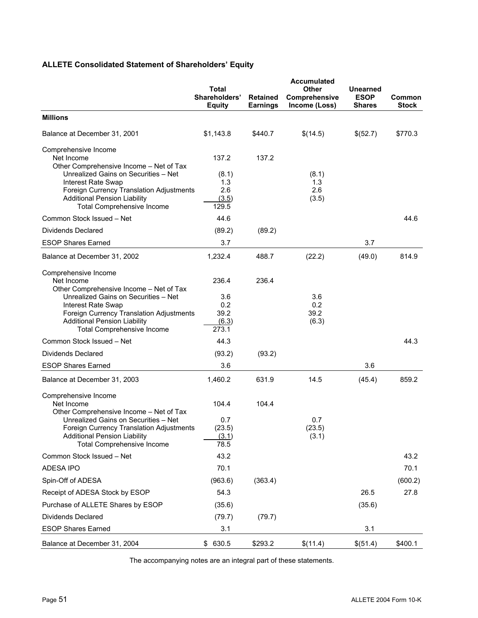# **ALLETE Consolidated Statement of Shareholders' Equity**

|                                                                                                                                                                                           | Total<br>Shareholders'<br><b>Equity</b> | <b>Retained</b><br><b>Earnings</b> | <b>Accumulated</b><br>Other<br>Comprehensive<br>Income (Loss) | <b>Unearned</b><br><b>ESOP</b><br><b>Shares</b> | Common<br><b>Stock</b> |
|-------------------------------------------------------------------------------------------------------------------------------------------------------------------------------------------|-----------------------------------------|------------------------------------|---------------------------------------------------------------|-------------------------------------------------|------------------------|
| <b>Millions</b>                                                                                                                                                                           |                                         |                                    |                                                               |                                                 |                        |
| Balance at December 31, 2001                                                                                                                                                              | \$1,143.8                               | \$440.7                            | \$(14.5)                                                      | \$(52.7)                                        | \$770.3                |
| Comprehensive Income<br>Net Income<br>Other Comprehensive Income - Net of Tax                                                                                                             | 137.2                                   | 137.2                              |                                                               |                                                 |                        |
| Unrealized Gains on Securities - Net<br><b>Interest Rate Swap</b><br>Foreign Currency Translation Adjustments<br><b>Additional Pension Liability</b><br><b>Total Comprehensive Income</b> | (8.1)<br>1.3<br>2.6<br>(3.5)<br>129.5   |                                    | (8.1)<br>1.3<br>2.6<br>(3.5)                                  |                                                 |                        |
| Common Stock Issued - Net                                                                                                                                                                 | 44.6                                    |                                    |                                                               |                                                 | 44.6                   |
| <b>Dividends Declared</b>                                                                                                                                                                 | (89.2)                                  | (89.2)                             |                                                               |                                                 |                        |
| <b>ESOP Shares Earned</b>                                                                                                                                                                 | 3.7                                     |                                    |                                                               | 3.7                                             |                        |
| Balance at December 31, 2002                                                                                                                                                              | 1,232.4                                 | 488.7                              | (22.2)                                                        | (49.0)                                          | 814.9                  |
| Comprehensive Income<br>Net Income<br>Other Comprehensive Income - Net of Tax                                                                                                             | 236.4                                   | 236.4                              |                                                               |                                                 |                        |
| Unrealized Gains on Securities - Net<br>Interest Rate Swap<br>Foreign Currency Translation Adjustments<br><b>Additional Pension Liability</b>                                             | 3.6<br>0.2<br>39.2<br>(6.3)             |                                    | 3.6<br>0.2<br>39.2<br>(6.3)                                   |                                                 |                        |
| <b>Total Comprehensive Income</b>                                                                                                                                                         | 273.1                                   |                                    |                                                               |                                                 |                        |
| Common Stock Issued - Net                                                                                                                                                                 | 44.3                                    |                                    |                                                               |                                                 | 44.3                   |
| Dividends Declared                                                                                                                                                                        | (93.2)                                  | (93.2)                             |                                                               |                                                 |                        |
| <b>ESOP Shares Earned</b>                                                                                                                                                                 | 3.6                                     |                                    |                                                               | 3.6                                             |                        |
| Balance at December 31, 2003                                                                                                                                                              | 1.460.2                                 | 631.9                              | 14.5                                                          | (45.4)                                          | 859.2                  |
| Comprehensive Income<br>Net Income<br>Other Comprehensive Income - Net of Tax                                                                                                             | 104.4                                   | 104.4                              |                                                               |                                                 |                        |
| Unrealized Gains on Securities - Net<br>Foreign Currency Translation Adjustments<br><b>Additional Pension Liability</b><br><b>Total Comprehensive Income</b>                              | 0.7<br>(23.5)<br>(3.1)<br>78.5          |                                    | 0.7<br>(23.5)<br>(3.1)                                        |                                                 |                        |
| Common Stock Issued - Net                                                                                                                                                                 | 43.2                                    |                                    |                                                               |                                                 | 43.2                   |
| <b>ADESA IPO</b>                                                                                                                                                                          | 70.1                                    |                                    |                                                               |                                                 | 70.1                   |
| Spin-Off of ADESA                                                                                                                                                                         | (963.6)                                 | (363.4)                            |                                                               |                                                 | (600.2)                |
| Receipt of ADESA Stock by ESOP                                                                                                                                                            | 54.3                                    |                                    |                                                               | 26.5                                            | 27.8                   |
| Purchase of ALLETE Shares by ESOP                                                                                                                                                         | (35.6)                                  |                                    |                                                               | (35.6)                                          |                        |
| Dividends Declared                                                                                                                                                                        | (79.7)                                  | (79.7)                             |                                                               |                                                 |                        |
| <b>ESOP Shares Earned</b>                                                                                                                                                                 | 3.1                                     |                                    |                                                               | 3.1                                             |                        |
| Balance at December 31, 2004                                                                                                                                                              | 630.5<br>\$                             | \$293.2                            | \$(11.4)                                                      | \$(51.4)                                        | \$400.1                |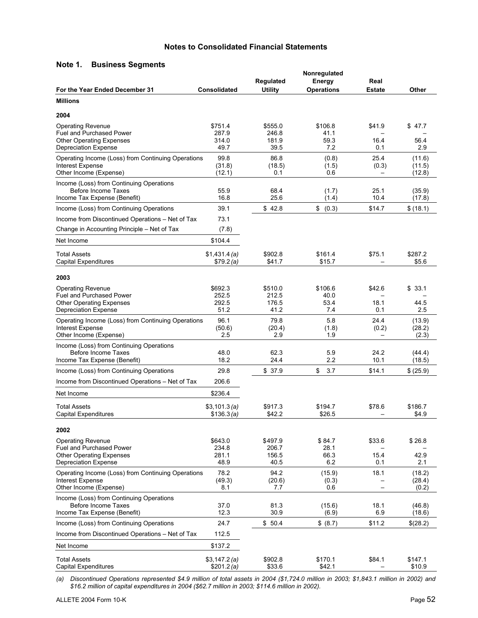# **Notes to Consolidated Financial Statements**

# **Note 1. Business Segments**

|                                                                                                         |                            | Regulated             | Nonregulated<br>Energy | Real                     |                            |
|---------------------------------------------------------------------------------------------------------|----------------------------|-----------------------|------------------------|--------------------------|----------------------------|
| For the Year Ended December 31                                                                          | <b>Consolidated</b>        | <b>Utility</b>        | <b>Operations</b>      | <b>Estate</b>            | Other                      |
| <b>Millions</b>                                                                                         |                            |                       |                        |                          |                            |
| 2004                                                                                                    |                            |                       |                        |                          |                            |
| <b>Operating Revenue</b><br><b>Fuel and Purchased Power</b>                                             | \$751.4<br>287.9           | \$555.0<br>246.8      | \$106.8<br>41.1        | \$41.9                   | \$47.7                     |
| <b>Other Operating Expenses</b>                                                                         | 314.0                      | 181.9                 | 59.3                   | 16.4                     | 56.4                       |
| <b>Depreciation Expense</b>                                                                             | 49.7                       | 39.5                  | 7.2                    | 0.1                      | 2.9                        |
| Operating Income (Loss) from Continuing Operations<br><b>Interest Expense</b><br>Other Income (Expense) | 99.8<br>(31.8)<br>(12.1)   | 86.8<br>(18.5)<br>0.1 | (0.8)<br>(1.5)<br>0.6  | 25.4<br>(0.3)            | (11.6)<br>(11.5)<br>(12.8) |
| Income (Loss) from Continuing Operations                                                                |                            |                       |                        |                          |                            |
| Before Income Taxes                                                                                     | 55.9                       | 68.4                  | (1.7)                  | 25.1                     | (35.9)                     |
| Income Tax Expense (Benefit)                                                                            | 16.8<br>39.1               | 25.6<br>\$42.8        | (1.4)                  | 10.4                     | (17.8)                     |
| Income (Loss) from Continuing Operations                                                                | 73.1                       |                       | \$<br>(0.3)            | \$14.7                   | \$(18.1)                   |
| Income from Discontinued Operations - Net of Tax<br>Change in Accounting Principle - Net of Tax         | (7.8)                      |                       |                        |                          |                            |
|                                                                                                         |                            |                       |                        |                          |                            |
| Net Income                                                                                              | \$104.4                    |                       |                        |                          |                            |
| <b>Total Assets</b><br>Capital Expenditures                                                             | \$1,431.4(a)<br>\$79.2(a)  | \$902.8<br>\$41.7     | \$161.4<br>\$15.7      | \$75.1                   | \$287.2<br>\$5.6           |
| 2003                                                                                                    |                            |                       |                        |                          |                            |
| <b>Operating Revenue</b>                                                                                | \$692.3                    | \$510.0               | \$106.6                | \$42.6                   | \$33.1                     |
| Fuel and Purchased Power                                                                                | 252.5                      | 212.5                 | 40.0                   |                          |                            |
| <b>Other Operating Expenses</b><br><b>Depreciation Expense</b>                                          | 292.5<br>51.2              | 176.5<br>41.2         | 53.4<br>7.4            | 18.1<br>0.1              | 44.5<br>2.5                |
| Operating Income (Loss) from Continuing Operations                                                      | 96.1                       | 79.8                  | 5.8                    | 24.4                     | (13.9)                     |
| Interest Expense                                                                                        | (50.6)<br>2.5              | (20.4)<br>2.9         | (1.8)<br>1.9           | (0.2)                    | (28.2)                     |
| Other Income (Expense)                                                                                  |                            |                       |                        |                          | (2.3)                      |
| Income (Loss) from Continuing Operations<br>Before Income Taxes                                         | 48.0                       | 62.3                  | 59                     | 24.2                     | (44.4)                     |
| Income Tax Expense (Benefit)                                                                            | 18.2                       | 24.4                  | 2.2                    | 10.1                     | (18.5)                     |
| Income (Loss) from Continuing Operations                                                                | 29.8                       | \$37.9                | \$<br>3.7              | \$14.1                   | \$ (25.9)                  |
| Income from Discontinued Operations - Net of Tax                                                        | 206.6                      |                       |                        |                          |                            |
| Net Income                                                                                              | \$236.4                    |                       |                        |                          |                            |
| <b>Total Assets</b><br>Capital Expenditures                                                             | \$3,101.3(a)<br>\$136.3(a) | \$917.3<br>\$42.2     | \$194.7<br>\$26.5      | \$78.6                   | \$186.7<br>\$4.9           |
| 2002                                                                                                    |                            |                       |                        |                          |                            |
| <b>Operating Revenue</b>                                                                                | \$643.0                    | \$497.9               | \$84.7                 | \$33.6                   | \$26.8                     |
| <b>Fuel and Purchased Power</b>                                                                         | 234.8                      | 206.7                 | 28.1                   |                          |                            |
| <b>Other Operating Expenses</b><br><b>Depreciation Expense</b>                                          | 281.1<br>48.9              | 156.5<br>40.5         | 66.3<br>6.2            | 15.4<br>0.1              | 42.9<br>2.1                |
| Operating Income (Loss) from Continuing Operations                                                      | 78.2                       | 94.2                  | (15.9)                 | 18.1                     | (18.2)                     |
| <b>Interest Expense</b>                                                                                 | (49.3)                     | (20.6)                | (0.3)                  |                          | (28.4)                     |
| Other Income (Expense)                                                                                  | 8.1                        | 7.7                   | 0.6                    | $\overline{\phantom{0}}$ | (0.2)                      |
| Income (Loss) from Continuing Operations<br>Before Income Taxes                                         | 37.0                       | 81.3                  | (15.6)                 | 18.1                     | (46.8)                     |
| Income Tax Expense (Benefit)                                                                            | 12.3                       | 30.9                  | (6.9)                  | 6.9                      | (18.6)                     |
| Income (Loss) from Continuing Operations                                                                | 24.7                       | \$50.4                | \$ (8.7)               | \$11.2                   | \$(28.2)                   |
| Income from Discontinued Operations - Net of Tax                                                        | 112.5                      |                       |                        |                          |                            |
| Net Income                                                                                              | \$137.2                    |                       |                        |                          |                            |
| <b>Total Assets</b>                                                                                     | \$3,147.2(a)               | \$902.8               | \$170.1                | \$84.1                   | \$147.1                    |
| <b>Capital Expenditures</b>                                                                             | \$201.2(a)                 | \$33.6                | \$42.1                 |                          | \$10.9                     |

*(a) Discontinued Operations represented \$4.9 million of total assets in 2004 (\$1,724.0 million in 2003; \$1,843.1 million in 2002) and \$16.2 million of capital expenditures in 2004 (\$62.7 million in 2003; \$114.6 million in 2002).*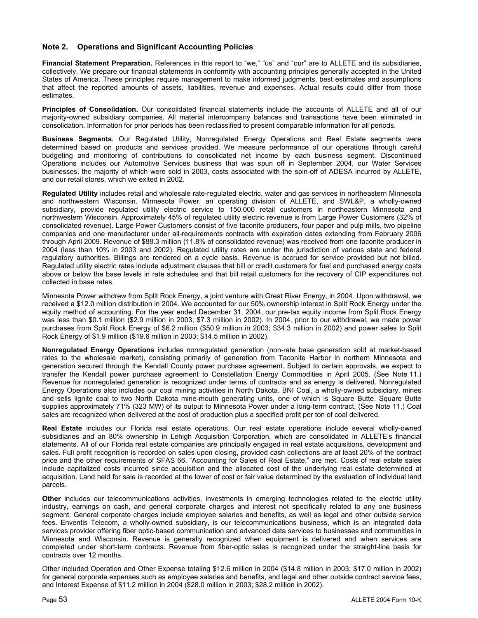# **Note 2. Operations and Significant Accounting Policies**

**Financial Statement Preparation.** References in this report to "we," "us" and "our" are to ALLETE and its subsidiaries, collectively. We prepare our financial statements in conformity with accounting principles generally accepted in the United States of America. These principles require management to make informed judgments, best estimates and assumptions that affect the reported amounts of assets, liabilities, revenue and expenses. Actual results could differ from those estimates.

**Principles of Consolidation.** Our consolidated financial statements include the accounts of ALLETE and all of our majority-owned subsidiary companies. All material intercompany balances and transactions have been eliminated in consolidation. Information for prior periods has been reclassified to present comparable information for all periods.

**Business Segments.** Our Regulated Utility, Nonregulated Energy Operations and Real Estate segments were determined based on products and services provided. We measure performance of our operations through careful budgeting and monitoring of contributions to consolidated net income by each business segment. Discontinued Operations includes our Automotive Services business that was spun off in September 2004, our Water Services businesses, the majority of which were sold in 2003, costs associated with the spin-off of ADESA incurred by ALLETE, and our retail stores, which we exited in 2002.

**Regulated Utility** includes retail and wholesale rate-regulated electric, water and gas services in northeastern Minnesota and northwestern Wisconsin. Minnesota Power, an operating division of ALLETE, and SWL&P, a wholly-owned subsidiary, provide regulated utility electric service to 150,000 retail customers in northeastern Minnesota and northwestern Wisconsin. Approximately 45% of regulated utility electric revenue is from Large Power Customers (32% of consolidated revenue). Large Power Customers consist of five taconite producers, four paper and pulp mills, two pipeline companies and one manufacturer under all-requirements contracts with expiration dates extending from February 2006 through April 2009. Revenue of \$88.3 million (11.8% of consolidated revenue) was received from one taconite producer in 2004 (less than 10% in 2003 and 2002). Regulated utility rates are under the jurisdiction of various state and federal regulatory authorities. Billings are rendered on a cycle basis. Revenue is accrued for service provided but not billed. Regulated utility electric rates include adjustment clauses that bill or credit customers for fuel and purchased energy costs above or below the base levels in rate schedules and that bill retail customers for the recovery of CIP expenditures not collected in base rates.

Minnesota Power withdrew from Split Rock Energy, a joint venture with Great River Energy, in 2004. Upon withdrawal, we received a \$12.0 million distribution in 2004. We accounted for our 50% ownership interest in Split Rock Energy under the equity method of accounting. For the year ended December 31, 2004, our pre-tax equity income from Split Rock Energy was less than \$0.1 million (\$2.9 million in 2003; \$7.3 million in 2002). In 2004, prior to our withdrawal, we made power purchases from Split Rock Energy of \$6.2 million (\$50.9 million in 2003; \$34.3 million in 2002) and power sales to Split Rock Energy of \$1.9 million (\$19.6 million in 2003; \$14.5 million in 2002).

**Nonregulated Energy Operations** includes nonregulated generation (non-rate base generation sold at market-based rates to the wholesale market), consisting primarily of generation from Taconite Harbor in northern Minnesota and generation secured through the Kendall County power purchase agreement. Subject to certain approvals, we expect to transfer the Kendall power purchase agreement to Constellation Energy Commodities in April 2005. (See Note 11.) Revenue for nonregulated generation is recognized under terms of contracts and as energy is delivered. Nonregulated Energy Operations also includes our coal mining activities in North Dakota. BNI Coal, a wholly-owned subsidiary, mines and sells lignite coal to two North Dakota mine-mouth generating units, one of which is Square Butte. Square Butte supplies approximately 71% (323 MW) of its output to Minnesota Power under a long-term contract. (See Note 11.) Coal sales are recognized when delivered at the cost of production plus a specified profit per ton of coal delivered.

**Real Estate** includes our Florida real estate operations. Our real estate operations include several wholly-owned subsidiaries and an 80% ownership in Lehigh Acquisition Corporation, which are consolidated in ALLETE's financial statements. All of our Florida real estate companies are principally engaged in real estate acquisitions, development and sales. Full profit recognition is recorded on sales upon closing, provided cash collections are at least 20% of the contract price and the other requirements of SFAS 66, "Accounting for Sales of Real Estate," are met. Costs of real estate sales include capitalized costs incurred since acquisition and the allocated cost of the underlying real estate determined at acquisition. Land held for sale is recorded at the lower of cost or fair value determined by the evaluation of individual land parcels.

**Other** includes our telecommunications activities, investments in emerging technologies related to the electric utility industry, earnings on cash, and general corporate charges and interest not specifically related to any one business segment. General corporate charges include employee salaries and benefits, as well as legal and other outside service fees. Enventis Telecom, a wholly-owned subsidiary, is our telecommunications business, which is an integrated data services provider offering fiber optic-based communication and advanced data services to businesses and communities in Minnesota and Wisconsin. Revenue is generally recognized when equipment is delivered and when services are completed under short-term contracts. Revenue from fiber-optic sales is recognized under the straight-line basis for contracts over 12 months.

Other included Operation and Other Expense totaling \$12.6 million in 2004 (\$14.8 million in 2003; \$17.0 million in 2002) for general corporate expenses such as employee salaries and benefits, and legal and other outside contract service fees, and Interest Expense of \$11.2 million in 2004 (\$28.0 million in 2003; \$28.2 million in 2002).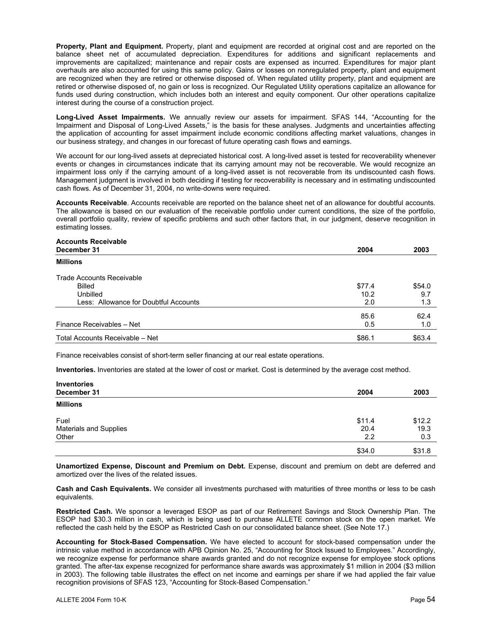**Property, Plant and Equipment.** Property, plant and equipment are recorded at original cost and are reported on the balance sheet net of accumulated depreciation. Expenditures for additions and significant replacements and improvements are capitalized; maintenance and repair costs are expensed as incurred. Expenditures for major plant overhauls are also accounted for using this same policy. Gains or losses on nonregulated property, plant and equipment are recognized when they are retired or otherwise disposed of. When regulated utility property, plant and equipment are retired or otherwise disposed of, no gain or loss is recognized. Our Regulated Utility operations capitalize an allowance for funds used during construction, which includes both an interest and equity component. Our other operations capitalize interest during the course of a construction project.

**Long-Lived Asset Impairments.** We annually review our assets for impairment. SFAS 144, "Accounting for the Impairment and Disposal of Long-Lived Assets," is the basis for these analyses. Judgments and uncertainties affecting the application of accounting for asset impairment include economic conditions affecting market valuations, changes in our business strategy, and changes in our forecast of future operating cash flows and earnings.

We account for our long-lived assets at depreciated historical cost. A long-lived asset is tested for recoverability whenever events or changes in circumstances indicate that its carrying amount may not be recoverable. We would recognize an impairment loss only if the carrying amount of a long-lived asset is not recoverable from its undiscounted cash flows. Management judgment is involved in both deciding if testing for recoverability is necessary and in estimating undiscounted cash flows. As of December 31, 2004, no write-downs were required.

**Accounts Receivable**. Accounts receivable are reported on the balance sheet net of an allowance for doubtful accounts. The allowance is based on our evaluation of the receivable portfolio under current conditions, the size of the portfolio, overall portfolio quality, review of specific problems and such other factors that, in our judgment, deserve recognition in estimating losses.

# **Accounts Receivable**

| December 31                           | 2004   | 2003   |
|---------------------------------------|--------|--------|
| <b>Millions</b>                       |        |        |
| <b>Trade Accounts Receivable</b>      |        |        |
| Billed                                | \$77.4 | \$54.0 |
| Unbilled                              | 10.2   | 9.7    |
| Less: Allowance for Doubtful Accounts | 2.0    | 1.3    |
|                                       | 85.6   | 62.4   |
| Finance Receivables - Net             | 0.5    | 1.0    |
| Total Accounts Receivable - Net       | \$86.1 | \$63.4 |

Finance receivables consist of short-term seller financing at our real estate operations.

**Inventories.** Inventories are stated at the lower of cost or market. Cost is determined by the average cost method.

| <b>Inventories</b>     |        |        |
|------------------------|--------|--------|
| December 31            | 2004   | 2003   |
| <b>Millions</b>        |        |        |
| Fuel                   | \$11.4 | \$12.2 |
| Materials and Supplies | 20.4   | 19.3   |
| Other                  | 2.2    | 0.3    |
|                        | \$34.0 | \$31.8 |

**Unamortized Expense, Discount and Premium on Debt.** Expense, discount and premium on debt are deferred and amortized over the lives of the related issues.

**Cash and Cash Equivalents.** We consider all investments purchased with maturities of three months or less to be cash equivalents.

**Restricted Cash.** We sponsor a leveraged ESOP as part of our Retirement Savings and Stock Ownership Plan. The ESOP had \$30.3 million in cash, which is being used to purchase ALLETE common stock on the open market. We reflected the cash held by the ESOP as Restricted Cash on our consolidated balance sheet. (See Note 17.)

**Accounting for Stock-Based Compensation.** We have elected to account for stock-based compensation under the intrinsic value method in accordance with APB Opinion No. 25, "Accounting for Stock Issued to Employees." Accordingly, we recognize expense for performance share awards granted and do not recognize expense for employee stock options granted. The after-tax expense recognized for performance share awards was approximately \$1 million in 2004 (\$3 million in 2003). The following table illustrates the effect on net income and earnings per share if we had applied the fair value recognition provisions of SFAS 123, "Accounting for Stock-Based Compensation."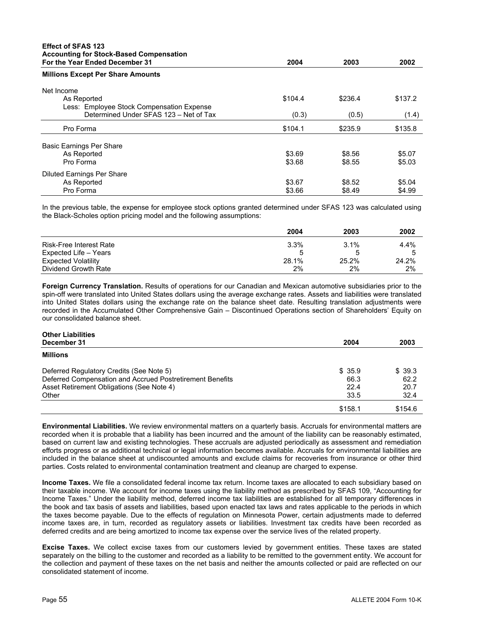| <b>Effect of SFAS 123</b><br><b>Accounting for Stock-Based Compensation</b> |         |         |         |
|-----------------------------------------------------------------------------|---------|---------|---------|
| For the Year Ended December 31                                              | 2004    | 2003    | 2002    |
| <b>Millions Except Per Share Amounts</b>                                    |         |         |         |
| Net Income                                                                  |         |         |         |
| As Reported                                                                 | \$104.4 | \$236.4 | \$137.2 |
| Less: Employee Stock Compensation Expense                                   |         |         |         |
| Determined Under SFAS 123 - Net of Tax                                      | (0.3)   | (0.5)   | (1.4)   |
| Pro Forma                                                                   | \$104.1 | \$235.9 | \$135.8 |
| Basic Earnings Per Share                                                    |         |         |         |
| As Reported                                                                 | \$3.69  | \$8.56  | \$5.07  |
| Pro Forma                                                                   | \$3.68  | \$8.55  | \$5.03  |
| Diluted Earnings Per Share                                                  |         |         |         |
| As Reported                                                                 | \$3.67  | \$8.52  | \$5.04  |
| Pro Forma                                                                   | \$3.66  | \$8.49  | \$4.99  |

In the previous table, the expense for employee stock options granted determined under SFAS 123 was calculated using the Black-Scholes option pricing model and the following assumptions:

|                                | 2004  | 2003  | 2002  |
|--------------------------------|-------|-------|-------|
| <b>Risk-Free Interest Rate</b> | 3.3%  | 3.1%  | 4.4%  |
| Expected Life - Years          |       | :5    |       |
| <b>Expected Volatility</b>     | 28.1% | 25.2% | 24.2% |
| Dividend Growth Rate           | 2%    | 2%    | 2%    |

**Foreign Currency Translation.** Results of operations for our Canadian and Mexican automotive subsidiaries prior to the spin-off were translated into United States dollars using the average exchange rates. Assets and liabilities were translated into United States dollars using the exchange rate on the balance sheet date. Resulting translation adjustments were recorded in the Accumulated Other Comprehensive Gain – Discontinued Operations section of Shareholders' Equity on our consolidated balance sheet.

| <b>Other Liabilities</b>                                  |         |         |
|-----------------------------------------------------------|---------|---------|
| December 31                                               | 2004    | 2003    |
| <b>Millions</b>                                           |         |         |
| Deferred Regulatory Credits (See Note 5)                  | \$35.9  | \$ 39.3 |
| Deferred Compensation and Accrued Postretirement Benefits | 66.3    | 62.2    |
| Asset Retirement Obligations (See Note 4)                 | 22.4    | 20.7    |
| Other                                                     | 33.5    | 32.4    |
|                                                           | \$158.1 | \$154.6 |

**Environmental Liabilities.** We review environmental matters on a quarterly basis. Accruals for environmental matters are recorded when it is probable that a liability has been incurred and the amount of the liability can be reasonably estimated, based on current law and existing technologies. These accruals are adjusted periodically as assessment and remediation efforts progress or as additional technical or legal information becomes available. Accruals for environmental liabilities are included in the balance sheet at undiscounted amounts and exclude claims for recoveries from insurance or other third parties. Costs related to environmental contamination treatment and cleanup are charged to expense.

**Income Taxes.** We file a consolidated federal income tax return. Income taxes are allocated to each subsidiary based on their taxable income. We account for income taxes using the liability method as prescribed by SFAS 109, "Accounting for Income Taxes." Under the liability method, deferred income tax liabilities are established for all temporary differences in the book and tax basis of assets and liabilities, based upon enacted tax laws and rates applicable to the periods in which the taxes become payable. Due to the effects of regulation on Minnesota Power, certain adjustments made to deferred income taxes are, in turn, recorded as regulatory assets or liabilities. Investment tax credits have been recorded as deferred credits and are being amortized to income tax expense over the service lives of the related property.

**Excise Taxes.** We collect excise taxes from our customers levied by government entities. These taxes are stated separately on the billing to the customer and recorded as a liability to be remitted to the government entity. We account for the collection and payment of these taxes on the net basis and neither the amounts collected or paid are reflected on our consolidated statement of income.

**Other Liabilities**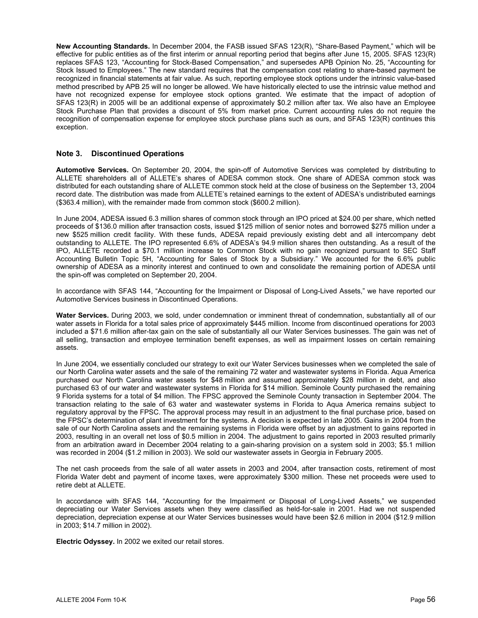**New Accounting Standards.** In December 2004, the FASB issued SFAS 123(R), "Share-Based Payment," which will be effective for public entities as of the first interim or annual reporting period that begins after June 15, 2005. SFAS 123(R) replaces SFAS 123, "Accounting for Stock-Based Compensation," and supersedes APB Opinion No. 25, "Accounting for Stock Issued to Employees." The new standard requires that the compensation cost relating to share-based payment be recognized in financial statements at fair value. As such, reporting employee stock options under the intrinsic value-based method prescribed by APB 25 will no longer be allowed. We have historically elected to use the intrinsic value method and have not recognized expense for employee stock options granted. We estimate that the impact of adoption of SFAS 123(R) in 2005 will be an additional expense of approximately \$0.2 million after tax. We also have an Employee Stock Purchase Plan that provides a discount of 5% from market price. Current accounting rules do not require the recognition of compensation expense for employee stock purchase plans such as ours, and SFAS 123(R) continues this exception.

# **Note 3. Discontinued Operations**

**Automotive Services.** On September 20, 2004, the spin-off of Automotive Services was completed by distributing to ALLETE shareholders all of ALLETE's shares of ADESA common stock. One share of ADESA common stock was distributed for each outstanding share of ALLETE common stock held at the close of business on the September 13, 2004 record date. The distribution was made from ALLETE's retained earnings to the extent of ADESA's undistributed earnings (\$363.4 million), with the remainder made from common stock (\$600.2 million).

In June 2004, ADESA issued 6.3 million shares of common stock through an IPO priced at \$24.00 per share, which netted proceeds of \$136.0 million after transaction costs, issued \$125 million of senior notes and borrowed \$275 million under a new \$525 million credit facility. With these funds, ADESA repaid previously existing debt and all intercompany debt outstanding to ALLETE. The IPO represented 6.6% of ADESA's 94.9 million shares then outstanding. As a result of the IPO, ALLETE recorded a \$70.1 million increase to Common Stock with no gain recognized pursuant to SEC Staff Accounting Bulletin Topic 5H, "Accounting for Sales of Stock by a Subsidiary." We accounted for the 6.6% public ownership of ADESA as a minority interest and continued to own and consolidate the remaining portion of ADESA until the spin-off was completed on September 20, 2004.

In accordance with SFAS 144, "Accounting for the Impairment or Disposal of Long-Lived Assets," we have reported our Automotive Services business in Discontinued Operations.

**Water Services.** During 2003, we sold, under condemnation or imminent threat of condemnation, substantially all of our water assets in Florida for a total sales price of approximately \$445 million. Income from discontinued operations for 2003 included a \$71.6 million after-tax gain on the sale of substantially all our Water Services businesses. The gain was net of all selling, transaction and employee termination benefit expenses, as well as impairment losses on certain remaining assets.

In June 2004, we essentially concluded our strategy to exit our Water Services businesses when we completed the sale of our North Carolina water assets and the sale of the remaining 72 water and wastewater systems in Florida. Aqua America purchased our North Carolina water assets for \$48 million and assumed approximately \$28 million in debt, and also purchased 63 of our water and wastewater systems in Florida for \$14 million. Seminole County purchased the remaining 9 Florida systems for a total of \$4 million. The FPSC approved the Seminole County transaction in September 2004. The transaction relating to the sale of 63 water and wastewater systems in Florida to Aqua America remains subject to regulatory approval by the FPSC. The approval process may result in an adjustment to the final purchase price, based on the FPSC's determination of plant investment for the systems. A decision is expected in late 2005. Gains in 2004 from the sale of our North Carolina assets and the remaining systems in Florida were offset by an adjustment to gains reported in 2003, resulting in an overall net loss of \$0.5 million in 2004. The adjustment to gains reported in 2003 resulted primarily from an arbitration award in December 2004 relating to a gain-sharing provision on a system sold in 2003; \$5.1 million was recorded in 2004 (\$1.2 million in 2003). We sold our wastewater assets in Georgia in February 2005.

The net cash proceeds from the sale of all water assets in 2003 and 2004, after transaction costs, retirement of most Florida Water debt and payment of income taxes, were approximately \$300 million. These net proceeds were used to retire debt at ALLETE.

In accordance with SFAS 144, "Accounting for the Impairment or Disposal of Long-Lived Assets," we suspended depreciating our Water Services assets when they were classified as held-for-sale in 2001. Had we not suspended depreciation, depreciation expense at our Water Services businesses would have been \$2.6 million in 2004 (\$12.9 million in 2003; \$14.7 million in 2002).

**Electric Odyssey.** In 2002 we exited our retail stores.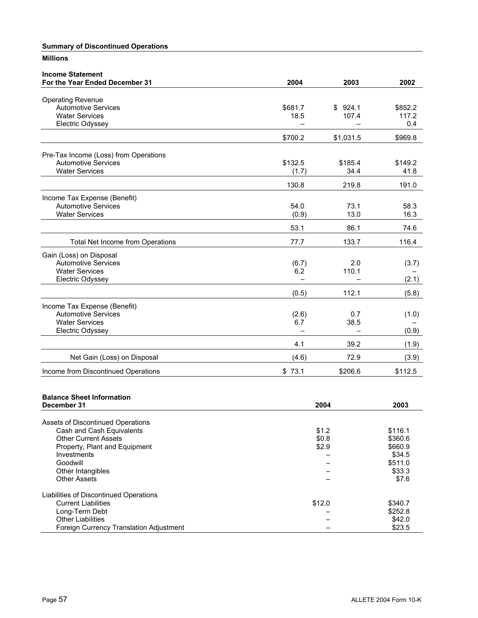# **Summary of Discontinued Operations**

# **Millions**

| 2004<br>\$681.7<br>18.5<br>\$700.2<br>\$132.5<br>(1.7)<br>130.8 | 2003<br>\$924.1<br>107.4<br>\$1,031.5<br>\$185.4<br>34.4 | 2002<br>\$852.2<br>117.2<br>0.4<br>\$969.8<br>\$149.2<br>41.8 |
|-----------------------------------------------------------------|----------------------------------------------------------|---------------------------------------------------------------|
|                                                                 |                                                          |                                                               |
|                                                                 |                                                          |                                                               |
|                                                                 |                                                          |                                                               |
|                                                                 |                                                          |                                                               |
|                                                                 |                                                          |                                                               |
|                                                                 |                                                          |                                                               |
|                                                                 |                                                          |                                                               |
|                                                                 |                                                          |                                                               |
|                                                                 |                                                          |                                                               |
|                                                                 |                                                          |                                                               |
|                                                                 |                                                          | 191.0                                                         |
|                                                                 |                                                          |                                                               |
|                                                                 |                                                          | 58.3                                                          |
|                                                                 |                                                          | 16.3                                                          |
|                                                                 |                                                          |                                                               |
| 53.1                                                            | 86.1                                                     | 74.6                                                          |
| 77.7                                                            | 133.7                                                    | 116.4                                                         |
|                                                                 |                                                          |                                                               |
| (6.7)                                                           | 2.0                                                      | (3.7)                                                         |
| 6.2                                                             | 110.1                                                    |                                                               |
|                                                                 |                                                          | (2.1)                                                         |
| (0.5)                                                           | 112.1                                                    | (5.8)                                                         |
|                                                                 |                                                          |                                                               |
|                                                                 | 0.7                                                      | (1.0)                                                         |
| 6.7                                                             | 38.5                                                     |                                                               |
|                                                                 |                                                          | (0.9)                                                         |
| 4.1                                                             | 39.2                                                     | (1.9)                                                         |
| (4.6)                                                           | 72.9                                                     | (3.9)                                                         |
| \$73.1                                                          | \$206.6                                                  | \$112.5                                                       |
|                                                                 | 54.0<br>(0.9)<br>(2.6)                                   | 219.8<br>73.1<br>13.0                                         |

# **Balance Sheet Information**

| December 31                             | 2004   | 2003    |
|-----------------------------------------|--------|---------|
| Assets of Discontinued Operations       |        |         |
| Cash and Cash Equivalents               | \$1.2  | \$116.1 |
| <b>Other Current Assets</b>             | \$0.8  | \$360.6 |
| Property, Plant and Equipment           | \$2.9  | \$660.9 |
| Investments                             |        | \$34.5  |
| Goodwill                                |        | \$511.0 |
| Other Intangibles                       |        | \$33.3  |
| <b>Other Assets</b>                     |        | \$7.6   |
| Liabilities of Discontinued Operations  |        |         |
| <b>Current Liabilities</b>              | \$12.0 | \$340.7 |
| Long-Term Debt                          |        | \$252.8 |
| <b>Other Liabilities</b>                |        | \$42.0  |
| Foreign Currency Translation Adjustment |        | \$23.5  |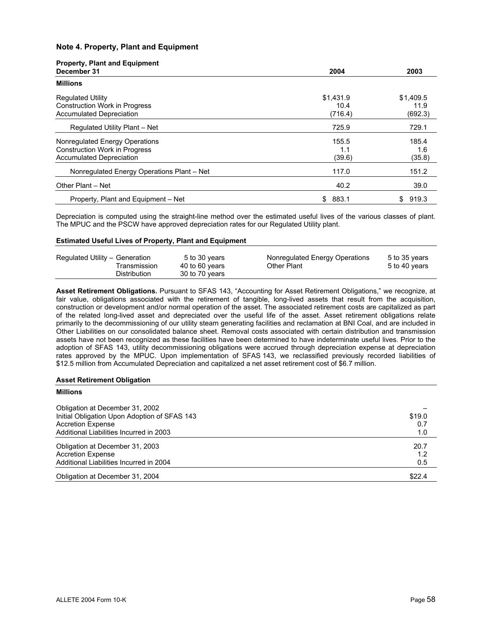# **Note 4. Property, Plant and Equipment**

| <b>Property, Plant and Equipment</b><br>December 31 | 2004        | 2003        |
|-----------------------------------------------------|-------------|-------------|
| <b>Millions</b>                                     |             |             |
| <b>Regulated Utility</b>                            | \$1,431.9   | \$1,409.5   |
| <b>Construction Work in Progress</b>                | 10.4        | 11.9        |
| <b>Accumulated Depreciation</b>                     | (716.4)     | (692.3)     |
| Regulated Utility Plant - Net                       | 725.9       | 729.1       |
| Nonregulated Energy Operations                      | 155.5       | 185.4       |
| <b>Construction Work in Progress</b>                | 1.1         | 1.6         |
| <b>Accumulated Depreciation</b>                     | (39.6)      | (35.8)      |
| Nonregulated Energy Operations Plant - Net          | 117.0       | 151.2       |
| Other Plant - Net                                   | 40.2        | 39.0        |
| Property, Plant and Equipment - Net                 | 883.1<br>\$ | 919.3<br>\$ |

Depreciation is computed using the straight-line method over the estimated useful lives of the various classes of plant. The MPUC and the PSCW have approved depreciation rates for our Regulated Utility plant.

### **Estimated Useful Lives of Property, Plant and Equipment**

| Regulated Utility - Generation | 5 to 30 years  | Nonregulated Energy Operations | 5 to 35 years |
|--------------------------------|----------------|--------------------------------|---------------|
| Fransmission                   | 40 to 60 years | Other Plant                    | 5 to 40 years |
| Distribution                   | 30 to 70 years |                                |               |

**Asset Retirement Obligations.** Pursuant to SFAS 143, "Accounting for Asset Retirement Obligations," we recognize, at fair value, obligations associated with the retirement of tangible, long-lived assets that result from the acquisition, construction or development and/or normal operation of the asset. The associated retirement costs are capitalized as part of the related long-lived asset and depreciated over the useful life of the asset. Asset retirement obligations relate primarily to the decommissioning of our utility steam generating facilities and reclamation at BNI Coal, and are included in Other Liabilities on our consolidated balance sheet. Removal costs associated with certain distribution and transmission assets have not been recognized as these facilities have been determined to have indeterminate useful lives. Prior to the adoption of SFAS 143, utility decommissioning obligations were accrued through depreciation expense at depreciation rates approved by the MPUC. Upon implementation of SFAS 143, we reclassified previously recorded liabilities of \$12.5 million from Accumulated Depreciation and capitalized a net asset retirement cost of \$6.7 million.

#### **Asset Retirement Obligation**

| <b>Millions</b>                              |        |
|----------------------------------------------|--------|
| Obligation at December 31, 2002              |        |
| Initial Obligation Upon Adoption of SFAS 143 | \$19.0 |
| <b>Accretion Expense</b>                     | 0.7    |
| Additional Liabilities Incurred in 2003      | 1.0    |
| Obligation at December 31, 2003              | 20.7   |
| <b>Accretion Expense</b>                     | 1.2    |
| Additional Liabilities Incurred in 2004      | 0.5    |
| Obligation at December 31, 2004              | \$22.4 |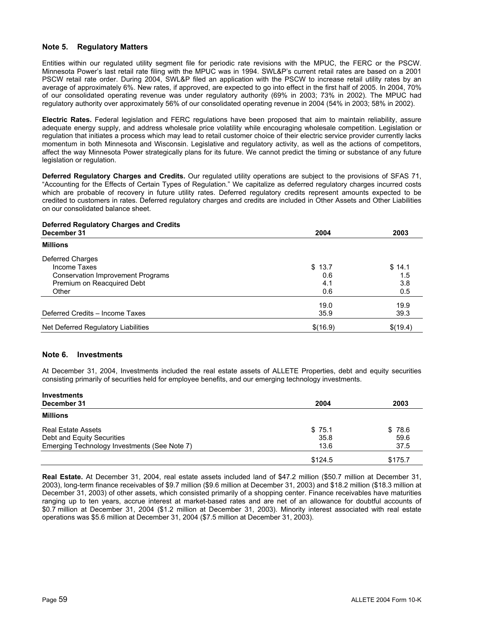# **Note 5. Regulatory Matters**

Entities within our regulated utility segment file for periodic rate revisions with the MPUC, the FERC or the PSCW. Minnesota Power's last retail rate filing with the MPUC was in 1994. SWL&P's current retail rates are based on a 2001 PSCW retail rate order. During 2004, SWL&P filed an application with the PSCW to increase retail utility rates by an average of approximately 6%. New rates, if approved, are expected to go into effect in the first half of 2005. In 2004, 70% of our consolidated operating revenue was under regulatory authority (69% in 2003; 73% in 2002). The MPUC had regulatory authority over approximately 56% of our consolidated operating revenue in 2004 (54% in 2003; 58% in 2002).

**Electric Rates.** Federal legislation and FERC regulations have been proposed that aim to maintain reliability, assure adequate energy supply, and address wholesale price volatility while encouraging wholesale competition. Legislation or regulation that initiates a process which may lead to retail customer choice of their electric service provider currently lacks momentum in both Minnesota and Wisconsin. Legislative and regulatory activity, as well as the actions of competitors, affect the way Minnesota Power strategically plans for its future. We cannot predict the timing or substance of any future legislation or regulation.

**Deferred Regulatory Charges and Credits.** Our regulated utility operations are subject to the provisions of SFAS 71, "Accounting for the Effects of Certain Types of Regulation." We capitalize as deferred regulatory charges incurred costs which are probable of recovery in future utility rates. Deferred regulatory credits represent amounts expected to be credited to customers in rates. Deferred regulatory charges and credits are included in Other Assets and Other Liabilities on our consolidated balance sheet.

# **Deferred Regulatory Charges and Credits**

| December 31                              | 2004     | 2003     |
|------------------------------------------|----------|----------|
| <b>Millions</b>                          |          |          |
| Deferred Charges                         |          |          |
| Income Taxes                             | \$13.7   | \$14.1   |
| <b>Conservation Improvement Programs</b> | 0.6      | 1.5      |
| Premium on Reacquired Debt               | 4.1      | 3.8      |
| Other                                    | 0.6      | 0.5      |
|                                          | 19.0     | 19.9     |
| Deferred Credits - Income Taxes          | 35.9     | 39.3     |
| Net Deferred Regulatory Liabilities      | \$(16.9) | \$(19.4) |

# **Note 6. Investments**

At December 31, 2004, Investments included the real estate assets of ALLETE Properties, debt and equity securities consisting primarily of securities held for employee benefits, and our emerging technology investments.

| <b>Investments</b>                           |         |         |
|----------------------------------------------|---------|---------|
| December 31                                  | 2004    | 2003    |
| <b>Millions</b>                              |         |         |
| <b>Real Estate Assets</b>                    | \$75.1  | \$78.6  |
| Debt and Equity Securities                   | 35.8    | 59.6    |
| Emerging Technology Investments (See Note 7) | 13.6    | 37.5    |
|                                              | \$124.5 | \$175.7 |

**Real Estate.** At December 31, 2004, real estate assets included land of \$47.2 million (\$50.7 million at December 31, 2003), long-term finance receivables of \$9.7 million (\$9.6 million at December 31, 2003) and \$18.2 million (\$18.3 million at December 31, 2003) of other assets, which consisted primarily of a shopping center. Finance receivables have maturities ranging up to ten years, accrue interest at market-based rates and are net of an allowance for doubtful accounts of \$0.7 million at December 31, 2004 (\$1.2 million at December 31, 2003). Minority interest associated with real estate operations was \$5.6 million at December 31, 2004 (\$7.5 million at December 31, 2003).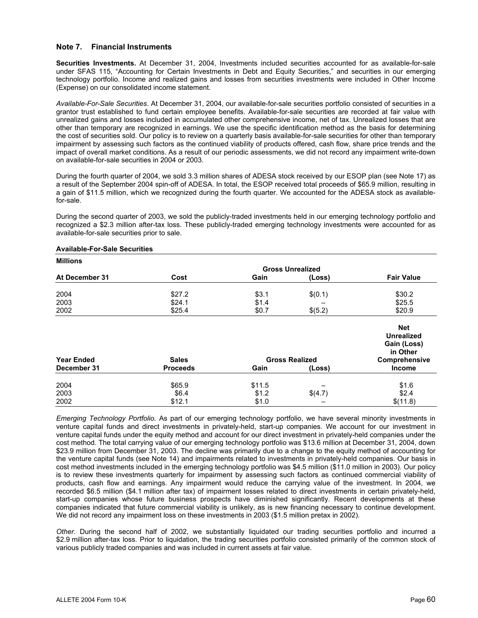# **Note 7. Financial Instruments**

**Securities Investments.** At December 31, 2004, Investments included securities accounted for as available-for-sale under SFAS 115, "Accounting for Certain Investments in Debt and Equity Securities," and securities in our emerging technology portfolio. Income and realized gains and losses from securities investments were included in Other Income (Expense) on our consolidated income statement.

*Available-For-Sale Securities*. At December 31, 2004, our available-for-sale securities portfolio consisted of securities in a grantor trust established to fund certain employee benefits. Available-for-sale securities are recorded at fair value with unrealized gains and losses included in accumulated other comprehensive income, net of tax. Unrealized losses that are other than temporary are recognized in earnings. We use the specific identification method as the basis for determining the cost of securities sold. Our policy is to review on a quarterly basis available-for-sale securities for other than temporary impairment by assessing such factors as the continued viability of products offered, cash flow, share price trends and the impact of overall market conditions. As a result of our periodic assessments, we did not record any impairment write-down on available-for-sale securities in 2004 or 2003.

During the fourth quarter of 2004, we sold 3.3 million shares of ADESA stock received by our ESOP plan (see Note 17) as a result of the September 2004 spin-off of ADESA. In total, the ESOP received total proceeds of \$65.9 million, resulting in a gain of \$11.5 million, which we recognized during the fourth quarter. We accounted for the ADESA stock as availablefor-sale.

During the second quarter of 2003, we sold the publicly-traded investments held in our emerging technology portfolio and recognized a \$2.3 million after-tax loss. These publicly-traded emerging technology investments were accounted for as available-for-sale securities prior to sale.

| <b>Millions</b>   |                 |                 |                         |                                                                             |
|-------------------|-----------------|-----------------|-------------------------|-----------------------------------------------------------------------------|
|                   |                 |                 | <b>Gross Unrealized</b> |                                                                             |
| At December 31    | Cost            | Gain            | (Loss)                  | <b>Fair Value</b>                                                           |
| 2004              | \$27.2          | \$3.1           | \$(0.1)                 | \$30.2                                                                      |
| 2003              | \$24.1          | \$1.4           |                         | \$25.5                                                                      |
| 2002              | \$25.4          | \$0.7           | \$(5.2)                 | \$20.9                                                                      |
| <b>Year Ended</b> | <b>Sales</b>    |                 | <b>Gross Realized</b>   | <b>Net</b><br><b>Unrealized</b><br>Gain (Loss)<br>in Other<br>Comprehensive |
| December 31       | <b>Proceeds</b> | Gain            | (Loss)                  | <b>Income</b>                                                               |
| 2004<br>2003      | \$65.9<br>\$6.4 | \$11.5<br>\$1.2 | \$(4.7)                 | \$1.6<br>\$2.4                                                              |
| 2002              | \$12.1          | \$1.0           |                         | \$(11.8)                                                                    |

### **Available-For-Sale Securities**

*Emerging Technology Portfolio.* As part of our emerging technology portfolio, we have several minority investments in venture capital funds and direct investments in privately-held, start-up companies. We account for our investment in venture capital funds under the equity method and account for our direct investment in privately-held companies under the cost method. The total carrying value of our emerging technology portfolio was \$13.6 million at December 31, 2004, down \$23.9 million from December 31, 2003. The decline was primarily due to a change to the equity method of accounting for the venture capital funds (see Note 14) and impairments related to investments in privately-held companies. Our basis in cost method investments included in the emerging technology portfolio was \$4.5 million (\$11.0 million in 2003). Our policy is to review these investments quarterly for impairment by assessing such factors as continued commercial viability of products, cash flow and earnings. Any impairment would reduce the carrying value of the investment. In 2004, we recorded \$6.5 million (\$4.1 million after tax) of impairment losses related to direct investments in certain privately-held, start-up companies whose future business prospects have diminished significantly. Recent developments at these companies indicated that future commercial viability is unlikely, as is new financing necessary to continue development. We did not record any impairment loss on these investments in 2003 (\$1.5 million pretax in 2002).

*Other.* During the second half of 2002, we substantially liquidated our trading securities portfolio and incurred a \$2.9 million after-tax loss. Prior to liquidation, the trading securities portfolio consisted primarily of the common stock of various publicly traded companies and was included in current assets at fair value.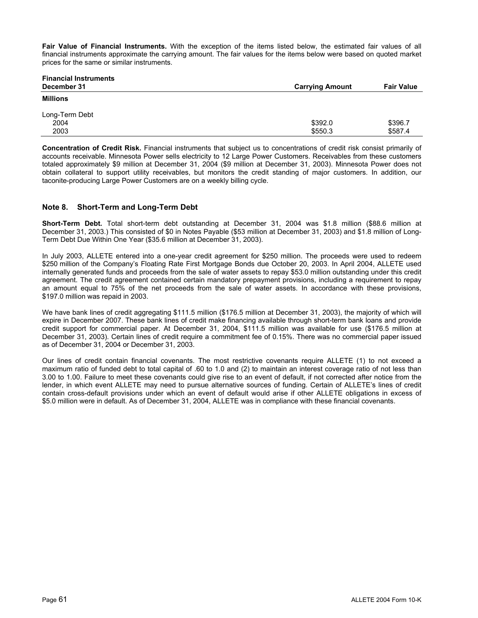**Fair Value of Financial Instruments.** With the exception of the items listed below, the estimated fair values of all financial instruments approximate the carrying amount. The fair values for the items below were based on quoted market prices for the same or similar instruments.

| <b>Financial Instruments</b><br>December 31 | <b>Carrying Amount</b> | <b>Fair Value</b> |
|---------------------------------------------|------------------------|-------------------|
| Millions                                    |                        |                   |
| Long-Term Debt                              |                        |                   |
| 2004                                        | \$392.0                | \$396.7           |
| 2003                                        | \$550.3                | \$587.4           |

**Concentration of Credit Risk.** Financial instruments that subject us to concentrations of credit risk consist primarily of accounts receivable. Minnesota Power sells electricity to 12 Large Power Customers. Receivables from these customers totaled approximately \$9 million at December 31, 2004 (\$9 million at December 31, 2003). Minnesota Power does not obtain collateral to support utility receivables, but monitors the credit standing of major customers. In addition, our taconite-producing Large Power Customers are on a weekly billing cycle.

# **Note 8. Short-Term and Long-Term Debt**

**Short-Term Debt.** Total short-term debt outstanding at December 31, 2004 was \$1.8 million (\$88.6 million at December 31, 2003.) This consisted of \$0 in Notes Payable (\$53 million at December 31, 2003) and \$1.8 million of Long-Term Debt Due Within One Year (\$35.6 million at December 31, 2003).

In July 2003, ALLETE entered into a one-year credit agreement for \$250 million. The proceeds were used to redeem \$250 million of the Company's Floating Rate First Mortgage Bonds due October 20, 2003. In April 2004, ALLETE used internally generated funds and proceeds from the sale of water assets to repay \$53.0 million outstanding under this credit agreement. The credit agreement contained certain mandatory prepayment provisions, including a requirement to repay an amount equal to 75% of the net proceeds from the sale of water assets. In accordance with these provisions, \$197.0 million was repaid in 2003.

We have bank lines of credit aggregating \$111.5 million (\$176.5 million at December 31, 2003), the majority of which will expire in December 2007. These bank lines of credit make financing available through short-term bank loans and provide credit support for commercial paper. At December 31, 2004, \$111.5 million was available for use (\$176.5 million at December 31, 2003). Certain lines of credit require a commitment fee of 0.15%. There was no commercial paper issued as of December 31, 2004 or December 31, 2003.

Our lines of credit contain financial covenants. The most restrictive covenants require ALLETE (1) to not exceed a maximum ratio of funded debt to total capital of .60 to 1.0 and (2) to maintain an interest coverage ratio of not less than 3.00 to 1.00. Failure to meet these covenants could give rise to an event of default, if not corrected after notice from the lender, in which event ALLETE may need to pursue alternative sources of funding. Certain of ALLETE's lines of credit contain cross-default provisions under which an event of default would arise if other ALLETE obligations in excess of \$5.0 million were in default. As of December 31, 2004, ALLETE was in compliance with these financial covenants.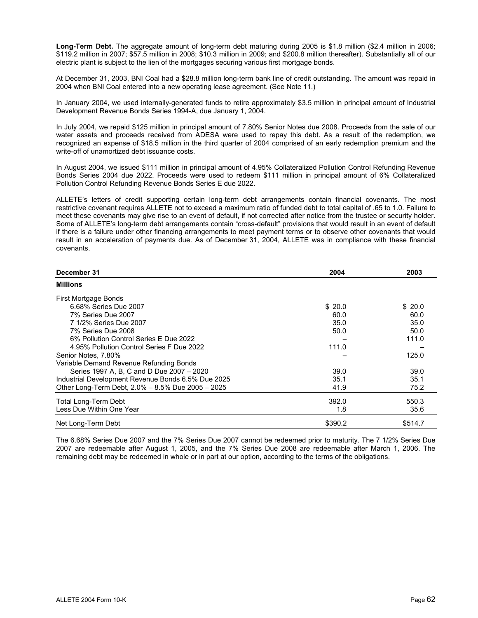**Long-Term Debt.** The aggregate amount of long-term debt maturing during 2005 is \$1.8 million (\$2.4 million in 2006; \$119.2 million in 2007; \$57.5 million in 2008; \$10.3 million in 2009; and \$200.8 million thereafter). Substantially all of our electric plant is subject to the lien of the mortgages securing various first mortgage bonds.

At December 31, 2003, BNI Coal had a \$28.8 million long-term bank line of credit outstanding. The amount was repaid in 2004 when BNI Coal entered into a new operating lease agreement. (See Note 11.)

In January 2004, we used internally-generated funds to retire approximately \$3.5 million in principal amount of Industrial Development Revenue Bonds Series 1994-A, due January 1, 2004.

In July 2004, we repaid \$125 million in principal amount of 7.80% Senior Notes due 2008. Proceeds from the sale of our water assets and proceeds received from ADESA were used to repay this debt. As a result of the redemption, we recognized an expense of \$18.5 million in the third quarter of 2004 comprised of an early redemption premium and the write-off of unamortized debt issuance costs.

In August 2004, we issued \$111 million in principal amount of 4.95% Collateralized Pollution Control Refunding Revenue Bonds Series 2004 due 2022. Proceeds were used to redeem \$111 million in principal amount of 6% Collateralized Pollution Control Refunding Revenue Bonds Series E due 2022.

ALLETE's letters of credit supporting certain long-term debt arrangements contain financial covenants. The most restrictive covenant requires ALLETE not to exceed a maximum ratio of funded debt to total capital of .65 to 1.0. Failure to meet these covenants may give rise to an event of default, if not corrected after notice from the trustee or security holder. Some of ALLETE's long-term debt arrangements contain "cross-default" provisions that would result in an event of default if there is a failure under other financing arrangements to meet payment terms or to observe other covenants that would result in an acceleration of payments due. As of December 31, 2004, ALLETE was in compliance with these financial covenants.

| December 31                                        | 2004    | 2003    |
|----------------------------------------------------|---------|---------|
| <b>Millions</b>                                    |         |         |
| First Mortgage Bonds                               |         |         |
| 6.68% Series Due 2007                              | \$20.0  | \$20.0  |
| 7% Series Due 2007                                 | 60.0    | 60.0    |
| 7 1/2% Series Due 2007                             | 35.0    | 35.0    |
| 7% Series Due 2008                                 | 50.0    | 50.0    |
| 6% Pollution Control Series E Due 2022             |         | 111.0   |
| 4.95% Pollution Control Series F Due 2022          | 111.0   |         |
| Senior Notes, 7.80%                                |         | 125.0   |
| Variable Demand Revenue Refunding Bonds            |         |         |
| Series 1997 A, B, C and D Due 2007 - 2020          | 39.0    | 39.0    |
| Industrial Development Revenue Bonds 6.5% Due 2025 | 35.1    | 35.1    |
| Other Long-Term Debt, 2.0% - 8.5% Due 2005 - 2025  | 41.9    | 75.2    |
| <b>Total Long-Term Debt</b>                        | 392.0   | 550.3   |
| Less Due Within One Year                           | 1.8     | 35.6    |
| Net Long-Term Debt                                 | \$390.2 | \$514.7 |

The 6.68% Series Due 2007 and the 7% Series Due 2007 cannot be redeemed prior to maturity. The 7 1/2% Series Due 2007 are redeemable after August 1, 2005, and the 7% Series Due 2008 are redeemable after March 1, 2006. The remaining debt may be redeemed in whole or in part at our option, according to the terms of the obligations.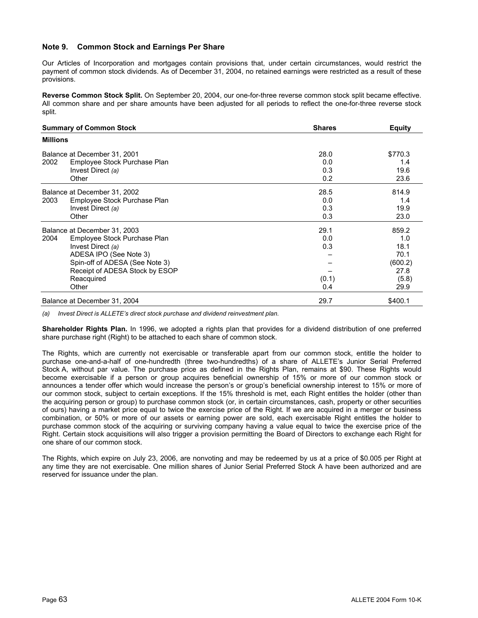#### **Note 9. Common Stock and Earnings Per Share**

Our Articles of Incorporation and mortgages contain provisions that, under certain circumstances, would restrict the payment of common stock dividends. As of December 31, 2004, no retained earnings were restricted as a result of these provisions.

**Reverse Common Stock Split.** On September 20, 2004, our one-for-three reverse common stock split became effective. All common share and per share amounts have been adjusted for all periods to reflect the one-for-three reverse stock split.

| <b>Summary of Common Stock</b><br><b>Shares</b>                                                                                                                                                                |                                    | <b>Equity</b>                                                    |
|----------------------------------------------------------------------------------------------------------------------------------------------------------------------------------------------------------------|------------------------------------|------------------------------------------------------------------|
| <b>Millions</b>                                                                                                                                                                                                |                                    |                                                                  |
| Balance at December 31, 2001<br>2002<br>Employee Stock Purchase Plan<br>Invest Direct (a)<br>Other                                                                                                             | 28.0<br>0.0<br>0.3<br>0.2          | \$770.3<br>1.4<br>19.6<br>23.6                                   |
| Balance at December 31, 2002<br>Employee Stock Purchase Plan<br>2003<br>Invest Direct (a)<br>Other                                                                                                             | 28.5<br>0.0<br>0.3<br>0.3          | 814.9<br>1.4<br>19.9<br>23.0                                     |
| Balance at December 31, 2003<br>Employee Stock Purchase Plan<br>2004<br>Invest Direct (a)<br>ADESA IPO (See Note 3)<br>Spin-off of ADESA (See Note 3)<br>Receipt of ADESA Stock by ESOP<br>Reacquired<br>Other | 29.1<br>0.0<br>0.3<br>(0.1)<br>0.4 | 859.2<br>1.0<br>18.1<br>70.1<br>(600.2)<br>27.8<br>(5.8)<br>29.9 |
| Balance at December 31, 2004                                                                                                                                                                                   | 29.7                               | \$400.1                                                          |

*(a) Invest Direct is ALLETE's direct stock purchase and dividend reinvestment plan.* 

**Shareholder Rights Plan.** In 1996, we adopted a rights plan that provides for a dividend distribution of one preferred share purchase right (Right) to be attached to each share of common stock.

The Rights, which are currently not exercisable or transferable apart from our common stock, entitle the holder to purchase one-and-a-half of one-hundredth (three two-hundredths) of a share of ALLETE's Junior Serial Preferred Stock A, without par value. The purchase price as defined in the Rights Plan, remains at \$90. These Rights would become exercisable if a person or group acquires beneficial ownership of 15% or more of our common stock or announces a tender offer which would increase the person's or group's beneficial ownership interest to 15% or more of our common stock, subject to certain exceptions. If the 15% threshold is met, each Right entitles the holder (other than the acquiring person or group) to purchase common stock (or, in certain circumstances, cash, property or other securities of ours) having a market price equal to twice the exercise price of the Right. If we are acquired in a merger or business combination, or 50% or more of our assets or earning power are sold, each exercisable Right entitles the holder to purchase common stock of the acquiring or surviving company having a value equal to twice the exercise price of the Right. Certain stock acquisitions will also trigger a provision permitting the Board of Directors to exchange each Right for one share of our common stock.

The Rights, which expire on July 23, 2006, are nonvoting and may be redeemed by us at a price of \$0.005 per Right at any time they are not exercisable. One million shares of Junior Serial Preferred Stock A have been authorized and are reserved for issuance under the plan.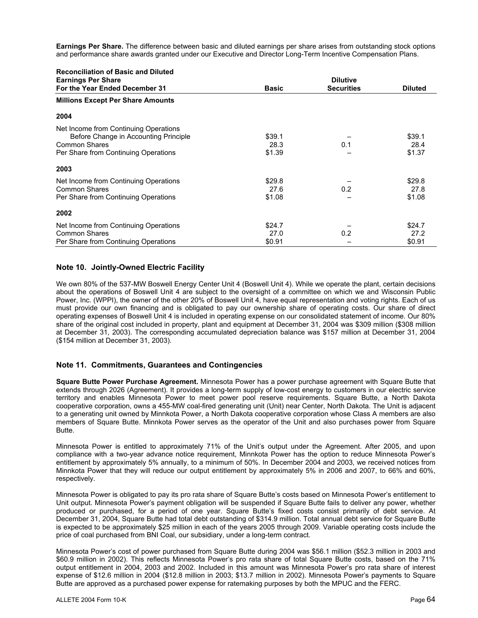**Earnings Per Share.** The difference between basic and diluted earnings per share arises from outstanding stock options and performance share awards granted under our Executive and Director Long-Term Incentive Compensation Plans.

| <b>Reconciliation of Basic and Diluted</b>                  | <b>Dilutive</b> |                   |                |
|-------------------------------------------------------------|-----------------|-------------------|----------------|
| <b>Earnings Per Share</b><br>For the Year Ended December 31 | <b>Basic</b>    | <b>Securities</b> | <b>Diluted</b> |
| <b>Millions Except Per Share Amounts</b>                    |                 |                   |                |
| 2004                                                        |                 |                   |                |
| Net Income from Continuing Operations                       |                 |                   |                |
| Before Change in Accounting Principle                       | \$39.1          |                   | \$39.1         |
| <b>Common Shares</b>                                        | 28.3            | 0.1               | 28.4           |
| Per Share from Continuing Operations                        | \$1.39          |                   | \$1.37         |
| 2003                                                        |                 |                   |                |
| Net Income from Continuing Operations                       | \$29.8          |                   | \$29.8         |
| <b>Common Shares</b>                                        | 27.6            | 0.2               | 27.8           |
| Per Share from Continuing Operations                        | \$1.08          |                   | \$1.08         |
| 2002                                                        |                 |                   |                |
| Net Income from Continuing Operations                       | \$24.7          |                   | \$24.7         |
| <b>Common Shares</b>                                        | 27.0            | 0.2               | 27.2           |
| Per Share from Continuing Operations                        | \$0.91          |                   | \$0.91         |

#### **Note 10. Jointly-Owned Electric Facility**

We own 80% of the 537-MW Boswell Energy Center Unit 4 (Boswell Unit 4). While we operate the plant, certain decisions about the operations of Boswell Unit 4 are subject to the oversight of a committee on which we and Wisconsin Public Power, Inc. (WPPI), the owner of the other 20% of Boswell Unit 4, have equal representation and voting rights. Each of us must provide our own financing and is obligated to pay our ownership share of operating costs. Our share of direct operating expenses of Boswell Unit 4 is included in operating expense on our consolidated statement of income. Our 80% share of the original cost included in property, plant and equipment at December 31, 2004 was \$309 million (\$308 million at December 31, 2003). The corresponding accumulated depreciation balance was \$157 million at December 31, 2004 (\$154 million at December 31, 2003).

#### **Note 11. Commitments, Guarantees and Contingencies**

**Square Butte Power Purchase Agreement.** Minnesota Power has a power purchase agreement with Square Butte that extends through 2026 (Agreement). It provides a long-term supply of low-cost energy to customers in our electric service territory and enables Minnesota Power to meet power pool reserve requirements. Square Butte, a North Dakota cooperative corporation, owns a 455-MW coal-fired generating unit (Unit) near Center, North Dakota. The Unit is adjacent to a generating unit owned by Minnkota Power, a North Dakota cooperative corporation whose Class A members are also members of Square Butte. Minnkota Power serves as the operator of the Unit and also purchases power from Square Butte.

Minnesota Power is entitled to approximately 71% of the Unit's output under the Agreement. After 2005, and upon compliance with a two-year advance notice requirement, Minnkota Power has the option to reduce Minnesota Power's entitlement by approximately 5% annually, to a minimum of 50%. In December 2004 and 2003, we received notices from Minnkota Power that they will reduce our output entitlement by approximately 5% in 2006 and 2007, to 66% and 60%, respectively.

Minnesota Power is obligated to pay its pro rata share of Square Butte's costs based on Minnesota Power's entitlement to Unit output. Minnesota Power's payment obligation will be suspended if Square Butte fails to deliver any power, whether produced or purchased, for a period of one year. Square Butte's fixed costs consist primarily of debt service. At December 31, 2004, Square Butte had total debt outstanding of \$314.9 million. Total annual debt service for Square Butte is expected to be approximately \$25 million in each of the years 2005 through 2009. Variable operating costs include the price of coal purchased from BNI Coal, our subsidiary, under a long-term contract.

Minnesota Power's cost of power purchased from Square Butte during 2004 was \$56.1 million (\$52.3 million in 2003 and \$60.9 million in 2002). This reflects Minnesota Power's pro rata share of total Square Butte costs, based on the 71% output entitlement in 2004, 2003 and 2002. Included in this amount was Minnesota Power's pro rata share of interest expense of \$12.6 million in 2004 (\$12.8 million in 2003; \$13.7 million in 2002). Minnesota Power's payments to Square Butte are approved as a purchased power expense for ratemaking purposes by both the MPUC and the FERC.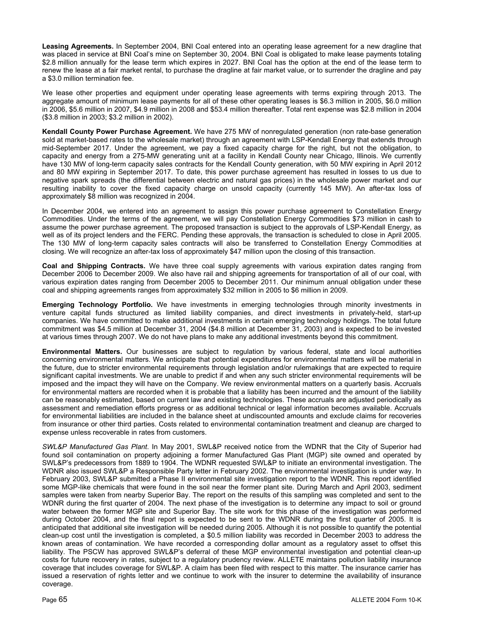**Leasing Agreements.** In September 2004, BNI Coal entered into an operating lease agreement for a new dragline that was placed in service at BNI Coal's mine on September 30, 2004. BNI Coal is obligated to make lease payments totaling \$2.8 million annually for the lease term which expires in 2027. BNI Coal has the option at the end of the lease term to renew the lease at a fair market rental, to purchase the dragline at fair market value, or to surrender the dragline and pay a \$3.0 million termination fee.

We lease other properties and equipment under operating lease agreements with terms expiring through 2013. The aggregate amount of minimum lease payments for all of these other operating leases is \$6.3 million in 2005, \$6.0 million in 2006, \$5.6 million in 2007, \$4.9 million in 2008 and \$53.4 million thereafter. Total rent expense was \$2.8 million in 2004 (\$3.8 million in 2003; \$3.2 million in 2002).

**Kendall County Power Purchase Agreement.** We have 275 MW of nonregulated generation (non rate-base generation sold at market-based rates to the wholesale market) through an agreement with LSP-Kendall Energy that extends through mid-September 2017. Under the agreement, we pay a fixed capacity charge for the right, but not the obligation, to capacity and energy from a 275-MW generating unit at a facility in Kendall County near Chicago, Illinois. We currently have 130 MW of long-term capacity sales contracts for the Kendall County generation, with 50 MW expiring in April 2012 and 80 MW expiring in September 2017. To date, this power purchase agreement has resulted in losses to us due to negative spark spreads (the differential between electric and natural gas prices) in the wholesale power market and our resulting inability to cover the fixed capacity charge on unsold capacity (currently 145 MW). An after-tax loss of approximately \$8 million was recognized in 2004.

In December 2004, we entered into an agreement to assign this power purchase agreement to Constellation Energy Commodities. Under the terms of the agreement, we will pay Constellation Energy Commodities \$73 million in cash to assume the power purchase agreement. The proposed transaction is subject to the approvals of LSP-Kendall Energy, as well as of its project lenders and the FERC. Pending these approvals, the transaction is scheduled to close in April 2005. The 130 MW of long-term capacity sales contracts will also be transferred to Constellation Energy Commodities at closing. We will recognize an after-tax loss of approximately \$47 million upon the closing of this transaction.

**Coal and Shipping Contracts.** We have three coal supply agreements with various expiration dates ranging from December 2006 to December 2009. We also have rail and shipping agreements for transportation of all of our coal, with various expiration dates ranging from December 2005 to December 2011. Our minimum annual obligation under these coal and shipping agreements ranges from approximately \$32 million in 2005 to \$6 million in 2009.

**Emerging Technology Portfolio.** We have investments in emerging technologies through minority investments in venture capital funds structured as limited liability companies, and direct investments in privately-held, start-up companies. We have committed to make additional investments in certain emerging technology holdings. The total future commitment was \$4.5 million at December 31, 2004 (\$4.8 million at December 31, 2003) and is expected to be invested at various times through 2007. We do not have plans to make any additional investments beyond this commitment.

**Environmental Matters.** Our businesses are subject to regulation by various federal, state and local authorities concerning environmental matters. We anticipate that potential expenditures for environmental matters will be material in the future, due to stricter environmental requirements through legislation and/or rulemakings that are expected to require significant capital investments. We are unable to predict if and when any such stricter environmental requirements will be imposed and the impact they will have on the Company. We review environmental matters on a quarterly basis. Accruals for environmental matters are recorded when it is probable that a liability has been incurred and the amount of the liability can be reasonably estimated, based on current law and existing technologies. These accruals are adjusted periodically as assessment and remediation efforts progress or as additional technical or legal information becomes available. Accruals for environmental liabilities are included in the balance sheet at undiscounted amounts and exclude claims for recoveries from insurance or other third parties. Costs related to environmental contamination treatment and cleanup are charged to expense unless recoverable in rates from customers.

*SWL&P Manufactured Gas Plant*. In May 2001, SWL&P received notice from the WDNR that the City of Superior had found soil contamination on property adjoining a former Manufactured Gas Plant (MGP) site owned and operated by SWL&P's predecessors from 1889 to 1904. The WDNR requested SWL&P to initiate an environmental investigation. The WDNR also issued SWL&P a Responsible Party letter in February 2002. The environmental investigation is under way. In February 2003, SWL&P submitted a Phase II environmental site investigation report to the WDNR. This report identified some MGP-like chemicals that were found in the soil near the former plant site. During March and April 2003, sediment samples were taken from nearby Superior Bay. The report on the results of this sampling was completed and sent to the WDNR during the first quarter of 2004. The next phase of the investigation is to determine any impact to soil or ground water between the former MGP site and Superior Bay. The site work for this phase of the investigation was performed during October 2004, and the final report is expected to be sent to the WDNR during the first quarter of 2005. It is anticipated that additional site investigation will be needed during 2005. Although it is not possible to quantify the potential clean-up cost until the investigation is completed, a \$0.5 million liability was recorded in December 2003 to address the known areas of contamination. We have recorded a corresponding dollar amount as a regulatory asset to offset this liability. The PSCW has approved SWL&P's deferral of these MGP environmental investigation and potential clean-up costs for future recovery in rates, subject to a regulatory prudency review. ALLETE maintains pollution liability insurance coverage that includes coverage for SWL&P. A claim has been filed with respect to this matter. The insurance carrier has issued a reservation of rights letter and we continue to work with the insurer to determine the availability of insurance coverage.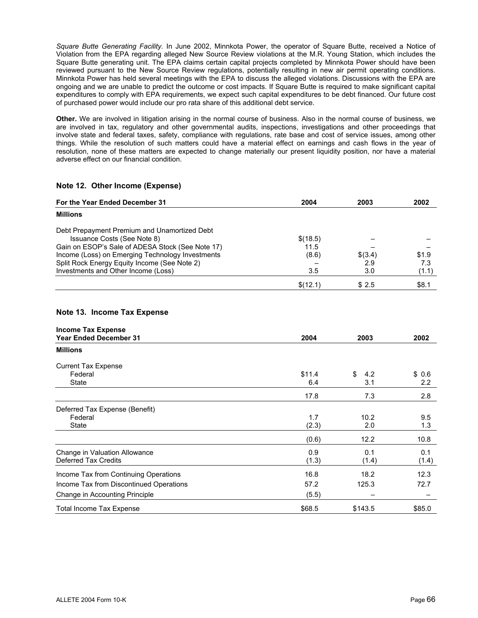*Square Butte Generating Facility.* In June 2002, Minnkota Power, the operator of Square Butte, received a Notice of Violation from the EPA regarding alleged New Source Review violations at the M.R. Young Station, which includes the Square Butte generating unit. The EPA claims certain capital projects completed by Minnkota Power should have been reviewed pursuant to the New Source Review regulations, potentially resulting in new air permit operating conditions. Minnkota Power has held several meetings with the EPA to discuss the alleged violations. Discussions with the EPA are ongoing and we are unable to predict the outcome or cost impacts. If Square Butte is required to make significant capital expenditures to comply with EPA requirements, we expect such capital expenditures to be debt financed. Our future cost of purchased power would include our pro rata share of this additional debt service.

**Other.** We are involved in litigation arising in the normal course of business. Also in the normal course of business, we are involved in tax, regulatory and other governmental audits, inspections, investigations and other proceedings that involve state and federal taxes, safety, compliance with regulations, rate base and cost of service issues, among other things. While the resolution of such matters could have a material effect on earnings and cash flows in the year of resolution, none of these matters are expected to change materially our present liquidity position, nor have a material adverse effect on our financial condition.

#### **Note 12. Other Income (Expense)**

| For the Year Ended December 31                   | 2004     | 2003    | 2002  |
|--------------------------------------------------|----------|---------|-------|
| <b>Millions</b>                                  |          |         |       |
| Debt Prepayment Premium and Unamortized Debt     |          |         |       |
| Issuance Costs (See Note 8)                      | \$(18.5) |         |       |
| Gain on ESOP's Sale of ADESA Stock (See Note 17) | 11.5     |         |       |
| Income (Loss) on Emerging Technology Investments | (8.6)    | \$(3.4) | \$1.9 |
| Split Rock Energy Equity Income (See Note 2)     |          | 2.9     | 7.3   |
| Investments and Other Income (Loss)              | 3.5      | 3.0     | (1.1) |
|                                                  | \$(12.1) | \$2.5   | \$8.1 |

#### **Note 13. Income Tax Expense**

| <b>Income Tax Expense</b>               |        |           |        |
|-----------------------------------------|--------|-----------|--------|
| <b>Year Ended December 31</b>           | 2004   | 2003      | 2002   |
| <b>Millions</b>                         |        |           |        |
| <b>Current Tax Expense</b>              |        |           |        |
| Federal                                 | \$11.4 | \$<br>4.2 | \$0.6  |
| State                                   | 6.4    | 3.1       | 2.2    |
|                                         | 17.8   | 7.3       | 2.8    |
| Deferred Tax Expense (Benefit)          |        |           |        |
| Federal                                 | 1.7    | 10.2      | 9.5    |
| State                                   | (2.3)  | 2.0       | 1.3    |
|                                         | (0.6)  | 12.2      | 10.8   |
| Change in Valuation Allowance           | 0.9    | 0.1       | 0.1    |
| Deferred Tax Credits                    | (1.3)  | (1.4)     | (1.4)  |
| Income Tax from Continuing Operations   | 16.8   | 18.2      | 12.3   |
| Income Tax from Discontinued Operations | 57.2   | 125.3     | 72.7   |
| Change in Accounting Principle          | (5.5)  |           |        |
| <b>Total Income Tax Expense</b>         | \$68.5 | \$143.5   | \$85.0 |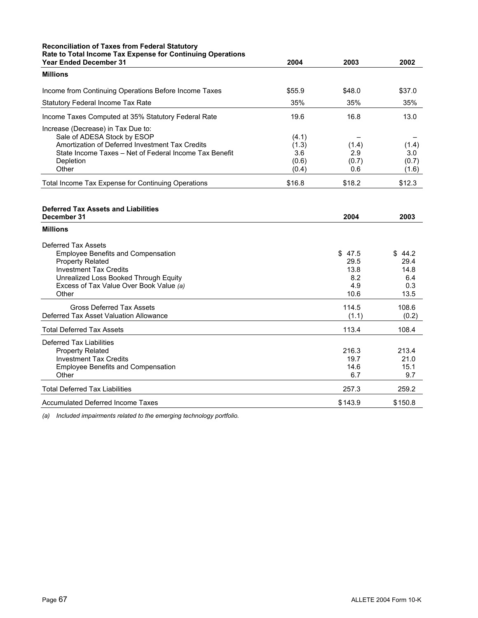### **Reconciliation of Taxes from Federal Statutory Rate to Total Income Tax Expense for Continuing Operations**

| <b>Year Ended December 31</b>                          | 2004   | 2003   | 2002   |
|--------------------------------------------------------|--------|--------|--------|
| <b>Millions</b>                                        |        |        |        |
| Income from Continuing Operations Before Income Taxes  | \$55.9 | \$48.0 | \$37.0 |
| <b>Statutory Federal Income Tax Rate</b>               | 35%    | 35%    | 35%    |
| Income Taxes Computed at 35% Statutory Federal Rate    | 19.6   | 16.8   | 13.0   |
| Increase (Decrease) in Tax Due to:                     |        |        |        |
| Sale of ADESA Stock by ESOP                            | (4.1)  |        |        |
| Amortization of Deferred Investment Tax Credits        | (1.3)  | (1.4)  | (1.4)  |
| State Income Taxes - Net of Federal Income Tax Benefit | 3.6    | 2.9    | 3.0    |
| Depletion                                              | (0.6)  | (0.7)  | (0.7)  |
| Other                                                  | (0.4)  | 0.6    | (1.6)  |
| Total Income Tax Expense for Continuing Operations     | \$16.8 | \$18.2 | \$12.3 |
|                                                        |        |        |        |

| Deferred Tax Assets and Liabilities       |         |            |
|-------------------------------------------|---------|------------|
| December 31                               | 2004    | 2003       |
| <b>Millions</b>                           |         |            |
| Deferred Tax Assets                       |         |            |
| <b>Employee Benefits and Compensation</b> | \$47.5  | \$<br>44.2 |
| <b>Property Related</b>                   | 29.5    | 29.4       |
| <b>Investment Tax Credits</b>             | 13.8    | 14.8       |
| Unrealized Loss Booked Through Equity     | 8.2     | 6.4        |
| Excess of Tax Value Over Book Value (a)   | 4.9     | 0.3        |
| Other                                     | 10.6    | 13.5       |
| <b>Gross Deferred Tax Assets</b>          | 114.5   | 108.6      |
| Deferred Tax Asset Valuation Allowance    | (1.1)   | (0.2)      |
| <b>Total Deferred Tax Assets</b>          | 113.4   | 108.4      |
| Deferred Tax Liabilities                  |         |            |
| <b>Property Related</b>                   | 216.3   | 213.4      |
| <b>Investment Tax Credits</b>             | 19.7    | 21.0       |
| <b>Employee Benefits and Compensation</b> | 14.6    | 15.1       |
| Other                                     | 6.7     | 9.7        |
| <b>Total Deferred Tax Liabilities</b>     | 257.3   | 259.2      |
| Accumulated Deferred Income Taxes         | \$143.9 | \$150.8    |

*(a) Included impairments related to the emerging technology portfolio.*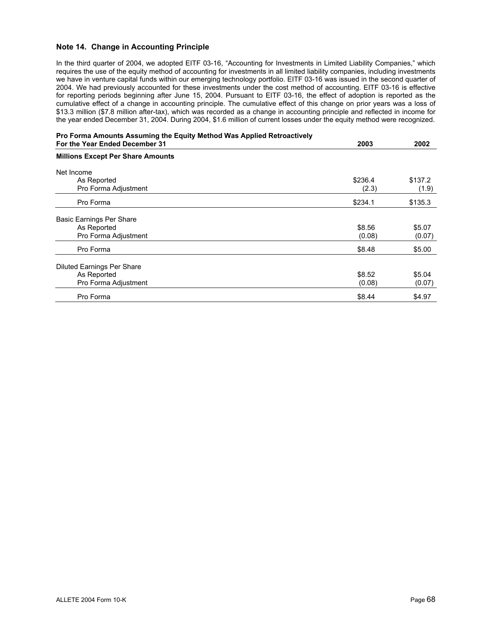#### **Note 14. Change in Accounting Principle**

In the third quarter of 2004, we adopted EITF 03-16, "Accounting for Investments in Limited Liability Companies," which requires the use of the equity method of accounting for investments in all limited liability companies, including investments we have in venture capital funds within our emerging technology portfolio. EITF 03-16 was issued in the second quarter of 2004. We had previously accounted for these investments under the cost method of accounting. EITF 03-16 is effective for reporting periods beginning after June 15, 2004. Pursuant to EITF 03-16, the effect of adoption is reported as the cumulative effect of a change in accounting principle. The cumulative effect of this change on prior years was a loss of \$13.3 million (\$7.8 million after-tax), which was recorded as a change in accounting principle and reflected in income for the year ended December 31, 2004. During 2004, \$1.6 million of current losses under the equity method were recognized.

| Pro Forma Amounts Assuming the Equity Method Was Applied Retroactively<br>For the Year Ended December 31 | 2003    | 2002    |
|----------------------------------------------------------------------------------------------------------|---------|---------|
| <b>Millions Except Per Share Amounts</b>                                                                 |         |         |
| Net Income                                                                                               |         |         |
| As Reported                                                                                              | \$236.4 | \$137.2 |
| Pro Forma Adjustment                                                                                     | (2.3)   | (1.9)   |
| Pro Forma                                                                                                | \$234.1 | \$135.3 |
| <b>Basic Earnings Per Share</b>                                                                          |         |         |
| As Reported                                                                                              | \$8.56  | \$5.07  |
| Pro Forma Adjustment                                                                                     | (0.08)  | (0.07)  |
| Pro Forma                                                                                                | \$8.48  | \$5.00  |
| <b>Diluted Earnings Per Share</b>                                                                        |         |         |
| As Reported                                                                                              | \$8.52  | \$5.04  |
| Pro Forma Adjustment                                                                                     | (0.08)  | (0.07)  |
| Pro Forma                                                                                                | \$8.44  | \$4.97  |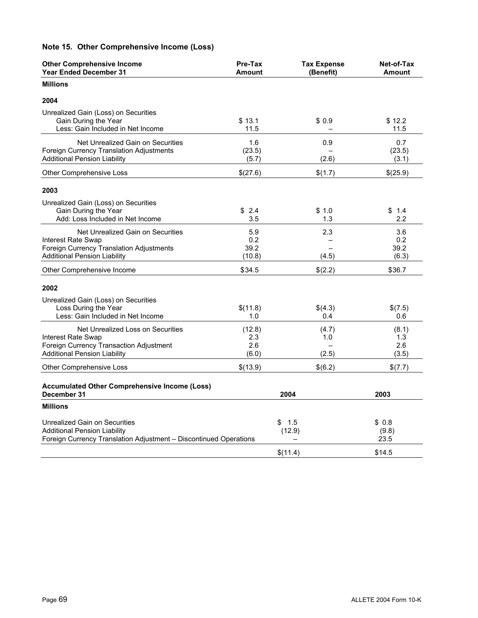# **Note 15. Other Comprehensive Income (Loss)**

| <b>Other Comprehensive Income</b><br><b>Year Ended December 31</b>                                                                         | Pre-Tax<br><b>Amount</b>      | <b>Tax Expense</b><br>(Benefit) | Net-of-Tax<br><b>Amount</b>  |
|--------------------------------------------------------------------------------------------------------------------------------------------|-------------------------------|---------------------------------|------------------------------|
| <b>Millions</b>                                                                                                                            |                               |                                 |                              |
| 2004                                                                                                                                       |                               |                                 |                              |
| Unrealized Gain (Loss) on Securities<br>Gain During the Year<br>Less: Gain Included in Net Income                                          | \$13.1<br>11.5                | \$0.9                           | \$12.2<br>11.5               |
| Net Unrealized Gain on Securities<br>Foreign Currency Translation Adjustments<br><b>Additional Pension Liability</b>                       | 1.6<br>(23.5)<br>(5.7)        | 0.9<br>(2.6)                    | 0.7<br>(23.5)<br>(3.1)       |
| Other Comprehensive Loss                                                                                                                   | \$(27.6)                      | \$(1.7)                         | \$(25.9)                     |
| 2003                                                                                                                                       |                               |                                 |                              |
| Unrealized Gain (Loss) on Securities<br>Gain During the Year<br>Add: Loss Included in Net Income                                           | \$2.4<br>3.5                  | \$ 1.0<br>1.3                   | \$1.4<br>$2.2\phantom{0}$    |
| Net Unrealized Gain on Securities<br>Interest Rate Swap<br>Foreign Currency Translation Adjustments<br><b>Additional Pension Liability</b> | 5.9<br>0.2<br>39.2<br>(10.8)  | 2.3<br>(4.5)                    | 3.6<br>0.2<br>39.2<br>(6.3)  |
| Other Comprehensive Income                                                                                                                 | \$34.5                        | \$(2.2)                         | \$36.7                       |
| 2002                                                                                                                                       |                               |                                 |                              |
| Unrealized Gain (Loss) on Securities<br>Loss During the Year<br>Less: Gain Included in Net Income                                          | \$(11.8)<br>1.0               | \$(4.3)<br>0.4                  | \$(7.5)<br>0.6               |
| Net Unrealized Loss on Securities<br>Interest Rate Swap<br>Foreign Currency Transaction Adjustment<br><b>Additional Pension Liability</b>  | (12.8)<br>2.3<br>2.6<br>(6.0) | (4.7)<br>1.0<br>(2.5)           | (8.1)<br>1.3<br>2.6<br>(3.5) |
| Other Comprehensive Loss                                                                                                                   | \$(13.9)                      | \$(6.2)                         | \$(7.7)                      |
| <b>Accumulated Other Comprehensive Income (Loss)</b><br>December 31                                                                        |                               | 2004                            | 2003                         |
| <b>Millions</b>                                                                                                                            |                               |                                 |                              |
| Unrealized Gain on Securities<br><b>Additional Pension Liability</b><br>Foreign Currency Translation Adjustment - Discontinued Operations  | \$                            | 1.5<br>(12.9)                   | \$0.8<br>(9.8)<br>23.5       |
|                                                                                                                                            |                               | \$(11.4)                        | \$14.5                       |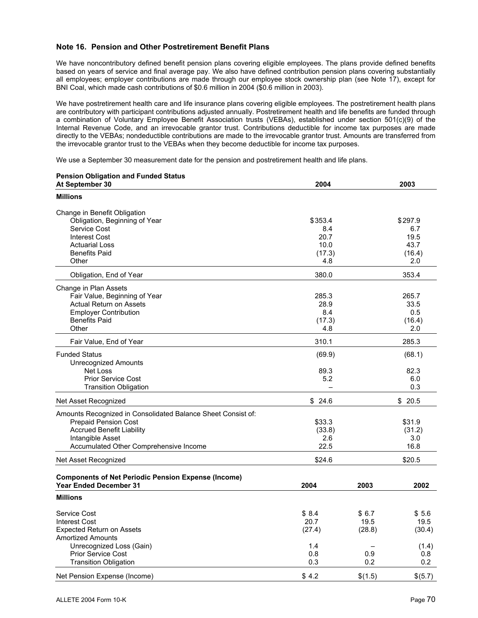#### **Note 16. Pension and Other Postretirement Benefit Plans**

**Pension Obligation and Funded Status** 

We have noncontributory defined benefit pension plans covering eligible employees. The plans provide defined benefits based on years of service and final average pay. We also have defined contribution pension plans covering substantially all employees; employer contributions are made through our employee stock ownership plan (see Note 17), except for BNI Coal, which made cash contributions of \$0.6 million in 2004 (\$0.6 million in 2003).

We have postretirement health care and life insurance plans covering eligible employees. The postretirement health plans are contributory with participant contributions adjusted annually. Postretirement health and life benefits are funded through a combination of Voluntary Employee Benefit Association trusts (VEBAs), established under section 501(c)(9) of the Internal Revenue Code, and an irrevocable grantor trust. Contributions deductible for income tax purposes are made directly to the VEBAs; nondeductible contributions are made to the irrevocable grantor trust. Amounts are transferred from the irrevocable grantor trust to the VEBAs when they become deductible for income tax purposes.

We use a September 30 measurement date for the pension and postretirement health and life plans.

| Pension Obligation and Funded Status<br>At September 30      | 2004    |         | 2003    |
|--------------------------------------------------------------|---------|---------|---------|
|                                                              |         |         |         |
| <b>Millions</b>                                              |         |         |         |
| Change in Benefit Obligation                                 |         |         |         |
| Obligation, Beginning of Year                                | \$353.4 |         | \$297.9 |
| Service Cost                                                 | 8.4     |         | 6.7     |
| <b>Interest Cost</b>                                         | 20.7    |         | 19.5    |
| <b>Actuarial Loss</b>                                        | 10.0    |         | 43.7    |
| <b>Benefits Paid</b>                                         | (17.3)  |         | (16.4)  |
| Other                                                        | 4.8     |         | 2.0     |
| Obligation, End of Year                                      | 380.0   |         | 353.4   |
| Change in Plan Assets                                        |         |         |         |
| Fair Value, Beginning of Year                                | 285.3   |         | 265.7   |
| <b>Actual Return on Assets</b>                               | 28.9    |         | 33.5    |
| <b>Employer Contribution</b>                                 | 8.4     |         | 0.5     |
| <b>Benefits Paid</b>                                         | (17.3)  |         | (16.4)  |
| Other                                                        | 4.8     |         | 2.0     |
| Fair Value, End of Year                                      | 310.1   |         | 285.3   |
| <b>Funded Status</b>                                         | (69.9)  |         | (68.1)  |
| <b>Unrecognized Amounts</b>                                  |         |         |         |
| Net Loss                                                     | 89.3    |         | 82.3    |
| <b>Prior Service Cost</b>                                    | 5.2     |         | 6.0     |
| <b>Transition Obligation</b>                                 |         |         | 0.3     |
| Net Asset Recognized                                         | \$24.6  |         | \$20.5  |
| Amounts Recognized in Consolidated Balance Sheet Consist of: |         |         |         |
| <b>Prepaid Pension Cost</b>                                  | \$33.3  |         | \$31.9  |
| <b>Accrued Benefit Liability</b>                             | (33.8)  |         | (31.2)  |
| Intangible Asset                                             | 2.6     |         | 3.0     |
| Accumulated Other Comprehensive Income                       | 22.5    |         | 16.8    |
| Net Asset Recognized                                         | \$24.6  |         | \$20.5  |
| <b>Components of Net Periodic Pension Expense (Income)</b>   |         |         |         |
| <b>Year Ended December 31</b>                                | 2004    | 2003    | 2002    |
| <b>Millions</b>                                              |         |         |         |
| Service Cost                                                 | \$8.4   | \$6.7   | \$5.6   |
| <b>Interest Cost</b>                                         | 20.7    | 19.5    | 19.5    |
| <b>Expected Return on Assets</b>                             | (27.4)  | (28.8)  | (30.4)  |
| <b>Amortized Amounts</b>                                     |         |         |         |
| Unrecognized Loss (Gain)                                     | 1.4     |         | (1.4)   |
| Prior Service Cost                                           | 0.8     | 0.9     | 0.8     |
| <b>Transition Obligation</b>                                 | 0.3     | 0.2     | 0.2     |
| Net Pension Expense (Income)                                 | \$4.2   | \$(1.5) | \$(5.7) |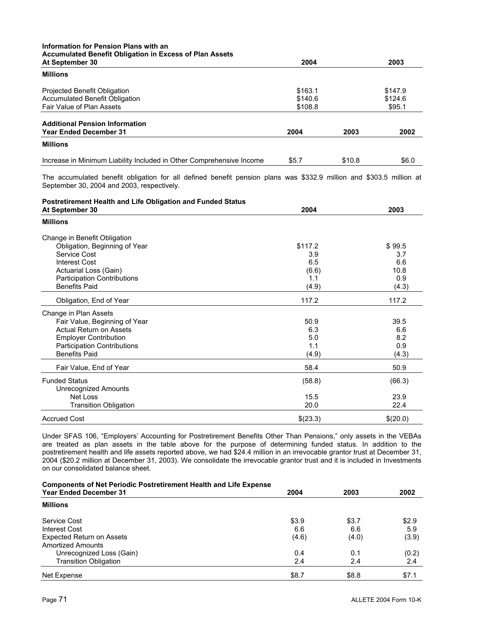## **Information for Pension Plans with an Accumulated Benefit Obligation in Excess of Plan Assets**

| At September 30                                                      | 2004    |        | 2003    |
|----------------------------------------------------------------------|---------|--------|---------|
| <b>Millions</b>                                                      |         |        |         |
| Projected Benefit Obligation                                         | \$163.1 |        | \$147.9 |
| Accumulated Benefit Obligation                                       | \$140.6 |        | \$124.6 |
| Fair Value of Plan Assets                                            | \$108.8 |        | \$95.1  |
| <b>Additional Pension Information</b>                                |         |        |         |
| <b>Year Ended December 31</b>                                        | 2004    | 2003   | 2002    |
| <b>Millions</b>                                                      |         |        |         |
| Increase in Minimum Liability Included in Other Comprehensive Income | \$5.7   | \$10.8 | \$6.0   |

The accumulated benefit obligation for all defined benefit pension plans was \$332.9 million and \$303.5 million at September 30, 2004 and 2003, respectively.

# **Postretirement Health and Life Obligation and Funded Status**

| At September 30                    | 2004     | 2003     |
|------------------------------------|----------|----------|
| <b>Millions</b>                    |          |          |
| Change in Benefit Obligation       |          |          |
| Obligation, Beginning of Year      | \$117.2  | \$99.5   |
| Service Cost                       | 3.9      | 3.7      |
| Interest Cost                      | 6.5      | 6.6      |
| Actuarial Loss (Gain)              | (6.6)    | 10.8     |
| <b>Participation Contributions</b> | 1.1      | 0.9      |
| <b>Benefits Paid</b>               | (4.9)    | (4.3)    |
| Obligation, End of Year            | 117.2    | 117.2    |
| Change in Plan Assets              |          |          |
| Fair Value, Beginning of Year      | 50.9     | 39.5     |
| <b>Actual Return on Assets</b>     | 6.3      | 6.6      |
| <b>Employer Contribution</b>       | 5.0      | 8.2      |
| <b>Participation Contributions</b> | 1.1      | 0.9      |
| <b>Benefits Paid</b>               | (4.9)    | (4.3)    |
| Fair Value, End of Year            | 58.4     | 50.9     |
| <b>Funded Status</b>               | (58.8)   | (66.3)   |
| Unrecognized Amounts               |          |          |
| Net Loss                           | 15.5     | 23.9     |
| <b>Transition Obligation</b>       | 20.0     | 22.4     |
| <b>Accrued Cost</b>                | \$(23.3) | \$(20.0) |

Under SFAS 106, "Employers' Accounting for Postretirement Benefits Other Than Pensions," only assets in the VEBAs are treated as plan assets in the table above for the purpose of determining funded status. In addition to the postretirement health and life assets reported above, we had \$24.4 million in an irrevocable grantor trust at December 31, 2004 (\$20.2 million at December 31, 2003). We consolidate the irrevocable grantor trust and it is included in Investments on our consolidated balance sheet.

#### **Components of Net Periodic Postretirement Health and Life Expense**

| <b>Year Ended December 31</b>    | 2004  | 2003  | 2002  |
|----------------------------------|-------|-------|-------|
| <b>Millions</b>                  |       |       |       |
| Service Cost                     | \$3.9 | \$3.7 | \$2.9 |
| Interest Cost                    | 6.6   | 6.6   | 5.9   |
| <b>Expected Return on Assets</b> | (4.6) | (4.0) | (3.9) |
| <b>Amortized Amounts</b>         |       |       |       |
| Unrecognized Loss (Gain)         | 0.4   | 0.1   | (0.2) |
| <b>Transition Obligation</b>     | 2.4   | 2.4   | 2.4   |
| Net Expense                      | \$8.7 | \$8.8 | \$7.1 |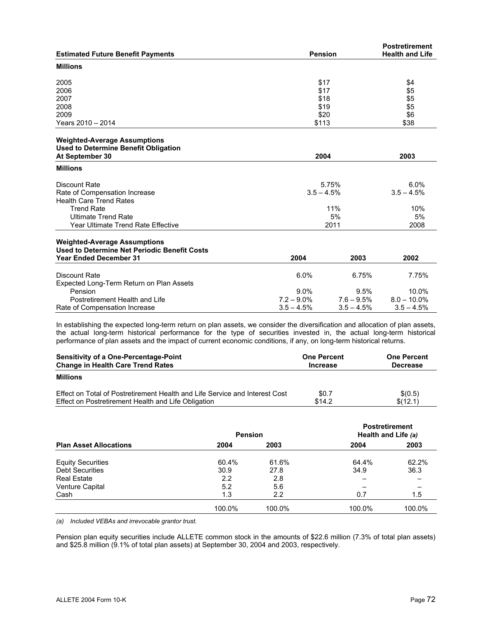|                                                     |                |               | <b>Postretirement</b><br><b>Health and Life</b> |
|-----------------------------------------------------|----------------|---------------|-------------------------------------------------|
| <b>Estimated Future Benefit Payments</b>            | <b>Pension</b> |               |                                                 |
| <b>Millions</b>                                     |                |               |                                                 |
| 2005                                                | \$17           |               | \$4                                             |
| 2006                                                | \$17           |               | \$5                                             |
| 2007                                                | \$18           |               | \$5                                             |
| 2008                                                | \$19           |               | \$5                                             |
| 2009                                                | \$20           |               | \$6                                             |
| Years 2010 - 2014                                   | \$113          |               | \$38                                            |
| <b>Weighted-Average Assumptions</b>                 |                |               |                                                 |
| <b>Used to Determine Benefit Obligation</b>         |                |               |                                                 |
| At September 30                                     | 2004           |               | 2003                                            |
| <b>Millions</b>                                     |                |               |                                                 |
| Discount Rate                                       |                | 5.75%         | 6.0%                                            |
| Rate of Compensation Increase                       | $3.5 - 4.5%$   |               | $3.5 - 4.5%$                                    |
| <b>Health Care Trend Rates</b>                      |                |               |                                                 |
| <b>Trend Rate</b>                                   |                | 11%           | 10%                                             |
| <b>Ultimate Trend Rate</b>                          |                | 5%            | 5%                                              |
| Year Ultimate Trend Rate Effective                  |                | 2011          | 2008                                            |
| <b>Weighted-Average Assumptions</b>                 |                |               |                                                 |
| Used to Determine Net Periodic Benefit Costs        |                |               |                                                 |
| <b>Year Ended December 31</b>                       | 2004           | 2003          | 2002                                            |
|                                                     |                |               |                                                 |
| <b>Discount Rate</b>                                | 6.0%           | 6.75%         | 7.75%                                           |
| Expected Long-Term Return on Plan Assets<br>Pension | $9.0\%$        | 9.5%          | 10.0%                                           |
| Postretirement Health and Life                      | $7.2 - 9.0\%$  | $7.6 - 9.5\%$ | $8.0 - 10.0\%$                                  |
| Rate of Compensation Increase                       | $3.5 - 4.5%$   | $3.5 - 4.5%$  | $3.5 - 4.5%$                                    |
|                                                     |                |               |                                                 |

In establishing the expected long-term return on plan assets, we consider the diversification and allocation of plan assets, the actual long-term historical performance for the type of securities invested in, the actual long-term historical performance of plan assets and the impact of current economic conditions, if any, on long-term historical returns.

| <b>Sensitivity of a One-Percentage-Point</b><br><b>Change in Health Care Trend Rates</b> | <b>One Percent</b><br><b>Increase</b> | <b>One Percent</b><br><b>Decrease</b> |  |
|------------------------------------------------------------------------------------------|---------------------------------------|---------------------------------------|--|
| <b>Millions</b>                                                                          |                                       |                                       |  |
| Effect on Total of Postretirement Health and Life Service and Interest Cost              | \$0.7                                 | \$(0.5)                               |  |
| Effect on Postretirement Health and Life Obligation                                      | \$14.2                                | \$(12.1)                              |  |

|                               | <b>Pension</b> |        | <b>Postretirement</b><br>Health and Life (a) |        |  |
|-------------------------------|----------------|--------|----------------------------------------------|--------|--|
| <b>Plan Asset Allocations</b> | 2004           | 2003   | 2004                                         | 2003   |  |
| <b>Equity Securities</b>      | 60.4%          | 61.6%  | 64.4%                                        | 62.2%  |  |
| <b>Debt Securities</b>        | 30.9           | 27.8   | 34.9                                         | 36.3   |  |
| <b>Real Estate</b>            | 2.2            | 2.8    | $\overline{\phantom{0}}$                     |        |  |
| Venture Capital               | 5.2            | 5.6    |                                              |        |  |
| Cash                          | 1.3            | 2.2    | 0.7                                          | 1.5    |  |
|                               | 100.0%         | 100.0% | 100.0%                                       | 100.0% |  |

*(a) Included VEBAs and irrevocable grantor trust.* 

Pension plan equity securities include ALLETE common stock in the amounts of \$22.6 million (7.3% of total plan assets) and \$25.8 million (9.1% of total plan assets) at September 30, 2004 and 2003, respectively.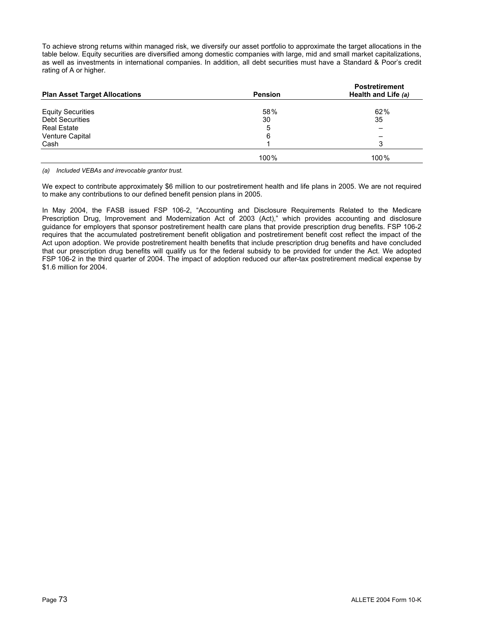To achieve strong returns within managed risk, we diversify our asset portfolio to approximate the target allocations in the table below. Equity securities are diversified among domestic companies with large, mid and small market capitalizations, as well as investments in international companies. In addition, all debt securities must have a Standard & Poor's credit rating of A or higher.

| <b>Plan Asset Target Allocations</b> | <b>Pension</b> | <b>Postretirement</b><br>Health and Life (a) |  |
|--------------------------------------|----------------|----------------------------------------------|--|
| <b>Equity Securities</b>             | 58%            | 62%                                          |  |
| <b>Debt Securities</b>               | 30             | 35                                           |  |
| <b>Real Estate</b>                   | 5              |                                              |  |
| Venture Capital                      | 6              |                                              |  |
| Cash                                 |                | 3                                            |  |
|                                      | 100%           | 100%                                         |  |

*(a) Included VEBAs and irrevocable grantor trust.* 

We expect to contribute approximately \$6 million to our postretirement health and life plans in 2005. We are not required to make any contributions to our defined benefit pension plans in 2005.

In May 2004, the FASB issued FSP 106-2, "Accounting and Disclosure Requirements Related to the Medicare Prescription Drug, Improvement and Modernization Act of 2003 (Act)," which provides accounting and disclosure guidance for employers that sponsor postretirement health care plans that provide prescription drug benefits. FSP 106-2 requires that the accumulated postretirement benefit obligation and postretirement benefit cost reflect the impact of the Act upon adoption. We provide postretirement health benefits that include prescription drug benefits and have concluded that our prescription drug benefits will qualify us for the federal subsidy to be provided for under the Act. We adopted FSP 106-2 in the third quarter of 2004. The impact of adoption reduced our after-tax postretirement medical expense by \$1.6 million for 2004.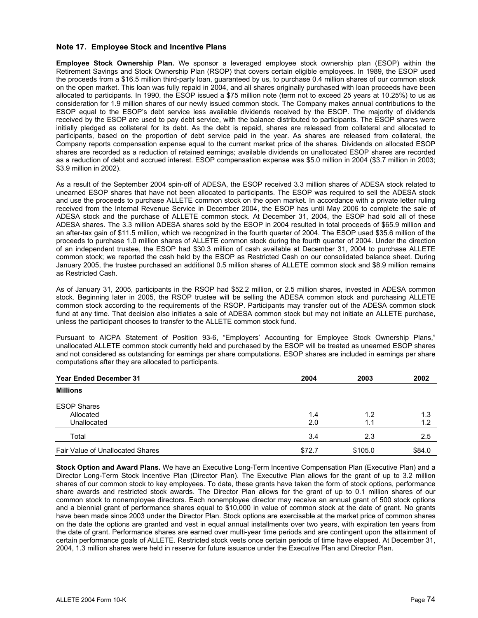#### **Note 17. Employee Stock and Incentive Plans**

**Employee Stock Ownership Plan.** We sponsor a leveraged employee stock ownership plan (ESOP) within the Retirement Savings and Stock Ownership Plan (RSOP) that covers certain eligible employees. In 1989, the ESOP used the proceeds from a \$16.5 million third-party loan, guaranteed by us, to purchase 0.4 million shares of our common stock on the open market. This loan was fully repaid in 2004, and all shares originally purchased with loan proceeds have been allocated to participants. In 1990, the ESOP issued a \$75 million note (term not to exceed 25 years at 10.25%) to us as consideration for 1.9 million shares of our newly issued common stock. The Company makes annual contributions to the ESOP equal to the ESOP's debt service less available dividends received by the ESOP. The majority of dividends received by the ESOP are used to pay debt service, with the balance distributed to participants. The ESOP shares were initially pledged as collateral for its debt. As the debt is repaid, shares are released from collateral and allocated to participants, based on the proportion of debt service paid in the year. As shares are released from collateral, the Company reports compensation expense equal to the current market price of the shares. Dividends on allocated ESOP shares are recorded as a reduction of retained earnings; available dividends on unallocated ESOP shares are recorded as a reduction of debt and accrued interest. ESOP compensation expense was \$5.0 million in 2004 (\$3.7 million in 2003; \$3.9 million in 2002).

As a result of the September 2004 spin-off of ADESA, the ESOP received 3.3 million shares of ADESA stock related to unearned ESOP shares that have not been allocated to participants. The ESOP was required to sell the ADESA stock and use the proceeds to purchase ALLETE common stock on the open market. In accordance with a private letter ruling received from the Internal Revenue Service in December 2004, the ESOP has until May 2006 to complete the sale of ADESA stock and the purchase of ALLETE common stock. At December 31, 2004, the ESOP had sold all of these ADESA shares. The 3.3 million ADESA shares sold by the ESOP in 2004 resulted in total proceeds of \$65.9 million and an after-tax gain of \$11.5 million, which we recognized in the fourth quarter of 2004. The ESOP used \$35.6 million of the proceeds to purchase 1.0 million shares of ALLETE common stock during the fourth quarter of 2004. Under the direction of an independent trustee, the ESOP had \$30.3 million of cash available at December 31, 2004 to purchase ALLETE common stock; we reported the cash held by the ESOP as Restricted Cash on our consolidated balance sheet. During January 2005, the trustee purchased an additional 0.5 million shares of ALLETE common stock and \$8.9 million remains as Restricted Cash.

As of January 31, 2005, participants in the RSOP had \$52.2 million, or 2.5 million shares, invested in ADESA common stock. Beginning later in 2005, the RSOP trustee will be selling the ADESA common stock and purchasing ALLETE common stock according to the requirements of the RSOP. Participants may transfer out of the ADESA common stock fund at any time. That decision also initiates a sale of ADESA common stock but may not initiate an ALLETE purchase, unless the participant chooses to transfer to the ALLETE common stock fund.

Pursuant to AICPA Statement of Position 93-6, "Employers' Accounting for Employee Stock Ownership Plans," unallocated ALLETE common stock currently held and purchased by the ESOP will be treated as unearned ESOP shares and not considered as outstanding for earnings per share computations. ESOP shares are included in earnings per share computations after they are allocated to participants.

| <b>Year Ended December 31</b>    | 2004   | 2003    | 2002   |
|----------------------------------|--------|---------|--------|
| <b>Millions</b>                  |        |         |        |
| <b>ESOP Shares</b>               |        |         |        |
| Allocated                        | 1.4    | 1.2     | 1.3    |
| Unallocated                      | 2.0    | 1.1     | 1.2    |
| Total                            | 3.4    | 2.3     | 2.5    |
| Fair Value of Unallocated Shares | \$72.7 | \$105.0 | \$84.0 |

**Stock Option and Award Plans.** We have an Executive Long-Term Incentive Compensation Plan (Executive Plan) and a Director Long-Term Stock Incentive Plan (Director Plan). The Executive Plan allows for the grant of up to 3.2 million shares of our common stock to key employees. To date, these grants have taken the form of stock options, performance share awards and restricted stock awards. The Director Plan allows for the grant of up to 0.1 million shares of our common stock to nonemployee directors. Each nonemployee director may receive an annual grant of 500 stock options and a biennial grant of performance shares equal to \$10,000 in value of common stock at the date of grant. No grants have been made since 2003 under the Director Plan. Stock options are exercisable at the market price of common shares on the date the options are granted and vest in equal annual installments over two years, with expiration ten years from the date of grant. Performance shares are earned over multi-year time periods and are contingent upon the attainment of certain performance goals of ALLETE. Restricted stock vests once certain periods of time have elapsed. At December 31, 2004, 1.3 million shares were held in reserve for future issuance under the Executive Plan and Director Plan.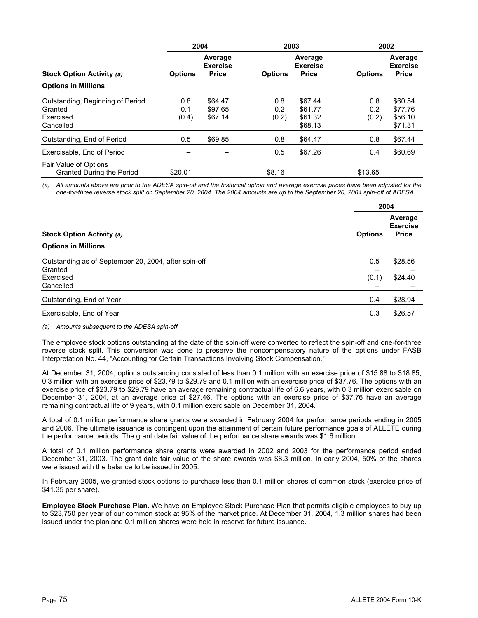|                                                                       | 2004                |                                            | 2003                |                                            | 2002                |                                            |
|-----------------------------------------------------------------------|---------------------|--------------------------------------------|---------------------|--------------------------------------------|---------------------|--------------------------------------------|
| Stock Option Activity (a)                                             | <b>Options</b>      | Average<br><b>Exercise</b><br><b>Price</b> | <b>Options</b>      | Average<br><b>Exercise</b><br><b>Price</b> | <b>Options</b>      | Average<br><b>Exercise</b><br><b>Price</b> |
| <b>Options in Millions</b>                                            |                     |                                            |                     |                                            |                     |                                            |
| Outstanding, Beginning of Period<br>Granted<br>Exercised<br>Cancelled | 0.8<br>0.1<br>(0.4) | \$64.47<br>\$97.65<br>\$67.14              | 0.8<br>0.2<br>(0.2) | \$67.44<br>\$61.77<br>\$61.32<br>\$68.13   | 0.8<br>0.2<br>(0.2) | \$60.54<br>\$77.76<br>\$56.10<br>\$71.31   |
| Outstanding, End of Period                                            | 0.5                 | \$69.85                                    | 0.8                 | \$64.47                                    | 0.8                 | \$67.44                                    |
| Exercisable, End of Period                                            |                     |                                            | 0.5                 | \$67.26                                    | 0.4                 | \$60.69                                    |
| Fair Value of Options<br>Granted During the Period                    | \$20.01             |                                            | \$8.16              |                                            | \$13.65             |                                            |

*(a) All amounts above are prior to the ADESA spin-off and the historical option and average exercise prices have been adjusted for the one-for-three reverse stock split on September 20, 2004. The 2004 amounts are up to the September 20, 2004 spin-off of ADESA.* 

|                                                      | 2004           |                                            |
|------------------------------------------------------|----------------|--------------------------------------------|
| Stock Option Activity (a)                            | <b>Options</b> | Average<br><b>Exercise</b><br><b>Price</b> |
| <b>Options in Millions</b>                           |                |                                            |
| Outstanding as of September 20, 2004, after spin-off | 0.5            | \$28.56                                    |
| Granted                                              |                |                                            |
| Exercised                                            | (0.1)          | \$24.40                                    |
| Cancelled                                            |                |                                            |
| Outstanding, End of Year                             | 0.4            | \$28.94                                    |
| Exercisable, End of Year                             | 0.3            | \$26.57                                    |

*(a) Amounts subsequent to the ADESA spin-off.* 

The employee stock options outstanding at the date of the spin-off were converted to reflect the spin-off and one-for-three reverse stock split. This conversion was done to preserve the noncompensatory nature of the options under FASB Interpretation No. 44, "Accounting for Certain Transactions Involving Stock Compensation."

At December 31, 2004, options outstanding consisted of less than 0.1 million with an exercise price of \$15.88 to \$18.85, 0.3 million with an exercise price of \$23.79 to \$29.79 and 0.1 million with an exercise price of \$37.76. The options with an exercise price of \$23.79 to \$29.79 have an average remaining contractual life of 6.6 years, with 0.3 million exercisable on December 31, 2004, at an average price of \$27.46. The options with an exercise price of \$37.76 have an average remaining contractual life of 9 years, with 0.1 million exercisable on December 31, 2004.

A total of 0.1 million performance share grants were awarded in February 2004 for performance periods ending in 2005 and 2006. The ultimate issuance is contingent upon the attainment of certain future performance goals of ALLETE during the performance periods. The grant date fair value of the performance share awards was \$1.6 million.

A total of 0.1 million performance share grants were awarded in 2002 and 2003 for the performance period ended December 31, 2003. The grant date fair value of the share awards was \$8.3 million. In early 2004, 50% of the shares were issued with the balance to be issued in 2005.

In February 2005, we granted stock options to purchase less than 0.1 million shares of common stock (exercise price of \$41.35 per share).

**Employee Stock Purchase Plan.** We have an Employee Stock Purchase Plan that permits eligible employees to buy up to \$23,750 per year of our common stock at 95% of the market price. At December 31, 2004, 1.3 million shares had been issued under the plan and 0.1 million shares were held in reserve for future issuance.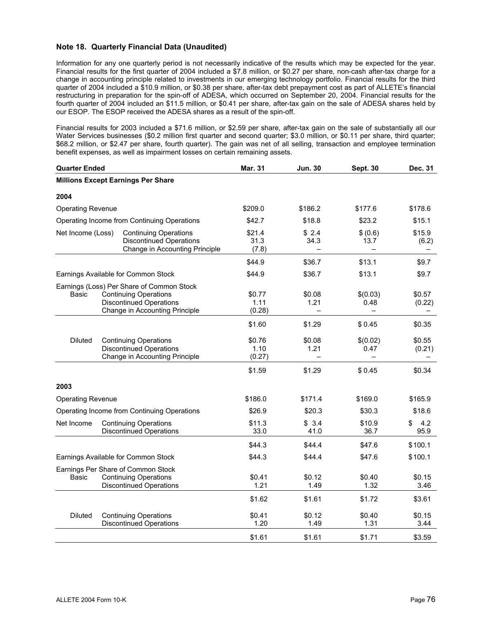#### **Note 18. Quarterly Financial Data (Unaudited)**

Information for any one quarterly period is not necessarily indicative of the results which may be expected for the year. Financial results for the first quarter of 2004 included a \$7.8 million, or \$0.27 per share, non-cash after-tax charge for a change in accounting principle related to investments in our emerging technology portfolio. Financial results for the third quarter of 2004 included a \$10.9 million, or \$0.38 per share, after-tax debt prepayment cost as part of ALLETE's financial restructuring in preparation for the spin-off of ADESA, which occurred on September 20, 2004. Financial results for the fourth quarter of 2004 included an \$11.5 million, or \$0.41 per share, after-tax gain on the sale of ADESA shares held by our ESOP. The ESOP received the ADESA shares as a result of the spin-off.

Financial results for 2003 included a \$71.6 million, or \$2.59 per share, after-tax gain on the sale of substantially all our Water Services businesses (\$0.2 million first quarter and second quarter; \$3.0 million, or \$0.11 per share, third quarter; \$68.2 million, or \$2.47 per share, fourth quarter). The gain was net of all selling, transaction and employee termination benefit expenses, as well as impairment losses on certain remaining assets.

| <b>Quarter Ended</b>     |  | <b>Mar. 31</b>                                                                                                                                | <b>Jun. 30</b>           | <b>Sept. 30</b> | Dec. 31          |                   |
|--------------------------|--|-----------------------------------------------------------------------------------------------------------------------------------------------|--------------------------|-----------------|------------------|-------------------|
|                          |  | <b>Millions Except Earnings Per Share</b>                                                                                                     |                          |                 |                  |                   |
| 2004                     |  |                                                                                                                                               |                          |                 |                  |                   |
| <b>Operating Revenue</b> |  |                                                                                                                                               | \$209.0                  | \$186.2         | \$177.6          | \$178.6           |
|                          |  | Operating Income from Continuing Operations                                                                                                   | \$42.7                   | \$18.8          | \$23.2           | \$15.1            |
| Net Income (Loss)        |  | <b>Continuing Operations</b><br><b>Discontinued Operations</b><br>Change in Accounting Principle                                              | \$21.4<br>31.3<br>(7.8)  | \$2.4<br>34.3   | \$ (0.6)<br>13.7 | \$15.9<br>(6.2)   |
|                          |  |                                                                                                                                               | \$44.9                   | \$36.7          | \$13.1           | \$9.7             |
|                          |  | Earnings Available for Common Stock                                                                                                           | \$44.9                   | \$36.7          | \$13.1           | \$9.7             |
| Basic                    |  | Earnings (Loss) Per Share of Common Stock<br><b>Continuing Operations</b><br><b>Discontinued Operations</b><br>Change in Accounting Principle | \$0.77<br>1.11<br>(0.28) | \$0.08<br>1.21  | \$(0.03)<br>0.48 | \$0.57<br>(0.22)  |
|                          |  |                                                                                                                                               | \$1.60                   | \$1.29          | \$0.45           | \$0.35            |
| <b>Diluted</b>           |  | <b>Continuing Operations</b><br><b>Discontinued Operations</b><br>Change in Accounting Principle                                              | \$0.76<br>1.10<br>(0.27) | \$0.08<br>1.21  | \$(0.02)<br>0.47 | \$0.55<br>(0.21)  |
|                          |  |                                                                                                                                               | \$1.59                   | \$1.29          | \$0.45           | \$0.34            |
| 2003                     |  |                                                                                                                                               |                          |                 |                  |                   |
| <b>Operating Revenue</b> |  |                                                                                                                                               | \$186.0                  | \$171.4         | \$169.0          | \$165.9           |
|                          |  | Operating Income from Continuing Operations                                                                                                   | \$26.9                   | \$20.3          | \$30.3           | \$18.6            |
| Net Income               |  | <b>Continuing Operations</b><br><b>Discontinued Operations</b>                                                                                | \$11.3<br>33.0           | \$3.4<br>41.0   | \$10.9<br>36.7   | \$<br>4.2<br>95.9 |
|                          |  |                                                                                                                                               | \$44.3                   | \$44.4          | \$47.6           | \$100.1           |
|                          |  | Earnings Available for Common Stock                                                                                                           | \$44.3                   | \$44.4          | \$47.6           | \$100.1           |
| Basic                    |  | Earnings Per Share of Common Stock<br><b>Continuing Operations</b><br><b>Discontinued Operations</b>                                          | \$0.41<br>1.21           | \$0.12<br>1.49  | \$0.40<br>1.32   | \$0.15<br>3.46    |
|                          |  |                                                                                                                                               | \$1.62                   | \$1.61          | \$1.72           | \$3.61            |
| <b>Diluted</b>           |  | <b>Continuing Operations</b><br><b>Discontinued Operations</b>                                                                                | \$0.41<br>1.20           | \$0.12<br>1.49  | \$0.40<br>1.31   | \$0.15<br>3.44    |
|                          |  |                                                                                                                                               | \$1.61                   | \$1.61          | \$1.71           | \$3.59            |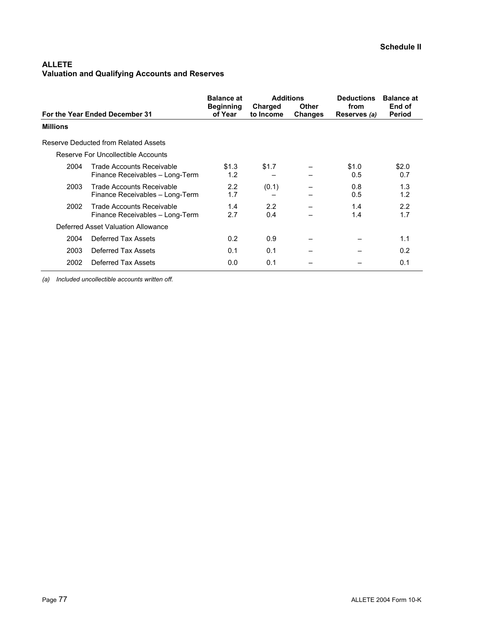## **ALLETE Valuation and Qualifying Accounts and Reserves**

|                 | For the Year Ended December 31                               | <b>Balance at</b><br><b>Beginning</b><br>of Year | <b>Additions</b><br>Charged<br>to Income | <b>Other</b><br><b>Changes</b> | <b>Deductions</b><br>from<br>Reserves (a) | <b>Balance at</b><br>End of<br><b>Period</b> |
|-----------------|--------------------------------------------------------------|--------------------------------------------------|------------------------------------------|--------------------------------|-------------------------------------------|----------------------------------------------|
| <b>Millions</b> |                                                              |                                                  |                                          |                                |                                           |                                              |
|                 | Reserve Deducted from Related Assets                         |                                                  |                                          |                                |                                           |                                              |
|                 | Reserve For Uncollectible Accounts                           |                                                  |                                          |                                |                                           |                                              |
| 2004            | Trade Accounts Receivable<br>Finance Receivables - Long-Term | \$1.3<br>1.2                                     | \$1.7                                    |                                | \$1.0<br>0.5                              | \$2.0<br>0.7                                 |
| 2003            | Trade Accounts Receivable<br>Finance Receivables - Long-Term | 2.2<br>1.7                                       | (0.1)                                    |                                | 0.8<br>0.5                                | 1.3<br>1.2                                   |
| 2002            | Trade Accounts Receivable<br>Finance Receivables - Long-Term | 1.4<br>2.7                                       | 2.2<br>0.4                               |                                | 1.4<br>1.4                                | 2.2<br>1.7                                   |
|                 | Deferred Asset Valuation Allowance                           |                                                  |                                          |                                |                                           |                                              |
| 2004            | Deferred Tax Assets                                          | 0.2                                              | 0.9                                      |                                |                                           | 1.1                                          |
| 2003            | Deferred Tax Assets                                          | 0.1                                              | 0.1                                      |                                |                                           | 0.2                                          |
| 2002            | Deferred Tax Assets                                          | 0.0                                              | 0.1                                      |                                |                                           | 0.1                                          |

*(a) Included uncollectible accounts written off.*